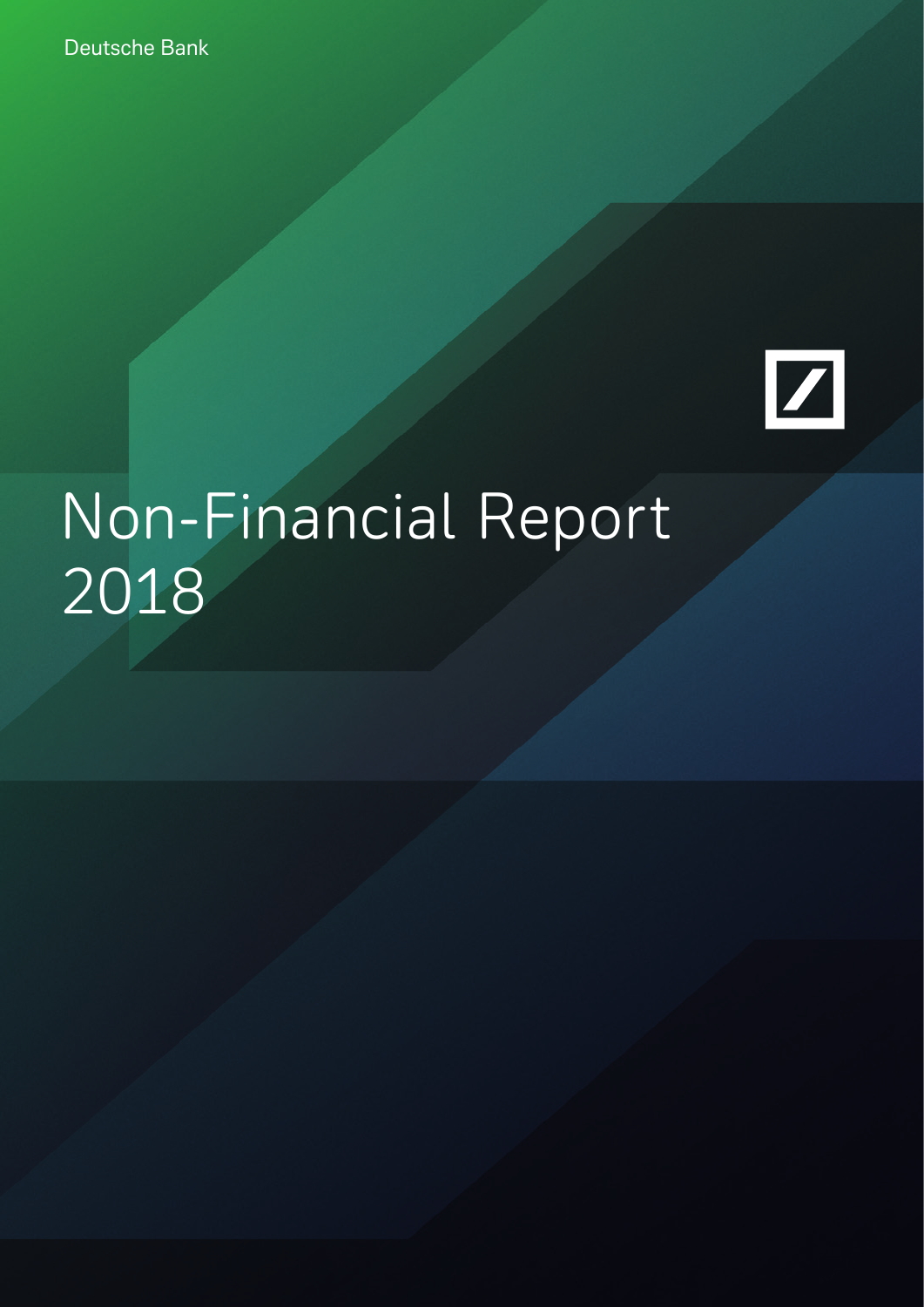Deutsche Bank



# Non-Financial Report 2018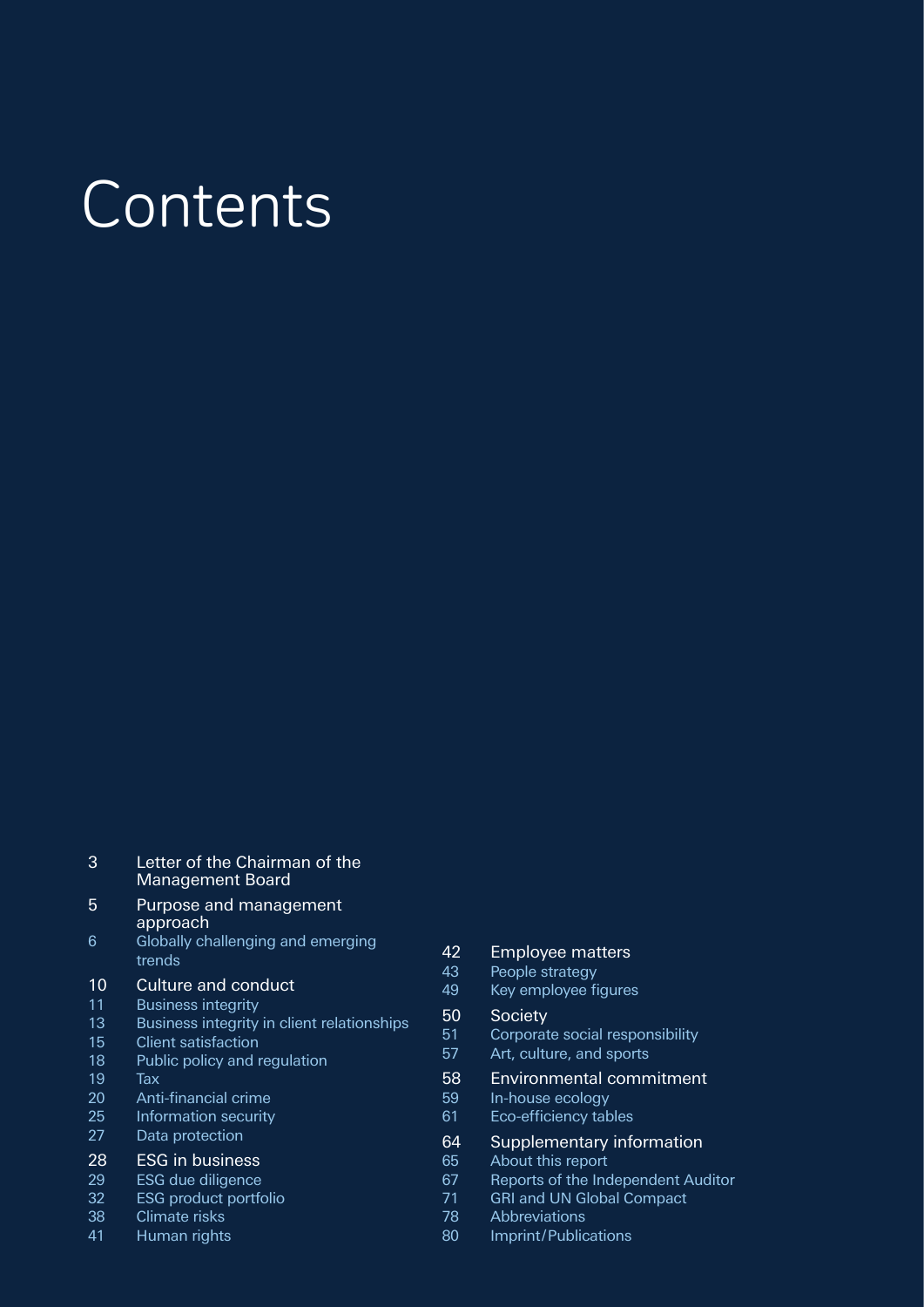# Contents

| 3  | Letter of the Chairman of the<br><b>Management Board</b> |
|----|----------------------------------------------------------|
| 5  | Purpose and management<br>approach                       |
| 6  | Globally challenging and emerging<br>trends              |
| 10 | Culture and conduct                                      |
| 11 | <b>Business integrity</b>                                |
| 13 | Business integrity in client relationships               |
| 15 | Client satisfaction                                      |
| 18 | Public policy and regulation                             |
| 19 | Tax                                                      |
| 20 | Anti-financial crime                                     |
| 25 | Information security                                     |
| 27 | Data protection                                          |
| 28 | <b>ESG</b> in business                                   |
| 29 | <b>ESG</b> due diligence                                 |
| 32 | <b>ESG</b> product portfolio                             |
| 38 | Climate risks                                            |
| 41 | Human rights                                             |
|    |                                                          |

#### Employee matters

- People strategy
- 49 Key employee figures

#### Society

- Corporate social responsibility
- Art, culture, and sports

#### Environmental commitment

- In-house ecology
- 61 Eco-efficiency tables

# 64 Supplementary information<br>65 About this report

- About this report
- 67 Reports of the Independent Auditor
- GRI and UN Global Compact
- Abbreviations
- Imprint/Publications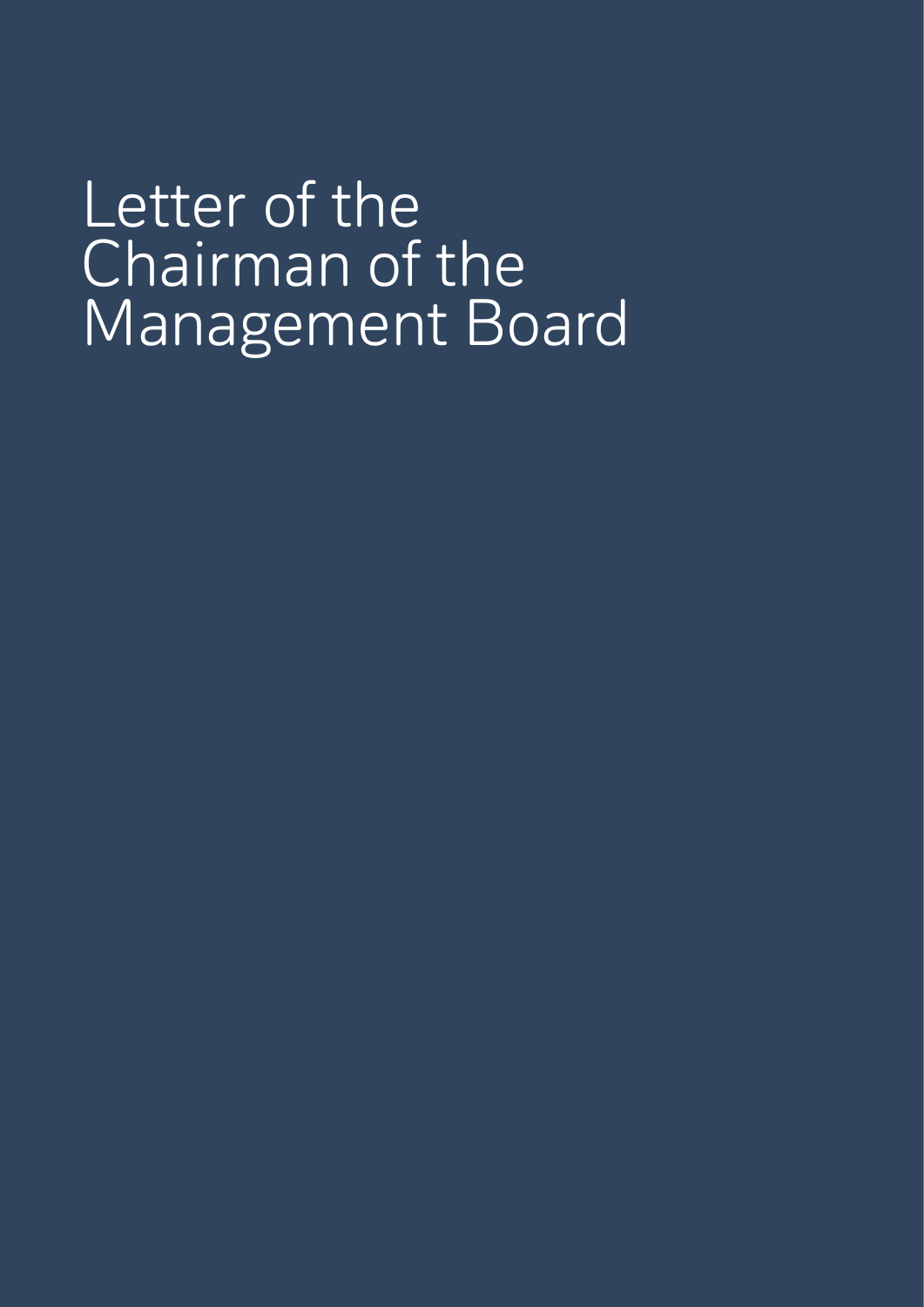Letter of the Chairman of the Management Board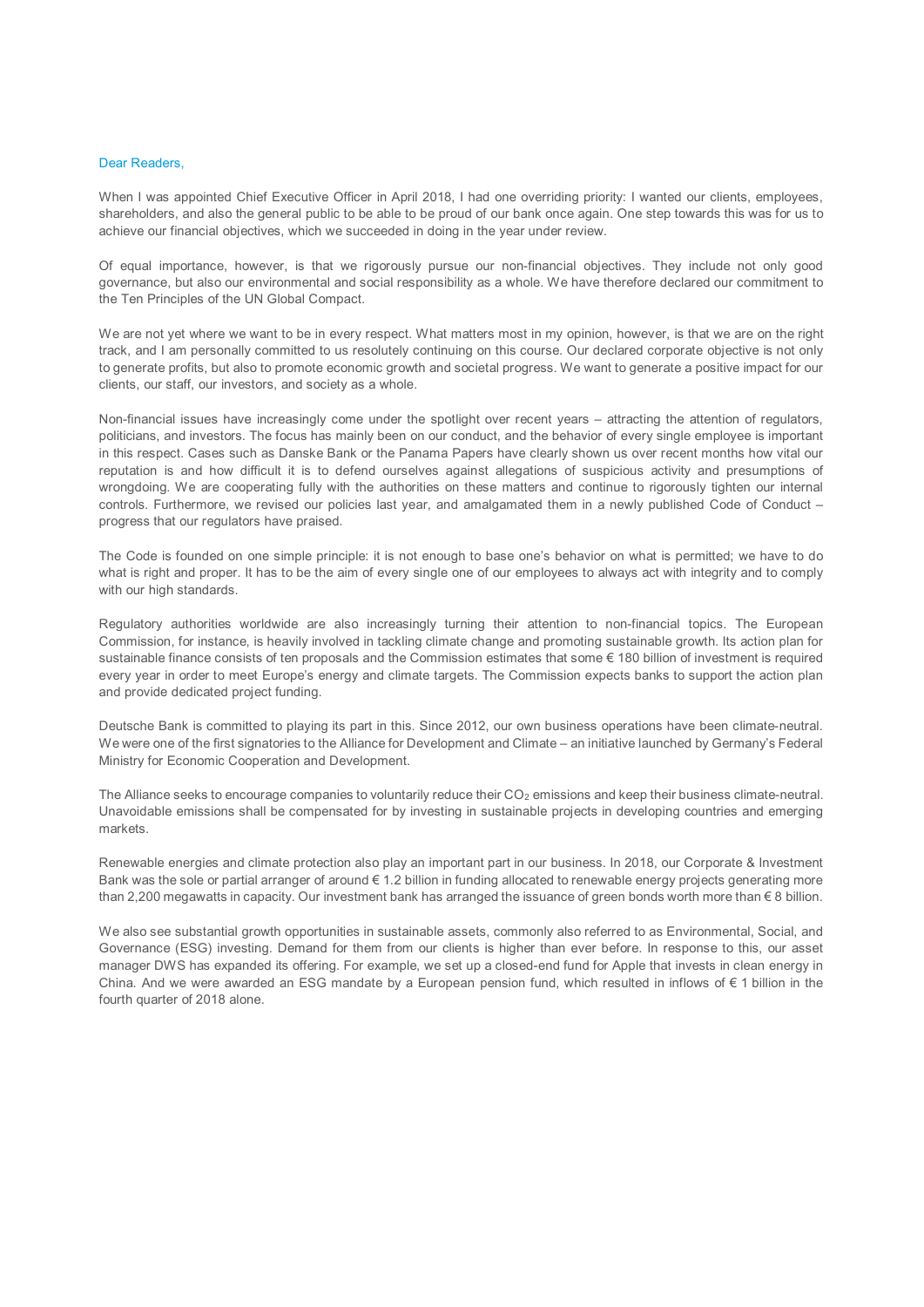#### Dear Readers,

When I was appointed Chief Executive Officer in April 2018, I had one overriding priority: I wanted our clients, employees, shareholders, and also the general public to be able to be proud of our bank once again. One step towards this was for us to achieve our financial objectives, which we succeeded in doing in the year under review.

Of equal importance, however, is that we rigorously pursue our non-financial objectives. They include not only good governance, but also our environmental and social responsibility as a whole. We have therefore declared our commitment to the Ten Principles of the UN Global Compact.

We are not yet where we want to be in every respect. What matters most in my opinion, however, is that we are on the right track, and I am personally committed to us resolutely continuing on this course. Our declared corporate objective is not only to generate profits, but also to promote economic growth and societal progress. We want to generate a positive impact for our clients, our staff, our investors, and society as a whole.

Non-financial issues have increasingly come under the spotlight over recent years – attracting the attention of regulators, politicians, and investors. The focus has mainly been on our conduct, and the behavior of every single employee is important in this respect. Cases such as Danske Bank or the Panama Papers have clearly shown us over recent months how vital our reputation is and how difficult it is to defend ourselves against allegations of suspicious activity and presumptions of wrongdoing. We are cooperating fully with the authorities on these matters and continue to rigorously tighten our internal controls. Furthermore, we revised our policies last year, and amalgamated them in a newly published Code of Conduct – progress that our regulators have praised.

The Code is founded on one simple principle: it is not enough to base one's behavior on what is permitted; we have to do what is right and proper. It has to be the aim of every single one of our employees to always act with integrity and to comply with our high standards.

Regulatory authorities worldwide are also increasingly turning their attention to non-financial topics. The European Commission, for instance, is heavily involved in tackling climate change and promoting sustainable growth. Its action plan for sustainable finance consists of ten proposals and the Commission estimates that some € 180 billion of investment is required every year in order to meet Europe's energy and climate targets. The Commission expects banks to support the action plan and provide dedicated project funding.

Deutsche Bank is committed to playing its part in this. Since 2012, our own business operations have been climate-neutral. We were one of the first signatories to the Alliance for Development and Climate – an initiative launched by Germany's Federal Ministry for Economic Cooperation and Development.

The Alliance seeks to encourage companies to voluntarily reduce their  $CO_2$  emissions and keep their business climate-neutral. Unavoidable emissions shall be compensated for by investing in sustainable projects in developing countries and emerging markets.

Renewable energies and climate protection also play an important part in our business. In 2018, our Corporate & Investment Bank was the sole or partial arranger of around € 1.2 billion in funding allocated to renewable energy projects generating more than 2,200 megawatts in capacity. Our investment bank has arranged the issuance of green bonds worth more than € 8 billion.

We also see substantial growth opportunities in sustainable assets, commonly also referred to as Environmental, Social, and Governance (ESG) investing. Demand for them from our clients is higher than ever before. In response to this, our asset manager DWS has expanded its offering. For example, we set up a closed-end fund for Apple that invests in clean energy in China. And we were awarded an ESG mandate by a European pension fund, which resulted in inflows of € 1 billion in the fourth quarter of 2018 alone.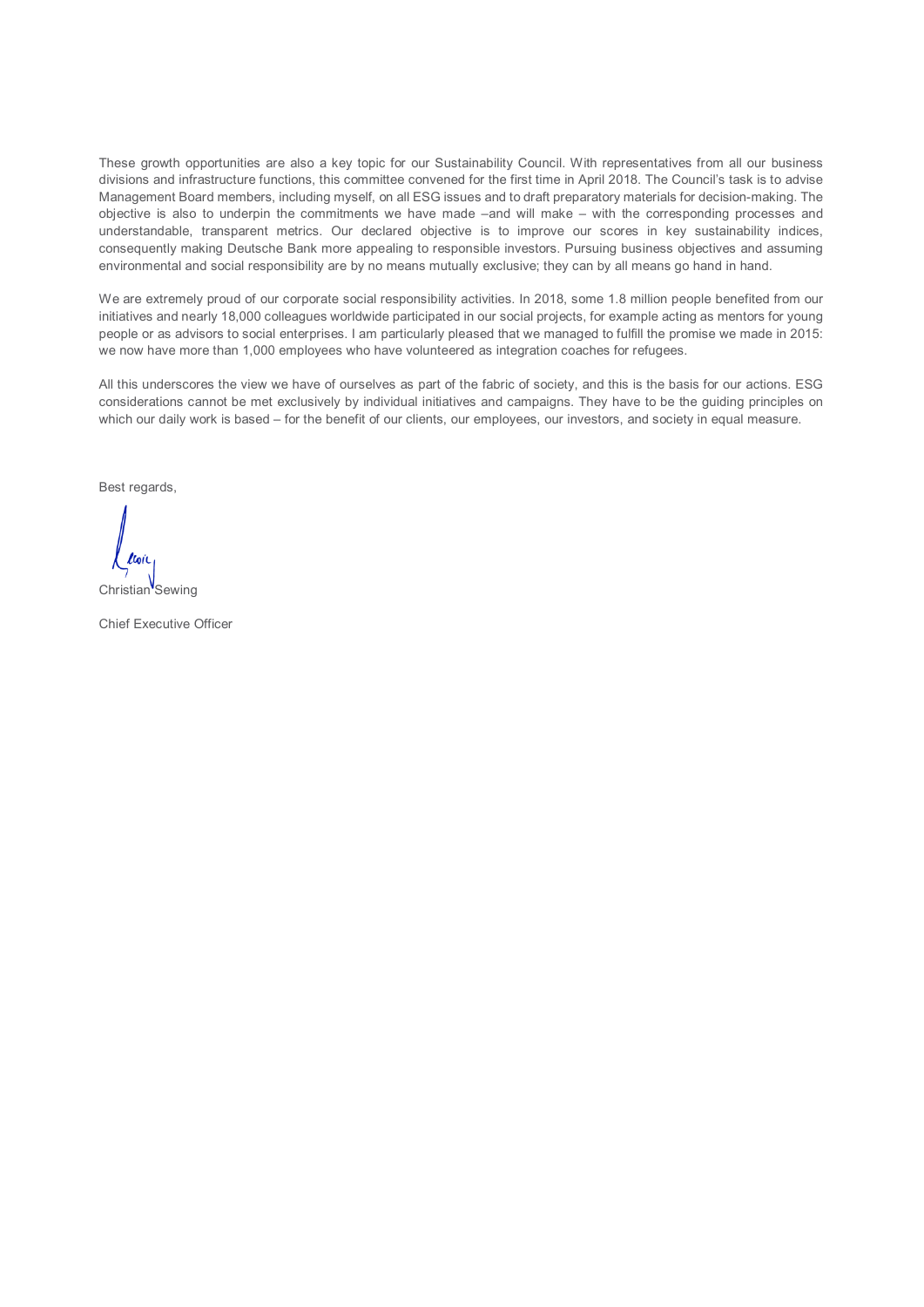These growth opportunities are also a key topic for our Sustainability Council. With representatives from all our business divisions and infrastructure functions, this committee convened for the first time in April 2018. The Council's task is to advise Management Board members, including myself, on all ESG issues and to draft preparatory materials for decision-making. The objective is also to underpin the commitments we have made –and will make – with the corresponding processes and understandable, transparent metrics. Our declared objective is to improve our scores in key sustainability indices, consequently making Deutsche Bank more appealing to responsible investors. Pursuing business objectives and assuming environmental and social responsibility are by no means mutually exclusive; they can by all means go hand in hand.

We are extremely proud of our corporate social responsibility activities. In 2018, some 1.8 million people benefited from our initiatives and nearly 18,000 colleagues worldwide participated in our social projects, for example acting as mentors for young people or as advisors to social enterprises. I am particularly pleased that we managed to fulfill the promise we made in 2015: we now have more than 1,000 employees who have volunteered as integration coaches for refugees.

All this underscores the view we have of ourselves as part of the fabric of society, and this is the basis for our actions. ESG considerations cannot be met exclusively by individual initiatives and campaigns. They have to be the guiding principles on which our daily work is based – for the benefit of our clients, our employees, our investors, and society in equal measure.

Best regards,

Christian<sup>V</sup>Sewing

Chief Executive Officer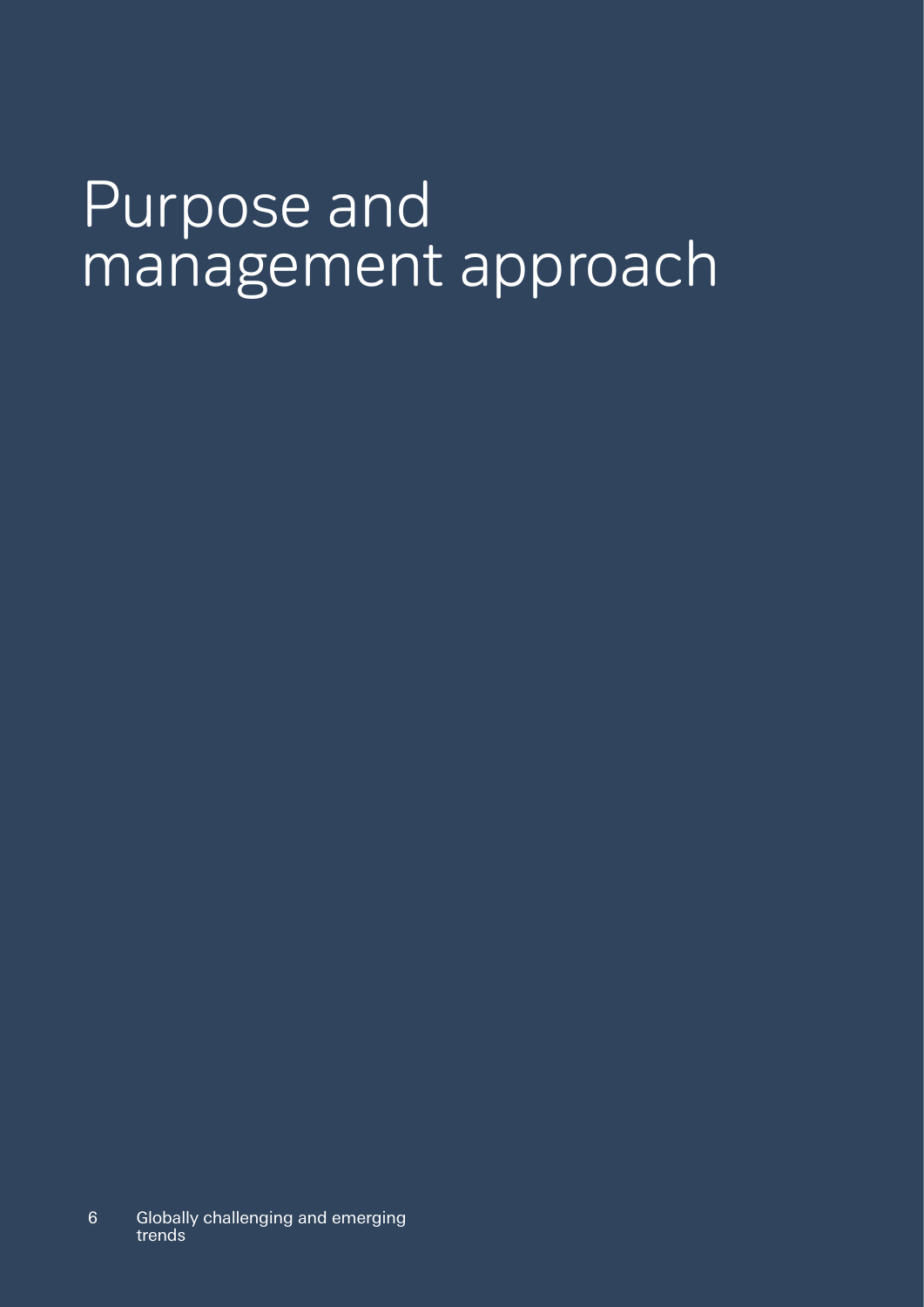# Purpose and management approach

6 Globally challenging and emerging trends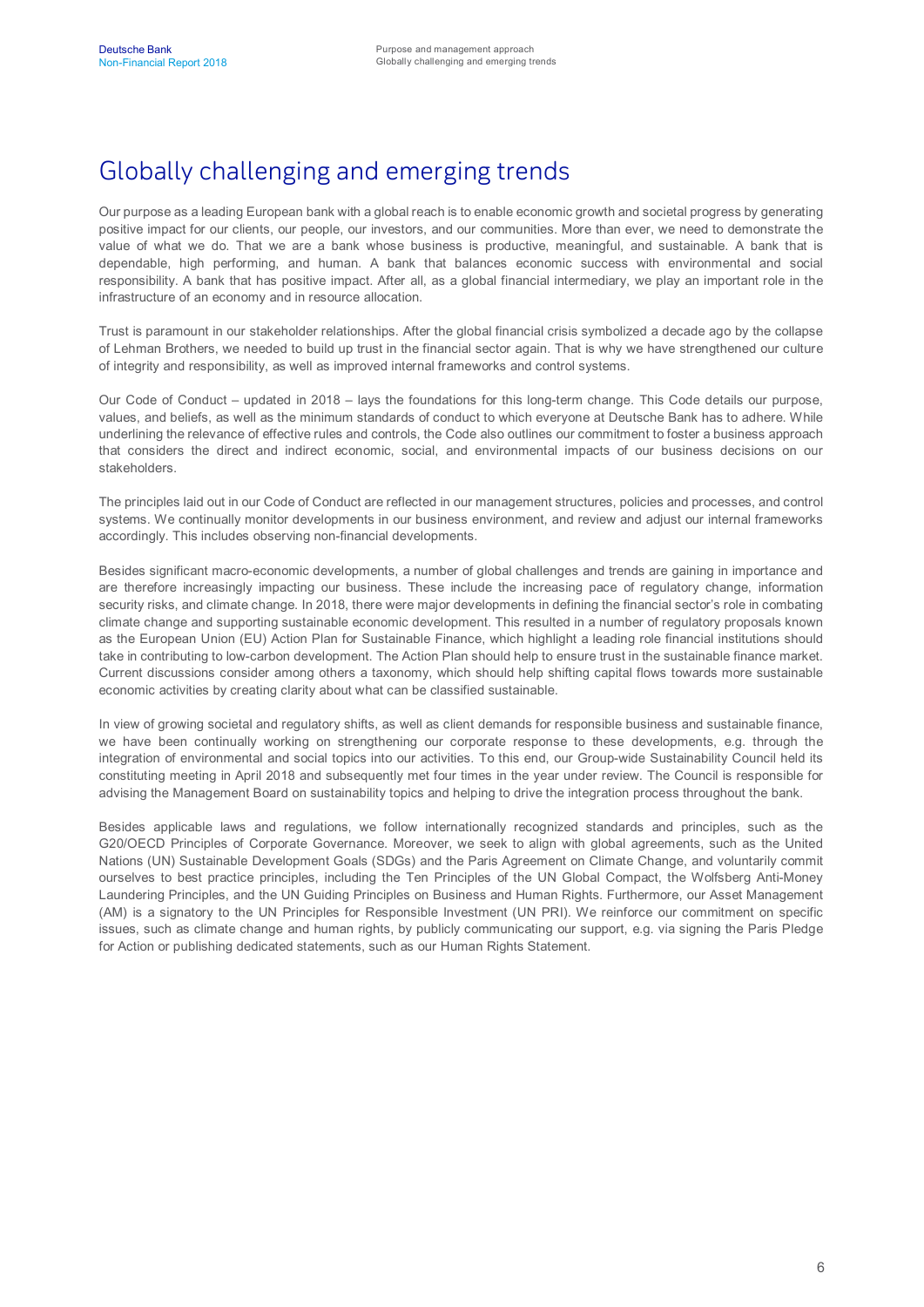# Globally challenging and emerging trends

Our purpose as a leading European bank with a global reach is to enable economic growth and societal progress by generating positive impact for our clients, our people, our investors, and our communities. More than ever, we need to demonstrate the value of what we do. That we are a bank whose business is productive, meaningful, and sustainable. A bank that is dependable, high performing, and human. A bank that balances economic success with environmental and social responsibility. A bank that has positive impact. After all, as a global financial intermediary, we play an important role in the infrastructure of an economy and in resource allocation.

Trust is paramount in our stakeholder relationships. After the global financial crisis symbolized a decade ago by the collapse of Lehman Brothers, we needed to build up trust in the financial sector again. That is why we have strengthened our culture of integrity and responsibility, as well as improved internal frameworks and control systems.

Our Code of Conduct – updated in 2018 – lays the foundations for this long-term change. This Code details our purpose, values, and beliefs, as well as the minimum standards of conduct to which everyone at Deutsche Bank has to adhere. While underlining the relevance of effective rules and controls, the Code also outlines our commitment to foster a business approach that considers the direct and indirect economic, social, and environmental impacts of our business decisions on our stakeholders.

The principles laid out in our Code of Conduct are reflected in our management structures, policies and processes, and control systems. We continually monitor developments in our business environment, and review and adjust our internal frameworks accordingly. This includes observing non-financial developments.

Besides significant macro-economic developments, a number of global challenges and trends are gaining in importance and are therefore increasingly impacting our business. These include the increasing pace of regulatory change, information security risks, and climate change. In 2018, there were major developments in defining the financial sector's role in combating climate change and supporting sustainable economic development. This resulted in a number of regulatory proposals known as the European Union (EU) Action Plan for Sustainable Finance, which highlight a leading role financial institutions should take in contributing to low-carbon development. The Action Plan should help to ensure trust in the sustainable finance market. Current discussions consider among others a taxonomy, which should help shifting capital flows towards more sustainable economic activities by creating clarity about what can be classified sustainable.

In view of growing societal and regulatory shifts, as well as client demands for responsible business and sustainable finance. we have been continually working on strengthening our corporate response to these developments, e.g. through the integration of environmental and social topics into our activities. To this end, our Group-wide Sustainability Council held its constituting meeting in April 2018 and subsequently met four times in the year under review. The Council is responsible for advising the Management Board on sustainability topics and helping to drive the integration process throughout the bank.

Besides applicable laws and regulations, we follow internationally recognized standards and principles, such as the G20/OECD Principles of Corporate Governance. Moreover, we seek to align with global agreements, such as the United Nations (UN) Sustainable Development Goals (SDGs) and the Paris Agreement on Climate Change, and voluntarily commit ourselves to best practice principles, including the Ten Principles of the UN Global Compact, the Wolfsberg Anti-Money Laundering Principles, and the UN Guiding Principles on Business and Human Rights. Furthermore, our Asset Management (AM) is a signatory to the UN Principles for Responsible Investment (UN PRI). We reinforce our commitment on specific issues, such as climate change and human rights, by publicly communicating our support, e.g. via signing the Paris Pledge for Action or publishing dedicated statements, such as our Human Rights Statement.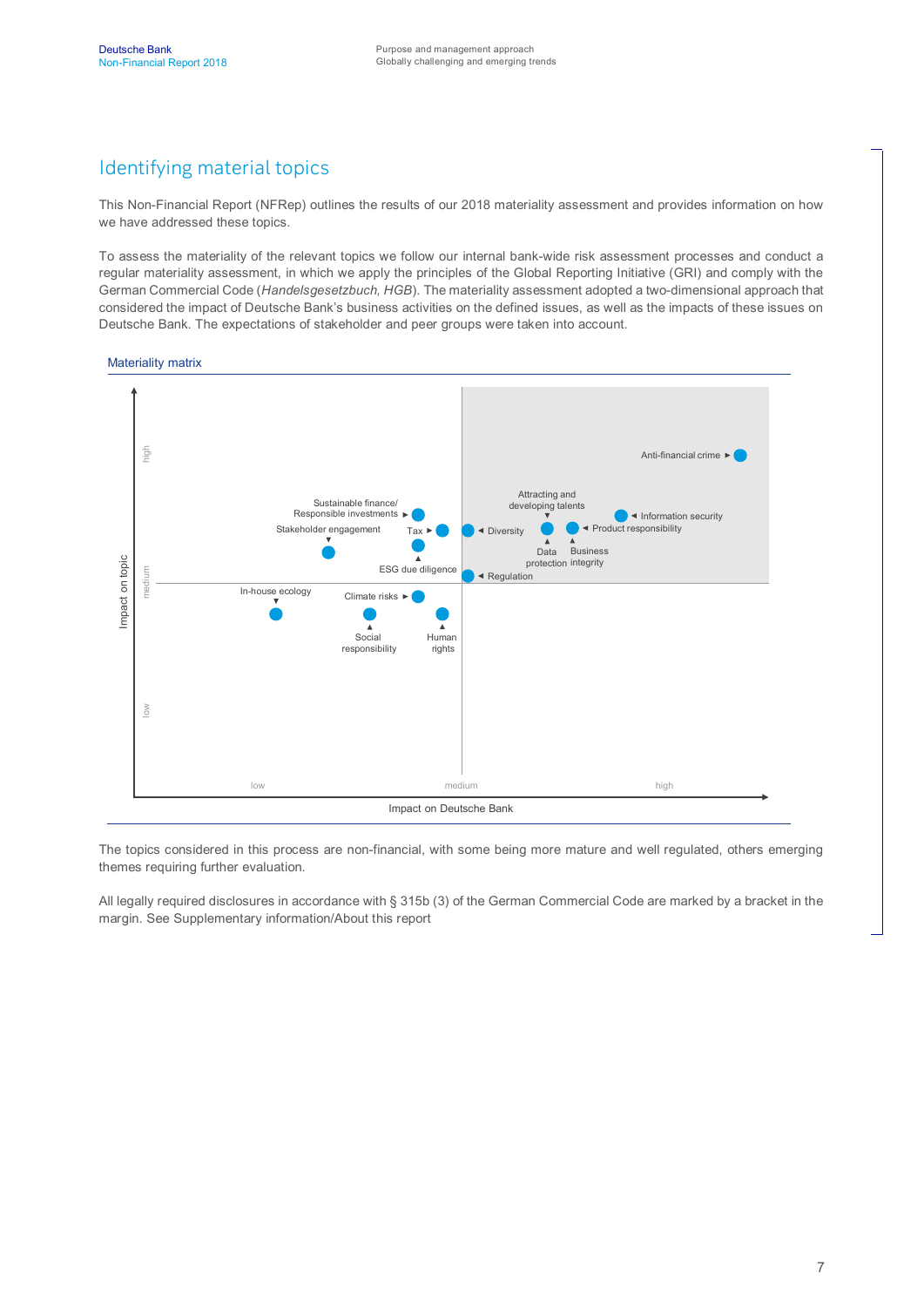## Identifying material topics

This Non-Financial Report (NFRep) outlines the results of our 2018 materiality assessment and provides information on how we have addressed these topics.

To assess the materiality of the relevant topics we follow our internal bank-wide risk assessment processes and conduct a regular materiality assessment, in which we apply the principles of the Global Reporting Initiative (GRI) and comply with the German Commercial Code (*Handelsgesetzbuch, HGB*). The materiality assessment adopted a two-dimensional approach that considered the impact of Deutsche Bank's business activities on the defined issues, as well as the impacts of these issues on Deutsche Bank. The expectations of stakeholder and peer groups were taken into account.

#### Materiality matrix



The topics considered in this process are non-financial, with some being more mature and well regulated, others emerging themes requiring further evaluation.

All legally required disclosures in accordance with § 315b (3) of the German Commercial Code are marked by a bracket in the margin. See Supplementary information/About this report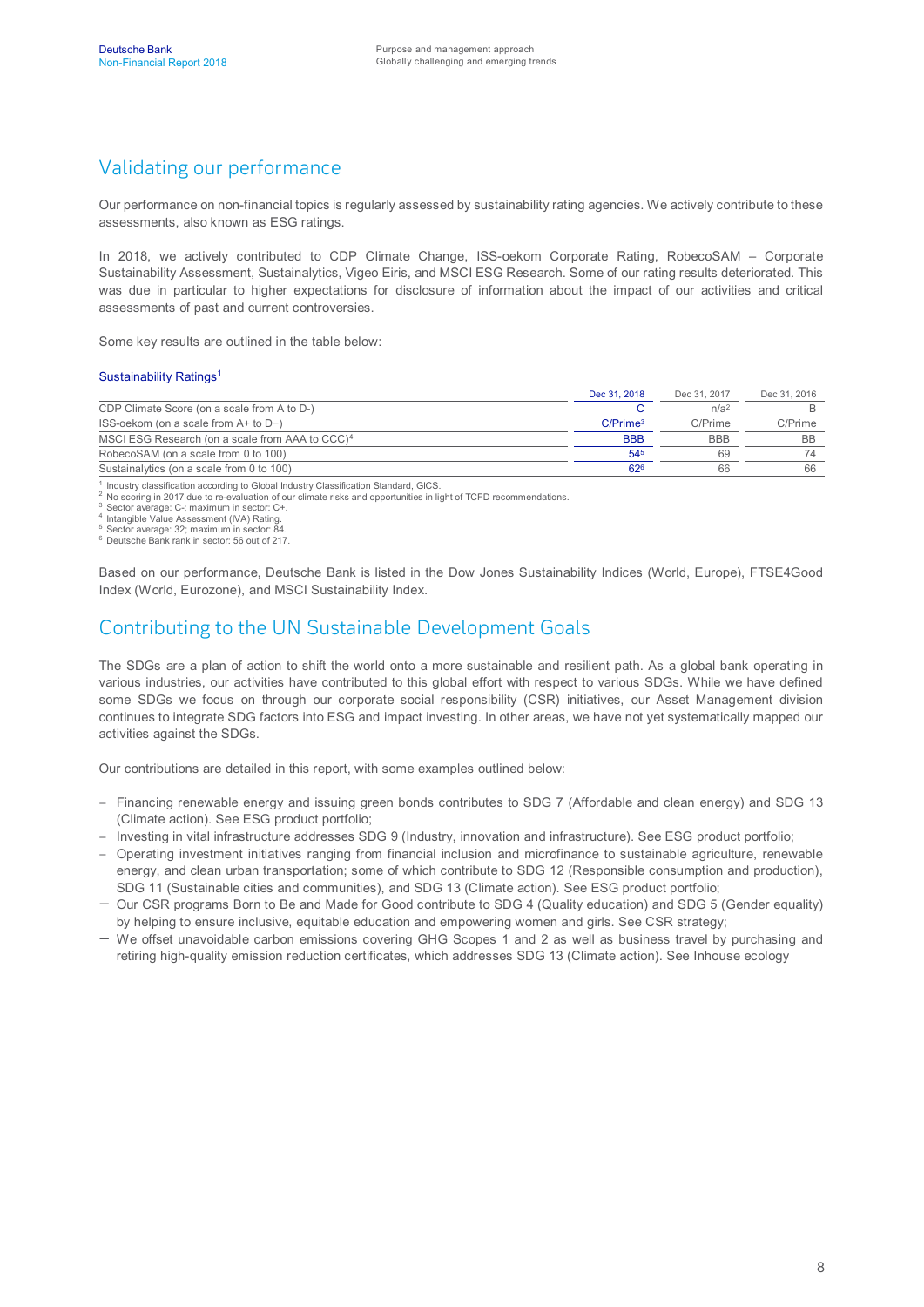## Validating our performance

Our performance on non-financial topics is regularly assessed by sustainability rating agencies. We actively contribute to these assessments, also known as ESG ratings.

In 2018, we actively contributed to CDP Climate Change, ISS-oekom Corporate Rating, RobecoSAM – Corporate Sustainability Assessment, Sustainalytics, Vigeo Eiris, and MSCI ESG Research. Some of our rating results deteriorated. This was due in particular to higher expectations for disclosure of information about the impact of our activities and critical assessments of past and current controversies.

Some key results are outlined in the table below:

#### Sustainability Ratings<sup>1</sup>

|                                                             | Dec 31, 2018         | Dec 31, 2017     | Dec 31, 2016 |
|-------------------------------------------------------------|----------------------|------------------|--------------|
| CDP Climate Score (on a scale from A to D-)                 |                      | n/a <sup>2</sup> |              |
| $ISS-oekom (on a scale from A+ to D-)$                      | C/Prime <sup>3</sup> | C/Prime          | C/Prime      |
| MSCI ESG Research (on a scale from AAA to CCC) <sup>4</sup> | <b>BBB</b>           | <b>BBB</b>       | <b>BB</b>    |
| RobecoSAM (on a scale from 0 to 100)                        | 545                  | 69               | 74           |
| Sustainalytics (on a scale from 0 to 100)                   | 62 <sup>6</sup>      | 66               | 66           |

1 Industry classification according to Global Industry Classification Standard, GICS.

2 No scoring in 2017 due to re-evaluation of our climate risks and opportunities in light of TCFD recommendations.

<sup>3</sup> Sector average: C-; maximum in sector: C+.<br><sup>4</sup> Intangible Value Assessment (IVA) Rating.

<sup>5</sup> Sector average: 32; maximum in sector: 84. <sup>6</sup> Deutsche Bank rank in sector: 56 out of 217.

Based on our performance, Deutsche Bank is listed in the Dow Jones Sustainability Indices (World, Europe), FTSE4Good Index (World, Eurozone), and MSCI Sustainability Index.

#### Contributing to the UN Sustainable Development Goals

The SDGs are a plan of action to shift the world onto a more sustainable and resilient path. As a global bank operating in various industries, our activities have contributed to this global effort with respect to various SDGs. While we have defined some SDGs we focus on through our corporate social responsibility (CSR) initiatives, our Asset Management division continues to integrate SDG factors into ESG and impact investing. In other areas, we have not yet systematically mapped our activities against the SDGs.

Our contributions are detailed in this report, with some examples outlined below:

- Financing renewable energy and issuing green bonds contributes to SDG 7 (Affordable and clean energy) and SDG 13 (Climate action). See ESG product portfolio;
- Investing in vital infrastructure addresses SDG 9 (Industry, innovation and infrastructure). See ESG product portfolio;
- Operating investment initiatives ranging from financial inclusion and microfinance to sustainable agriculture, renewable energy, and clean urban transportation; some of which contribute to SDG 12 (Responsible consumption and production), SDG 11 (Sustainable cities and communities), and SDG 13 (Climate action). See ESG product portfolio;
- Our CSR programs Born to Be and Made for Good contribute to SDG 4 (Quality education) and SDG 5 (Gender equality) by helping to ensure inclusive, equitable education and empowering women and girls. See CSR strategy;
- We offset unavoidable carbon emissions covering GHG Scopes 1 and 2 as well as business travel by purchasing and retiring high-quality emission reduction certificates, which addresses SDG 13 (Climate action). See Inhouse ecology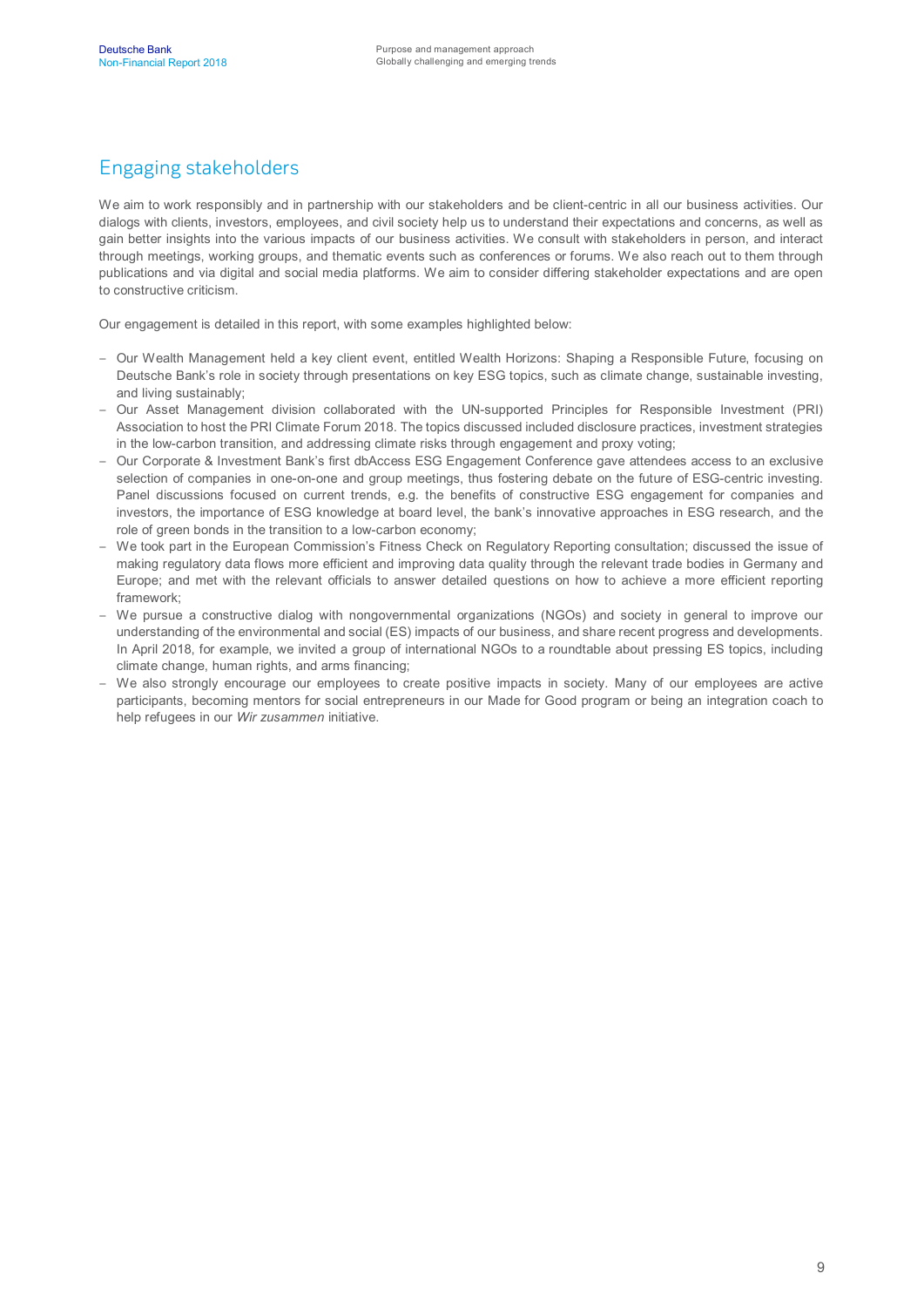## Engaging stakeholders

We aim to work responsibly and in partnership with our stakeholders and be client-centric in all our business activities. Our dialogs with clients, investors, employees, and civil society help us to understand their expectations and concerns, as well as gain better insights into the various impacts of our business activities. We consult with stakeholders in person, and interact through meetings, working groups, and thematic events such as conferences or forums. We also reach out to them through publications and via digital and social media platforms. We aim to consider differing stakeholder expectations and are open to constructive criticism.

Our engagement is detailed in this report, with some examples highlighted below:

- Our Wealth Management held a key client event, entitled Wealth Horizons: Shaping a Responsible Future, focusing on Deutsche Bank's role in society through presentations on key ESG topics, such as climate change, sustainable investing, and living sustainably;
- Our Asset Management division collaborated with the UN-supported Principles for Responsible Investment (PRI) Association to host the PRI Climate Forum 2018. The topics discussed included disclosure practices, investment strategies in the low-carbon transition, and addressing climate risks through engagement and proxy voting;
- Our Corporate & Investment Bank's first dbAccess ESG Engagement Conference gave attendees access to an exclusive selection of companies in one-on-one and group meetings, thus fostering debate on the future of ESG-centric investing. Panel discussions focused on current trends, e.g. the benefits of constructive ESG engagement for companies and investors, the importance of ESG knowledge at board level, the bank's innovative approaches in ESG research, and the role of green bonds in the transition to a low-carbon economy;
- We took part in the European Commission's Fitness Check on Regulatory Reporting consultation; discussed the issue of making regulatory data flows more efficient and improving data quality through the relevant trade bodies in Germany and Europe; and met with the relevant officials to answer detailed questions on how to achieve a more efficient reporting framework;
- We pursue a constructive dialog with nongovernmental organizations (NGOs) and society in general to improve our understanding of the environmental and social (ES) impacts of our business, and share recent progress and developments. In April 2018, for example, we invited a group of international NGOs to a roundtable about pressing ES topics, including climate change, human rights, and arms financing;
- We also strongly encourage our employees to create positive impacts in society. Many of our employees are active participants, becoming mentors for social entrepreneurs in our Made for Good program or being an integration coach to help refugees in our *Wir zusammen* initiative.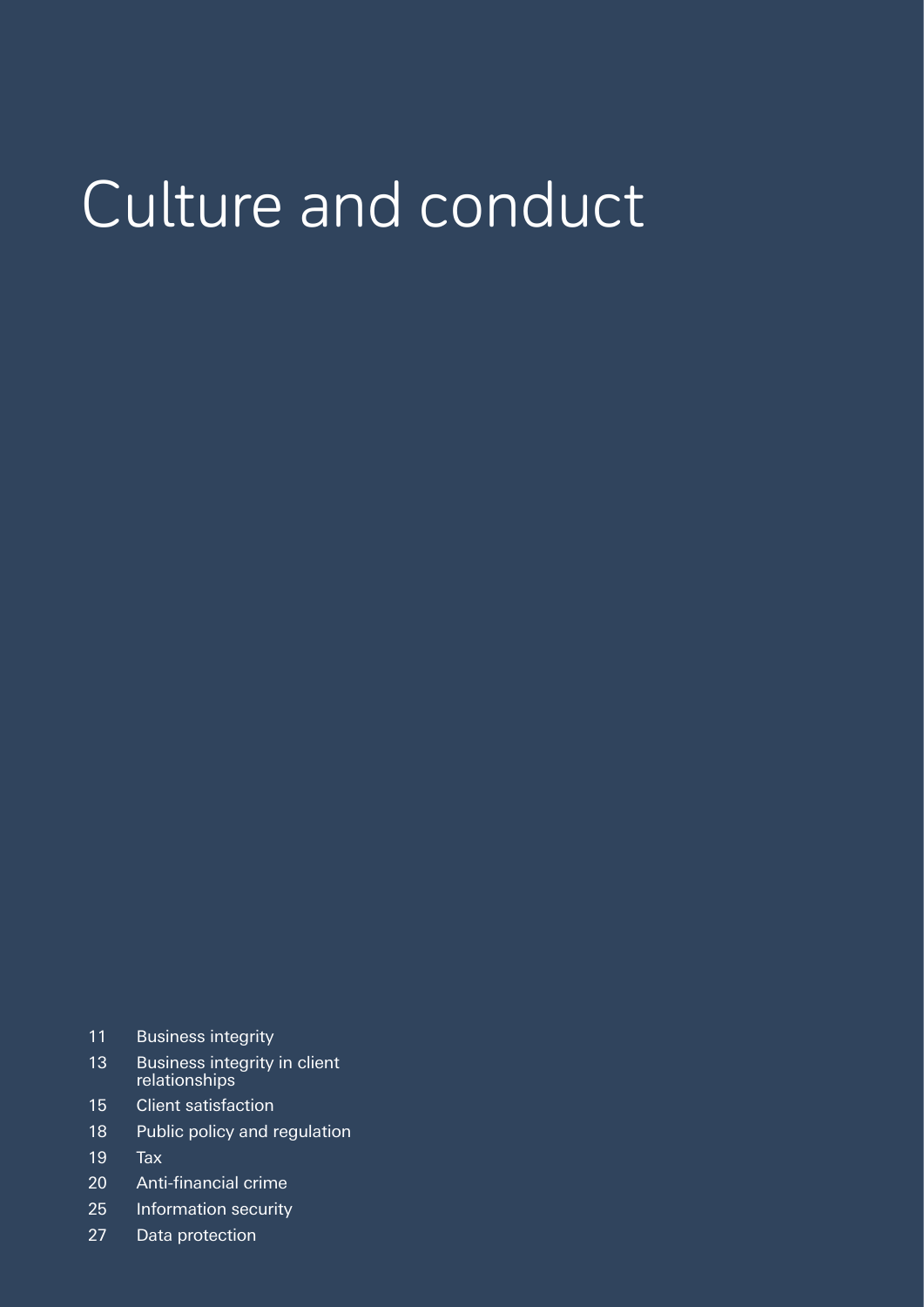# Culture and conduct

- 11 Business integrity
- 13 Business integrity in client relationships
- 15 Client satisfaction
- 18 Public policy and regulation
- 19 Tax
- 20 Anti-financial crime
- 25 Information security
- 27 Data protection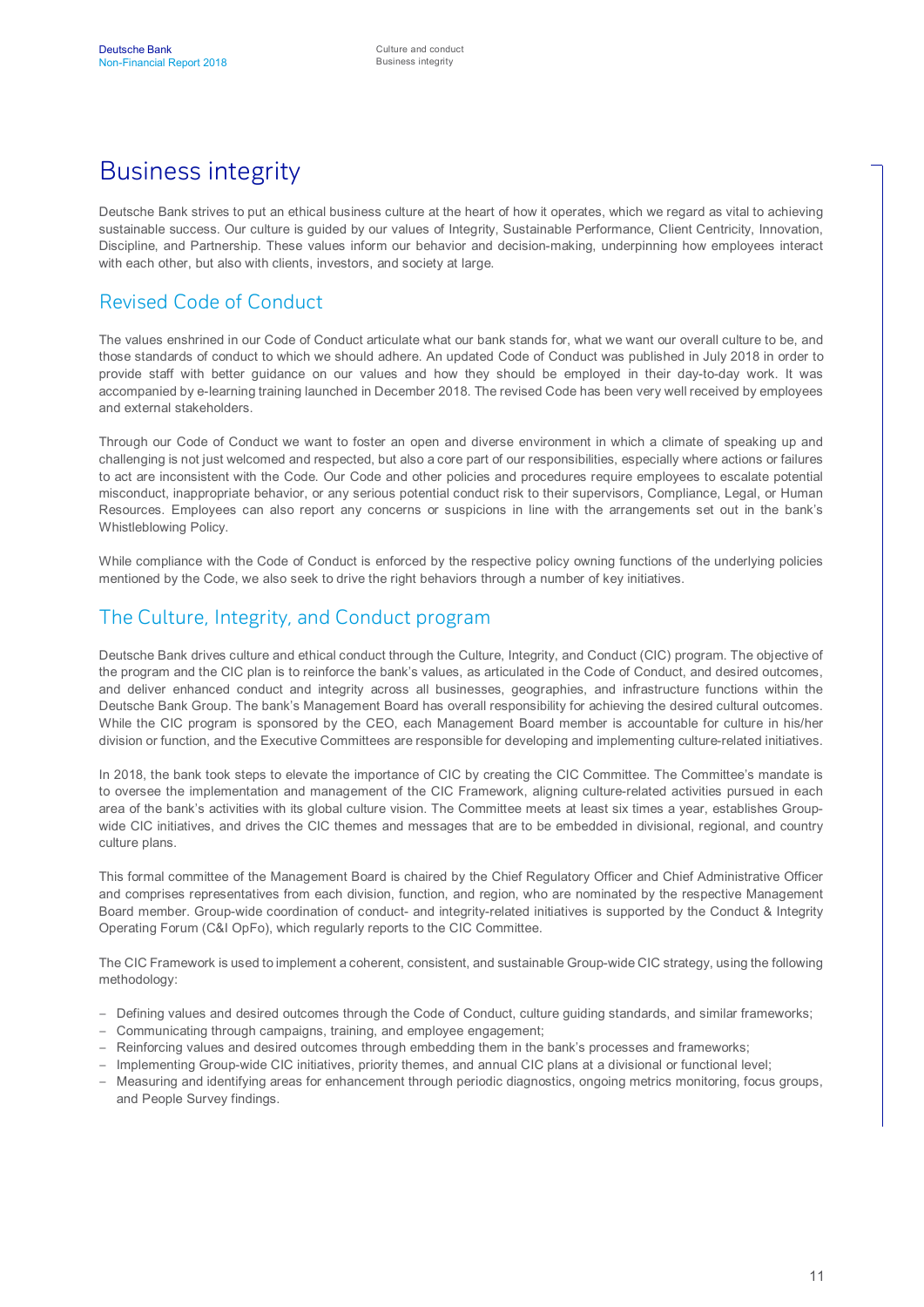## Business integrity

Deutsche Bank strives to put an ethical business culture at the heart of how it operates, which we regard as vital to achieving sustainable success. Our culture is guided by our values of Integrity, Sustainable Performance, Client Centricity, Innovation, Discipline, and Partnership. These values inform our behavior and decision-making, underpinning how employees interact with each other, but also with clients, investors, and society at large.

#### Revised Code of Conduct

The values enshrined in our Code of Conduct articulate what our bank stands for, what we want our overall culture to be, and those standards of conduct to which we should adhere. An updated Code of Conduct was published in July 2018 in order to provide staff with better guidance on our values and how they should be employed in their day-to-day work. It was accompanied by e-learning training launched in December 2018. The revised Code has been very well received by employees and external stakeholders.

Through our Code of Conduct we want to foster an open and diverse environment in which a climate of speaking up and challenging is not just welcomed and respected, but also a core part of our responsibilities, especially where actions or failures to act are inconsistent with the Code. Our Code and other policies and procedures require employees to escalate potential misconduct, inappropriate behavior, or any serious potential conduct risk to their supervisors, Compliance, Legal, or Human Resources. Employees can also report any concerns or suspicions in line with the arrangements set out in the bank's Whistleblowing Policy.

While compliance with the Code of Conduct is enforced by the respective policy owning functions of the underlying policies mentioned by the Code, we also seek to drive the right behaviors through a number of key initiatives.

#### The Culture, Integrity, and Conduct program

Deutsche Bank drives culture and ethical conduct through the Culture, Integrity, and Conduct (CIC) program. The objective of the program and the CIC plan is to reinforce the bank's values, as articulated in the Code of Conduct, and desired outcomes, and deliver enhanced conduct and integrity across all businesses, geographies, and infrastructure functions within the Deutsche Bank Group. The bank's Management Board has overall responsibility for achieving the desired cultural outcomes. While the CIC program is sponsored by the CEO, each Management Board member is accountable for culture in his/her division or function, and the Executive Committees are responsible for developing and implementing culture-related initiatives.

In 2018, the bank took steps to elevate the importance of CIC by creating the CIC Committee. The Committee's mandate is to oversee the implementation and management of the CIC Framework, aligning culture-related activities pursued in each area of the bank's activities with its global culture vision. The Committee meets at least six times a year, establishes Groupwide CIC initiatives, and drives the CIC themes and messages that are to be embedded in divisional, regional, and country culture plans.

This formal committee of the Management Board is chaired by the Chief Regulatory Officer and Chief Administrative Officer and comprises representatives from each division, function, and region, who are nominated by the respective Management Board member. Group-wide coordination of conduct- and integrity-related initiatives is supported by the Conduct & Integrity Operating Forum (C&I OpFo), which regularly reports to the CIC Committee.

The CIC Framework is used to implement a coherent, consistent, and sustainable Group-wide CIC strategy, using the following methodology:

- Defining values and desired outcomes through the Code of Conduct, culture guiding standards, and similar frameworks;
- Communicating through campaigns, training, and employee engagement;
- Reinforcing values and desired outcomes through embedding them in the bank's processes and frameworks;
- Implementing Group-wide CIC initiatives, priority themes, and annual CIC plans at a divisional or functional level;
- Measuring and identifying areas for enhancement through periodic diagnostics, ongoing metrics monitoring, focus groups, and People Survey findings.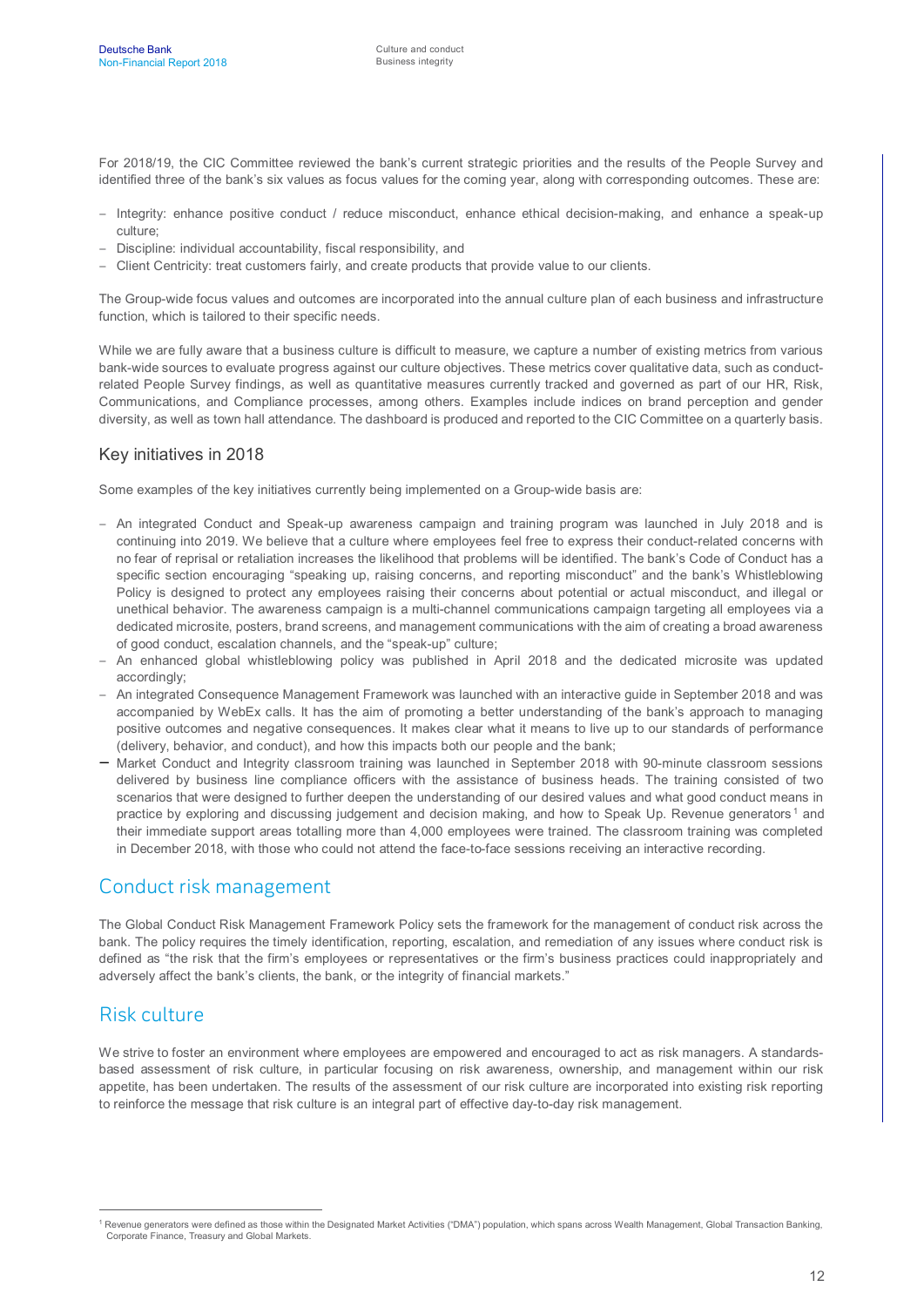For 2018/19, the CIC Committee reviewed the bank's current strategic priorities and the results of the People Survey and identified three of the bank's six values as focus values for the coming year, along with corresponding outcomes. These are:

- Integrity: enhance positive conduct / reduce misconduct, enhance ethical decision-making, and enhance a speak-up culture;
- Discipline: individual accountability, fiscal responsibility, and
- Client Centricity: treat customers fairly, and create products that provide value to our clients.

The Group-wide focus values and outcomes are incorporated into the annual culture plan of each business and infrastructure function, which is tailored to their specific needs.

While we are fully aware that a business culture is difficult to measure, we capture a number of existing metrics from various bank-wide sources to evaluate progress against our culture objectives. These metrics cover qualitative data, such as conductrelated People Survey findings, as well as quantitative measures currently tracked and governed as part of our HR, Risk, Communications, and Compliance processes, among others. Examples include indices on brand perception and gender diversity, as well as town hall attendance. The dashboard is produced and reported to the CIC Committee on a quarterly basis.

#### Key initiatives in 2018

Some examples of the key initiatives currently being implemented on a Group-wide basis are:

- An integrated Conduct and Speak-up awareness campaign and training program was launched in July 2018 and is continuing into 2019. We believe that a culture where employees feel free to express their conduct-related concerns with no fear of reprisal or retaliation increases the likelihood that problems will be identified. The bank's Code of Conduct has a specific section encouraging "speaking up, raising concerns, and reporting misconduct" and the bank's Whistleblowing Policy is designed to protect any employees raising their concerns about potential or actual misconduct, and illegal or unethical behavior. The awareness campaign is a multi-channel communications campaign targeting all employees via a dedicated microsite, posters, brand screens, and management communications with the aim of creating a broad awareness of good conduct, escalation channels, and the "speak-up" culture;
- An enhanced global whistleblowing policy was published in April 2018 and the dedicated microsite was updated accordingly;
- An integrated Consequence Management Framework was launched with an interactive guide in September 2018 and was accompanied by WebEx calls. It has the aim of promoting a better understanding of the bank's approach to managing positive outcomes and negative consequences. It makes clear what it means to live up to our standards of performance (delivery, behavior, and conduct), and how this impacts both our people and the bank;
- Market Conduct and Integrity classroom training was launched in September 2018 with 90-minute classroom sessions delivered by business line compliance officers with the assistance of business heads. The training consisted of two scenarios that were designed to further deepen the understanding of our desired values and what good conduct means in practice by exploring and discussing judgement and decision making, and how to Speak Up. Revenue generators<sup>[1](#page-12-0)</sup> and their immediate support areas totalling more than 4,000 employees were trained. The classroom training was completed in December 2018, with those who could not attend the face-to-face sessions receiving an interactive recording.

#### Conduct risk management

The Global Conduct Risk Management Framework Policy sets the framework for the management of conduct risk across the bank. The policy requires the timely identification, reporting, escalation, and remediation of any issues where conduct risk is defined as "the risk that the firm's employees or representatives or the firm's business practices could inappropriately and adversely affect the bank's clients, the bank, or the integrity of financial markets."

#### Risk culture

We strive to foster an environment where employees are empowered and encouraged to act as risk managers. A standardsbased assessment of risk culture, in particular focusing on risk awareness, ownership, and management within our risk appetite, has been undertaken. The results of the assessment of our risk culture are incorporated into existing risk reporting to reinforce the message that risk culture is an integral part of effective day-to-day risk management.

<span id="page-12-0"></span><sup>&</sup>lt;sup>1</sup> Revenue generators were defined as those within the Designated Market Activities ("DMA") population, which spans across Wealth Management, Global Transaction Banking, Corporate Finance, Treasury and Global Markets.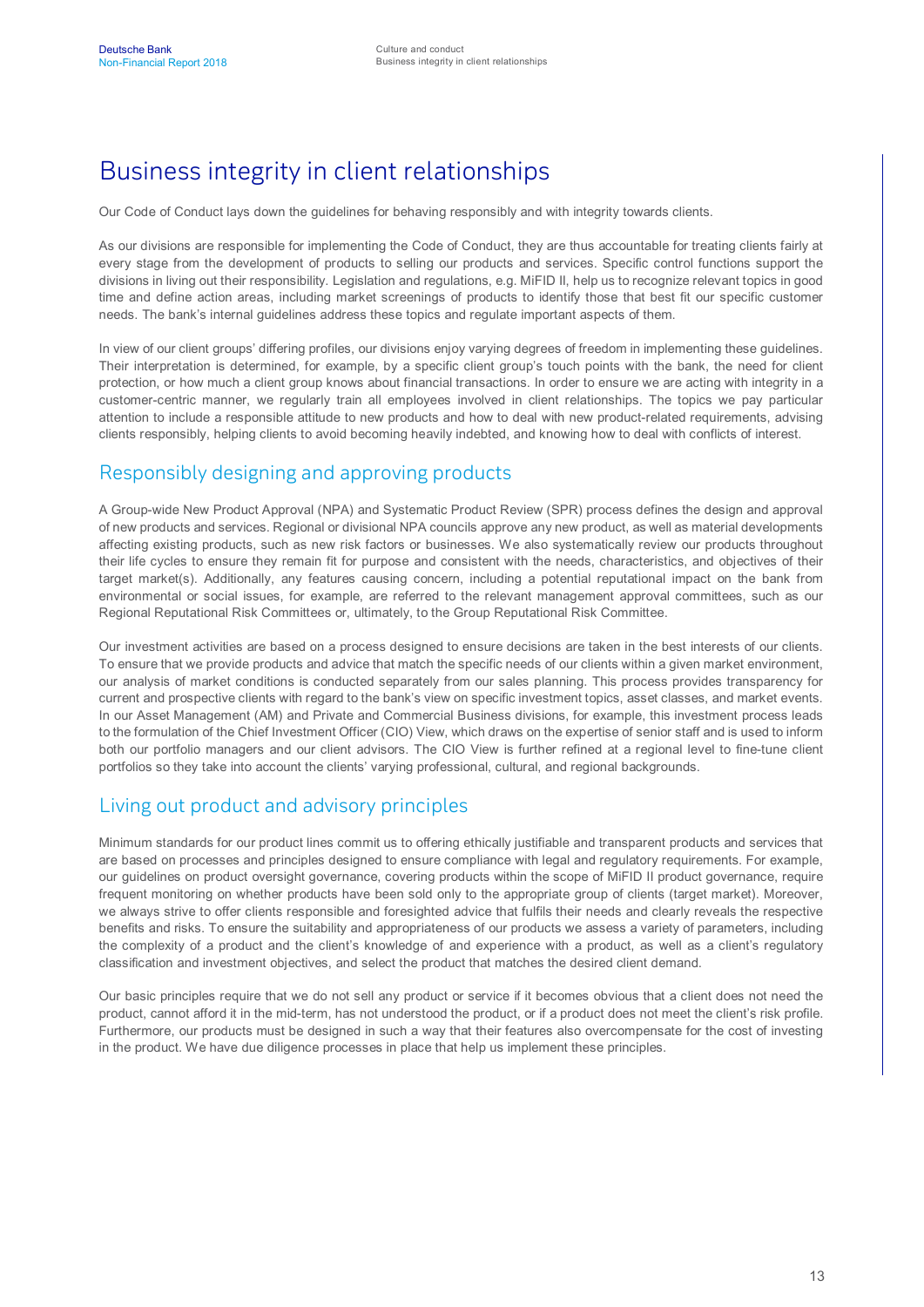# Business integrity in client relationships

Our Code of Conduct lays down the guidelines for behaving responsibly and with integrity towards clients.

As our divisions are responsible for implementing the Code of Conduct, they are thus accountable for treating clients fairly at every stage from the development of products to selling our products and services. Specific control functions support the divisions in living out their responsibility. Legislation and regulations, e.g. MiFID II, help us to recognize relevant topics in good time and define action areas, including market screenings of products to identify those that best fit our specific customer needs. The bank's internal guidelines address these topics and regulate important aspects of them.

In view of our client groups' differing profiles, our divisions enjoy varying degrees of freedom in implementing these guidelines. Their interpretation is determined, for example, by a specific client group's touch points with the bank, the need for client protection, or how much a client group knows about financial transactions. In order to ensure we are acting with integrity in a customer-centric manner, we regularly train all employees involved in client relationships. The topics we pay particular attention to include a responsible attitude to new products and how to deal with new product-related requirements, advising clients responsibly, helping clients to avoid becoming heavily indebted, and knowing how to deal with conflicts of interest.

### Responsibly designing and approving products

A Group-wide New Product Approval (NPA) and Systematic Product Review (SPR) process defines the design and approval of new products and services. Regional or divisional NPA councils approve any new product, as well as material developments affecting existing products, such as new risk factors or businesses. We also systematically review our products throughout their life cycles to ensure they remain fit for purpose and consistent with the needs, characteristics, and objectives of their target market(s). Additionally, any features causing concern, including a potential reputational impact on the bank from environmental or social issues, for example, are referred to the relevant management approval committees, such as our Regional Reputational Risk Committees or, ultimately, to the Group Reputational Risk Committee.

Our investment activities are based on a process designed to ensure decisions are taken in the best interests of our clients. To ensure that we provide products and advice that match the specific needs of our clients within a given market environment, our analysis of market conditions is conducted separately from our sales planning. This process provides transparency for current and prospective clients with regard to the bank's view on specific investment topics, asset classes, and market events. In our Asset Management (AM) and Private and Commercial Business divisions, for example, this investment process leads to the formulation of the Chief Investment Officer (CIO) View, which draws on the expertise of senior staff and is used to inform both our portfolio managers and our client advisors. The CIO View is further refined at a regional level to fine-tune client portfolios so they take into account the clients' varying professional, cultural, and regional backgrounds.

#### Living out product and advisory principles

Minimum standards for our product lines commit us to offering ethically justifiable and transparent products and services that are based on processes and principles designed to ensure compliance with legal and regulatory requirements. For example, our guidelines on product oversight governance, covering products within the scope of MiFID II product governance, require frequent monitoring on whether products have been sold only to the appropriate group of clients (target market). Moreover, we always strive to offer clients responsible and foresighted advice that fulfils their needs and clearly reveals the respective benefits and risks. To ensure the suitability and appropriateness of our products we assess a variety of parameters, including the complexity of a product and the client's knowledge of and experience with a product, as well as a client's regulatory classification and investment objectives, and select the product that matches the desired client demand.

Our basic principles require that we do not sell any product or service if it becomes obvious that a client does not need the product, cannot afford it in the mid-term, has not understood the product, or if a product does not meet the client's risk profile. Furthermore, our products must be designed in such a way that their features also overcompensate for the cost of investing in the product. We have due diligence processes in place that help us implement these principles.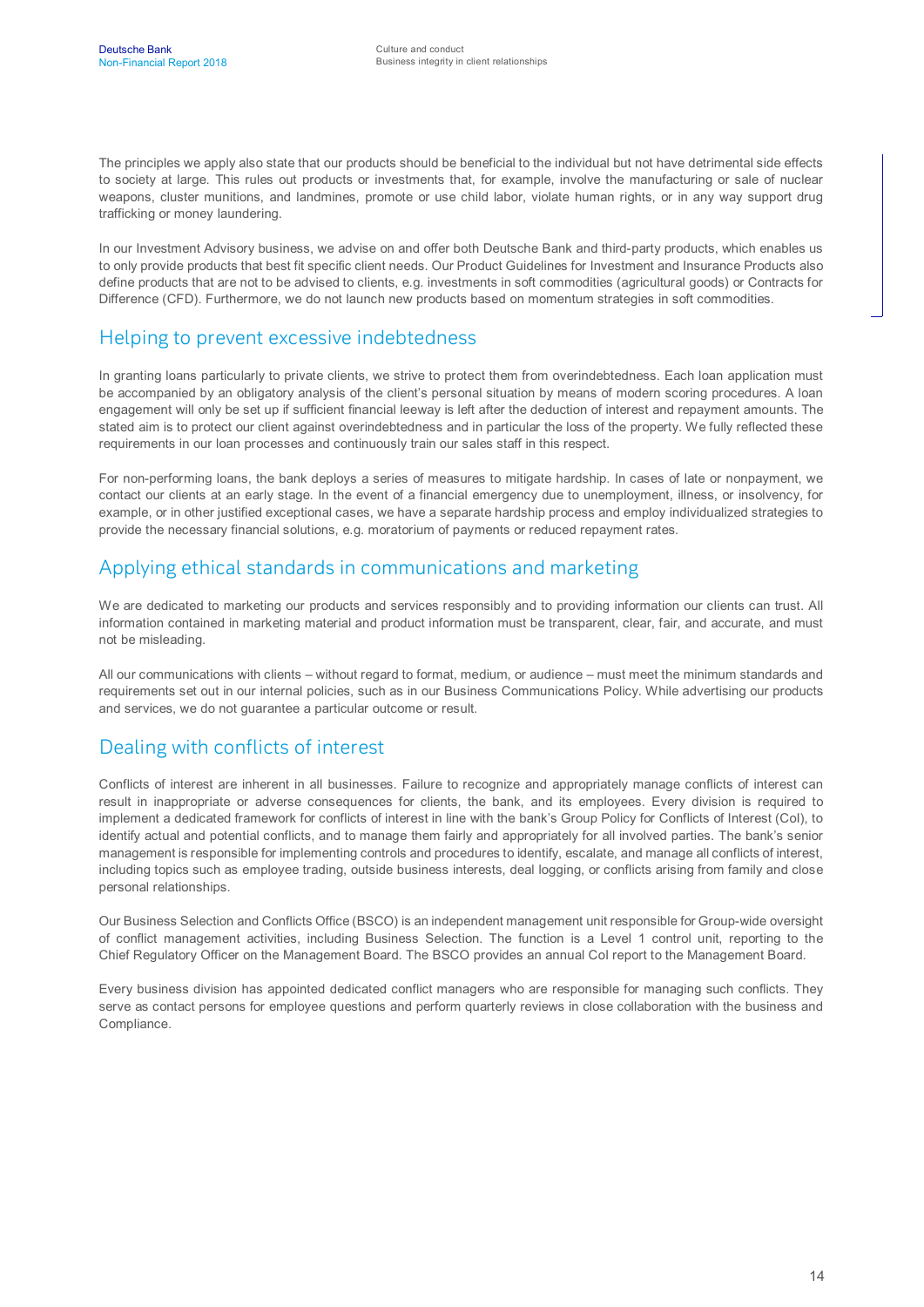The principles we apply also state that our products should be beneficial to the individual but not have detrimental side effects to society at large. This rules out products or investments that, for example, involve the manufacturing or sale of nuclear weapons, cluster munitions, and landmines, promote or use child labor, violate human rights, or in any way support drug trafficking or money laundering.

In our Investment Advisory business, we advise on and offer both Deutsche Bank and third-party products, which enables us to only provide products that best fit specific client needs. Our Product Guidelines for Investment and Insurance Products also define products that are not to be advised to clients, e.g. investments in soft commodities (agricultural goods) or Contracts for Difference (CFD). Furthermore, we do not launch new products based on momentum strategies in soft commodities.

#### Helping to prevent excessive indebtedness

In granting loans particularly to private clients, we strive to protect them from overindebtedness. Each loan application must be accompanied by an obligatory analysis of the client's personal situation by means of modern scoring procedures. A loan engagement will only be set up if sufficient financial leeway is left after the deduction of interest and repayment amounts. The stated aim is to protect our client against overindebtedness and in particular the loss of the property. We fully reflected these requirements in our loan processes and continuously train our sales staff in this respect.

For non-performing loans, the bank deploys a series of measures to mitigate hardship. In cases of late or nonpayment, we contact our clients at an early stage. In the event of a financial emergency due to unemployment, illness, or insolvency, for example, or in other justified exceptional cases, we have a separate hardship process and employ individualized strategies to provide the necessary financial solutions, e.g. moratorium of payments or reduced repayment rates.

#### Applying ethical standards in communications and marketing

We are dedicated to marketing our products and services responsibly and to providing information our clients can trust. All information contained in marketing material and product information must be transparent, clear, fair, and accurate, and must not be misleading.

All our communications with clients – without regard to format, medium, or audience – must meet the minimum standards and requirements set out in our internal policies, such as in our Business Communications Policy. While advertising our products and services, we do not guarantee a particular outcome or result.

#### Dealing with conflicts of interest

Conflicts of interest are inherent in all businesses. Failure to recognize and appropriately manage conflicts of interest can result in inappropriate or adverse consequences for clients, the bank, and its employees. Every division is required to implement a dedicated framework for conflicts of interest in line with the bank's Group Policy for Conflicts of Interest (CoI), to identify actual and potential conflicts, and to manage them fairly and appropriately for all involved parties. The bank's senior management is responsible for implementing controls and procedures to identify, escalate, and manage all conflicts of interest, including topics such as employee trading, outside business interests, deal logging, or conflicts arising from family and close personal relationships.

Our Business Selection and Conflicts Office (BSCO) is an independent management unit responsible for Group-wide oversight of conflict management activities, including Business Selection. The function is a Level 1 control unit, reporting to the Chief Regulatory Officer on the Management Board. The BSCO provides an annual CoI report to the Management Board.

Every business division has appointed dedicated conflict managers who are responsible for managing such conflicts. They serve as contact persons for employee questions and perform quarterly reviews in close collaboration with the business and Compliance.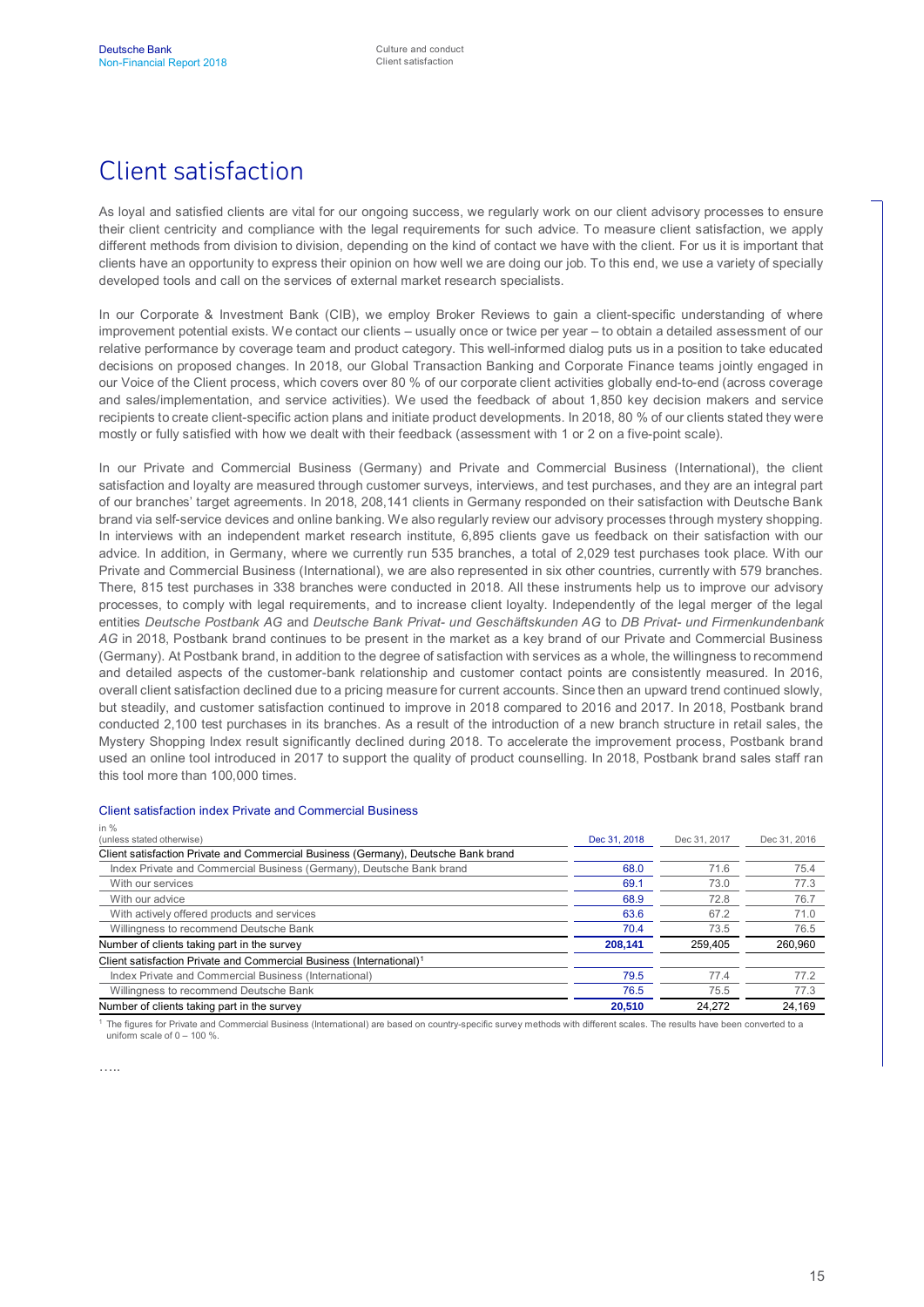# Client satisfaction

As loyal and satisfied clients are vital for our ongoing success, we regularly work on our client advisory processes to ensure their client centricity and compliance with the legal requirements for such advice. To measure client satisfaction, we apply different methods from division to division, depending on the kind of contact we have with the client. For us it is important that clients have an opportunity to express their opinion on how well we are doing our job. To this end, we use a variety of specially developed tools and call on the services of external market research specialists.

In our Corporate & Investment Bank (CIB), we employ Broker Reviews to gain a client-specific understanding of where improvement potential exists. We contact our clients – usually once or twice per year – to obtain a detailed assessment of our relative performance by coverage team and product category. This well-informed dialog puts us in a position to take educated decisions on proposed changes. In 2018, our Global Transaction Banking and Corporate Finance teams jointly engaged in our Voice of the Client process, which covers over 80 % of our corporate client activities globally end-to-end (across coverage and sales/implementation, and service activities). We used the feedback of about 1,850 key decision makers and service recipients to create client-specific action plans and initiate product developments. In 2018, 80 % of our clients stated they were mostly or fully satisfied with how we dealt with their feedback (assessment with 1 or 2 on a five-point scale).

In our Private and Commercial Business (Germany) and Private and Commercial Business (International), the client satisfaction and loyalty are measured through customer surveys, interviews, and test purchases, and they are an integral part of our branches' target agreements. In 2018, 208,141 clients in Germany responded on their satisfaction with Deutsche Bank brand via self-service devices and online banking. We also regularly review our advisory processes through mystery shopping. In interviews with an independent market research institute, 6,895 clients gave us feedback on their satisfaction with our advice. In addition, in Germany, where we currently run 535 branches, a total of 2,029 test purchases took place. With our Private and Commercial Business (International), we are also represented in six other countries, currently with 579 branches. There, 815 test purchases in 338 branches were conducted in 2018. All these instruments help us to improve our advisory processes, to comply with legal requirements, and to increase client loyalty. Independently of the legal merger of the legal entities *Deutsche Postbank AG* and *Deutsche Bank Privat- und Geschäftskunden AG* to *DB Privat- und Firmenkundenbank AG* in 2018, Postbank brand continues to be present in the market as a key brand of our Private and Commercial Business (Germany). At Postbank brand, in addition to the degree of satisfaction with services as a whole, the willingness to recommend and detailed aspects of the customer-bank relationship and customer contact points are consistently measured. In 2016, overall client satisfaction declined due to a pricing measure for current accounts. Since then an upward trend continued slowly, but steadily, and customer satisfaction continued to improve in 2018 compared to 2016 and 2017. In 2018, Postbank brand conducted 2,100 test purchases in its branches. As a result of the introduction of a new branch structure in retail sales, the Mystery Shopping Index result significantly declined during 2018. To accelerate the improvement process, Postbank brand used an online tool introduced in 2017 to support the quality of product counselling. In 2018, Postbank brand sales staff ran this tool more than 100,000 times.

#### Client satisfaction index Private and Commercial Business

| Dec 31, 2018 | Dec 31, 2017 | Dec 31, 2016 |
|--------------|--------------|--------------|
|              |              |              |
| 68.0         | 71.6         | 75.4         |
| 69.1         | 73.0         | 77.3         |
| 68.9         | 72.8         | 76.7         |
| 63.6         | 67.2         | 71.0         |
| 70.4         | 73.5         | 76.5         |
| 208.141      | 259.405      | 260.960      |
|              |              |              |
| 79.5         | 77.4         | 77.2         |
| 76.5         | 75.5         | 77.3         |
| 20.510       | 24.272       | 24,169       |
|              |              |              |

<sup>1</sup> The figures for Private and Commercial Business (International) are based on country-specific survey methods with different scales. The results have been converted to a uniform scale of  $0 - 100$  %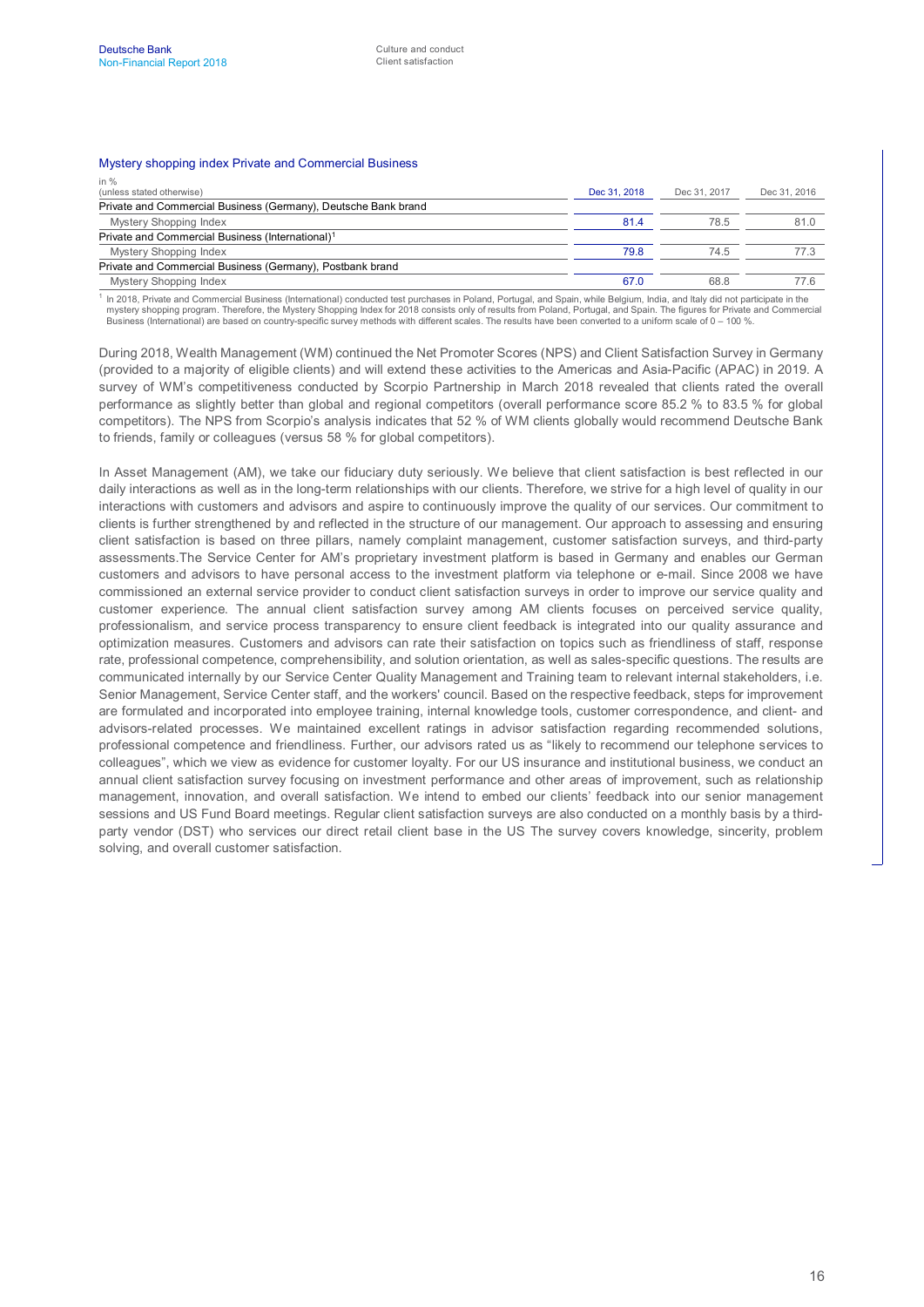#### Mystery shopping index Private and Commercial Business

| in $%$                                                         |              |              |              |
|----------------------------------------------------------------|--------------|--------------|--------------|
| (unless stated otherwise)                                      | Dec 31, 2018 | Dec 31, 2017 | Dec 31, 2016 |
| Private and Commercial Business (Germany), Deutsche Bank brand |              |              |              |
| <b>Mystery Shopping Index</b>                                  | 81.4         | 78.5         | 81.0         |
| Private and Commercial Business (International) <sup>1</sup>   |              |              |              |
| <b>Mystery Shopping Index</b>                                  | 79.8         | 74.5         |              |
| Private and Commercial Business (Germany), Postbank brand      |              |              |              |
| <b>Mystery Shopping Index</b>                                  | 67.0         | 68.8         |              |
|                                                                |              |              |              |

<sup>1</sup> In 2018, Private and Commercial Business (International) conducted test purchases in Poland, Portugal, and Spain, while Belgium, India, and Italy did not participate in the<br>mystery shopping program. Therefore, the Myst Business (International) are based on country-specific survey methods with different scales. The results have been converted to a uniform scale of 0 – 100 %.

During 2018, Wealth Management (WM) continued the Net Promoter Scores (NPS) and Client Satisfaction Survey in Germany (provided to a majority of eligible clients) and will extend these activities to the Americas and Asia-Pacific (APAC) in 2019. A survey of WM's competitiveness conducted by Scorpio Partnership in March 2018 revealed that clients rated the overall performance as slightly better than global and regional competitors (overall performance score 85.2 % to 83.5 % for global competitors). The NPS from Scorpio's analysis indicates that 52 % of WM clients globally would recommend Deutsche Bank to friends, family or colleagues (versus 58 % for global competitors).

In Asset Management (AM), we take our fiduciary duty seriously. We believe that client satisfaction is best reflected in our daily interactions as well as in the long-term relationships with our clients. Therefore, we strive for a high level of quality in our interactions with customers and advisors and aspire to continuously improve the quality of our services. Our commitment to clients is further strengthened by and reflected in the structure of our management. Our approach to assessing and ensuring client satisfaction is based on three pillars, namely complaint management, customer satisfaction surveys, and third-party assessments.The Service Center for AM's proprietary investment platform is based in Germany and enables our German customers and advisors to have personal access to the investment platform via telephone or e-mail. Since 2008 we have commissioned an external service provider to conduct client satisfaction surveys in order to improve our service quality and customer experience. The annual client satisfaction survey among AM clients focuses on perceived service quality, professionalism, and service process transparency to ensure client feedback is integrated into our quality assurance and optimization measures. Customers and advisors can rate their satisfaction on topics such as friendliness of staff, response rate, professional competence, comprehensibility, and solution orientation, as well as sales-specific questions. The results are communicated internally by our Service Center Quality Management and Training team to relevant internal stakeholders, i.e. Senior Management, Service Center staff, and the workers' council. Based on the respective feedback, steps for improvement are formulated and incorporated into employee training, internal knowledge tools, customer correspondence, and client- and advisors-related processes. We maintained excellent ratings in advisor satisfaction regarding recommended solutions, professional competence and friendliness. Further, our advisors rated us as "likely to recommend our telephone services to colleagues", which we view as evidence for customer loyalty. For our US insurance and institutional business, we conduct an annual client satisfaction survey focusing on investment performance and other areas of improvement, such as relationship management, innovation, and overall satisfaction. We intend to embed our clients' feedback into our senior management sessions and US Fund Board meetings. Regular client satisfaction surveys are also conducted on a monthly basis by a thirdparty vendor (DST) who services our direct retail client base in the US The survey covers knowledge, sincerity, problem solving, and overall customer satisfaction.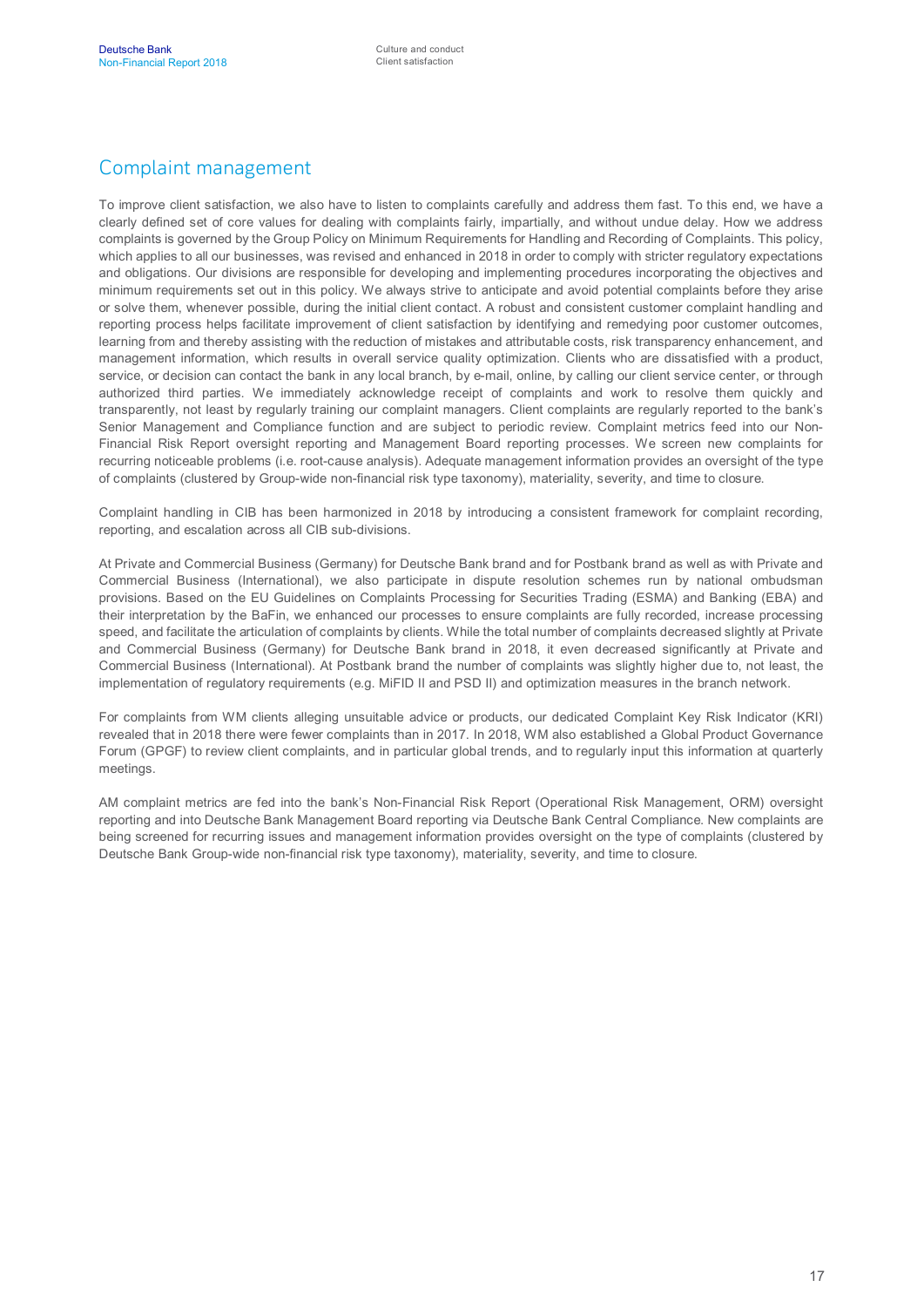## Complaint management

To improve client satisfaction, we also have to listen to complaints carefully and address them fast. To this end, we have a clearly defined set of core values for dealing with complaints fairly, impartially, and without undue delay. How we address complaints is governed by the Group Policy on Minimum Requirements for Handling and Recording of Complaints. This policy, which applies to all our businesses, was revised and enhanced in 2018 in order to comply with stricter regulatory expectations and obligations. Our divisions are responsible for developing and implementing procedures incorporating the objectives and minimum requirements set out in this policy. We always strive to anticipate and avoid potential complaints before they arise or solve them, whenever possible, during the initial client contact. A robust and consistent customer complaint handling and reporting process helps facilitate improvement of client satisfaction by identifying and remedying poor customer outcomes, learning from and thereby assisting with the reduction of mistakes and attributable costs, risk transparency enhancement, and management information, which results in overall service quality optimization. Clients who are dissatisfied with a product, service, or decision can contact the bank in any local branch, by e-mail, online, by calling our client service center, or through authorized third parties. We immediately acknowledge receipt of complaints and work to resolve them quickly and transparently, not least by regularly training our complaint managers. Client complaints are regularly reported to the bank's Senior Management and Compliance function and are subject to periodic review. Complaint metrics feed into our Non-Financial Risk Report oversight reporting and Management Board reporting processes. We screen new complaints for recurring noticeable problems (i.e. root-cause analysis). Adequate management information provides an oversight of the type of complaints (clustered by Group-wide non-financial risk type taxonomy), materiality, severity, and time to closure.

Complaint handling in CIB has been harmonized in 2018 by introducing a consistent framework for complaint recording, reporting, and escalation across all CIB sub-divisions.

At Private and Commercial Business (Germany) for Deutsche Bank brand and for Postbank brand as well as with Private and Commercial Business (International), we also participate in dispute resolution schemes run by national ombudsman provisions. Based on the EU Guidelines on Complaints Processing for Securities Trading (ESMA) and Banking (EBA) and their interpretation by the BaFin, we enhanced our processes to ensure complaints are fully recorded, increase processing speed, and facilitate the articulation of complaints by clients. While the total number of complaints decreased slightly at Private and Commercial Business (Germany) for Deutsche Bank brand in 2018, it even decreased significantly at Private and Commercial Business (International). At Postbank brand the number of complaints was slightly higher due to, not least, the implementation of regulatory requirements (e.g. MiFID II and PSD II) and optimization measures in the branch network.

For complaints from WM clients alleging unsuitable advice or products, our dedicated Complaint Key Risk Indicator (KRI) revealed that in 2018 there were fewer complaints than in 2017. In 2018, WM also established a Global Product Governance Forum (GPGF) to review client complaints, and in particular global trends, and to regularly input this information at quarterly meetings.

AM complaint metrics are fed into the bank's Non-Financial Risk Report (Operational Risk Management, ORM) oversight reporting and into Deutsche Bank Management Board reporting via Deutsche Bank Central Compliance. New complaints are being screened for recurring issues and management information provides oversight on the type of complaints (clustered by Deutsche Bank Group-wide non-financial risk type taxonomy), materiality, severity, and time to closure.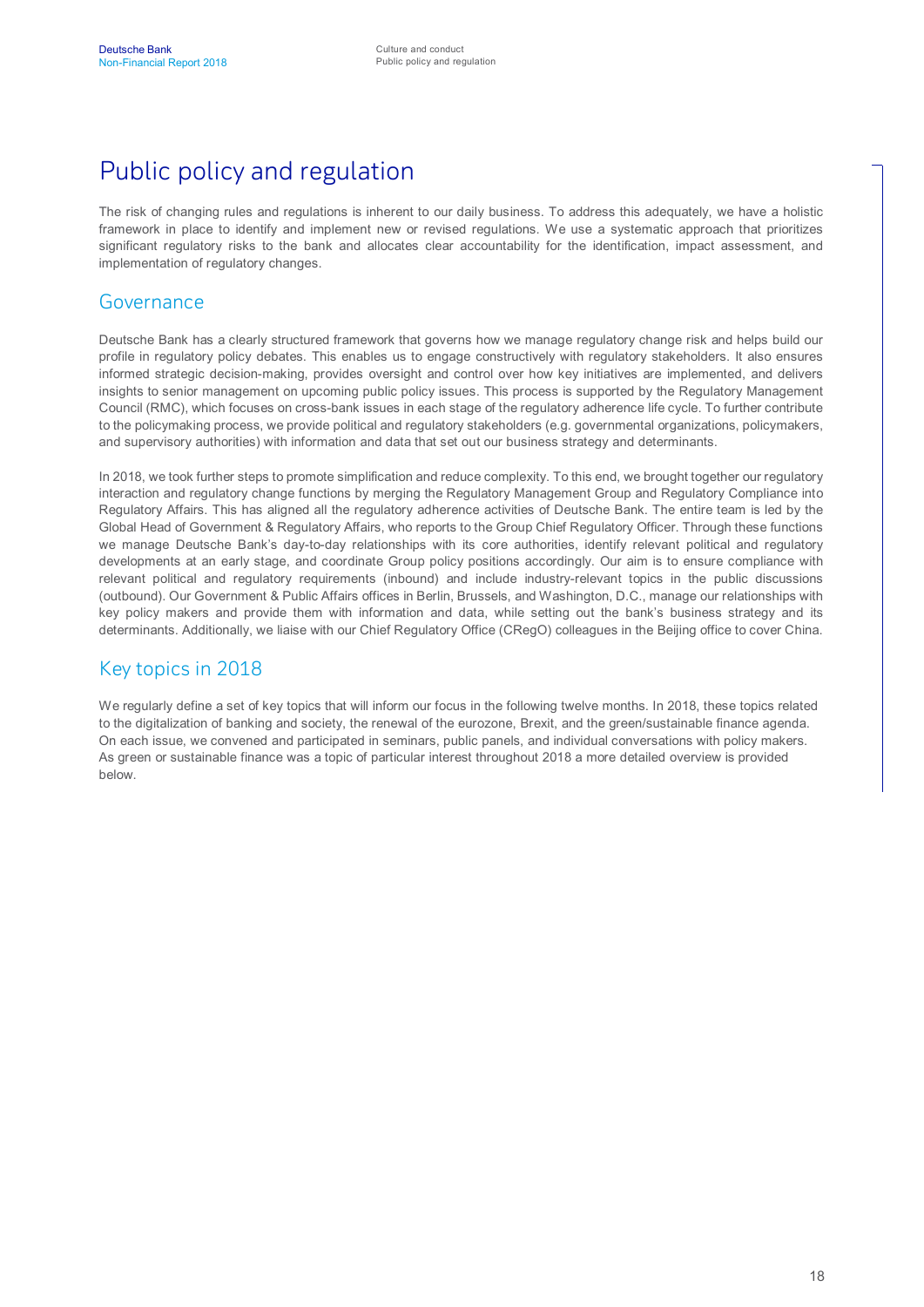# Public policy and regulation

The risk of changing rules and regulations is inherent to our daily business. To address this adequately, we have a holistic framework in place to identify and implement new or revised regulations. We use a systematic approach that prioritizes significant regulatory risks to the bank and allocates clear accountability for the identification, impact assessment, and implementation of regulatory changes.

#### Governance

Deutsche Bank has a clearly structured framework that governs how we manage regulatory change risk and helps build our profile in regulatory policy debates. This enables us to engage constructively with regulatory stakeholders. It also ensures informed strategic decision-making, provides oversight and control over how key initiatives are implemented, and delivers insights to senior management on upcoming public policy issues. This process is supported by the Regulatory Management Council (RMC), which focuses on cross-bank issues in each stage of the regulatory adherence life cycle. To further contribute to the policymaking process, we provide political and regulatory stakeholders (e.g. governmental organizations, policymakers, and supervisory authorities) with information and data that set out our business strategy and determinants.

In 2018, we took further steps to promote simplification and reduce complexity. To this end, we brought together our regulatory interaction and regulatory change functions by merging the Regulatory Management Group and Regulatory Compliance into Regulatory Affairs. This has aligned all the regulatory adherence activities of Deutsche Bank. The entire team is led by the Global Head of Government & Regulatory Affairs, who reports to the Group Chief Regulatory Officer. Through these functions we manage Deutsche Bank's day-to-day relationships with its core authorities, identify relevant political and regulatory developments at an early stage, and coordinate Group policy positions accordingly. Our aim is to ensure compliance with relevant political and regulatory requirements (inbound) and include industry-relevant topics in the public discussions (outbound). Our Government & Public Affairs offices in Berlin, Brussels, and Washington, D.C., manage our relationships with key policy makers and provide them with information and data, while setting out the bank's business strategy and its determinants. Additionally, we liaise with our Chief Regulatory Office (CRegO) colleagues in the Beijing office to cover China.

#### Key topics in 2018

We regularly define a set of key topics that will inform our focus in the following twelve months. In 2018, these topics related to the digitalization of banking and society, the renewal of the eurozone, Brexit, and the green/sustainable finance agenda. On each issue, we convened and participated in seminars, public panels, and individual conversations with policy makers. As green or sustainable finance was a topic of particular interest throughout 2018 a more detailed overview is provided below.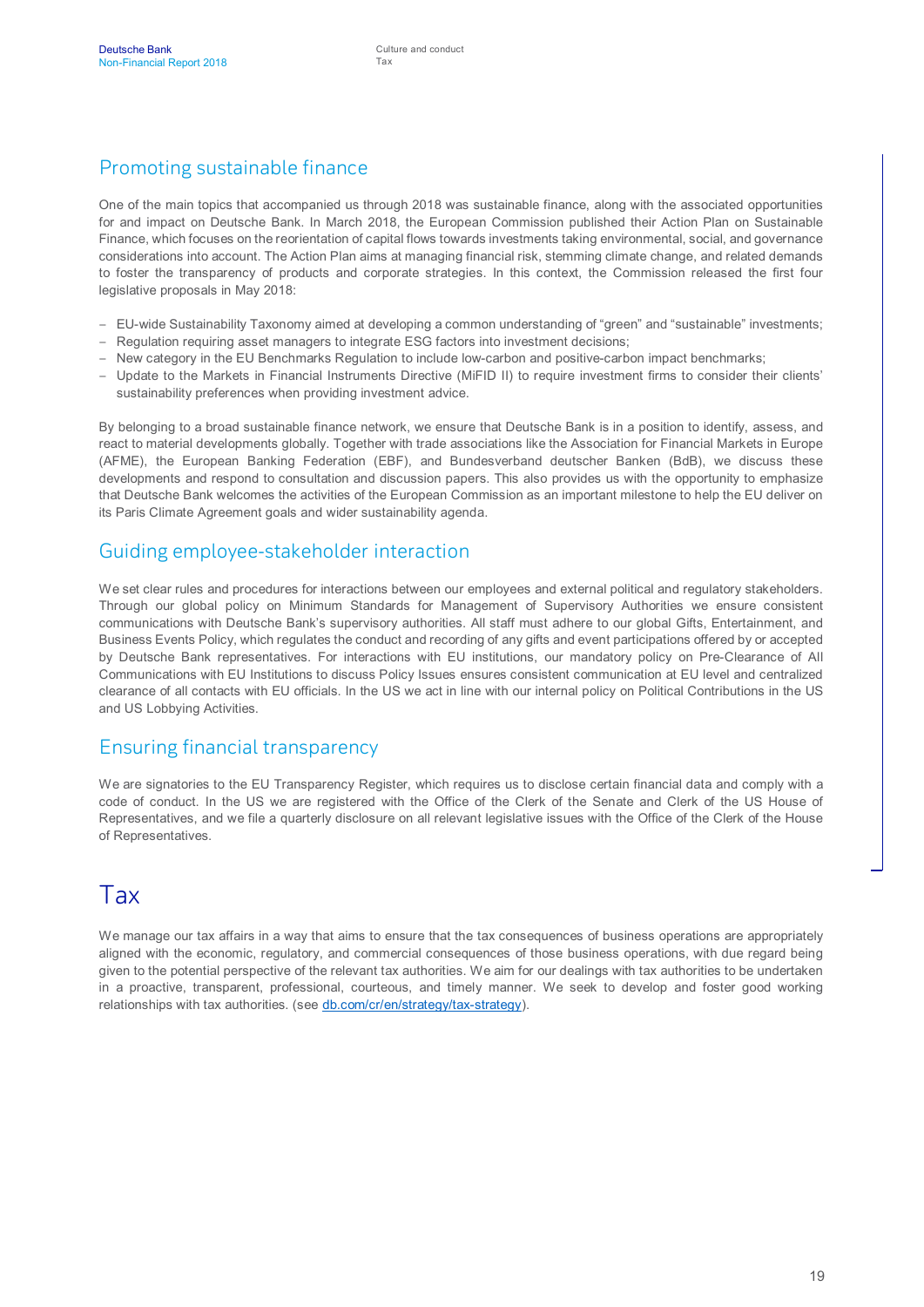## Promoting sustainable finance

One of the main topics that accompanied us through 2018 was sustainable finance, along with the associated opportunities for and impact on Deutsche Bank. In March 2018, the European Commission published their Action Plan on Sustainable Finance, which focuses on the reorientation of capital flows towards investments taking environmental, social, and governance considerations into account. The Action Plan aims at managing financial risk, stemming climate change, and related demands to foster the transparency of products and corporate strategies. In this context, the Commission released the first four legislative proposals in May 2018:

- EU-wide Sustainability Taxonomy aimed at developing a common understanding of "green" and "sustainable" investments;
- Regulation requiring asset managers to integrate ESG factors into investment decisions;
- New category in the EU Benchmarks Regulation to include low-carbon and positive-carbon impact benchmarks;
- Update to the Markets in Financial Instruments Directive (MiFID II) to require investment firms to consider their clients' sustainability preferences when providing investment advice.

By belonging to a broad sustainable finance network, we ensure that Deutsche Bank is in a position to identify, assess, and react to material developments globally. Together with trade associations like the Association for Financial Markets in Europe (AFME), the European Banking Federation (EBF), and Bundesverband deutscher Banken (BdB), we discuss these developments and respond to consultation and discussion papers. This also provides us with the opportunity to emphasize that Deutsche Bank welcomes the activities of the European Commission as an important milestone to help the EU deliver on its Paris Climate Agreement goals and wider sustainability agenda.

#### Guiding employee-stakeholder interaction

We set clear rules and procedures for interactions between our employees and external political and regulatory stakeholders. Through our global policy on Minimum Standards for Management of Supervisory Authorities we ensure consistent communications with Deutsche Bank's supervisory authorities. All staff must adhere to our global Gifts, Entertainment, and Business Events Policy, which regulates the conduct and recording of any gifts and event participations offered by or accepted by Deutsche Bank representatives. For interactions with EU institutions, our mandatory policy on Pre-Clearance of All Communications with EU Institutions to discuss Policy Issues ensures consistent communication at EU level and centralized clearance of all contacts with EU officials. In the US we act in line with our internal policy on Political Contributions in the US and US Lobbying Activities.

#### Ensuring financial transparency

We are signatories to the EU Transparency Register, which requires us to disclose certain financial data and comply with a code of conduct. In the US we are registered with the Office of the Clerk of the Senate and Clerk of the US House of Representatives, and we file a quarterly disclosure on all relevant legislative issues with the Office of the Clerk of the House of Representatives.

## Tax

We manage our tax affairs in a way that aims to ensure that the tax consequences of business operations are appropriately aligned with the economic, regulatory, and commercial consequences of those business operations, with due regard being given to the potential perspective of the relevant tax authorities. We aim for our dealings with tax authorities to be undertaken in a proactive, transparent, professional, courteous, and timely manner. We seek to develop and foster good working relationships with tax authorities. (see [db.com/cr/en/strategy/tax-strategy](https://www.db.com/cr/en/strategy/tax-strategy.htm)).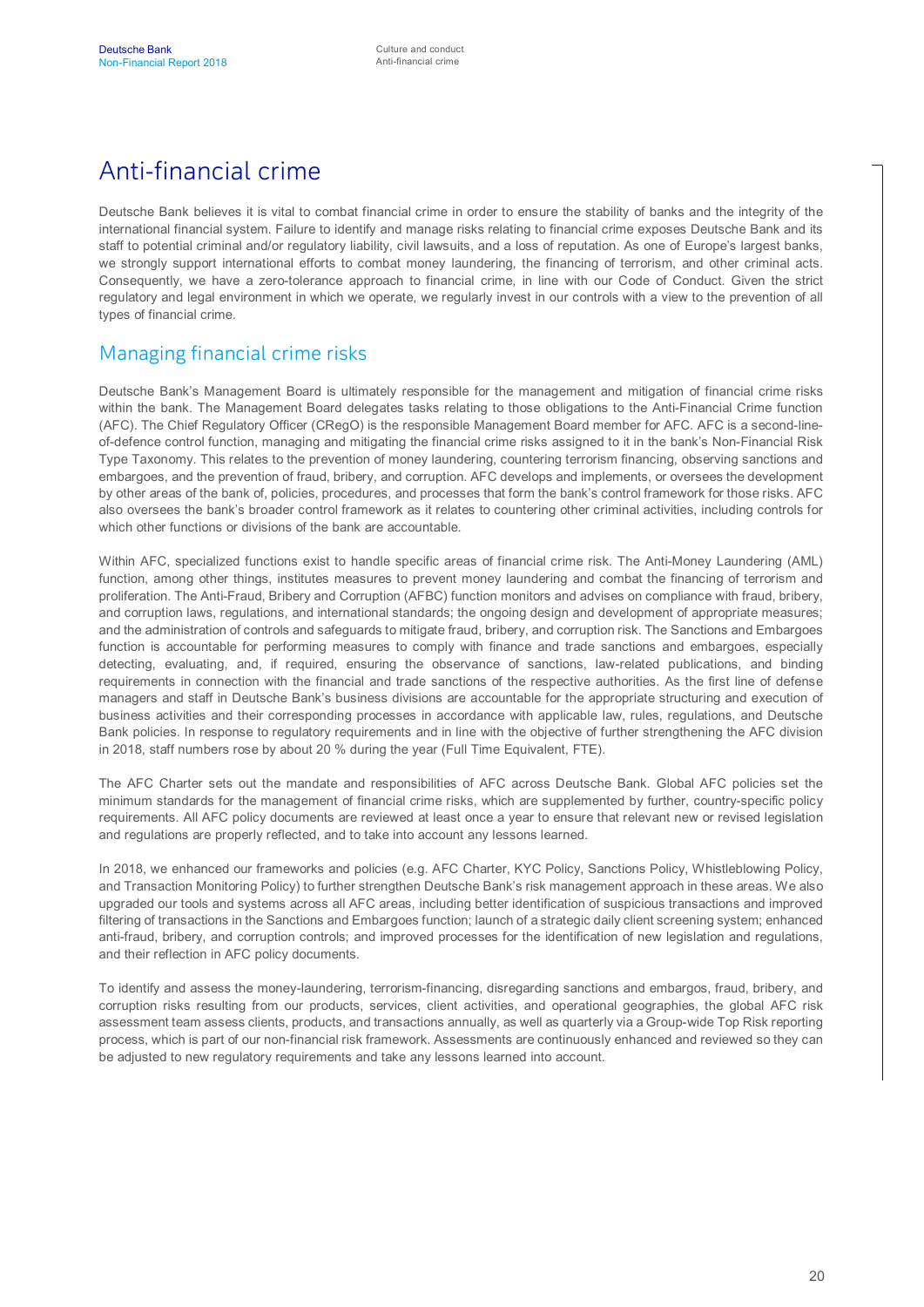## Anti-financial crime

Deutsche Bank believes it is vital to combat financial crime in order to ensure the stability of banks and the integrity of the international financial system. Failure to identify and manage risks relating to financial crime exposes Deutsche Bank and its staff to potential criminal and/or regulatory liability, civil lawsuits, and a loss of reputation. As one of Europe's largest banks, we strongly support international efforts to combat money laundering, the financing of terrorism, and other criminal acts. Consequently, we have a zero-tolerance approach to financial crime, in line with our Code of Conduct. Given the strict regulatory and legal environment in which we operate, we regularly invest in our controls with a view to the prevention of all types of financial crime.

#### Managing financial crime risks

Deutsche Bank's Management Board is ultimately responsible for the management and mitigation of financial crime risks within the bank. The Management Board delegates tasks relating to those obligations to the Anti-Financial Crime function (AFC). The Chief Regulatory Officer (CRegO) is the responsible Management Board member for AFC. AFC is a second-lineof-defence control function, managing and mitigating the financial crime risks assigned to it in the bank's Non-Financial Risk Type Taxonomy. This relates to the prevention of money laundering, countering terrorism financing, observing sanctions and embargoes, and the prevention of fraud, bribery, and corruption. AFC develops and implements, or oversees the development by other areas of the bank of, policies, procedures, and processes that form the bank's control framework for those risks. AFC also oversees the bank's broader control framework as it relates to countering other criminal activities, including controls for which other functions or divisions of the bank are accountable.

Within AFC, specialized functions exist to handle specific areas of financial crime risk. The Anti-Money Laundering (AML) function, among other things, institutes measures to prevent money laundering and combat the financing of terrorism and proliferation. The Anti-Fraud, Bribery and Corruption (AFBC) function monitors and advises on compliance with fraud, bribery, and corruption laws, regulations, and international standards; the ongoing design and development of appropriate measures; and the administration of controls and safeguards to mitigate fraud, bribery, and corruption risk. The Sanctions and Embargoes function is accountable for performing measures to comply with finance and trade sanctions and embargoes, especially detecting, evaluating, and, if required, ensuring the observance of sanctions, law-related publications, and binding requirements in connection with the financial and trade sanctions of the respective authorities. As the first line of defense managers and staff in Deutsche Bank's business divisions are accountable for the appropriate structuring and execution of business activities and their corresponding processes in accordance with applicable law, rules, regulations, and Deutsche Bank policies. In response to regulatory requirements and in line with the objective of further strengthening the AFC division in 2018, staff numbers rose by about 20 % during the year (Full Time Equivalent, FTE).

The AFC Charter sets out the mandate and responsibilities of AFC across Deutsche Bank. Global AFC policies set the minimum standards for the management of financial crime risks, which are supplemented by further, country-specific policy requirements. All AFC policy documents are reviewed at least once a year to ensure that relevant new or revised legislation and regulations are properly reflected, and to take into account any lessons learned.

In 2018, we enhanced our frameworks and policies (e.g. AFC Charter, KYC Policy, Sanctions Policy, Whistleblowing Policy, and Transaction Monitoring Policy) to further strengthen Deutsche Bank's risk management approach in these areas. We also upgraded our tools and systems across all AFC areas, including better identification of suspicious transactions and improved filtering of transactions in the Sanctions and Embargoes function; launch of a strategic daily client screening system; enhanced anti-fraud, bribery, and corruption controls; and improved processes for the identification of new legislation and regulations, and their reflection in AFC policy documents.

To identify and assess the money-laundering, terrorism-financing, disregarding sanctions and embargos, fraud, bribery, and corruption risks resulting from our products, services, client activities, and operational geographies, the global AFC risk assessment team assess clients, products, and transactions annually, as well as quarterly via a Group-wide Top Risk reporting process, which is part of our non-financial risk framework. Assessments are continuously enhanced and reviewed so they can be adjusted to new regulatory requirements and take any lessons learned into account.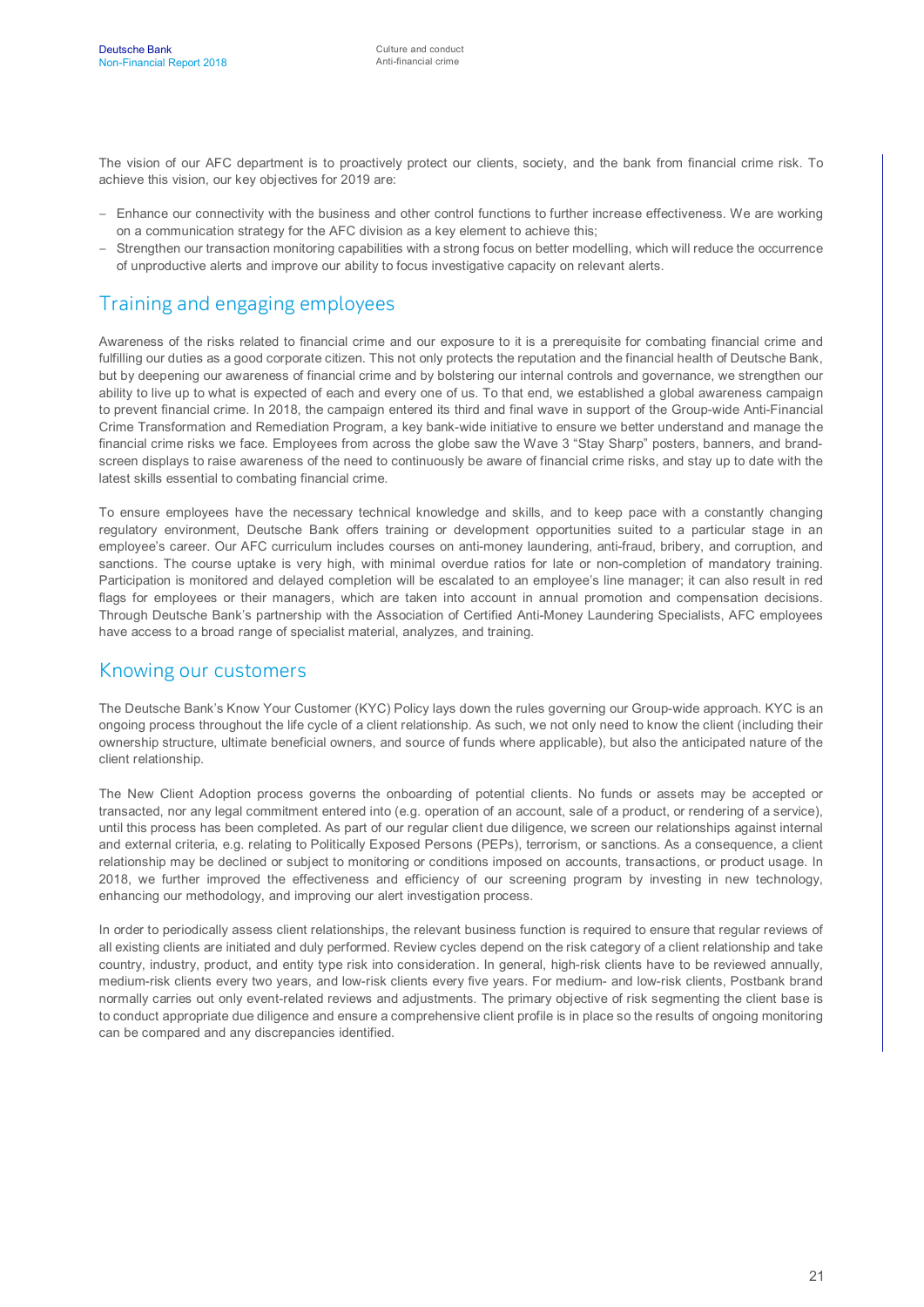The vision of our AFC department is to proactively protect our clients, society, and the bank from financial crime risk. To achieve this vision, our key objectives for 2019 are:

- Enhance our connectivity with the business and other control functions to further increase effectiveness. We are working on a communication strategy for the AFC division as a key element to achieve this;
- Strengthen our transaction monitoring capabilities with a strong focus on better modelling, which will reduce the occurrence of unproductive alerts and improve our ability to focus investigative capacity on relevant alerts.

## Training and engaging employees

Awareness of the risks related to financial crime and our exposure to it is a prerequisite for combating financial crime and fulfilling our duties as a good corporate citizen. This not only protects the reputation and the financial health of Deutsche Bank, but by deepening our awareness of financial crime and by bolstering our internal controls and governance, we strengthen our ability to live up to what is expected of each and every one of us. To that end, we established a global awareness campaign to prevent financial crime. In 2018, the campaign entered its third and final wave in support of the Group-wide Anti-Financial Crime Transformation and Remediation Program, a key bank-wide initiative to ensure we better understand and manage the financial crime risks we face. Employees from across the globe saw the Wave 3 "Stay Sharp" posters, banners, and brandscreen displays to raise awareness of the need to continuously be aware of financial crime risks, and stay up to date with the latest skills essential to combating financial crime.

To ensure employees have the necessary technical knowledge and skills, and to keep pace with a constantly changing regulatory environment, Deutsche Bank offers training or development opportunities suited to a particular stage in an employee's career. Our AFC curriculum includes courses on anti-money laundering, anti-fraud, bribery, and corruption, and sanctions. The course uptake is very high, with minimal overdue ratios for late or non-completion of mandatory training. Participation is monitored and delayed completion will be escalated to an employee's line manager; it can also result in red flags for employees or their managers, which are taken into account in annual promotion and compensation decisions. Through Deutsche Bank's partnership with the Association of Certified Anti-Money Laundering Specialists, AFC employees have access to a broad range of specialist material, analyzes, and training.

#### Knowing our customers

The Deutsche Bank's Know Your Customer (KYC) Policy lays down the rules governing our Group-wide approach. KYC is an ongoing process throughout the life cycle of a client relationship. As such, we not only need to know the client (including their ownership structure, ultimate beneficial owners, and source of funds where applicable), but also the anticipated nature of the client relationship.

The New Client Adoption process governs the onboarding of potential clients. No funds or assets may be accepted or transacted, nor any legal commitment entered into (e.g. operation of an account, sale of a product, or rendering of a service), until this process has been completed. As part of our regular client due diligence, we screen our relationships against internal and external criteria, e.g. relating to Politically Exposed Persons (PEPs), terrorism, or sanctions. As a consequence, a client relationship may be declined or subject to monitoring or conditions imposed on accounts, transactions, or product usage. In 2018, we further improved the effectiveness and efficiency of our screening program by investing in new technology, enhancing our methodology, and improving our alert investigation process.

In order to periodically assess client relationships, the relevant business function is required to ensure that regular reviews of all existing clients are initiated and duly performed. Review cycles depend on the risk category of a client relationship and take country, industry, product, and entity type risk into consideration. In general, high-risk clients have to be reviewed annually, medium-risk clients every two years, and low-risk clients every five years. For medium- and low-risk clients, Postbank brand normally carries out only event-related reviews and adjustments. The primary objective of risk segmenting the client base is to conduct appropriate due diligence and ensure a comprehensive client profile is in place so the results of ongoing monitoring can be compared and any discrepancies identified.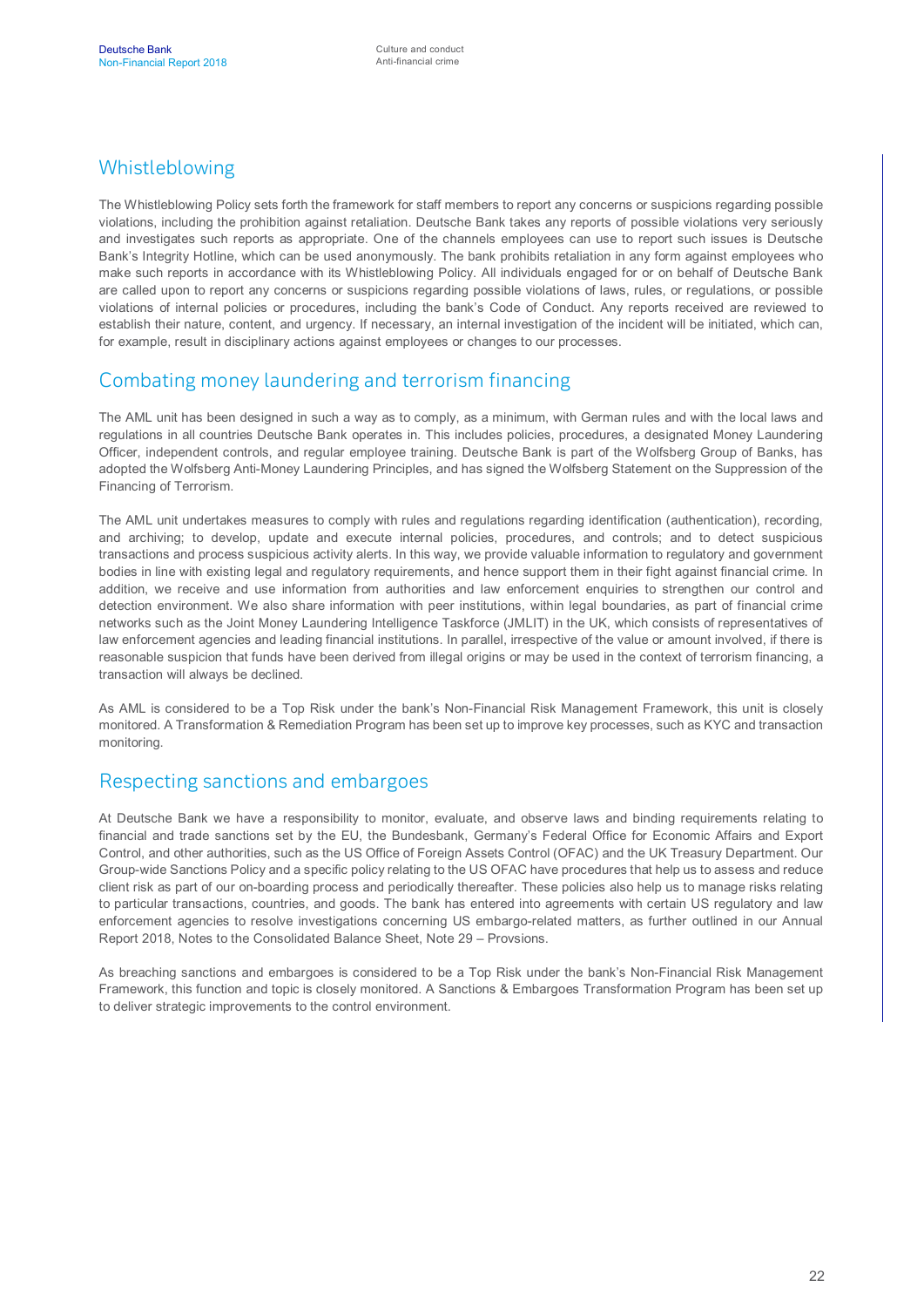### Whistleblowing

The Whistleblowing Policy sets forth the framework for staff members to report any concerns or suspicions regarding possible violations, including the prohibition against retaliation. Deutsche Bank takes any reports of possible violations very seriously and investigates such reports as appropriate. One of the channels employees can use to report such issues is Deutsche Bank's Integrity Hotline, which can be used anonymously. The bank prohibits retaliation in any form against employees who make such reports in accordance with its Whistleblowing Policy. All individuals engaged for or on behalf of Deutsche Bank are called upon to report any concerns or suspicions regarding possible violations of laws, rules, or regulations, or possible violations of internal policies or procedures, including the bank's Code of Conduct. Any reports received are reviewed to establish their nature, content, and urgency. If necessary, an internal investigation of the incident will be initiated, which can, for example, result in disciplinary actions against employees or changes to our processes.

#### Combating money laundering and terrorism financing

The AML unit has been designed in such a way as to comply, as a minimum, with German rules and with the local laws and regulations in all countries Deutsche Bank operates in. This includes policies, procedures, a designated Money Laundering Officer, independent controls, and regular employee training. Deutsche Bank is part of the Wolfsberg Group of Banks, has adopted the Wolfsberg Anti-Money Laundering Principles, and has signed the Wolfsberg Statement on the Suppression of the Financing of Terrorism.

The AML unit undertakes measures to comply with rules and regulations regarding identification (authentication), recording, and archiving; to develop, update and execute internal policies, procedures, and controls; and to detect suspicious transactions and process suspicious activity alerts. In this way, we provide valuable information to regulatory and government bodies in line with existing legal and regulatory requirements, and hence support them in their fight against financial crime. In addition, we receive and use information from authorities and law enforcement enquiries to strengthen our control and detection environment. We also share information with peer institutions, within legal boundaries, as part of financial crime networks such as the Joint Money Laundering Intelligence Taskforce (JMLIT) in the UK, which consists of representatives of law enforcement agencies and leading financial institutions. In parallel, irrespective of the value or amount involved, if there is reasonable suspicion that funds have been derived from illegal origins or may be used in the context of terrorism financing, a transaction will always be declined.

As AML is considered to be a Top Risk under the bank's Non-Financial Risk Management Framework, this unit is closely monitored. A Transformation & Remediation Program has been set up to improve key processes, such as KYC and transaction monitoring.

#### Respecting sanctions and embargoes

At Deutsche Bank we have a responsibility to monitor, evaluate, and observe laws and binding requirements relating to financial and trade sanctions set by the EU, the Bundesbank, Germany's Federal Office for Economic Affairs and Export Control, and other authorities, such as the US Office of Foreign Assets Control (OFAC) and the UK Treasury Department. Our Group-wide Sanctions Policy and a specific policy relating to the US OFAC have procedures that help us to assess and reduce client risk as part of our on-boarding process and periodically thereafter. These policies also help us to manage risks relating to particular transactions, countries, and goods. The bank has entered into agreements with certain US regulatory and law enforcement agencies to resolve investigations concerning US embargo-related matters, as further outlined in our Annual Report 2018, Notes to the Consolidated Balance Sheet, Note 29 – Provsions.

As breaching sanctions and embargoes is considered to be a Top Risk under the bank's Non-Financial Risk Management Framework, this function and topic is closely monitored. A Sanctions & Embargoes Transformation Program has been set up to deliver strategic improvements to the control environment.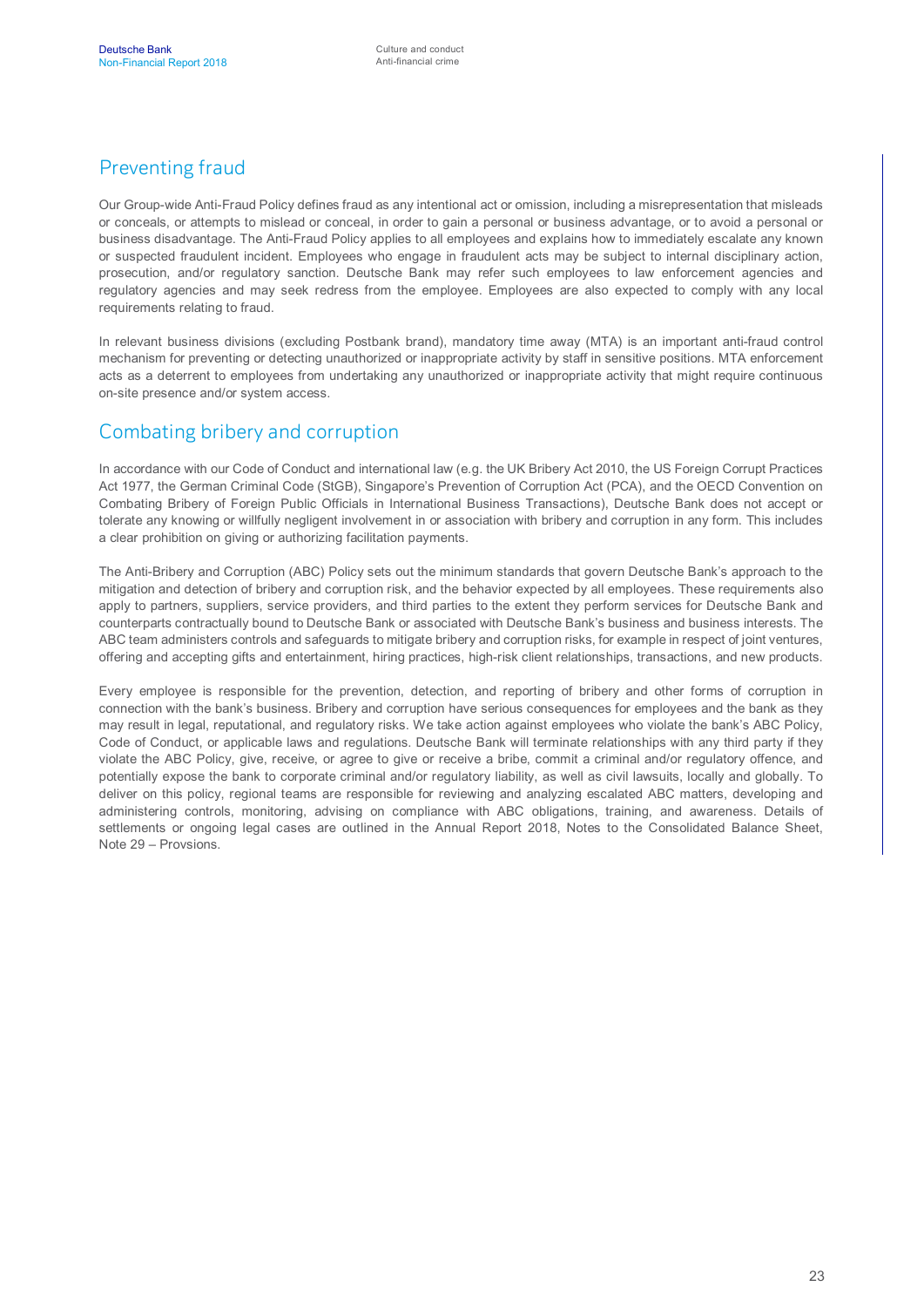## Preventing fraud

Our Group-wide Anti-Fraud Policy defines fraud as any intentional act or omission, including a misrepresentation that misleads or conceals, or attempts to mislead or conceal, in order to gain a personal or business advantage, or to avoid a personal or business disadvantage. The Anti-Fraud Policy applies to all employees and explains how to immediately escalate any known or suspected fraudulent incident. Employees who engage in fraudulent acts may be subject to internal disciplinary action, prosecution, and/or regulatory sanction. Deutsche Bank may refer such employees to law enforcement agencies and regulatory agencies and may seek redress from the employee. Employees are also expected to comply with any local requirements relating to fraud.

In relevant business divisions (excluding Postbank brand), mandatory time away (MTA) is an important anti-fraud control mechanism for preventing or detecting unauthorized or inappropriate activity by staff in sensitive positions. MTA enforcement acts as a deterrent to employees from undertaking any unauthorized or inappropriate activity that might require continuous on-site presence and/or system access.

#### Combating bribery and corruption

In accordance with our Code of Conduct and international law (e.g. the UK Bribery Act 2010, the US Foreign Corrupt Practices Act 1977, the German Criminal Code (StGB), Singapore's Prevention of Corruption Act (PCA), and the OECD Convention on Combating Bribery of Foreign Public Officials in International Business Transactions), Deutsche Bank does not accept or tolerate any knowing or willfully negligent involvement in or association with bribery and corruption in any form. This includes a clear prohibition on giving or authorizing facilitation payments.

The Anti-Bribery and Corruption (ABC) Policy sets out the minimum standards that govern Deutsche Bank's approach to the mitigation and detection of bribery and corruption risk, and the behavior expected by all employees. These requirements also apply to partners, suppliers, service providers, and third parties to the extent they perform services for Deutsche Bank and counterparts contractually bound to Deutsche Bank or associated with Deutsche Bank's business and business interests. The ABC team administers controls and safeguards to mitigate bribery and corruption risks, for example in respect of joint ventures, offering and accepting gifts and entertainment, hiring practices, high-risk client relationships, transactions, and new products.

Every employee is responsible for the prevention, detection, and reporting of bribery and other forms of corruption in connection with the bank's business. Bribery and corruption have serious consequences for employees and the bank as they may result in legal, reputational, and regulatory risks. We take action against employees who violate the bank's ABC Policy, Code of Conduct, or applicable laws and regulations. Deutsche Bank will terminate relationships with any third party if they violate the ABC Policy, give, receive, or agree to give or receive a bribe, commit a criminal and/or regulatory offence, and potentially expose the bank to corporate criminal and/or regulatory liability, as well as civil lawsuits, locally and globally. To deliver on this policy, regional teams are responsible for reviewing and analyzing escalated ABC matters, developing and administering controls, monitoring, advising on compliance with ABC obligations, training, and awareness. Details of settlements or ongoing legal cases are outlined in the Annual Report 2018, Notes to the Consolidated Balance Sheet, Note 29 – Provsions.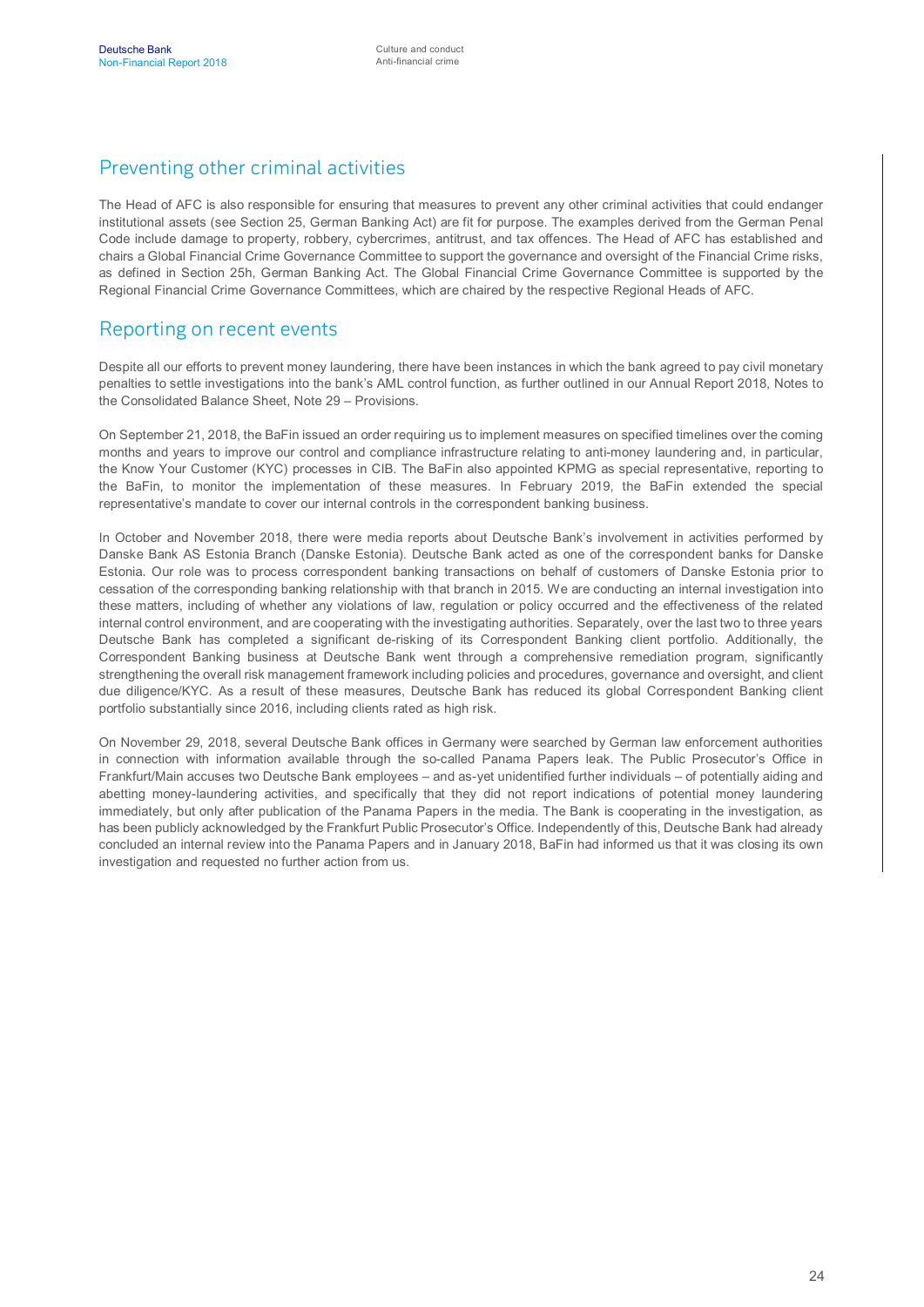### Preventing other criminal activities

The Head of AFC is also responsible for ensuring that measures to prevent any other criminal activities that could endanger institutional assets (see Section 25, German Banking Act) are fit for purpose. The examples derived from the German Penal Code include damage to property, robbery, cybercrimes, antitrust, and tax offences. The Head of AFC has established and chairs a Global Financial Crime Governance Committee to support the governance and oversight of the Financial Crime risks, as defined in Section 25h, German Banking Act. The Global Financial Crime Governance Committee is supported by the Regional Financial Crime Governance Committees, which are chaired by the respective Regional Heads of AFC.

#### Reporting on recent events

Despite all our efforts to prevent money laundering, there have been instances in which the bank agreed to pay civil monetary penalties to settle investigations into the bank's AML control function, as further outlined in our Annual Report 2018, Notes to the Consolidated Balance Sheet, Note 29 – Provisions.

On September 21, 2018, the BaFin issued an order requiring us to implement measures on specified timelines over the coming months and years to improve our control and compliance infrastructure relating to anti-money laundering and, in particular, the Know Your Customer (KYC) processes in CIB. The BaFin also appointed KPMG as special representative, reporting to the BaFin, to monitor the implementation of these measures. In February 2019, the BaFin extended the special representative's mandate to cover our internal controls in the correspondent banking business.

In October and November 2018, there were media reports about Deutsche Bank's involvement in activities performed by Danske Bank AS Estonia Branch (Danske Estonia). Deutsche Bank acted as one of the correspondent banks for Danske Estonia. Our role was to process correspondent banking transactions on behalf of customers of Danske Estonia prior to cessation of the corresponding banking relationship with that branch in 2015. We are conducting an internal investigation into these matters, including of whether any violations of law, regulation or policy occurred and the effectiveness of the related internal control environment, and are cooperating with the investigating authorities. Separately, over the last two to three years Deutsche Bank has completed a significant de-risking of its Correspondent Banking client portfolio. Additionally, the Correspondent Banking business at Deutsche Bank went through a comprehensive remediation program, significantly strengthening the overall risk management framework including policies and procedures, governance and oversight, and client due diligence/KYC. As a result of these measures, Deutsche Bank has reduced its global Correspondent Banking client portfolio substantially since 2016, including clients rated as high risk.

On November 29, 2018, several Deutsche Bank offices in Germany were searched by German law enforcement authorities in connection with information available through the so-called Panama Papers leak. The Public Prosecutor's Office in Frankfurt/Main accuses two Deutsche Bank employees – and as-yet unidentified further individuals – of potentially aiding and abetting money-laundering activities, and specifically that they did not report indications of potential money laundering immediately, but only after publication of the Panama Papers in the media. The Bank is cooperating in the investigation, as has been publicly acknowledged by the Frankfurt Public Prosecutor's Office. Independently of this, Deutsche Bank had already concluded an internal review into the Panama Papers and in January 2018, BaFin had informed us that it was closing its own investigation and requested no further action from us.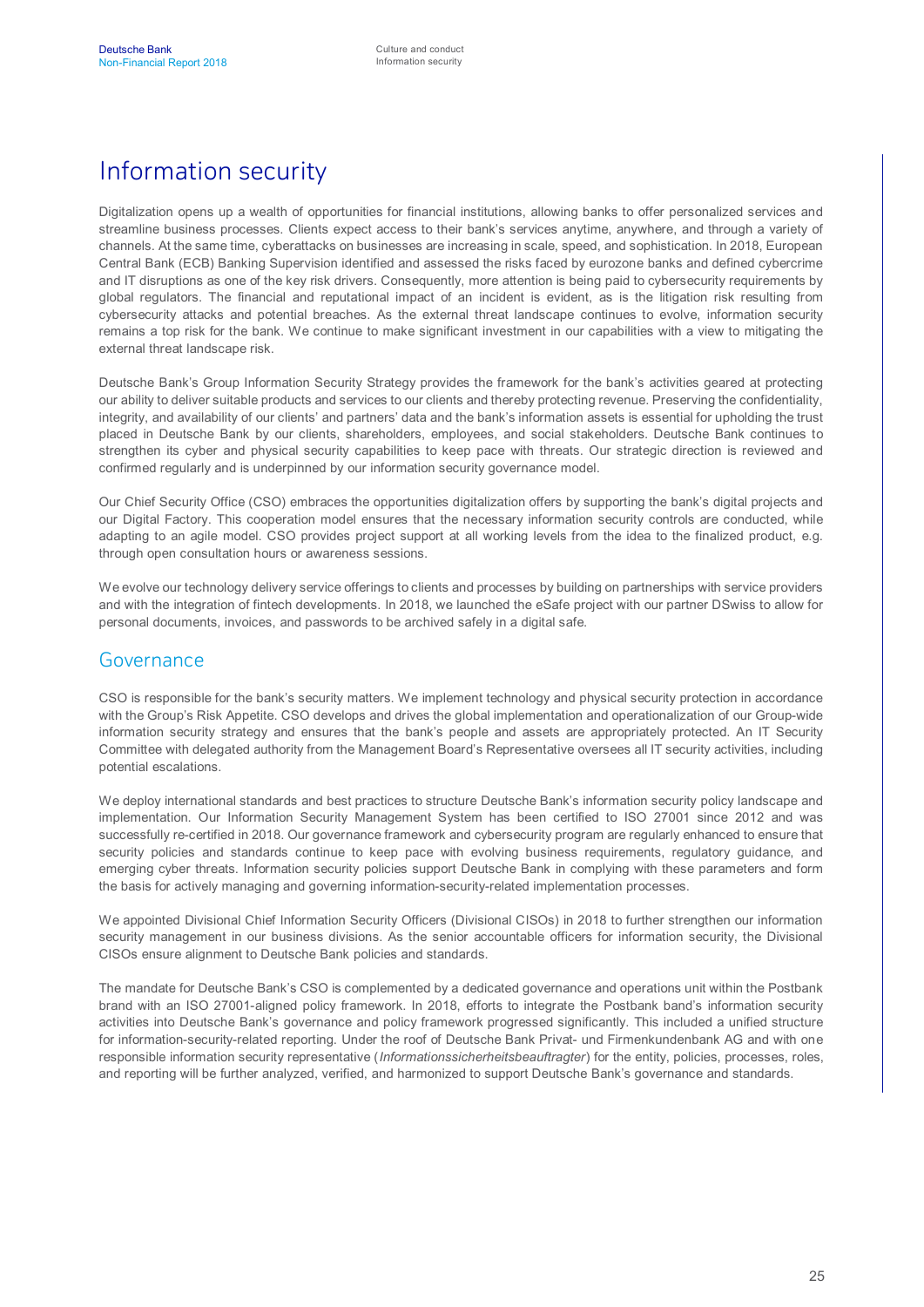## Information security

Digitalization opens up a wealth of opportunities for financial institutions, allowing banks to offer personalized services and streamline business processes. Clients expect access to their bank's services anytime, anywhere, and through a variety of channels. At the same time, cyberattacks on businesses are increasing in scale, speed, and sophistication. In 2018, European Central Bank (ECB) Banking Supervision identified and assessed the risks faced by eurozone banks and defined cybercrime and IT disruptions as one of the key risk drivers. Consequently, more attention is being paid to cybersecurity requirements by global regulators. The financial and reputational impact of an incident is evident, as is the litigation risk resulting from cybersecurity attacks and potential breaches. As the external threat landscape continues to evolve, information security remains a top risk for the bank. We continue to make significant investment in our capabilities with a view to mitigating the external threat landscape risk.

Deutsche Bank's Group Information Security Strategy provides the framework for the bank's activities geared at protecting our ability to deliver suitable products and services to our clients and thereby protecting revenue. Preserving the confidentiality, integrity, and availability of our clients' and partners' data and the bank's information assets is essential for upholding the trust placed in Deutsche Bank by our clients, shareholders, employees, and social stakeholders. Deutsche Bank continues to strengthen its cyber and physical security capabilities to keep pace with threats. Our strategic direction is reviewed and confirmed regularly and is underpinned by our information security governance model.

Our Chief Security Office (CSO) embraces the opportunities digitalization offers by supporting the bank's digital projects and our Digital Factory. This cooperation model ensures that the necessary information security controls are conducted, while adapting to an agile model. CSO provides project support at all working levels from the idea to the finalized product, e.g. through open consultation hours or awareness sessions.

We evolve our technology delivery service offerings to clients and processes by building on partnerships with service providers and with the integration of fintech developments. In 2018, we launched the eSafe project with our partner DSwiss to allow for personal documents, invoices, and passwords to be archived safely in a digital safe.

#### Governance

CSO is responsible for the bank's security matters. We implement technology and physical security protection in accordance with the Group's Risk Appetite. CSO develops and drives the global implementation and operationalization of our Group-wide information security strategy and ensures that the bank's people and assets are appropriately protected. An IT Security Committee with delegated authority from the Management Board's Representative oversees all IT security activities, including potential escalations.

We deploy international standards and best practices to structure Deutsche Bank's information security policy landscape and implementation. Our Information Security Management System has been certified to ISO 27001 since 2012 and was successfully re-certified in 2018. Our governance framework and cybersecurity program are regularly enhanced to ensure that security policies and standards continue to keep pace with evolving business requirements, regulatory guidance, and emerging cyber threats. Information security policies support Deutsche Bank in complying with these parameters and form the basis for actively managing and governing information-security-related implementation processes.

We appointed Divisional Chief Information Security Officers (Divisional CISOs) in 2018 to further strengthen our information security management in our business divisions. As the senior accountable officers for information security, the Divisional CISOs ensure alignment to Deutsche Bank policies and standards.

The mandate for Deutsche Bank's CSO is complemented by a dedicated governance and operations unit within the Postbank brand with an ISO 27001-aligned policy framework. In 2018, efforts to integrate the Postbank band's information security activities into Deutsche Bank's governance and policy framework progressed significantly. This included a unified structure for information-security-related reporting. Under the roof of Deutsche Bank Privat- und Firmenkundenbank AG and with one responsible information security representative (*Informationssicherheitsbeauftragter*) for the entity, policies, processes, roles, and reporting will be further analyzed, verified, and harmonized to support Deutsche Bank's governance and standards.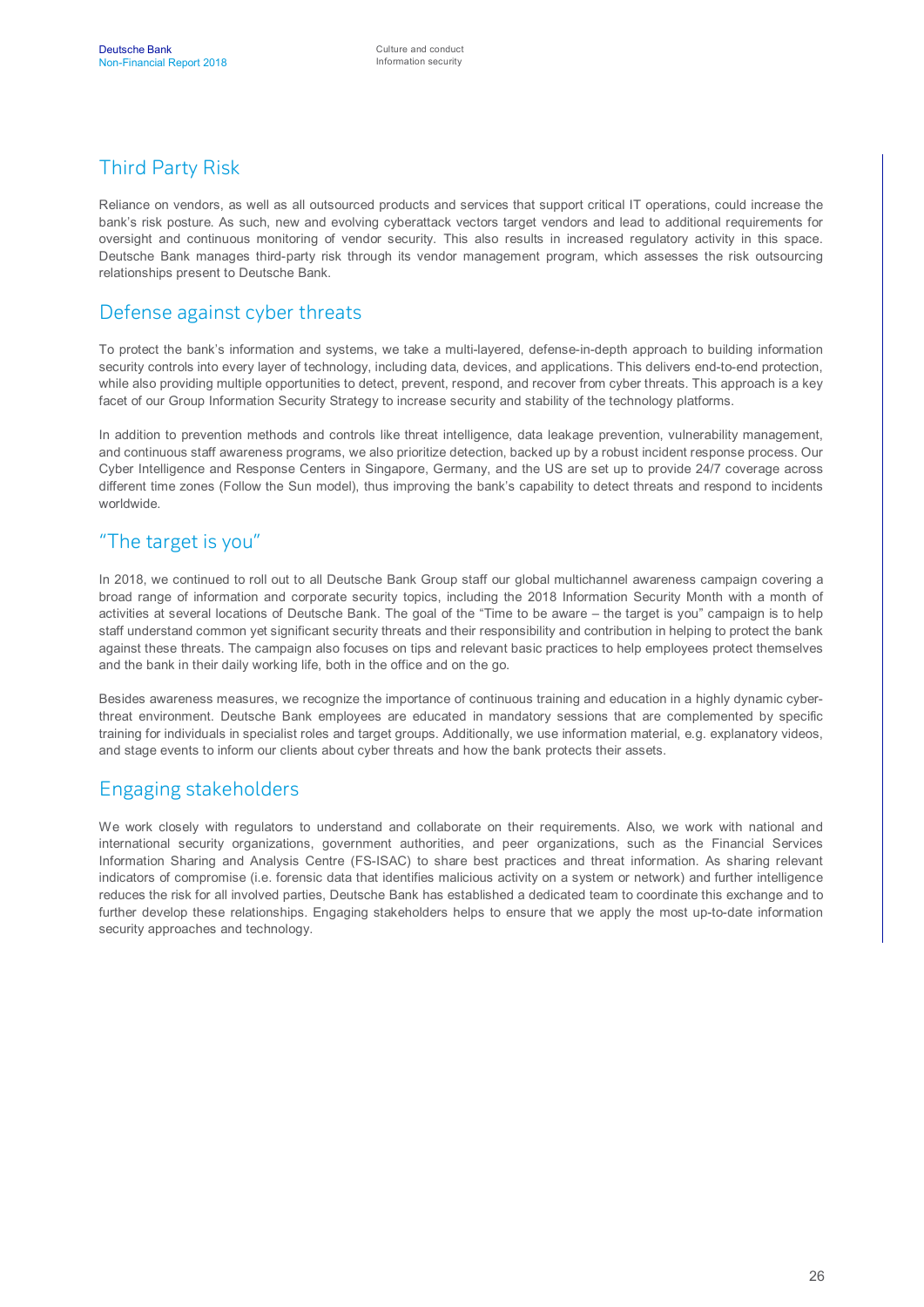## Third Party Risk

Reliance on vendors, as well as all outsourced products and services that support critical IT operations, could increase the bank's risk posture. As such, new and evolving cyberattack vectors target vendors and lead to additional requirements for oversight and continuous monitoring of vendor security. This also results in increased regulatory activity in this space. Deutsche Bank manages third-party risk through its vendor management program, which assesses the risk outsourcing relationships present to Deutsche Bank.

#### Defense against cyber threats

To protect the bank's information and systems, we take a multi-layered, defense-in-depth approach to building information security controls into every layer of technology, including data, devices, and applications. This delivers end-to-end protection, while also providing multiple opportunities to detect, prevent, respond, and recover from cyber threats. This approach is a key facet of our Group Information Security Strategy to increase security and stability of the technology platforms.

In addition to prevention methods and controls like threat intelligence, data leakage prevention, vulnerability management, and continuous staff awareness programs, we also prioritize detection, backed up by a robust incident response process. Our Cyber Intelligence and Response Centers in Singapore, Germany, and the US are set up to provide 24/7 coverage across different time zones (Follow the Sun model), thus improving the bank's capability to detect threats and respond to incidents worldwide.

### "The target is you"

In 2018, we continued to roll out to all Deutsche Bank Group staff our global multichannel awareness campaign covering a broad range of information and corporate security topics, including the 2018 Information Security Month with a month of activities at several locations of Deutsche Bank. The goal of the "Time to be aware – the target is you" campaign is to help staff understand common yet significant security threats and their responsibility and contribution in helping to protect the bank against these threats. The campaign also focuses on tips and relevant basic practices to help employees protect themselves and the bank in their daily working life, both in the office and on the go.

Besides awareness measures, we recognize the importance of continuous training and education in a highly dynamic cyberthreat environment. Deutsche Bank employees are educated in mandatory sessions that are complemented by specific training for individuals in specialist roles and target groups. Additionally, we use information material, e.g. explanatory videos, and stage events to inform our clients about cyber threats and how the bank protects their assets.

#### Engaging stakeholders

We work closely with regulators to understand and collaborate on their requirements. Also, we work with national and international security organizations, government authorities, and peer organizations, such as the Financial Services Information Sharing and Analysis Centre (FS-ISAC) to share best practices and threat information. As sharing relevant indicators of compromise (i.e. forensic data that identifies malicious activity on a system or network) and further intelligence reduces the risk for all involved parties, Deutsche Bank has established a dedicated team to coordinate this exchange and to further develop these relationships. Engaging stakeholders helps to ensure that we apply the most up-to-date information security approaches and technology.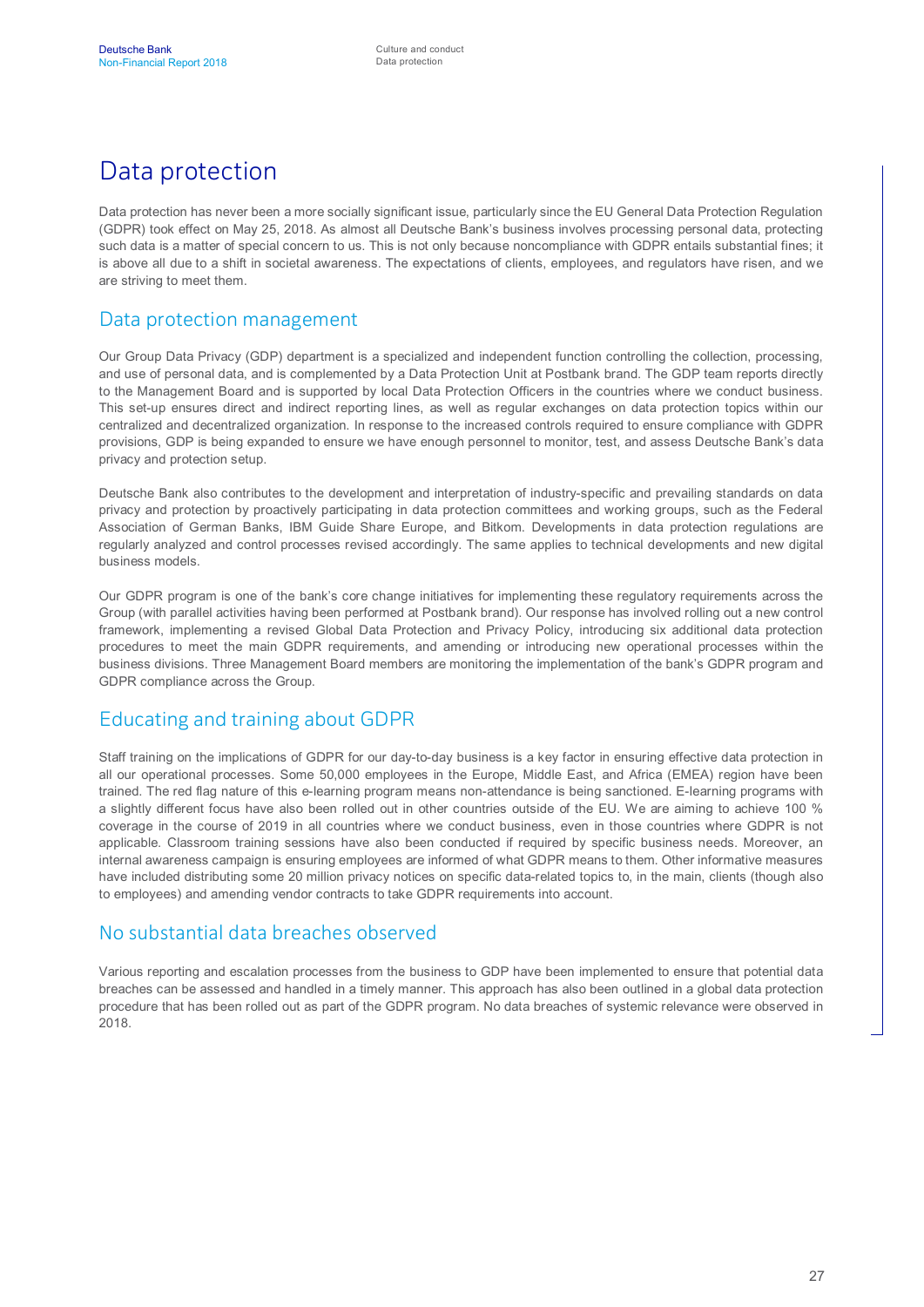# Data protection

Data protection has never been a more socially significant issue, particularly since the EU General Data Protection Regulation (GDPR) took effect on May 25, 2018. As almost all Deutsche Bank's business involves processing personal data, protecting such data is a matter of special concern to us. This is not only because noncompliance with GDPR entails substantial fines; it is above all due to a shift in societal awareness. The expectations of clients, employees, and regulators have risen, and we are striving to meet them.

#### Data protection management

Our Group Data Privacy (GDP) department is a specialized and independent function controlling the collection, processing, and use of personal data, and is complemented by a Data Protection Unit at Postbank brand. The GDP team reports directly to the Management Board and is supported by local Data Protection Officers in the countries where we conduct business. This set-up ensures direct and indirect reporting lines, as well as regular exchanges on data protection topics within our centralized and decentralized organization. In response to the increased controls required to ensure compliance with GDPR provisions, GDP is being expanded to ensure we have enough personnel to monitor, test, and assess Deutsche Bank's data privacy and protection setup.

Deutsche Bank also contributes to the development and interpretation of industry-specific and prevailing standards on data privacy and protection by proactively participating in data protection committees and working groups, such as the Federal Association of German Banks, IBM Guide Share Europe, and Bitkom. Developments in data protection regulations are regularly analyzed and control processes revised accordingly. The same applies to technical developments and new digital business models.

Our GDPR program is one of the bank's core change initiatives for implementing these regulatory requirements across the Group (with parallel activities having been performed at Postbank brand). Our response has involved rolling out a new control framework, implementing a revised Global Data Protection and Privacy Policy, introducing six additional data protection procedures to meet the main GDPR requirements, and amending or introducing new operational processes within the business divisions. Three Management Board members are monitoring the implementation of the bank's GDPR program and GDPR compliance across the Group.

#### Educating and training about GDPR

Staff training on the implications of GDPR for our day-to-day business is a key factor in ensuring effective data protection in all our operational processes. Some 50,000 employees in the Europe, Middle East, and Africa (EMEA) region have been trained. The red flag nature of this e-learning program means non-attendance is being sanctioned. E-learning programs with a slightly different focus have also been rolled out in other countries outside of the EU. We are aiming to achieve 100 % coverage in the course of 2019 in all countries where we conduct business, even in those countries where GDPR is not applicable. Classroom training sessions have also been conducted if required by specific business needs. Moreover, an internal awareness campaign is ensuring employees are informed of what GDPR means to them. Other informative measures have included distributing some 20 million privacy notices on specific data-related topics to, in the main, clients (though also to employees) and amending vendor contracts to take GDPR requirements into account.

#### No substantial data breaches observed

Various reporting and escalation processes from the business to GDP have been implemented to ensure that potential data breaches can be assessed and handled in a timely manner. This approach has also been outlined in a global data protection procedure that has been rolled out as part of the GDPR program. No data breaches of systemic relevance were observed in 2018.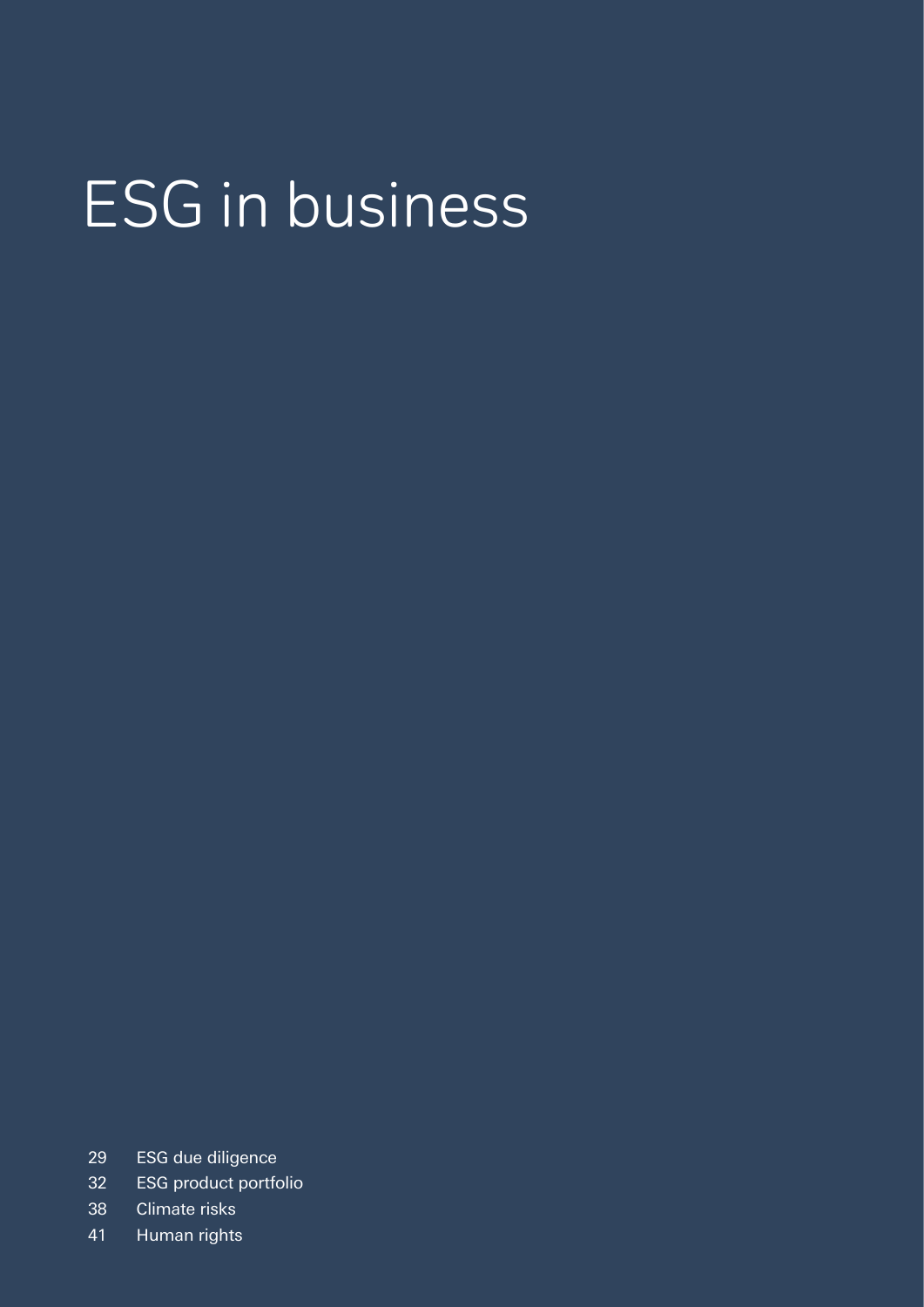# ESG in business

- ESG due diligence
- ESG product portfolio
- Climate risks
- Human rights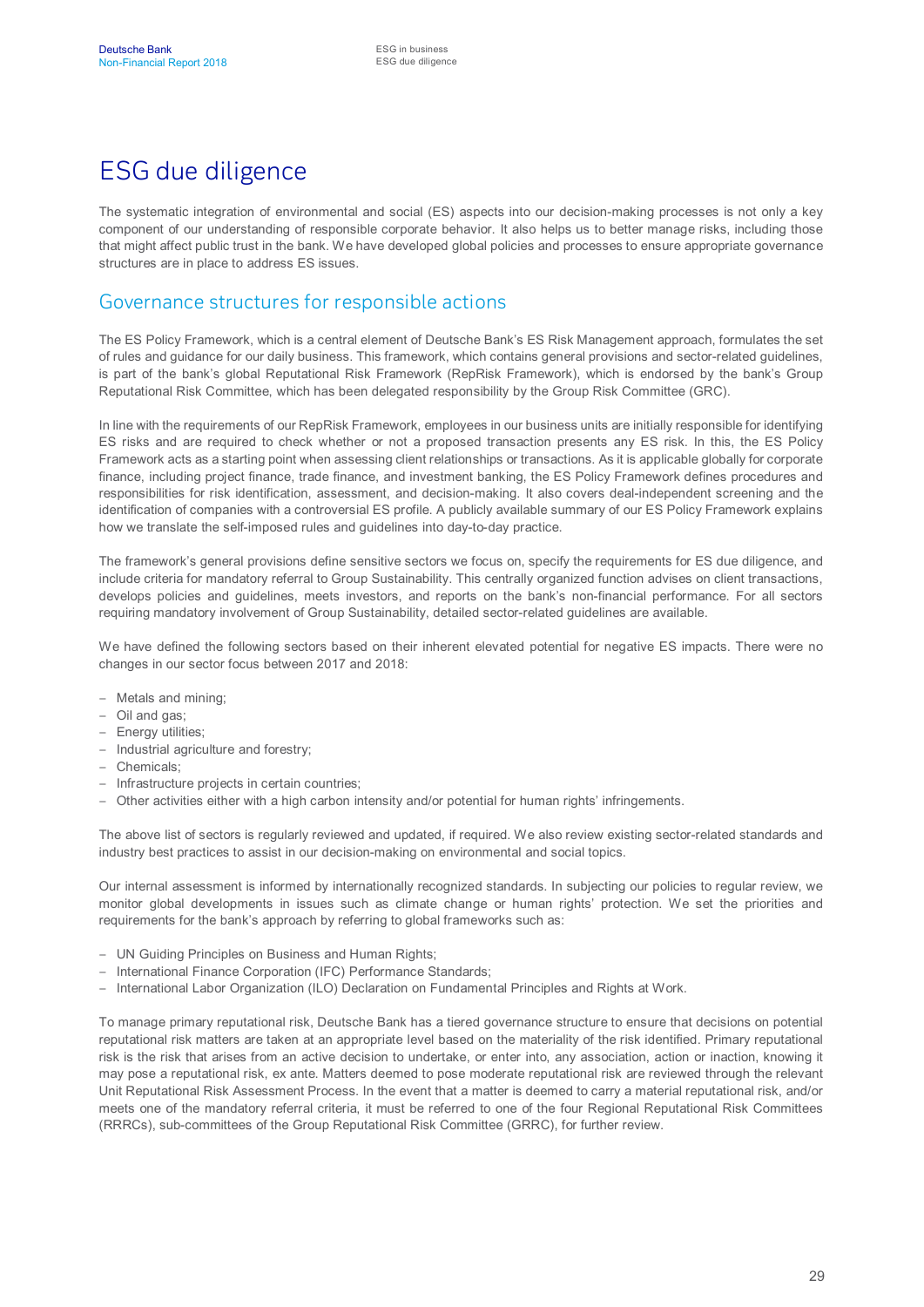# ESG due diligence

The systematic integration of environmental and social (ES) aspects into our decision-making processes is not only a key component of our understanding of responsible corporate behavior. It also helps us to better manage risks, including those that might affect public trust in the bank. We have developed global policies and processes to ensure appropriate governance structures are in place to address ES issues.

#### Governance structures for responsible actions

The ES Policy Framework, which is a central element of Deutsche Bank's ES Risk Management approach, formulates the set of rules and guidance for our daily business. This framework, which contains general provisions and sector-related guidelines, is part of the bank's global Reputational Risk Framework (RepRisk Framework), which is endorsed by the bank's Group Reputational Risk Committee, which has been delegated responsibility by the Group Risk Committee (GRC).

In line with the requirements of our RepRisk Framework, employees in our business units are initially responsible for identifying ES risks and are required to check whether or not a proposed transaction presents any ES risk. In this, the ES Policy Framework acts as a starting point when assessing client relationships or transactions. As it is applicable globally for corporate finance, including project finance, trade finance, and investment banking, the ES Policy Framework defines procedures and responsibilities for risk identification, assessment, and decision-making. It also covers deal-independent screening and the identification of companies with a controversial ES profile. A publicly available summary of our ES Policy Framework explains how we translate the self-imposed rules and guidelines into day-to-day practice.

The framework's general provisions define sensitive sectors we focus on, specify the requirements for ES due diligence, and include criteria for mandatory referral to Group Sustainability. This centrally organized function advises on client transactions, develops policies and guidelines, meets investors, and reports on the bank's non-financial performance. For all sectors requiring mandatory involvement of Group Sustainability, detailed sector-related guidelines are available.

We have defined the following sectors based on their inherent elevated potential for negative ES impacts. There were no changes in our sector focus between 2017 and 2018:

- Metals and mining;
- Oil and gas;
- Energy utilities;
- Industrial agriculture and forestry;
- Chemicals;
- Infrastructure projects in certain countries;
- Other activities either with a high carbon intensity and/or potential for human rights' infringements.

The above list of sectors is regularly reviewed and updated, if required. We also review existing sector-related standards and industry best practices to assist in our decision-making on environmental and social topics.

Our internal assessment is informed by internationally recognized standards. In subjecting our policies to regular review, we monitor global developments in issues such as climate change or human rights' protection. We set the priorities and requirements for the bank's approach by referring to global frameworks such as:

- UN Guiding Principles on Business and Human Rights;
- International Finance Corporation (IFC) Performance Standards;
- International Labor Organization (ILO) Declaration on Fundamental Principles and Rights at Work.

To manage primary reputational risk, Deutsche Bank has a tiered governance structure to ensure that decisions on potential reputational risk matters are taken at an appropriate level based on the materiality of the risk identified. Primary reputational risk is the risk that arises from an active decision to undertake, or enter into, any association, action or inaction, knowing it may pose a reputational risk, ex ante. Matters deemed to pose moderate reputational risk are reviewed through the relevant Unit Reputational Risk Assessment Process. In the event that a matter is deemed to carry a material reputational risk, and/or meets one of the mandatory referral criteria, it must be referred to one of the four Regional Reputational Risk Committees (RRRCs), sub-committees of the Group Reputational Risk Committee (GRRC), for further review.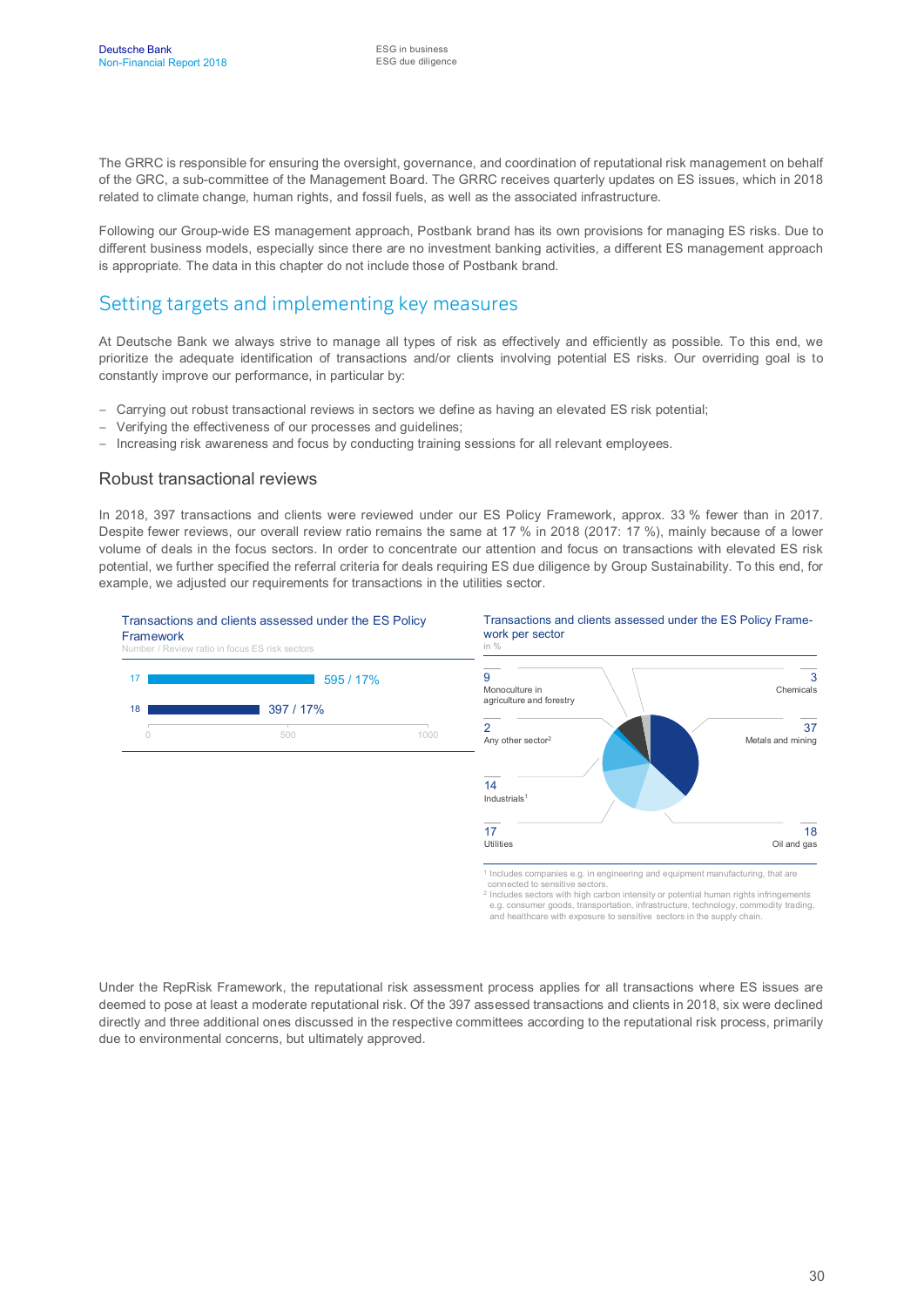The GRRC is responsible for ensuring the oversight, governance, and coordination of reputational risk management on behalf of the GRC, a sub-committee of the Management Board. The GRRC receives quarterly updates on ES issues, which in 2018 related to climate change, human rights, and fossil fuels, as well as the associated infrastructure.

Following our Group-wide ES management approach, Postbank brand has its own provisions for managing ES risks. Due to different business models, especially since there are no investment banking activities, a different ES management approach is appropriate. The data in this chapter do not include those of Postbank brand.

#### Setting targets and implementing key measures

At Deutsche Bank we always strive to manage all types of risk as effectively and efficiently as possible. To this end, we prioritize the adequate identification of transactions and/or clients involving potential ES risks. Our overriding goal is to constantly improve our performance, in particular by:

- Carrying out robust transactional reviews in sectors we define as having an elevated ES risk potential;
- Verifying the effectiveness of our processes and guidelines;
- Increasing risk awareness and focus by conducting training sessions for all relevant employees.

#### Robust transactional reviews

In 2018, 397 transactions and clients were reviewed under our ES Policy Framework, approx. 33 % fewer than in 2017. Despite fewer reviews, our overall review ratio remains the same at 17 % in 2018 (2017: 17 %), mainly because of a lower volume of deals in the focus sectors. In order to concentrate our attention and focus on transactions with elevated ES risk potential, we further specified the referral criteria for deals requiring ES due diligence by Group Sustainability. To this end, for example, we adjusted our requirements for transactions in the utilities sector.



e.g. consumer goods, transportation, infrastructure, technology, commodity trading, and healthcare with exposure to sensitive sectors in the supply chain.

Under the RepRisk Framework, the reputational risk assessment process applies for all transactions where ES issues are deemed to pose at least a moderate reputational risk. Of the 397 assessed transactions and clients in 2018, six were declined directly and three additional ones discussed in the respective committees according to the reputational risk process, primarily due to environmental concerns, but ultimately approved.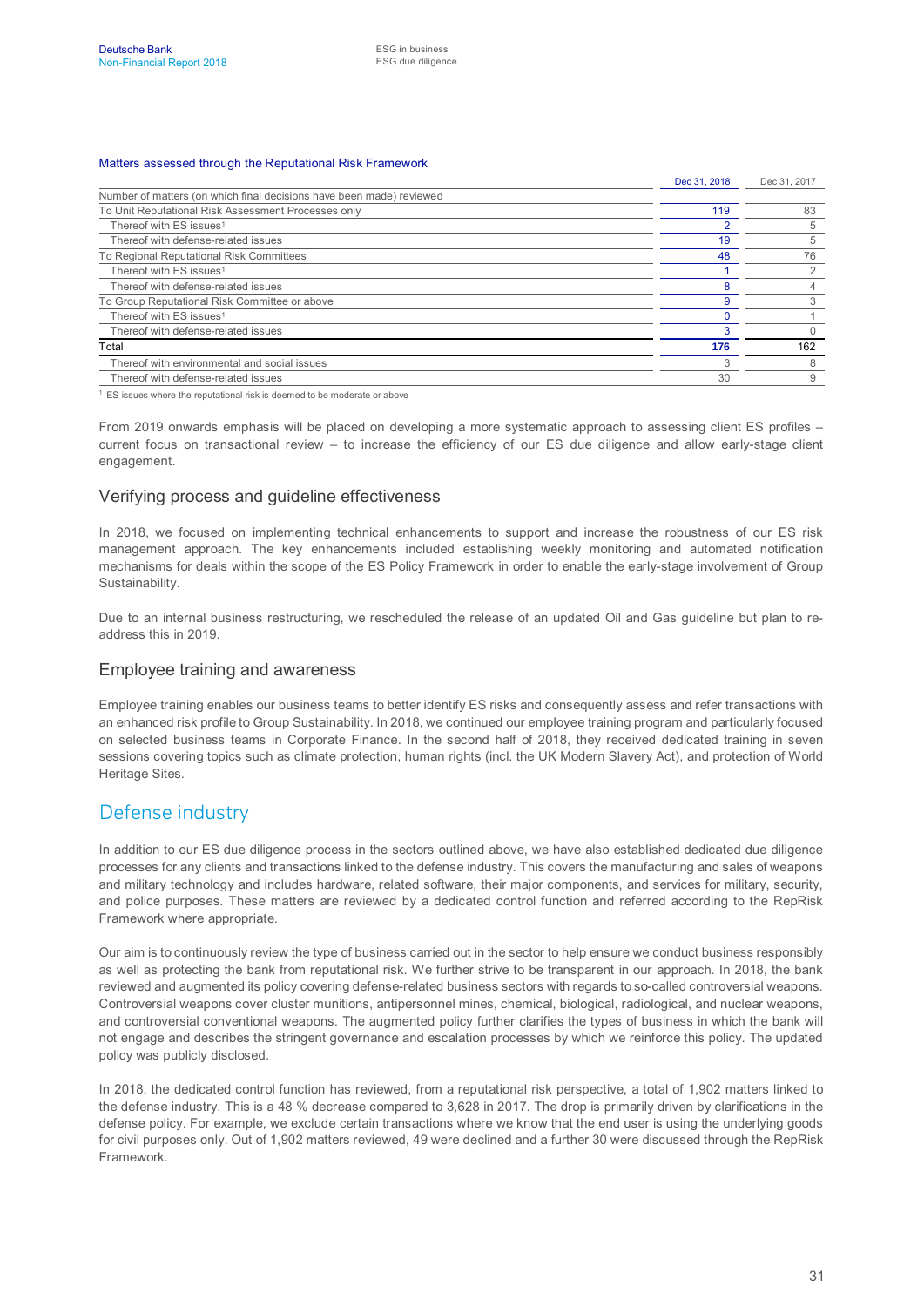#### Matters assessed through the Reputational Risk Framework

|                                                                      | Dec 31, 2018 | Dec 31, 2017 |
|----------------------------------------------------------------------|--------------|--------------|
| Number of matters (on which final decisions have been made) reviewed |              |              |
| To Unit Reputational Risk Assessment Processes only                  | 119          | 83           |
| Thereof with ES issues <sup>1</sup>                                  |              | 5            |
| Thereof with defense-related issues                                  | 19           |              |
| To Regional Reputational Risk Committees                             | 48           | 76           |
| Thereof with ES issues <sup>1</sup>                                  |              |              |
| Thereof with defense-related issues                                  |              |              |
| To Group Reputational Risk Committee or above                        | 9            |              |
| Thereof with ES issues <sup>1</sup>                                  |              |              |
| Thereof with defense-related issues                                  |              |              |
| Total                                                                |              | 162          |
| Thereof with environmental and social issues                         |              |              |
| Thereof with defense-related issues                                  | 30           |              |

<sup>1</sup> ES issues where the reputational risk is deemed to be moderate or above

From 2019 onwards emphasis will be placed on developing a more systematic approach to assessing client ES profiles – current focus on transactional review – to increase the efficiency of our ES due diligence and allow early-stage client engagement.

#### Verifying process and guideline effectiveness

In 2018, we focused on implementing technical enhancements to support and increase the robustness of our ES risk management approach. The key enhancements included establishing weekly monitoring and automated notification mechanisms for deals within the scope of the ES Policy Framework in order to enable the early-stage involvement of Group Sustainability.

Due to an internal business restructuring, we rescheduled the release of an updated Oil and Gas guideline but plan to readdress this in 2019.

#### Employee training and awareness

Employee training enables our business teams to better identify ES risks and consequently assess and refer transactions with an enhanced risk profile to Group Sustainability. In 2018, we continued our employee training program and particularly focused on selected business teams in Corporate Finance. In the second half of 2018, they received dedicated training in seven sessions covering topics such as climate protection, human rights (incl. the UK Modern Slavery Act), and protection of World Heritage Sites.

#### Defense industry

In addition to our ES due diligence process in the sectors outlined above, we have also established dedicated due diligence processes for any clients and transactions linked to the defense industry. This covers the manufacturing and sales of weapons and military technology and includes hardware, related software, their major components, and services for military, security, and police purposes. These matters are reviewed by a dedicated control function and referred according to the RepRisk Framework where appropriate.

Our aim is to continuously review the type of business carried out in the sector to help ensure we conduct business responsibly as well as protecting the bank from reputational risk. We further strive to be transparent in our approach. In 2018, the bank reviewed and augmented its policy covering defense-related business sectors with regards to so-called controversial weapons. Controversial weapons cover cluster munitions, antipersonnel mines, chemical, biological, radiological, and nuclear weapons, and controversial conventional weapons. The augmented policy further clarifies the types of business in which the bank will not engage and describes the stringent governance and escalation processes by which we reinforce this policy. The updated policy was publicly disclosed.

In 2018, the dedicated control function has reviewed, from a reputational risk perspective, a total of 1,902 matters linked to the defense industry. This is a 48 % decrease compared to 3,628 in 2017. The drop is primarily driven by clarifications in the defense policy. For example, we exclude certain transactions where we know that the end user is using the underlying goods for civil purposes only. Out of 1,902 matters reviewed, 49 were declined and a further 30 were discussed through the RepRisk Framework.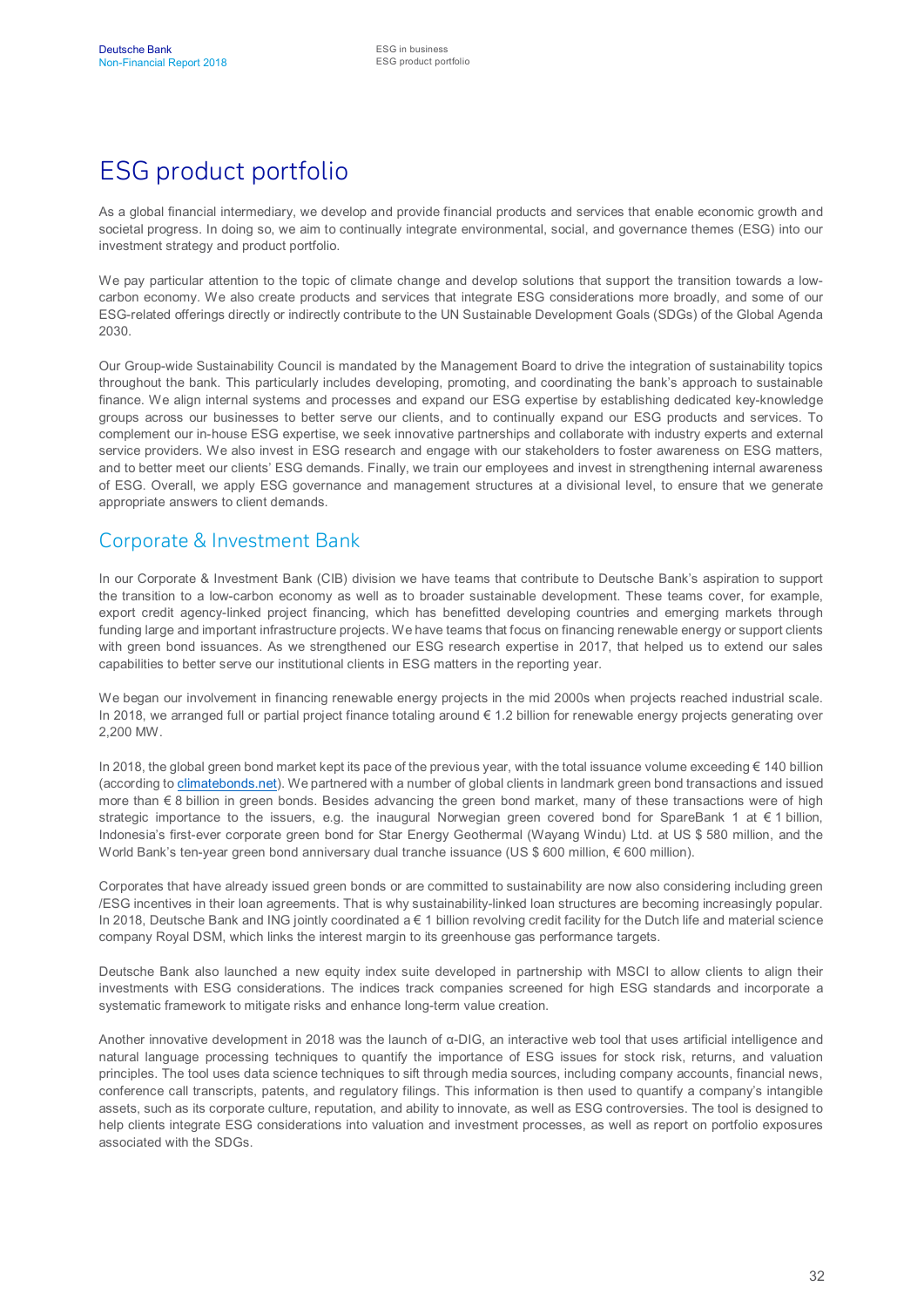# ESG product portfolio

As a global financial intermediary, we develop and provide financial products and services that enable economic growth and societal progress. In doing so, we aim to continually integrate environmental, social, and governance themes (ESG) into our investment strategy and product portfolio.

We pay particular attention to the topic of climate change and develop solutions that support the transition towards a lowcarbon economy. We also create products and services that integrate ESG considerations more broadly, and some of our ESG-related offerings directly or indirectly contribute to the UN Sustainable Development Goals (SDGs) of the Global Agenda 2030.

Our Group-wide Sustainability Council is mandated by the Management Board to drive the integration of sustainability topics throughout the bank. This particularly includes developing, promoting, and coordinating the bank's approach to sustainable finance. We align internal systems and processes and expand our ESG expertise by establishing dedicated key-knowledge groups across our businesses to better serve our clients, and to continually expand our ESG products and services. To complement our in-house ESG expertise, we seek innovative partnerships and collaborate with industry experts and external service providers. We also invest in ESG research and engage with our stakeholders to foster awareness on ESG matters, and to better meet our clients' ESG demands. Finally, we train our employees and invest in strengthening internal awareness of ESG. Overall, we apply ESG governance and management structures at a divisional level, to ensure that we generate appropriate answers to client demands.

### Corporate & Investment Bank

In our Corporate & Investment Bank (CIB) division we have teams that contribute to Deutsche Bank's aspiration to support the transition to a low-carbon economy as well as to broader sustainable development. These teams cover, for example, export credit agency-linked project financing, which has benefitted developing countries and emerging markets through funding large and important infrastructure projects. We have teams that focus on financing renewable energy or support clients with green bond issuances. As we strengthened our ESG research expertise in 2017, that helped us to extend our sales capabilities to better serve our institutional clients in ESG matters in the reporting year.

We began our involvement in financing renewable energy projects in the mid 2000s when projects reached industrial scale. In 2018, we arranged full or partial project finance totaling around € 1.2 billion for renewable energy projects generating over 2,200 MW.

In 2018, the global green bond market kept its pace of the previous year, with the total issuance volume exceeding  $\epsilon$  140 billion (according to [climatebonds.net\)](http://www.climatebonds.net/). We partnered with a number of global clients in landmark green bond transactions and issued more than € 8 billion in green bonds. Besides advancing the green bond market, many of these transactions were of high strategic importance to the issuers, e.g. the inaugural Norwegian green covered bond for SpareBank 1 at € 1 billion, Indonesia's first-ever corporate green bond for Star Energy Geothermal (Wayang Windu) Ltd. at US \$ 580 million, and the World Bank's ten-year green bond anniversary dual tranche issuance (US \$ 600 million, € 600 million).

Corporates that have already issued green bonds or are committed to sustainability are now also considering including green /ESG incentives in their loan agreements. That is why sustainability-linked loan structures are becoming increasingly popular. In 2018, Deutsche Bank and ING jointly coordinated  $a \in 1$  billion revolving credit facility for the Dutch life and material science company Royal DSM, which links the interest margin to its greenhouse gas performance targets.

Deutsche Bank also launched a new equity index suite developed in partnership with MSCI to allow clients to align their investments with ESG considerations. The indices track companies screened for high ESG standards and incorporate a systematic framework to mitigate risks and enhance long-term value creation.

Another innovative development in 2018 was the launch of α-DIG, an interactive web tool that uses artificial intelligence and natural language processing techniques to quantify the importance of ESG issues for stock risk, returns, and valuation principles. The tool uses data science techniques to sift through media sources, including company accounts, financial news, conference call transcripts, patents, and regulatory filings. This information is then used to quantify a company's intangible assets, such as its corporate culture, reputation, and ability to innovate, as well as ESG controversies. The tool is designed to help clients integrate ESG considerations into valuation and investment processes, as well as report on portfolio exposures associated with the SDGs.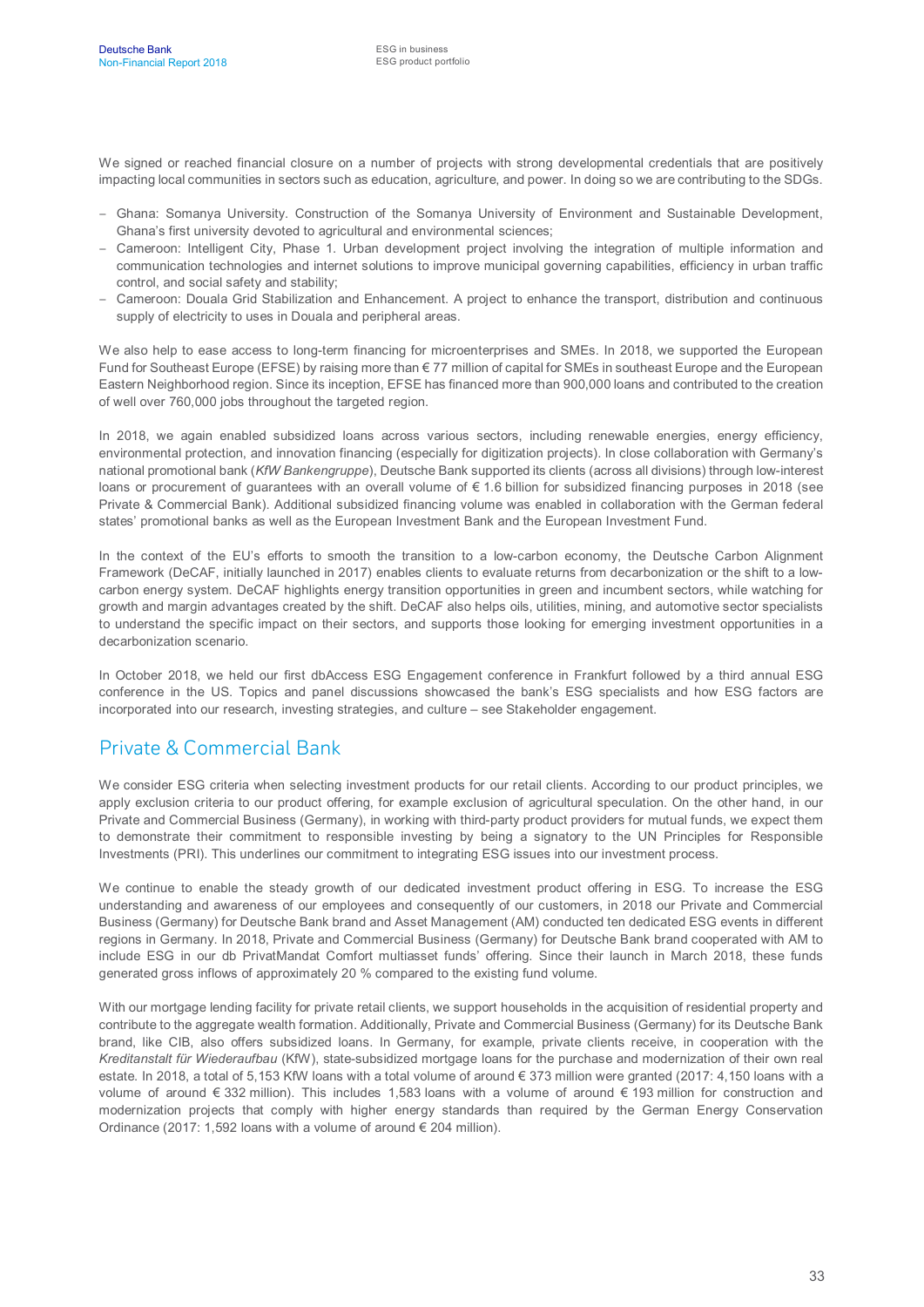We signed or reached financial closure on a number of projects with strong developmental credentials that are positively impacting local communities in sectors such as education, agriculture, and power. In doing so we are contributing to the SDGs.

- Ghana: Somanya University. Construction of the Somanya University of Environment and Sustainable Development, Ghana's first university devoted to agricultural and environmental sciences;
- Cameroon: Intelligent City, Phase 1. Urban development project involving the integration of multiple information and communication technologies and internet solutions to improve municipal governing capabilities, efficiency in urban traffic control, and social safety and stability;
- Cameroon: Douala Grid Stabilization and Enhancement. A project to enhance the transport, distribution and continuous supply of electricity to uses in Douala and peripheral areas.

We also help to ease access to long-term financing for microenterprises and SMEs. In 2018, we supported the European Fund for Southeast Europe (EFSE) by raising more than € 77 million of capital for SMEs in southeast Europe and the European Eastern Neighborhood region. Since its inception, EFSE has financed more than 900,000 loans and contributed to the creation of well over 760,000 jobs throughout the targeted region.

In 2018, we again enabled subsidized loans across various sectors, including renewable energies, energy efficiency, environmental protection, and innovation financing (especially for digitization projects). In close collaboration with Germany's national promotional bank (*KfW Bankengruppe*), Deutsche Bank supported its clients (across all divisions) through low-interest loans or procurement of guarantees with an overall volume of € 1.6 billion for subsidized financing purposes in 2018 (see Private & Commercial Bank). Additional subsidized financing volume was enabled in collaboration with the German federal states' promotional banks as well as the European Investment Bank and the European Investment Fund.

In the context of the EU's efforts to smooth the transition to a low-carbon economy, the Deutsche Carbon Alignment Framework (DeCAF, initially launched in 2017) enables clients to evaluate returns from decarbonization or the shift to a lowcarbon energy system. DeCAF highlights energy transition opportunities in green and incumbent sectors, while watching for growth and margin advantages created by the shift. DeCAF also helps oils, utilities, mining, and automotive sector specialists to understand the specific impact on their sectors, and supports those looking for emerging investment opportunities in a decarbonization scenario.

In October 2018, we held our first dbAccess ESG Engagement conference in Frankfurt followed by a third annual ESG conference in the US. Topics and panel discussions showcased the bank's ESG specialists and how ESG factors are incorporated into our research, investing strategies, and culture – see Stakeholder engagement.

#### Private & Commercial Bank

We consider ESG criteria when selecting investment products for our retail clients. According to our product principles, we apply exclusion criteria to our product offering, for example exclusion of agricultural speculation. On the other hand, in our Private and Commercial Business (Germany), in working with third-party product providers for mutual funds, we expect them to demonstrate their commitment to responsible investing by being a signatory to the UN Principles for Responsible Investments (PRI). This underlines our commitment to integrating ESG issues into our investment process.

We continue to enable the steady growth of our dedicated investment product offering in ESG. To increase the ESG understanding and awareness of our employees and consequently of our customers, in 2018 our Private and Commercial Business (Germany) for Deutsche Bank brand and Asset Management (AM) conducted ten dedicated ESG events in different regions in Germany. In 2018, Private and Commercial Business (Germany) for Deutsche Bank brand cooperated with AM to include ESG in our db PrivatMandat Comfort multiasset funds' offering. Since their launch in March 2018, these funds generated gross inflows of approximately 20 % compared to the existing fund volume.

With our mortgage lending facility for private retail clients, we support households in the acquisition of residential property and contribute to the aggregate wealth formation. Additionally, Private and Commercial Business (Germany) for its Deutsche Bank brand, like CIB, also offers subsidized loans. In Germany, for example, private clients receive, in cooperation with the *Kreditanstalt für Wiederaufbau* (KfW), state-subsidized mortgage loans for the purchase and modernization of their own real estate. In 2018, a total of 5,153 KfW loans with a total volume of around € 373 million were granted (2017: 4,150 loans with a volume of around € 332 million). This includes 1,583 loans with a volume of around € 193 million for construction and modernization projects that comply with higher energy standards than required by the German Energy Conservation Ordinance (2017: 1,592 loans with a volume of around € 204 million).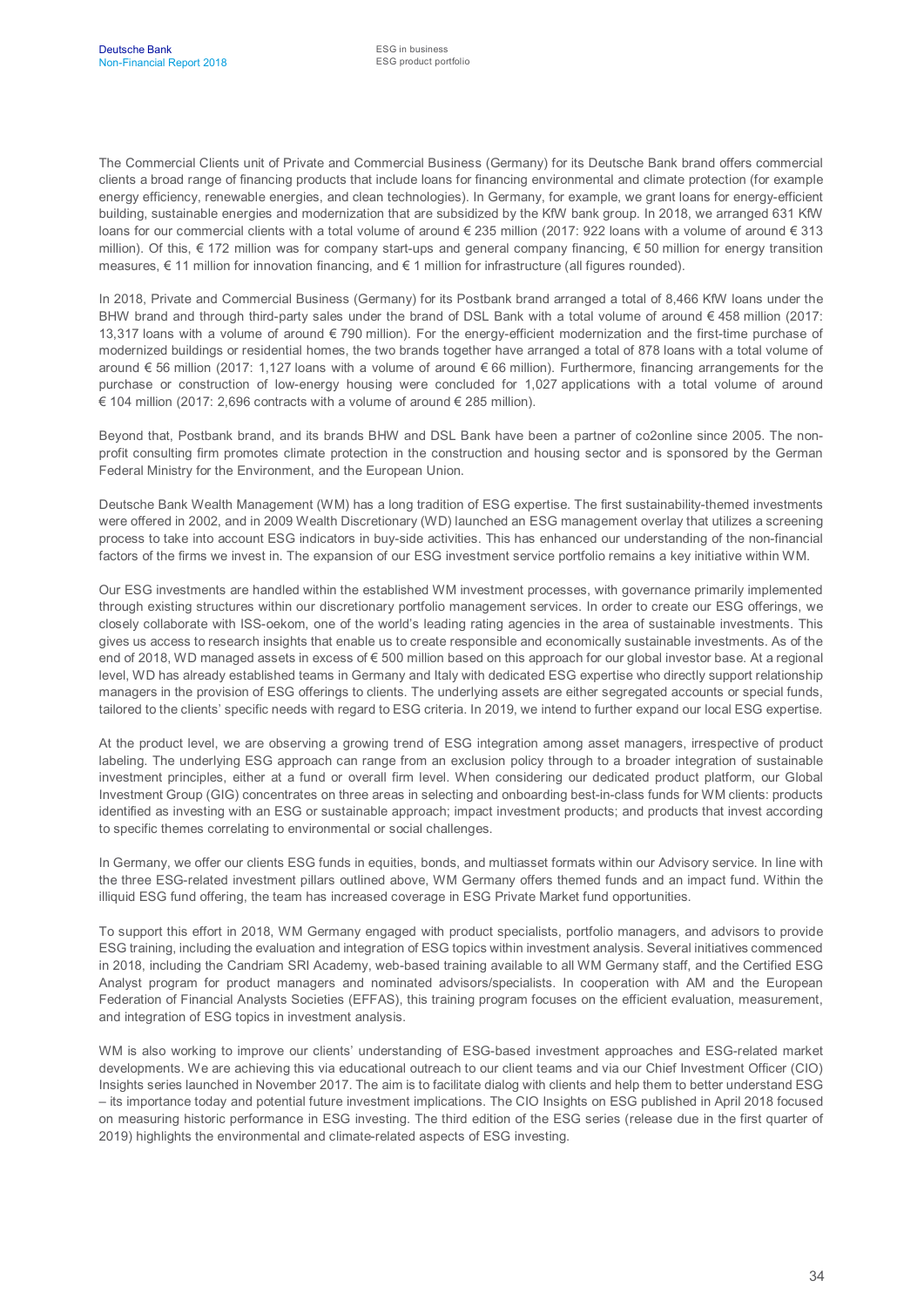The Commercial Clients unit of Private and Commercial Business (Germany) for its Deutsche Bank brand offers commercial clients a broad range of financing products that include loans for financing environmental and climate protection (for example energy efficiency, renewable energies, and clean technologies). In Germany, for example, we grant loans for energy-efficient building, sustainable energies and modernization that are subsidized by the KfW bank group. In 2018, we arranged 631 KfW loans for our commercial clients with a total volume of around € 235 million (2017: 922 loans with a volume of around € 313 million). Of this, € 172 million was for company start-ups and general company financing, € 50 million for energy transition measures, € 11 million for innovation financing, and € 1 million for infrastructure (all figures rounded).

In 2018, Private and Commercial Business (Germany) for its Postbank brand arranged a total of 8,466 KfW loans under the BHW brand and through third-party sales under the brand of DSL Bank with a total volume of around  $\epsilon$  458 million (2017: 13,317 loans with a volume of around € 790 million). For the energy-efficient modernization and the first-time purchase of modernized buildings or residential homes, the two brands together have arranged a total of 878 loans with a total volume of around € 56 million (2017: 1,127 loans with a volume of around € 66 million). Furthermore, financing arrangements for the purchase or construction of low-energy housing were concluded for 1,027 applications with a total volume of around € 104 million (2017: 2,696 contracts with a volume of around € 285 million).

Beyond that, Postbank brand, and its brands BHW and DSL Bank have been a partner of co2online since 2005. The nonprofit consulting firm promotes climate protection in the construction and housing sector and is sponsored by the German Federal Ministry for the Environment, and the European Union.

Deutsche Bank Wealth Management (WM) has a long tradition of ESG expertise. The first sustainability-themed investments were offered in 2002, and in 2009 Wealth Discretionary (WD) launched an ESG management overlay that utilizes a screening process to take into account ESG indicators in buy-side activities. This has enhanced our understanding of the non-financial factors of the firms we invest in. The expansion of our ESG investment service portfolio remains a key initiative within WM.

Our ESG investments are handled within the established WM investment processes, with governance primarily implemented through existing structures within our discretionary portfolio management services. In order to create our ESG offerings, we closely collaborate with ISS-oekom, one of the world's leading rating agencies in the area of sustainable investments. This gives us access to research insights that enable us to create responsible and economically sustainable investments. As of the end of 2018, WD managed assets in excess of € 500 million based on this approach for our global investor base. At a regional level, WD has already established teams in Germany and Italy with dedicated ESG expertise who directly support relationship managers in the provision of ESG offerings to clients. The underlying assets are either segregated accounts or special funds, tailored to the clients' specific needs with regard to ESG criteria. In 2019, we intend to further expand our local ESG expertise.

At the product level, we are observing a growing trend of ESG integration among asset managers, irrespective of product labeling. The underlying ESG approach can range from an exclusion policy through to a broader integration of sustainable investment principles, either at a fund or overall firm level. When considering our dedicated product platform, our Global Investment Group (GIG) concentrates on three areas in selecting and onboarding best-in-class funds for WM clients: products identified as investing with an ESG or sustainable approach; impact investment products; and products that invest according to specific themes correlating to environmental or social challenges.

In Germany, we offer our clients ESG funds in equities, bonds, and multiasset formats within our Advisory service. In line with the three ESG-related investment pillars outlined above, WM Germany offers themed funds and an impact fund. Within the illiquid ESG fund offering, the team has increased coverage in ESG Private Market fund opportunities.

To support this effort in 2018, WM Germany engaged with product specialists, portfolio managers, and advisors to provide ESG training, including the evaluation and integration of ESG topics within investment analysis. Several initiatives commenced in 2018, including the Candriam SRI Academy, web-based training available to all WM Germany staff, and the Certified ESG Analyst program for product managers and nominated advisors/specialists. In cooperation with AM and the European Federation of Financial Analysts Societies (EFFAS), this training program focuses on the efficient evaluation, measurement, and integration of ESG topics in investment analysis.

WM is also working to improve our clients' understanding of ESG-based investment approaches and ESG-related market developments. We are achieving this via educational outreach to our client teams and via our Chief Investment Officer (CIO) Insights series launched in November 2017. The aim is to facilitate dialog with clients and help them to better understand ESG – its importance today and potential future investment implications. The CIO Insights on ESG published in April 2018 focused on measuring historic performance in ESG investing. The third edition of the ESG series (release due in the first quarter of 2019) highlights the environmental and climate-related aspects of ESG investing.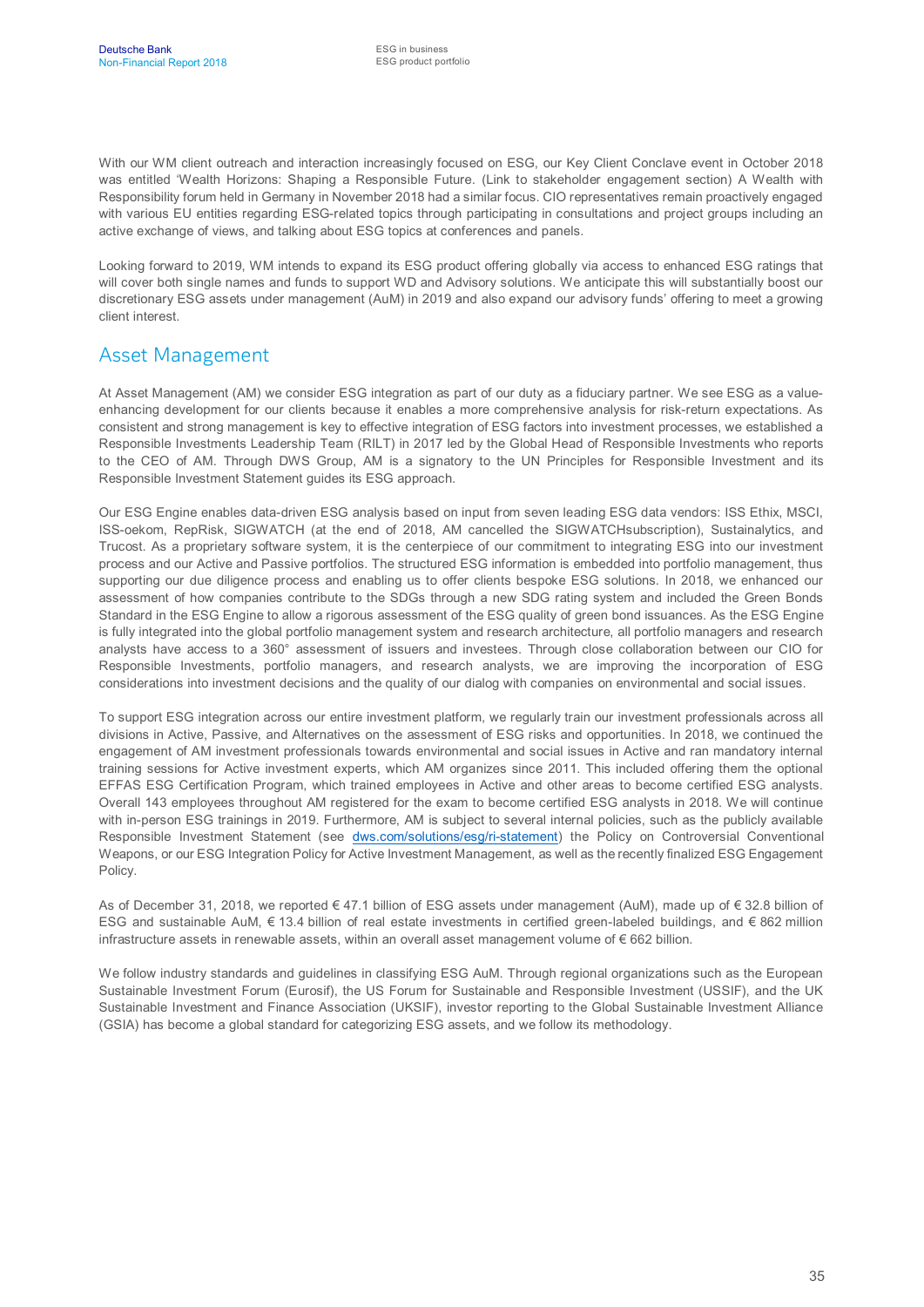With our WM client outreach and interaction increasingly focused on ESG, our Key Client Conclave event in October 2018 was entitled 'Wealth Horizons: Shaping a Responsible Future. (Link to stakeholder engagement section) A Wealth with Responsibility forum held in Germany in November 2018 had a similar focus. CIO representatives remain proactively engaged with various EU entities regarding ESG-related topics through participating in consultations and project groups including an active exchange of views, and talking about ESG topics at conferences and panels.

Looking forward to 2019, WM intends to expand its ESG product offering globally via access to enhanced ESG ratings that will cover both single names and funds to support WD and Advisory solutions. We anticipate this will substantially boost our discretionary ESG assets under management (AuM) in 2019 and also expand our advisory funds' offering to meet a growing client interest.

#### Asset Management

At Asset Management (AM) we consider ESG integration as part of our duty as a fiduciary partner. We see ESG as a valueenhancing development for our clients because it enables a more comprehensive analysis for risk-return expectations. As consistent and strong management is key to effective integration of ESG factors into investment processes, we established a Responsible Investments Leadership Team (RILT) in 2017 led by the Global Head of Responsible Investments who reports to the CEO of AM. Through DWS Group, AM is a signatory to the UN Principles for Responsible Investment and its Responsible Investment Statement guides its ESG approach.

Our ESG Engine enables data-driven ESG analysis based on input from seven leading ESG data vendors: ISS Ethix, MSCI, ISS-oekom, RepRisk, SIGWATCH (at the end of 2018, AM cancelled the SIGWATCHsubscription), Sustainalytics, and Trucost. As a proprietary software system, it is the centerpiece of our commitment to integrating ESG into our investment process and our Active and Passive portfolios. The structured ESG information is embedded into portfolio management, thus supporting our due diligence process and enabling us to offer clients bespoke ESG solutions. In 2018, we enhanced our assessment of how companies contribute to the SDGs through a new SDG rating system and included the Green Bonds Standard in the ESG Engine to allow a rigorous assessment of the ESG quality of green bond issuances. As the ESG Engine is fully integrated into the global portfolio management system and research architecture, all portfolio managers and research analysts have access to a 360° assessment of issuers and investees. Through close collaboration between our CIO for Responsible Investments, portfolio managers, and research analysts, we are improving the incorporation of ESG considerations into investment decisions and the quality of our dialog with companies on environmental and social issues.

To support ESG integration across our entire investment platform, we regularly train our investment professionals across all divisions in Active, Passive, and Alternatives on the assessment of ESG risks and opportunities. In 2018, we continued the engagement of AM investment professionals towards environmental and social issues in Active and ran mandatory internal training sessions for Active investment experts, which AM organizes since 2011. This included offering them the optional EFFAS ESG Certification Program, which trained employees in Active and other areas to become certified ESG analysts. Overall 143 employees throughout AM registered for the exam to become certified ESG analysts in 2018. We will continue with in-person ESG trainings in 2019. Furthermore, AM is subject to several internal policies, such as the publicly available Responsible Investment Statement (see [dws.com/solutions/esg/ri-statement\)](https://dws.com/solutions/esg/ri-statement/) the Policy on Controversial Conventional Weapons, or our ESG Integration Policy for Active Investment Management, as well as the recently finalized ESG Engagement Policy.

As of December 31, 2018, we reported € 47.1 billion of ESG assets under management (AuM), made up of € 32.8 billion of ESG and sustainable AuM, € 13.4 billion of real estate investments in certified green-labeled buildings, and € 862 million infrastructure assets in renewable assets, within an overall asset management volume of € 662 billion.

We follow industry standards and guidelines in classifying ESG AuM. Through regional organizations such as the European Sustainable Investment Forum (Eurosif), the US Forum for Sustainable and Responsible Investment (USSIF), and the UK Sustainable Investment and Finance Association (UKSIF), investor reporting to the Global Sustainable Investment Alliance (GSIA) has become a global standard for categorizing ESG assets, and we follow its methodology.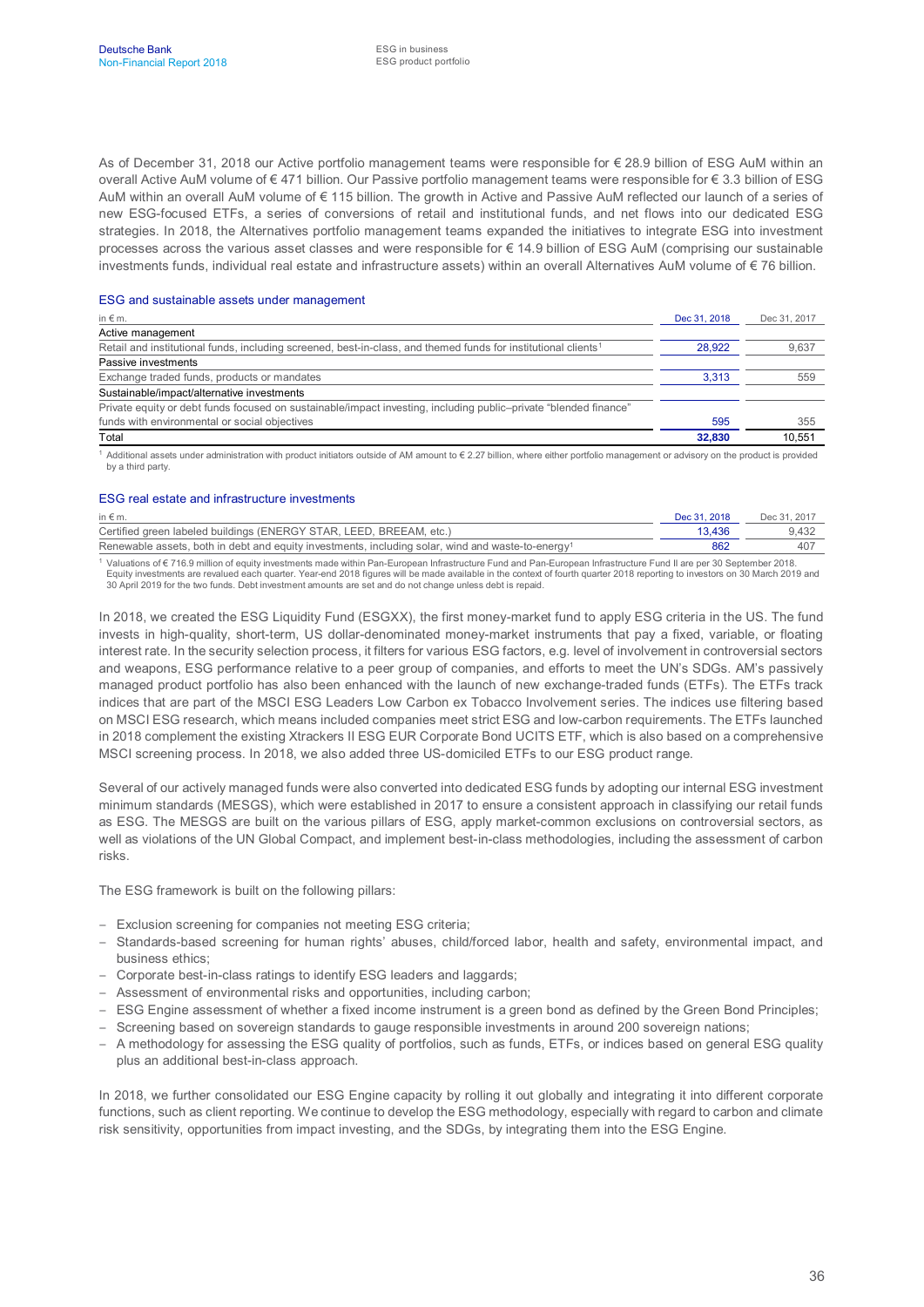As of December 31, 2018 our Active portfolio management teams were responsible for € 28.9 billion of ESG AuM within an overall Active AuM volume of € 471 billion. Our Passive portfolio management teams were responsible for € 3.3 billion of ESG AuM within an overall AuM volume of € 115 billion. The growth in Active and Passive AuM reflected our launch of a series of new ESG-focused ETFs, a series of conversions of retail and institutional funds, and net flows into our dedicated ESG strategies. In 2018, the Alternatives portfolio management teams expanded the initiatives to integrate ESG into investment processes across the various asset classes and were responsible for € 14.9 billion of ESG AuM (comprising our sustainable investments funds, individual real estate and infrastructure assets) within an overall Alternatives AuM volume of € 76 billion.

#### ESG and sustainable assets under management

| in $\notin$ m.                                                                                                             | Dec 31, 2018 | Dec 31, 2017 |
|----------------------------------------------------------------------------------------------------------------------------|--------------|--------------|
| Active management                                                                                                          |              |              |
| Retail and institutional funds, including screened, best-in-class, and themed funds for institutional clients <sup>1</sup> | 28.922       | 9,637        |
| Passive investments                                                                                                        |              |              |
| Exchange traded funds, products or mandates                                                                                | 3.313        | 559          |
| Sustainable/impact/alternative investments                                                                                 |              |              |
| Private equity or debt funds focused on sustainable/impact investing, including public–private "blended finance"           |              |              |
| funds with environmental or social objectives                                                                              | 595          | 355          |
| Total                                                                                                                      | 32,830       | 10,551       |
|                                                                                                                            |              |              |

<sup>1</sup> Additional assets under administration with product initiators outside of AM amount to € 2.27 billion, where either portfolio management or advisory on the product is provided by a third party.

#### ESG real estate and infrastructure investments

| in $\notin$ m.                                                                                                | Dec 31, 2018 | Dec 31, 2017 |
|---------------------------------------------------------------------------------------------------------------|--------------|--------------|
| Certified green labeled buildings (ENERGY STAR, LEED, BREEAM, etc.)                                           | 13.436       | 9.432        |
| Renewable assets, both in debt and equity investments, including solar, wind and waste-to-energy <sup>1</sup> | 862          |              |

<sup>1</sup> Valuations of € 716.9 million of equity investments made within Pan-European Infrastructure Fund and Pan-European Infrastructure Fund II are per 30 September 2018. Equity investments are revalued each quarter. Year-end 2018 figures will be made available in the context of fourth quarter 2018 reporting to investors on 30 March 2019 and 30 April 2019 for the two funds. Debt investment amounts are set and do not change unless debt is repaid.

In 2018, we created the ESG Liquidity Fund (ESGXX), the first money-market fund to apply ESG criteria in the US. The fund invests in high-quality, short-term, US dollar-denominated money-market instruments that pay a fixed, variable, or floating interest rate. In the security selection process, it filters for various ESG factors, e.g. level of involvement in controversial sectors and weapons, ESG performance relative to a peer group of companies, and efforts to meet the UN's SDGs. AM's passively managed product portfolio has also been enhanced with the launch of new exchange-traded funds (ETFs). The ETFs track indices that are part of the MSCI ESG Leaders Low Carbon ex Tobacco Involvement series. The indices use filtering based on MSCI ESG research, which means included companies meet strict ESG and low-carbon requirements. The ETFs launched in 2018 complement the existing Xtrackers II ESG EUR Corporate Bond UCITS ETF, which is also based on a comprehensive MSCI screening process. In 2018, we also added three US-domiciled ETFs to our ESG product range.

Several of our actively managed funds were also converted into dedicated ESG funds by adopting our internal ESG investment minimum standards (MESGS), which were established in 2017 to ensure a consistent approach in classifying our retail funds as ESG. The MESGS are built on the various pillars of ESG, apply market-common exclusions on controversial sectors, as well as violations of the UN Global Compact, and implement best-in-class methodologies, including the assessment of carbon risks.

The ESG framework is built on the following pillars:

- Exclusion screening for companies not meeting ESG criteria;
- Standards-based screening for human rights' abuses, child/forced labor, health and safety, environmental impact, and business ethics;
- Corporate best-in-class ratings to identify ESG leaders and laggards;
- Assessment of environmental risks and opportunities, including carbon;
- ESG Engine assessment of whether a fixed income instrument is a green bond as defined by the Green Bond Principles;
- Screening based on sovereign standards to gauge responsible investments in around 200 sovereign nations;
- A methodology for assessing the ESG quality of portfolios, such as funds, ETFs, or indices based on general ESG quality plus an additional best-in-class approach.

In 2018, we further consolidated our ESG Engine capacity by rolling it out globally and integrating it into different corporate functions, such as client reporting. We continue to develop the ESG methodology, especially with regard to carbon and climate risk sensitivity, opportunities from impact investing, and the SDGs, by integrating them into the ESG Engine.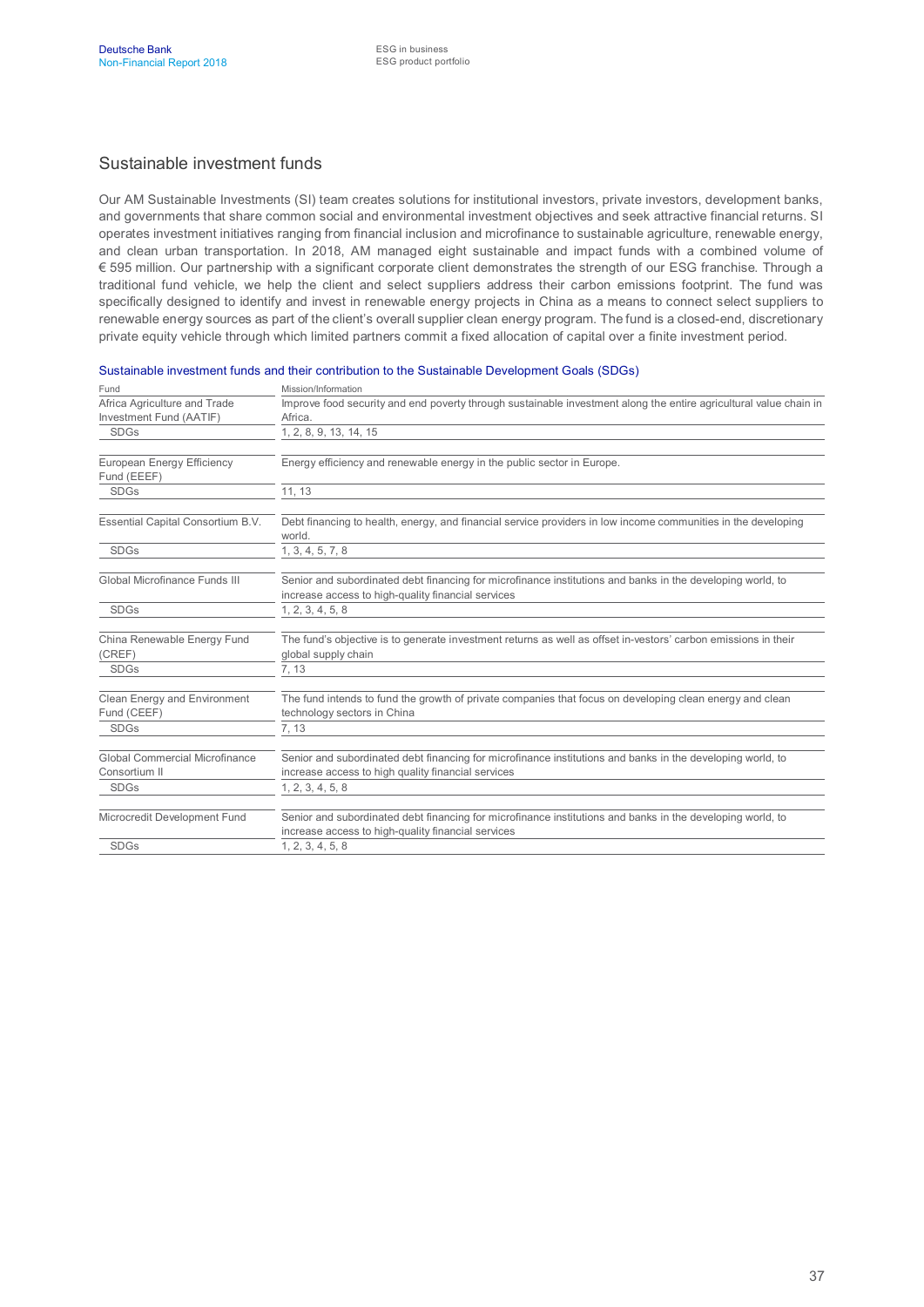#### Sustainable investment funds

Our AM Sustainable Investments (SI) team creates solutions for institutional investors, private investors, development banks, and governments that share common social and environmental investment objectives and seek attractive financial returns. SI operates investment initiatives ranging from financial inclusion and microfinance to sustainable agriculture, renewable energy, and clean urban transportation. In 2018, AM managed eight sustainable and impact funds with a combined volume of € 595 million. Our partnership with a significant corporate client demonstrates the strength of our ESG franchise. Through a traditional fund vehicle, we help the client and select suppliers address their carbon emissions footprint. The fund was specifically designed to identify and invest in renewable energy projects in China as a means to connect select suppliers to renewable energy sources as part of the client's overall supplier clean energy program. The fund is a closed-end, discretionary private equity vehicle through which limited partners commit a fixed allocation of capital over a finite investment period.

| Fund                                                   | Mission/Information                                                                                                                                              |
|--------------------------------------------------------|------------------------------------------------------------------------------------------------------------------------------------------------------------------|
| Africa Agriculture and Trade                           | Improve food security and end poverty through sustainable investment along the entire agricultural value chain in                                                |
| Investment Fund (AATIF)                                | Africa.                                                                                                                                                          |
| <b>SDGs</b>                                            | 1, 2, 8, 9, 13, 14, 15                                                                                                                                           |
| European Energy Efficiency<br>Fund (EEEF)              | Energy efficiency and renewable energy in the public sector in Europe.                                                                                           |
| <b>SDGs</b>                                            | 11, 13                                                                                                                                                           |
| Essential Capital Consortium B.V.                      | Debt financing to health, energy, and financial service providers in low income communities in the developing<br>world.                                          |
| <b>SDGs</b>                                            | 1, 3, 4, 5, 7, 8                                                                                                                                                 |
| Global Microfinance Funds III                          | Senior and subordinated debt financing for microfinance institutions and banks in the developing world, to<br>increase access to high-quality financial services |
| <b>SDGs</b>                                            | 1, 2, 3, 4, 5, 8                                                                                                                                                 |
| China Renewable Energy Fund<br>(CREF)                  | The fund's objective is to generate investment returns as well as offset in-vestors' carbon emissions in their<br>global supply chain                            |
| <b>SDGs</b>                                            | 7, 13                                                                                                                                                            |
| Clean Energy and Environment<br>Fund (CEEF)            | The fund intends to fund the growth of private companies that focus on developing clean energy and clean<br>technology sectors in China                          |
| <b>SDGs</b>                                            | 7, 13                                                                                                                                                            |
| <b>Global Commercial Microfinance</b><br>Consortium II | Senior and subordinated debt financing for microfinance institutions and banks in the developing world, to<br>increase access to high quality financial services |
| <b>SDGs</b>                                            | 1, 2, 3, 4, 5, 8                                                                                                                                                 |
| Microcredit Development Fund                           | Senior and subordinated debt financing for microfinance institutions and banks in the developing world, to<br>increase access to high-quality financial services |
| <b>SDGs</b>                                            | 1, 2, 3, 4, 5, 8                                                                                                                                                 |
|                                                        |                                                                                                                                                                  |

Sustainable investment funds and their contribution to the Sustainable Development Goals (SDGs)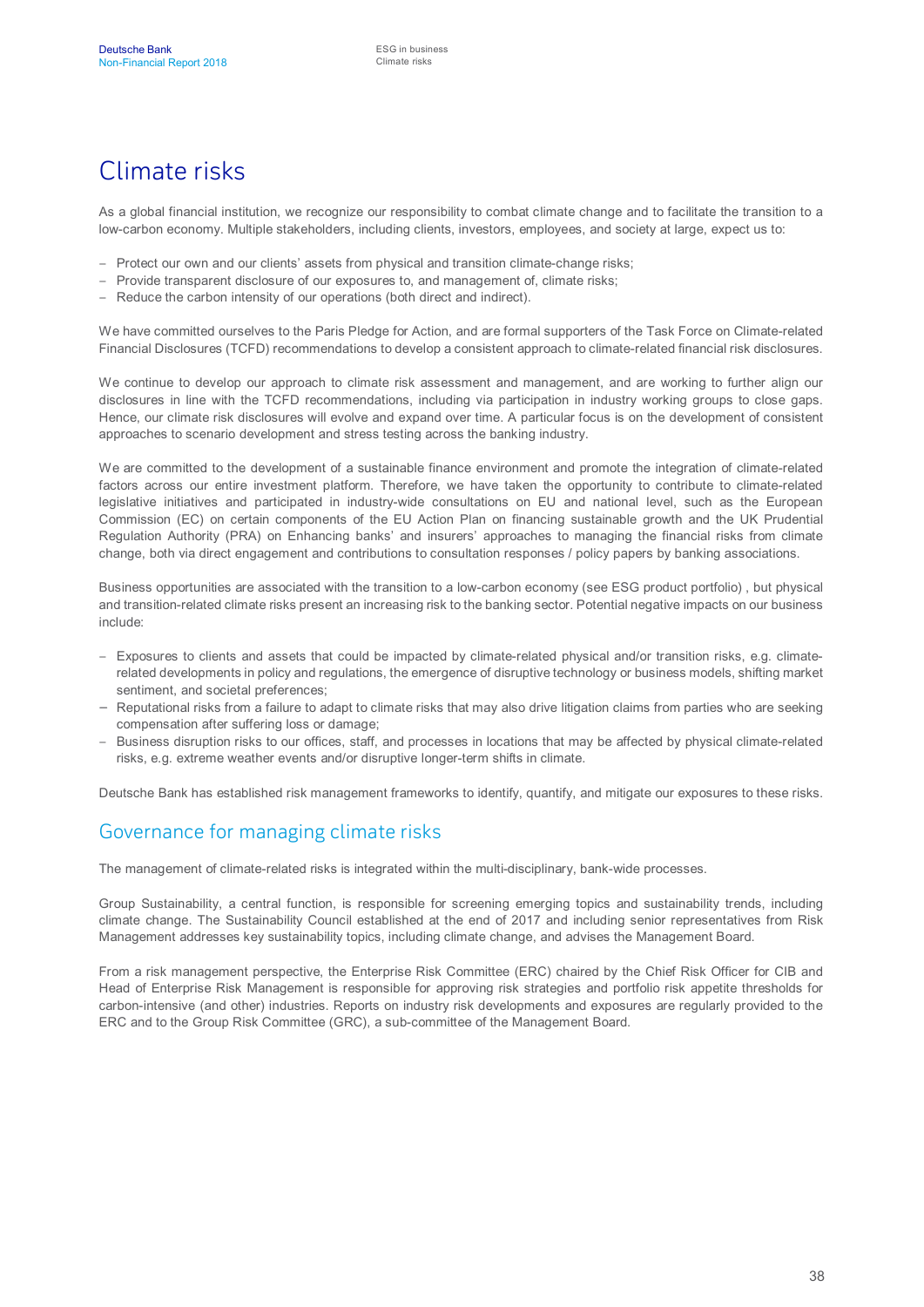# Climate risks

As a global financial institution, we recognize our responsibility to combat climate change and to facilitate the transition to a low-carbon economy. Multiple stakeholders, including clients, investors, employees, and society at large, expect us to:

- Protect our own and our clients' assets from physical and transition climate-change risks;
- Provide transparent disclosure of our exposures to, and management of, climate risks;
- Reduce the carbon intensity of our operations (both direct and indirect).

We have committed ourselves to the Paris Pledge for Action, and are formal supporters of the Task Force on Climate-related Financial Disclosures (TCFD) recommendations to develop a consistent approach to climate-related financial risk disclosures.

We continue to develop our approach to climate risk assessment and management, and are working to further align our disclosures in line with the TCFD recommendations, including via participation in industry working groups to close gaps. Hence, our climate risk disclosures will evolve and expand over time. A particular focus is on the development of consistent approaches to scenario development and stress testing across the banking industry.

We are committed to the development of a sustainable finance environment and promote the integration of climate-related factors across our entire investment platform. Therefore, we have taken the opportunity to contribute to climate-related legislative initiatives and participated in industry-wide consultations on EU and national level, such as the European Commission (EC) on certain components of the EU Action Plan on financing sustainable growth and the UK Prudential Regulation Authority (PRA) on Enhancing banks' and insurers' approaches to managing the financial risks from climate change, both via direct engagement and contributions to consultation responses / policy papers by banking associations.

Business opportunities are associated with the transition to a low-carbon economy (see ESG product portfolio) , but physical and transition-related climate risks present an increasing risk to the banking sector. Potential negative impacts on our business include:

- Exposures to clients and assets that could be impacted by climate-related physical and/or transition risks, e.g. climaterelated developments in policy and regulations, the emergence of disruptive technology or business models, shifting market sentiment, and societal preferences;
- Reputational risks from a failure to adapt to climate risks that may also drive litigation claims from parties who are seeking compensation after suffering loss or damage;
- Business disruption risks to our offices, staff, and processes in locations that may be affected by physical climate-related risks, e.g. extreme weather events and/or disruptive longer-term shifts in climate.

Deutsche Bank has established risk management frameworks to identify, quantify, and mitigate our exposures to these risks.

## Governance for managing climate risks

The management of climate-related risks is integrated within the multi-disciplinary, bank-wide processes.

Group Sustainability, a central function, is responsible for screening emerging topics and sustainability trends, including climate change. The Sustainability Council established at the end of 2017 and including senior representatives from Risk Management addresses key sustainability topics, including climate change, and advises the Management Board.

From a risk management perspective, the Enterprise Risk Committee (ERC) chaired by the Chief Risk Officer for CIB and Head of Enterprise Risk Management is responsible for approving risk strategies and portfolio risk appetite thresholds for carbon-intensive (and other) industries. Reports on industry risk developments and exposures are regularly provided to the ERC and to the Group Risk Committee (GRC), a sub-committee of the Management Board.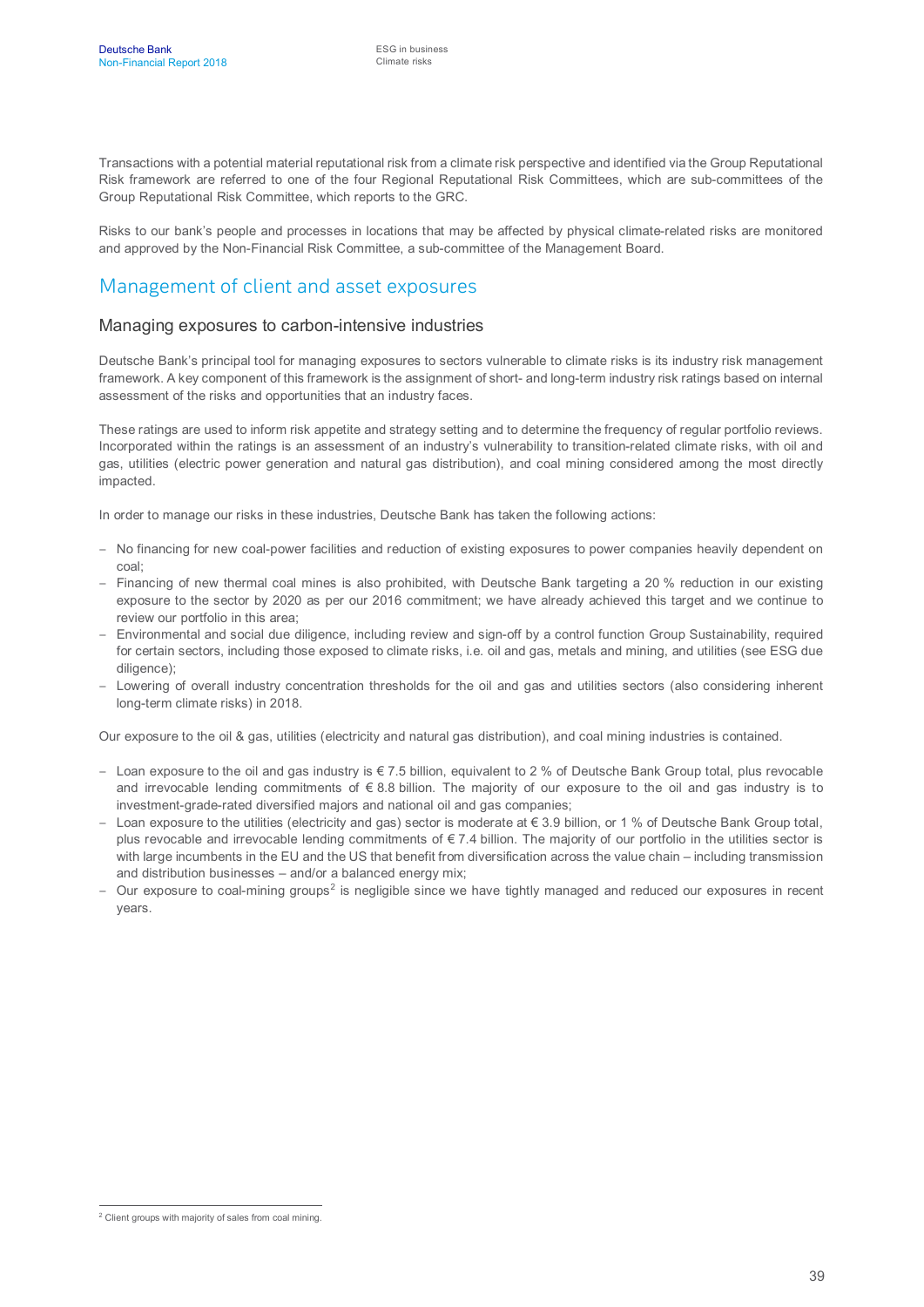Transactions with a potential material reputational risk from a climate risk perspective and identified via the Group Reputational Risk framework are referred to one of the four Regional Reputational Risk Committees, which are sub-committees of the Group Reputational Risk Committee, which reports to the GRC.

Risks to our bank's people and processes in locations that may be affected by physical climate-related risks are monitored and approved by the Non-Financial Risk Committee, a sub-committee of the Management Board.

#### Management of client and asset exposures

#### Managing exposures to carbon-intensive industries

Deutsche Bank's principal tool for managing exposures to sectors vulnerable to climate risks is its industry risk management framework. A key component of this framework is the assignment of short- and long-term industry risk ratings based on internal assessment of the risks and opportunities that an industry faces.

These ratings are used to inform risk appetite and strategy setting and to determine the frequency of regular portfolio reviews. Incorporated within the ratings is an assessment of an industry's vulnerability to transition-related climate risks, with oil and gas, utilities (electric power generation and natural gas distribution), and coal mining considered among the most directly impacted.

In order to manage our risks in these industries, Deutsche Bank has taken the following actions:

- No financing for new coal-power facilities and reduction of existing exposures to power companies heavily dependent on coal;
- Financing of new thermal coal mines is also prohibited, with Deutsche Bank targeting a 20 % reduction in our existing exposure to the sector by 2020 as per our 2016 commitment; we have already achieved this target and we continue to review our portfolio in this area;
- Environmental and social due diligence, including review and sign-off by a control function Group Sustainability, required for certain sectors, including those exposed to climate risks, i.e. oil and gas, metals and mining, and utilities (see ESG due diligence);
- Lowering of overall industry concentration thresholds for the oil and gas and utilities sectors (also considering inherent long-term climate risks) in 2018.

Our exposure to the oil & gas, utilities (electricity and natural gas distribution), and coal mining industries is contained.

- Loan exposure to the oil and gas industry is € 7.5 billion, equivalent to 2 % of Deutsche Bank Group total, plus revocable and irrevocable lending commitments of  $\epsilon$  8.8 billion. The majority of our exposure to the oil and gas industry is to investment-grade-rated diversified majors and national oil and gas companies;
- Loan exposure to the utilities (electricity and gas) sector is moderate at € 3.9 billion, or 1 % of Deutsche Bank Group total, plus revocable and irrevocable lending commitments of  $\epsilon$  7.4 billion. The majority of our portfolio in the utilities sector is with large incumbents in the EU and the US that benefit from diversification across the value chain – including transmission and distribution businesses – and/or a balanced energy mix;
- $-$  Our exposure to coal-mining groups<sup>[2](#page-39-0)</sup> is negligible since we have tightly managed and reduced our exposures in recent years.

<span id="page-39-0"></span><sup>&</sup>lt;sup>2</sup> Client groups with majority of sales from coal mining.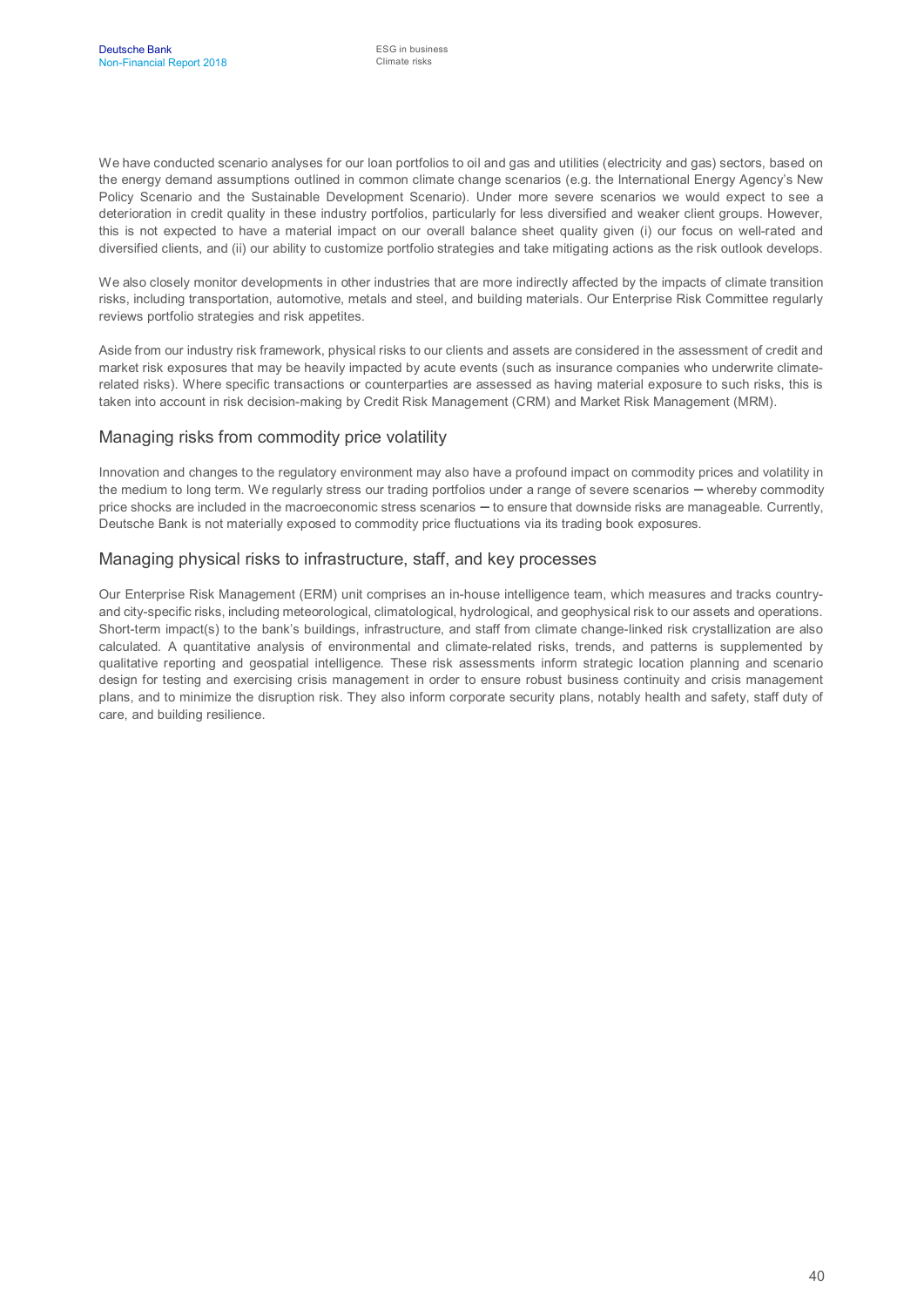We have conducted scenario analyses for our loan portfolios to oil and gas and utilities (electricity and gas) sectors, based on the energy demand assumptions outlined in common climate change scenarios (e.g. the International Energy Agency's New Policy Scenario and the Sustainable Development Scenario). Under more severe scenarios we would expect to see a deterioration in credit quality in these industry portfolios, particularly for less diversified and weaker client groups. However, this is not expected to have a material impact on our overall balance sheet quality given (i) our focus on well-rated and diversified clients, and (ii) our ability to customize portfolio strategies and take mitigating actions as the risk outlook develops.

We also closely monitor developments in other industries that are more indirectly affected by the impacts of climate transition risks, including transportation, automotive, metals and steel, and building materials. Our Enterprise Risk Committee regularly reviews portfolio strategies and risk appetites.

Aside from our industry risk framework, physical risks to our clients and assets are considered in the assessment of credit and market risk exposures that may be heavily impacted by acute events (such as insurance companies who underwrite climaterelated risks). Where specific transactions or counterparties are assessed as having material exposure to such risks, this is taken into account in risk decision-making by Credit Risk Management (CRM) and Market Risk Management (MRM).

#### Managing risks from commodity price volatility

Innovation and changes to the regulatory environment may also have a profound impact on commodity prices and volatility in the medium to long term. We regularly stress our trading portfolios under a range of severe scenarios – whereby commodity price shocks are included in the macroeconomic stress scenarios – to ensure that downside risks are manageable. Currently, Deutsche Bank is not materially exposed to commodity price fluctuations via its trading book exposures.

#### Managing physical risks to infrastructure, staff, and key processes

Our Enterprise Risk Management (ERM) unit comprises an in-house intelligence team, which measures and tracks countryand city-specific risks, including meteorological, climatological, hydrological, and geophysical risk to our assets and operations. Short-term impact(s) to the bank's buildings, infrastructure, and staff from climate change-linked risk crystallization are also calculated. A quantitative analysis of environmental and climate-related risks, trends, and patterns is supplemented by qualitative reporting and geospatial intelligence. These risk assessments inform strategic location planning and scenario design for testing and exercising crisis management in order to ensure robust business continuity and crisis management plans, and to minimize the disruption risk. They also inform corporate security plans, notably health and safety, staff duty of care, and building resilience.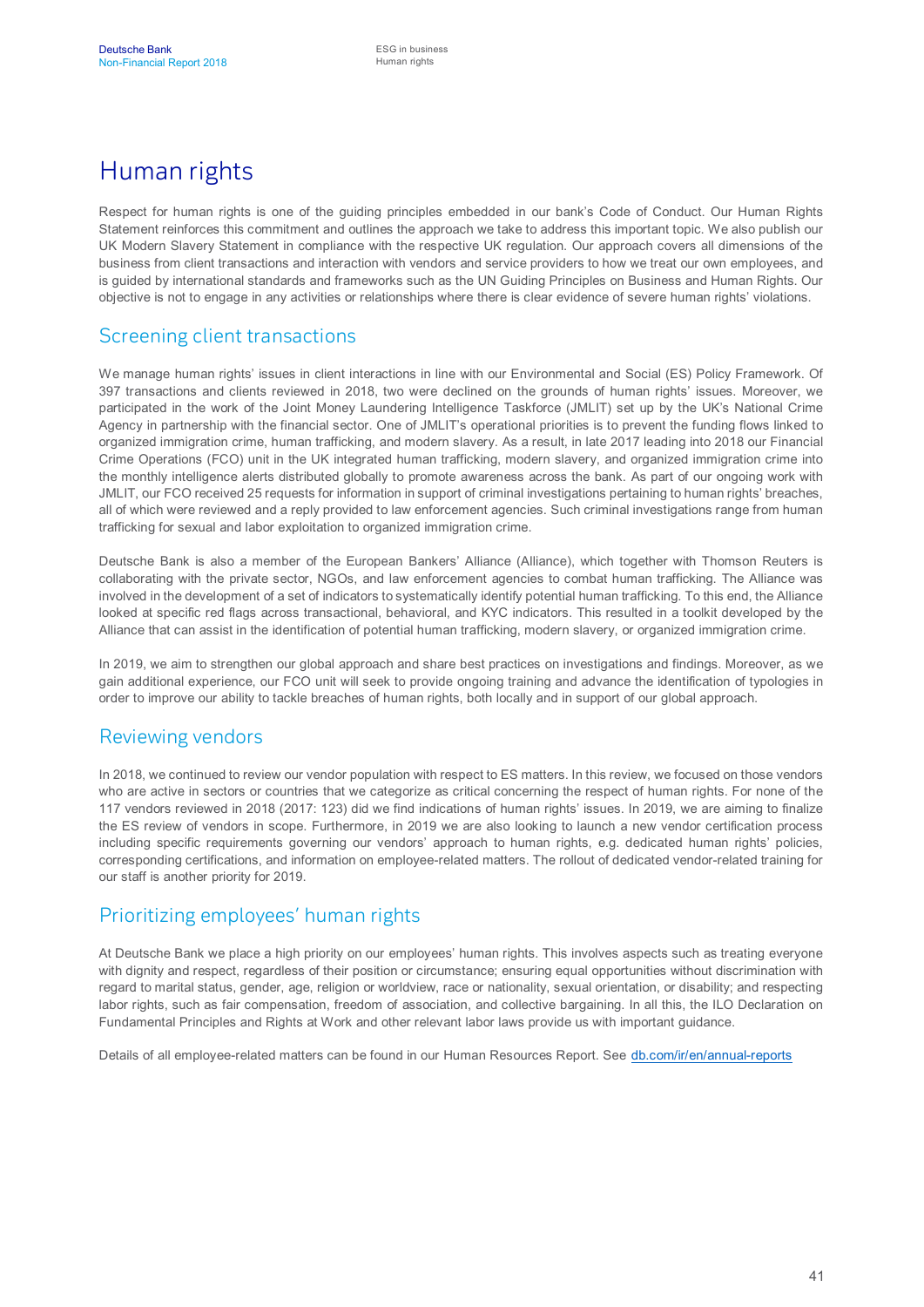# Human rights

Respect for human rights is one of the guiding principles embedded in our bank's Code of Conduct. Our Human Rights Statement reinforces this commitment and outlines the approach we take to address this important topic. We also publish our UK Modern Slavery Statement in compliance with the respective UK regulation. Our approach covers all dimensions of the business from client transactions and interaction with vendors and service providers to how we treat our own employees, and is guided by international standards and frameworks such as the UN Guiding Principles on Business and Human Rights. Our objective is not to engage in any activities or relationships where there is clear evidence of severe human rights' violations.

## Screening client transactions

We manage human rights' issues in client interactions in line with our Environmental and Social (ES) Policy Framework. Of 397 transactions and clients reviewed in 2018, two were declined on the grounds of human rights' issues. Moreover, we participated in the work of the Joint Money Laundering Intelligence Taskforce (JMLIT) set up by the UK's National Crime Agency in partnership with the financial sector. One of JMLIT's operational priorities is to prevent the funding flows linked to organized immigration crime, human trafficking, and modern slavery. As a result, in late 2017 leading into 2018 our Financial Crime Operations (FCO) unit in the UK integrated human trafficking, modern slavery, and organized immigration crime into the monthly intelligence alerts distributed globally to promote awareness across the bank. As part of our ongoing work with JMLIT, our FCO received 25 requests for information in support of criminal investigations pertaining to human rights' breaches, all of which were reviewed and a reply provided to law enforcement agencies. Such criminal investigations range from human trafficking for sexual and labor exploitation to organized immigration crime.

Deutsche Bank is also a member of the European Bankers' Alliance (Alliance), which together with Thomson Reuters is collaborating with the private sector, NGOs, and law enforcement agencies to combat human trafficking. The Alliance was involved in the development of a set of indicators to systematically identify potential human trafficking. To this end, the Alliance looked at specific red flags across transactional, behavioral, and KYC indicators. This resulted in a toolkit developed by the Alliance that can assist in the identification of potential human trafficking, modern slavery, or organized immigration crime.

In 2019, we aim to strengthen our global approach and share best practices on investigations and findings. Moreover, as we gain additional experience, our FCO unit will seek to provide ongoing training and advance the identification of typologies in order to improve our ability to tackle breaches of human rights, both locally and in support of our global approach.

#### Reviewing vendors

In 2018, we continued to review our vendor population with respect to ES matters. In this review, we focused on those vendors who are active in sectors or countries that we categorize as critical concerning the respect of human rights. For none of the 117 vendors reviewed in 2018 (2017: 123) did we find indications of human rights' issues. In 2019, we are aiming to finalize the ES review of vendors in scope. Furthermore, in 2019 we are also looking to launch a new vendor certification process including specific requirements governing our vendors' approach to human rights, e.g. dedicated human rights' policies, corresponding certifications, and information on employee-related matters. The rollout of dedicated vendor-related training for our staff is another priority for 2019.

## Prioritizing employees' human rights

At Deutsche Bank we place a high priority on our employees' human rights. This involves aspects such as treating everyone with dignity and respect, regardless of their position or circumstance; ensuring equal opportunities without discrimination with regard to marital status, gender, age, religion or worldview, race or nationality, sexual orientation, or disability; and respecting labor rights, such as fair compensation, freedom of association, and collective bargaining. In all this, the ILO Declaration on Fundamental Principles and Rights at Work and other relevant labor laws provide us with important guidance.

Details of all employee-related matters can be found in our Human Resources Report. See [db.com/ir/en/annual-reports](https://www.db.com/ir/en/annual-reports.htm)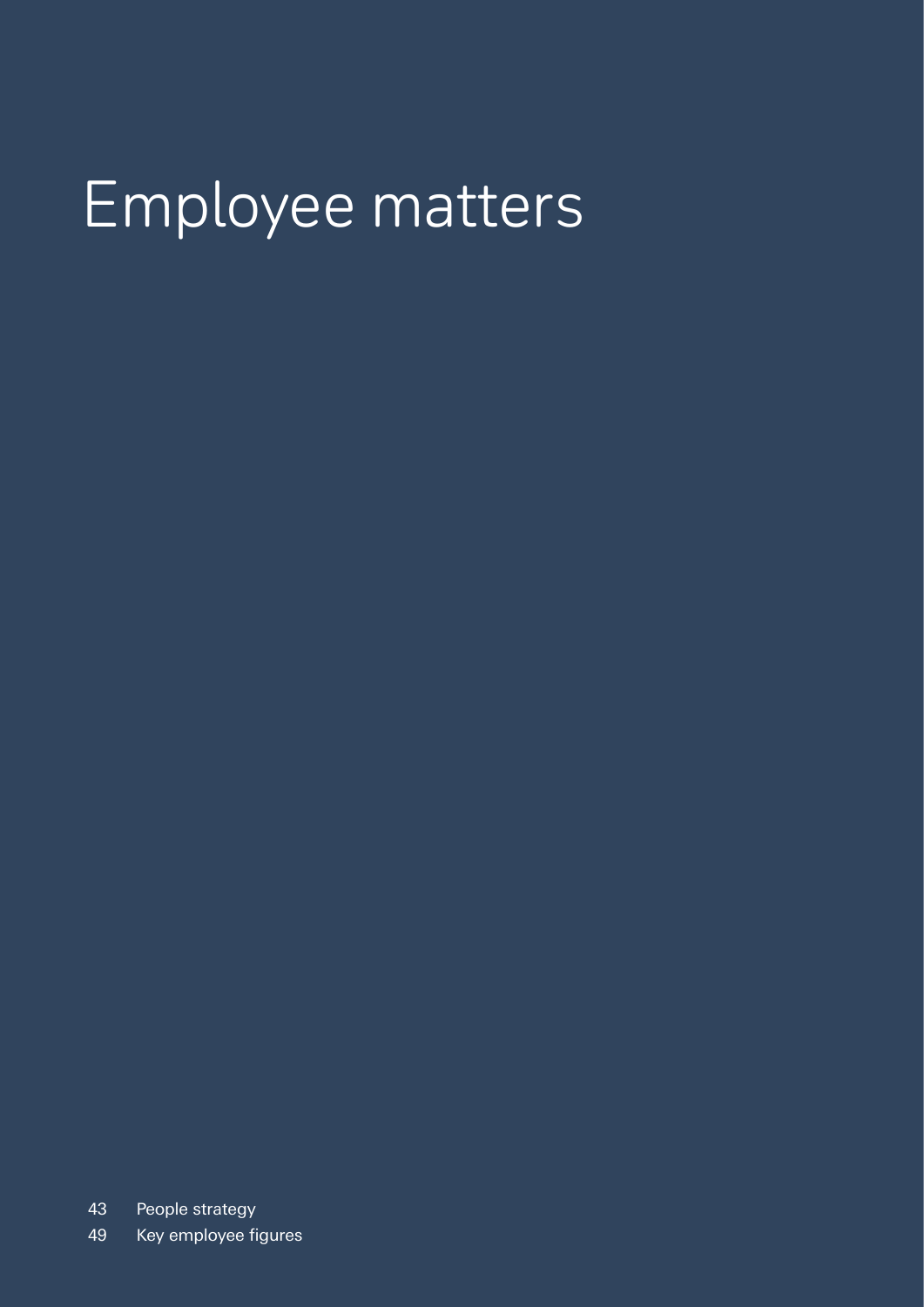# Employee matters

43 People strategy

49 Key employee figures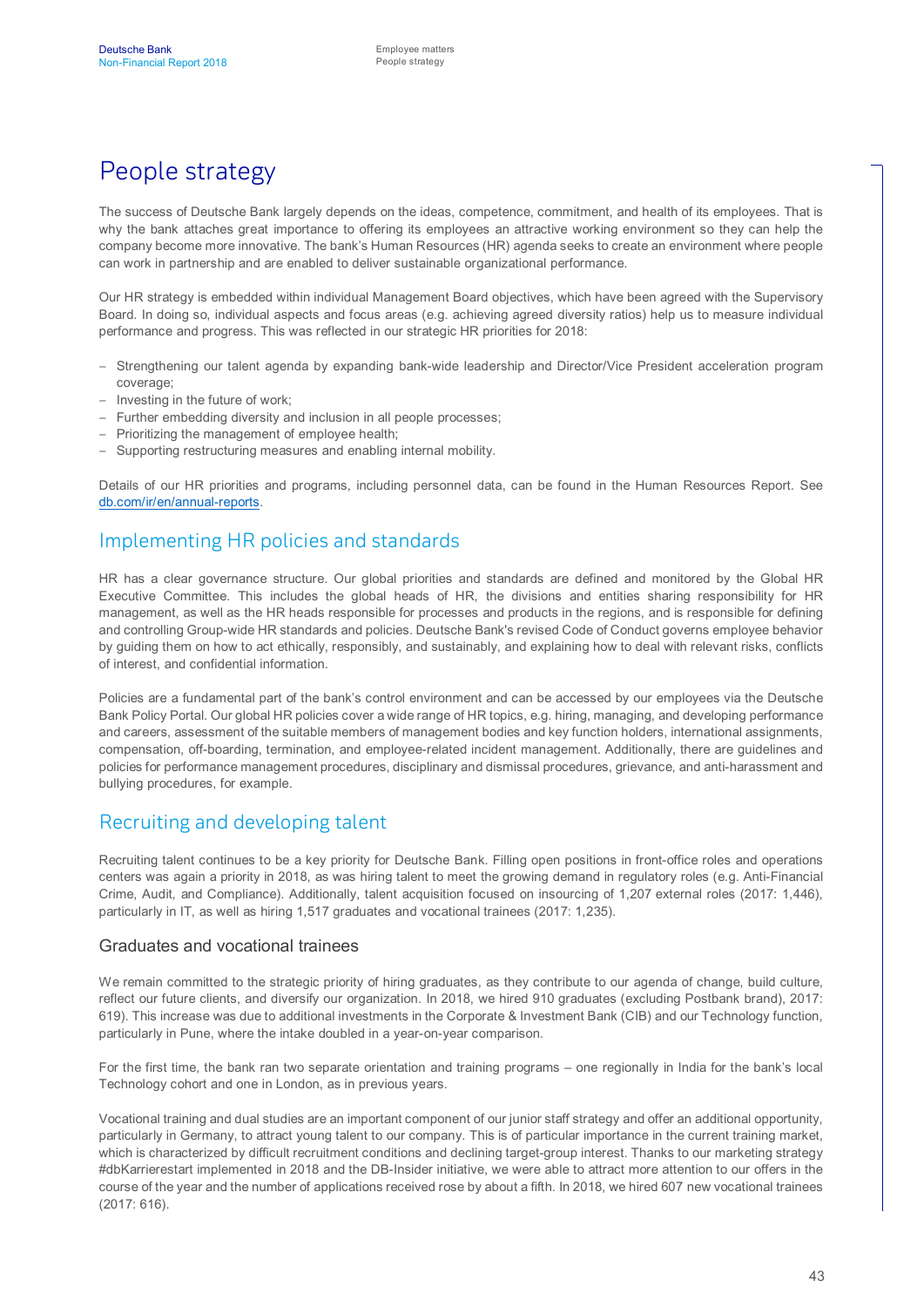# People strategy

The success of Deutsche Bank largely depends on the ideas, competence, commitment, and health of its employees. That is why the bank attaches great importance to offering its employees an attractive working environment so they can help the company become more innovative. The bank's Human Resources (HR) agenda seeks to create an environment where people can work in partnership and are enabled to deliver sustainable organizational performance.

Our HR strategy is embedded within individual Management Board objectives, which have been agreed with the Supervisory Board. In doing so, individual aspects and focus areas (e.g. achieving agreed diversity ratios) help us to measure individual performance and progress. This was reflected in our strategic HR priorities for 2018:

- Strengthening our talent agenda by expanding bank-wide leadership and Director/Vice President acceleration program coverage;
- Investing in the future of work;
- Further embedding diversity and inclusion in all people processes;
- Prioritizing the management of employee health;
- Supporting restructuring measures and enabling internal mobility.

Details of our HR priorities and programs, including personnel data, can be found in the Human Resources Report. See [db.com/ir/en/annual-reports](https://www.db.com/ir/en/annual-reports.htm).

#### Implementing HR policies and standards

HR has a clear governance structure. Our global priorities and standards are defined and monitored by the Global HR Executive Committee. This includes the global heads of HR, the divisions and entities sharing responsibility for HR management, as well as the HR heads responsible for processes and products in the regions, and is responsible for defining and controlling Group-wide HR standards and policies. Deutsche Bank's revised Code of Conduct governs employee behavior by guiding them on how to act ethically, responsibly, and sustainably, and explaining how to deal with relevant risks, conflicts of interest, and confidential information.

Policies are a fundamental part of the bank's control environment and can be accessed by our employees via the Deutsche Bank Policy Portal. Our global HR policies cover a wide range of HR topics, e.g. hiring, managing, and developing performance and careers, assessment of the suitable members of management bodies and key function holders, international assignments, compensation, off-boarding, termination, and employee-related incident management. Additionally, there are guidelines and policies for performance management procedures, disciplinary and dismissal procedures, grievance, and anti-harassment and bullying procedures, for example.

#### Recruiting and developing talent

Recruiting talent continues to be a key priority for Deutsche Bank. Filling open positions in front-office roles and operations centers was again a priority in 2018, as was hiring talent to meet the growing demand in regulatory roles (e.g. Anti-Financial Crime, Audit, and Compliance). Additionally, talent acquisition focused on insourcing of 1,207 external roles (2017: 1,446), particularly in IT, as well as hiring 1,517 graduates and vocational trainees (2017: 1,235).

#### Graduates and vocational trainees

We remain committed to the strategic priority of hiring graduates, as they contribute to our agenda of change, build culture, reflect our future clients, and diversify our organization. In 2018, we hired 910 graduates (excluding Postbank brand), 2017: 619). This increase was due to additional investments in the Corporate & Investment Bank (CIB) and our Technology function, particularly in Pune, where the intake doubled in a year-on-year comparison.

For the first time, the bank ran two separate orientation and training programs – one regionally in India for the bank's local Technology cohort and one in London, as in previous years.

Vocational training and dual studies are an important component of our junior staff strategy and offer an additional opportunity, particularly in Germany, to attract young talent to our company. This is of particular importance in the current training market, which is characterized by difficult recruitment conditions and declining target-group interest. Thanks to our marketing strategy #dbKarrierestart implemented in 2018 and the DB-Insider initiative, we were able to attract more attention to our offers in the course of the year and the number of applications received rose by about a fifth. In 2018, we hired 607 new vocational trainees (2017: 616).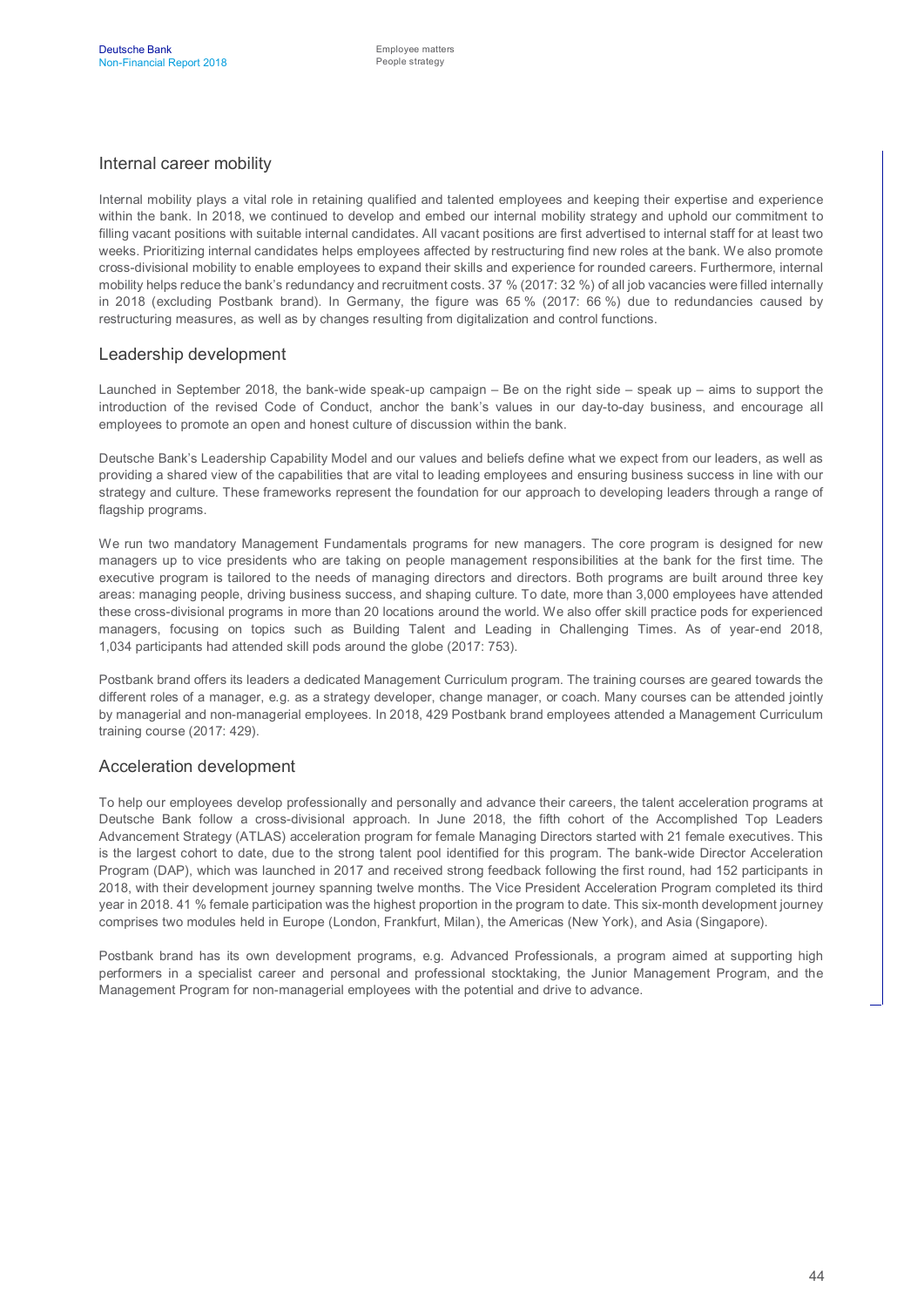#### Internal career mobility

Internal mobility plays a vital role in retaining qualified and talented employees and keeping their expertise and experience within the bank. In 2018, we continued to develop and embed our internal mobility strategy and uphold our commitment to filling vacant positions with suitable internal candidates. All vacant positions are first advertised to internal staff for at least two weeks. Prioritizing internal candidates helps employees affected by restructuring find new roles at the bank. We also promote cross-divisional mobility to enable employees to expand their skills and experience for rounded careers. Furthermore, internal mobility helps reduce the bank's redundancy and recruitment costs. 37 % (2017: 32 %) of all job vacancies were filled internally in 2018 (excluding Postbank brand). In Germany, the figure was 65 % (2017: 66 %) due to redundancies caused by restructuring measures, as well as by changes resulting from digitalization and control functions.

#### Leadership development

Launched in September 2018, the bank-wide speak-up campaign – Be on the right side – speak up – aims to support the introduction of the revised Code of Conduct, anchor the bank's values in our day-to-day business, and encourage all employees to promote an open and honest culture of discussion within the bank.

Deutsche Bank's Leadership Capability Model and our values and beliefs define what we expect from our leaders, as well as providing a shared view of the capabilities that are vital to leading employees and ensuring business success in line with our strategy and culture. These frameworks represent the foundation for our approach to developing leaders through a range of flagship programs.

We run two mandatory Management Fundamentals programs for new managers. The core program is designed for new managers up to vice presidents who are taking on people management responsibilities at the bank for the first time. The executive program is tailored to the needs of managing directors and directors. Both programs are built around three key areas: managing people, driving business success, and shaping culture. To date, more than 3,000 employees have attended these cross-divisional programs in more than 20 locations around the world. We also offer skill practice pods for experienced managers, focusing on topics such as Building Talent and Leading in Challenging Times. As of year-end 2018, 1,034 participants had attended skill pods around the globe (2017: 753).

Postbank brand offers its leaders a dedicated Management Curriculum program. The training courses are geared towards the different roles of a manager, e.g. as a strategy developer, change manager, or coach. Many courses can be attended jointly by managerial and non-managerial employees. In 2018, 429 Postbank brand employees attended a Management Curriculum training course (2017: 429).

#### Acceleration development

To help our employees develop professionally and personally and advance their careers, the talent acceleration programs at Deutsche Bank follow a cross-divisional approach. In June 2018, the fifth cohort of the Accomplished Top Leaders Advancement Strategy (ATLAS) acceleration program for female Managing Directors started with 21 female executives. This is the largest cohort to date, due to the strong talent pool identified for this program. The bank-wide Director Acceleration Program (DAP), which was launched in 2017 and received strong feedback following the first round, had 152 participants in 2018, with their development journey spanning twelve months. The Vice President Acceleration Program completed its third year in 2018. 41 % female participation was the highest proportion in the program to date. This six-month development journey comprises two modules held in Europe (London, Frankfurt, Milan), the Americas (New York), and Asia (Singapore).

Postbank brand has its own development programs, e.g. Advanced Professionals, a program aimed at supporting high performers in a specialist career and personal and professional stocktaking, the Junior Management Program, and the Management Program for non-managerial employees with the potential and drive to advance.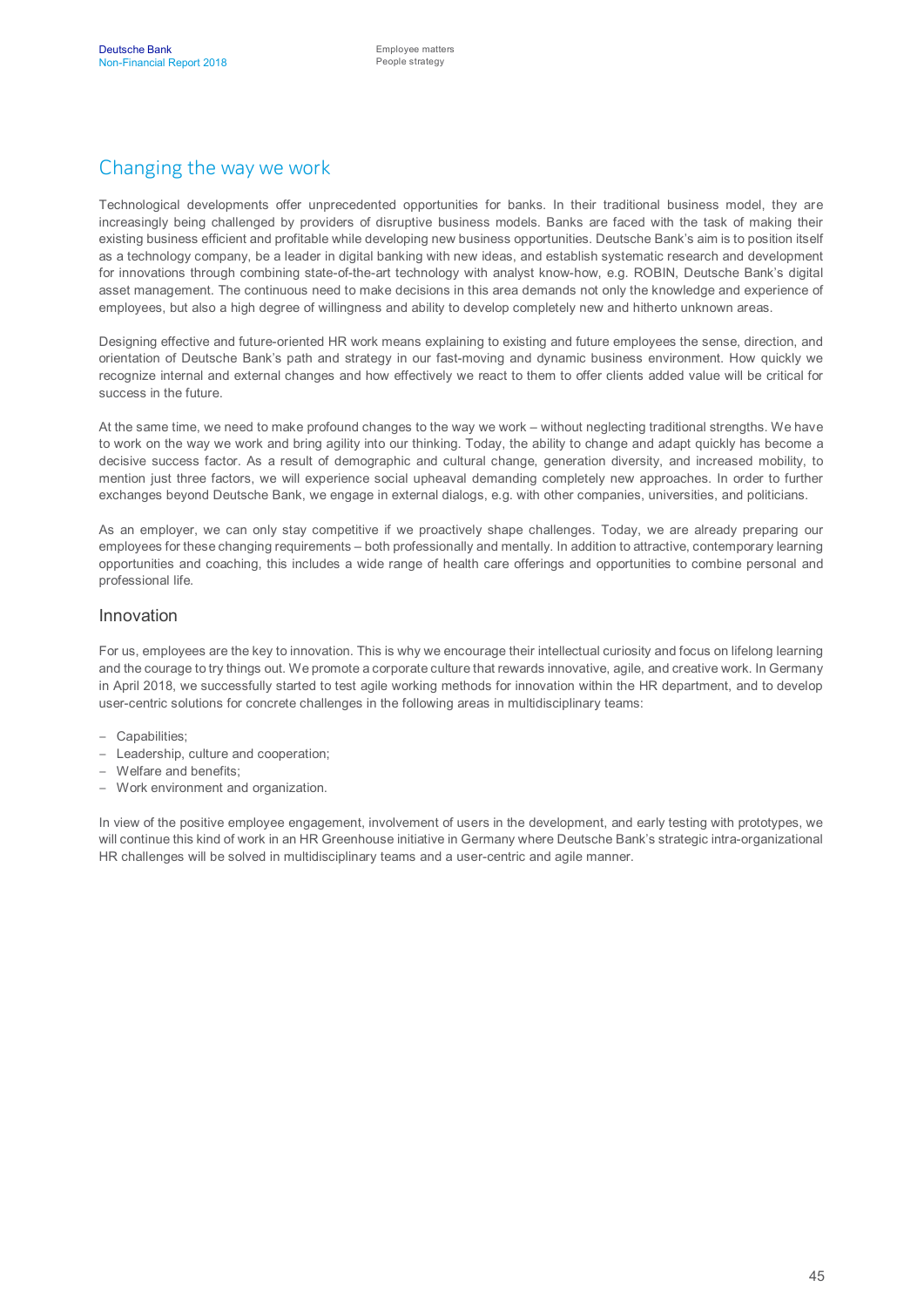## Changing the way we work

Technological developments offer unprecedented opportunities for banks. In their traditional business model, they are increasingly being challenged by providers of disruptive business models. Banks are faced with the task of making their existing business efficient and profitable while developing new business opportunities. Deutsche Bank's aim is to position itself as a technology company, be a leader in digital banking with new ideas, and establish systematic research and development for innovations through combining state-of-the-art technology with analyst know-how, e.g. ROBIN, Deutsche Bank's digital asset management. The continuous need to make decisions in this area demands not only the knowledge and experience of employees, but also a high degree of willingness and ability to develop completely new and hitherto unknown areas.

Designing effective and future-oriented HR work means explaining to existing and future employees the sense, direction, and orientation of Deutsche Bank's path and strategy in our fast-moving and dynamic business environment. How quickly we recognize internal and external changes and how effectively we react to them to offer clients added value will be critical for success in the future.

At the same time, we need to make profound changes to the way we work – without neglecting traditional strengths. We have to work on the way we work and bring agility into our thinking. Today, the ability to change and adapt quickly has become a decisive success factor. As a result of demographic and cultural change, generation diversity, and increased mobility, to mention just three factors, we will experience social upheaval demanding completely new approaches. In order to further exchanges beyond Deutsche Bank, we engage in external dialogs, e.g. with other companies, universities, and politicians.

As an employer, we can only stay competitive if we proactively shape challenges. Today, we are already preparing our employees for these changing requirements – both professionally and mentally. In addition to attractive, contemporary learning opportunities and coaching, this includes a wide range of health care offerings and opportunities to combine personal and professional life.

#### Innovation

For us, employees are the key to innovation. This is why we encourage their intellectual curiosity and focus on lifelong learning and the courage to try things out. We promote a corporate culture that rewards innovative, agile, and creative work. In Germany in April 2018, we successfully started to test agile working methods for innovation within the HR department, and to develop user-centric solutions for concrete challenges in the following areas in multidisciplinary teams:

- Capabilities;
- Leadership, culture and cooperation;
- Welfare and benefits;
- Work environment and organization.

In view of the positive employee engagement, involvement of users in the development, and early testing with prototypes, we will continue this kind of work in an HR Greenhouse initiative in Germany where Deutsche Bank's strategic intra-organizational HR challenges will be solved in multidisciplinary teams and a user-centric and agile manner.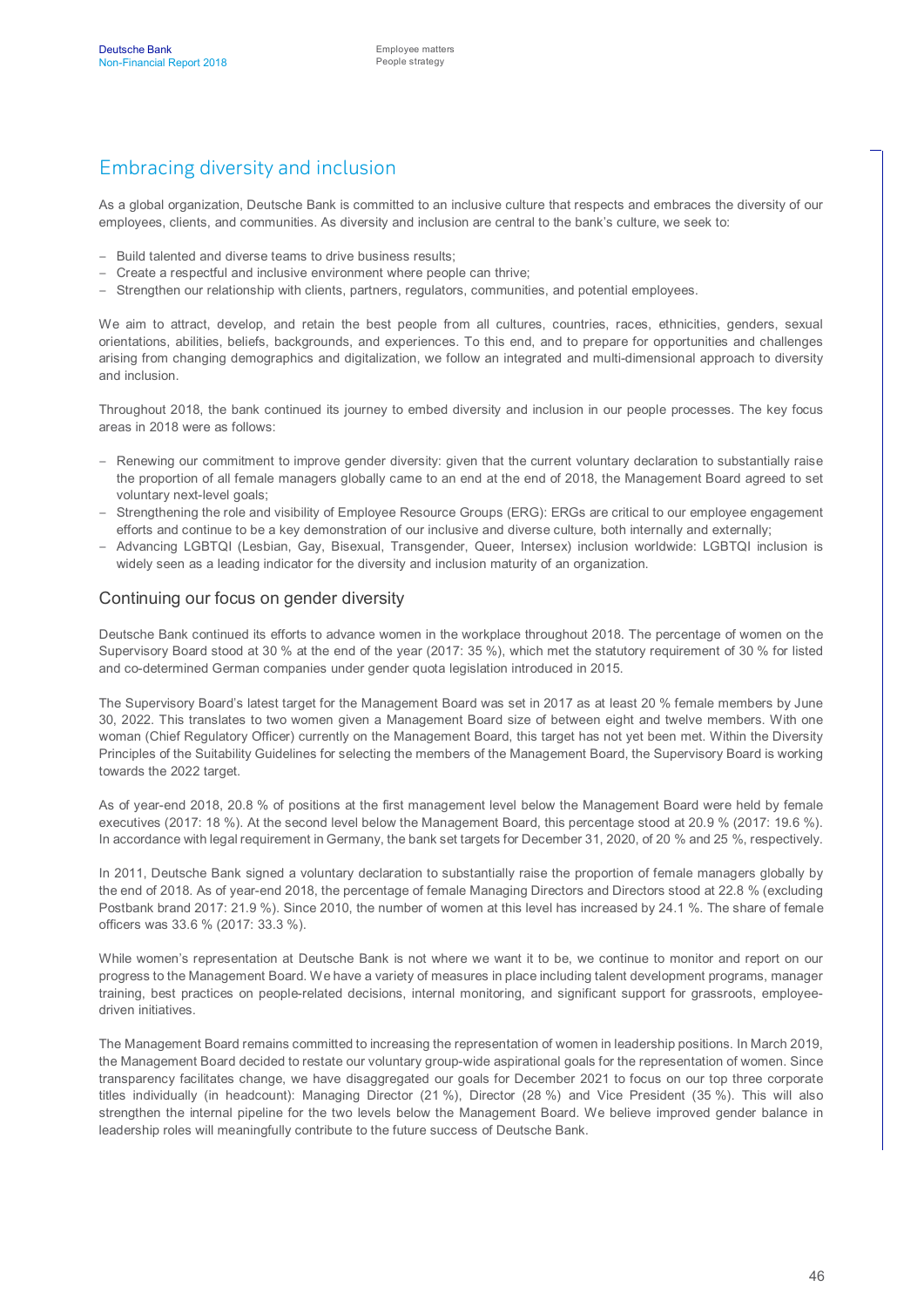## Embracing diversity and inclusion

As a global organization, Deutsche Bank is committed to an inclusive culture that respects and embraces the diversity of our employees, clients, and communities. As diversity and inclusion are central to the bank's culture, we seek to:

- Build talented and diverse teams to drive business results;
- Create a respectful and inclusive environment where people can thrive;
- Strengthen our relationship with clients, partners, regulators, communities, and potential employees.

We aim to attract, develop, and retain the best people from all cultures, countries, races, ethnicities, genders, sexual orientations, abilities, beliefs, backgrounds, and experiences. To this end, and to prepare for opportunities and challenges arising from changing demographics and digitalization, we follow an integrated and multi-dimensional approach to diversity and inclusion.

Throughout 2018, the bank continued its journey to embed diversity and inclusion in our people processes. The key focus areas in 2018 were as follows:

- Renewing our commitment to improve gender diversity: given that the current voluntary declaration to substantially raise the proportion of all female managers globally came to an end at the end of 2018, the Management Board agreed to set voluntary next-level goals;
- Strengthening the role and visibility of Employee Resource Groups (ERG): ERGs are critical to our employee engagement efforts and continue to be a key demonstration of our inclusive and diverse culture, both internally and externally;
- Advancing LGBTQI (Lesbian, Gay, Bisexual, Transgender, Queer, Intersex) inclusion worldwide: LGBTQI inclusion is widely seen as a leading indicator for the diversity and inclusion maturity of an organization.

#### Continuing our focus on gender diversity

Deutsche Bank continued its efforts to advance women in the workplace throughout 2018. The percentage of women on the Supervisory Board stood at 30 % at the end of the year (2017: 35 %), which met the statutory requirement of 30 % for listed and co-determined German companies under gender quota legislation introduced in 2015.

The Supervisory Board's latest target for the Management Board was set in 2017 as at least 20 % female members by June 30, 2022. This translates to two women given a Management Board size of between eight and twelve members. With one woman (Chief Regulatory Officer) currently on the Management Board, this target has not yet been met. Within the Diversity Principles of the Suitability Guidelines for selecting the members of the Management Board, the Supervisory Board is working towards the 2022 target.

As of year-end 2018, 20.8 % of positions at the first management level below the Management Board were held by female executives (2017: 18 %). At the second level below the Management Board, this percentage stood at 20.9 % (2017: 19.6 %). In accordance with legal requirement in Germany, the bank set targets for December 31, 2020, of 20 % and 25 %, respectively.

In 2011, Deutsche Bank signed a voluntary declaration to substantially raise the proportion of female managers globally by the end of 2018. As of year-end 2018, the percentage of female Managing Directors and Directors stood at 22.8 % (excluding Postbank brand 2017: 21.9 %). Since 2010, the number of women at this level has increased by 24.1 %. The share of female officers was 33.6 % (2017: 33.3 %).

While women's representation at Deutsche Bank is not where we want it to be, we continue to monitor and report on our progress to the Management Board. We have a variety of measures in place including talent development programs, manager training, best practices on people-related decisions, internal monitoring, and significant support for grassroots, employeedriven initiatives.

The Management Board remains committed to increasing the representation of women in leadership positions. In March 2019, the Management Board decided to restate our voluntary group-wide aspirational goals for the representation of women. Since transparency facilitates change, we have disaggregated our goals for December 2021 to focus on our top three corporate titles individually (in headcount): Managing Director (21 %), Director (28 %) and Vice President (35 %). This will also strengthen the internal pipeline for the two levels below the Management Board. We believe improved gender balance in leadership roles will meaningfully contribute to the future success of Deutsche Bank.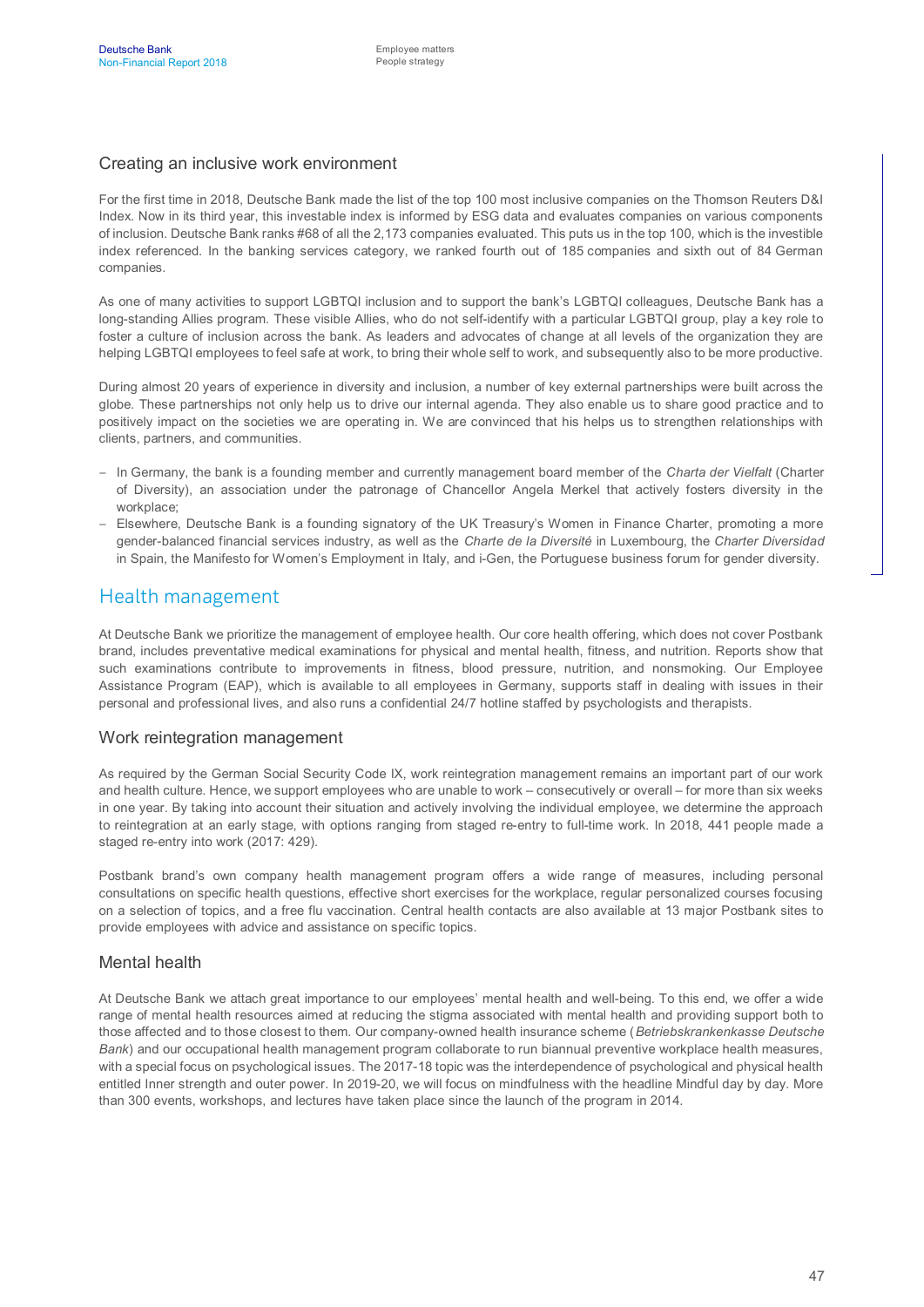#### Creating an inclusive work environment

For the first time in 2018, Deutsche Bank made the list of the top 100 most inclusive companies on the Thomson Reuters D&I Index. Now in its third year, this investable index is informed by ESG data and evaluates companies on various components of inclusion. Deutsche Bank ranks #68 of all the 2,173 companies evaluated. This puts us in the top 100, which is the investible index referenced. In the banking services category, we ranked fourth out of 185 companies and sixth out of 84 German companies.

As one of many activities to support LGBTQI inclusion and to support the bank's LGBTQI colleagues, Deutsche Bank has a long-standing Allies program. These visible Allies, who do not self-identify with a particular LGBTQI group, play a key role to foster a culture of inclusion across the bank. As leaders and advocates of change at all levels of the organization they are helping LGBTQI employees to feel safe at work, to bring their whole self to work, and subsequently also to be more productive.

During almost 20 years of experience in diversity and inclusion, a number of key external partnerships were built across the globe. These partnerships not only help us to drive our internal agenda. They also enable us to share good practice and to positively impact on the societies we are operating in. We are convinced that his helps us to strengthen relationships with clients, partners, and communities.

- In Germany, the bank is a founding member and currently management board member of the *Charta der Vielfalt* (Charter of Diversity), an association under the patronage of Chancellor Angela Merkel that actively fosters diversity in the workplace:
- Elsewhere, Deutsche Bank is a founding signatory of the UK Treasury's Women in Finance Charter, promoting a more gender-balanced financial services industry, as well as the *Charte de la Diversité* in Luxembourg, the *Charter Diversidad* in Spain, the Manifesto for Women's Employment in Italy, and i-Gen, the Portuguese business forum for gender diversity.

#### Health management

At Deutsche Bank we prioritize the management of employee health. Our core health offering, which does not cover Postbank brand, includes preventative medical examinations for physical and mental health, fitness, and nutrition. Reports show that such examinations contribute to improvements in fitness, blood pressure, nutrition, and nonsmoking. Our Employee Assistance Program (EAP), which is available to all employees in Germany, supports staff in dealing with issues in their personal and professional lives, and also runs a confidential 24/7 hotline staffed by psychologists and therapists.

#### Work reintegration management

As required by the German Social Security Code IX, work reintegration management remains an important part of our work and health culture. Hence, we support employees who are unable to work – consecutively or overall – for more than six weeks in one year. By taking into account their situation and actively involving the individual employee, we determine the approach to reintegration at an early stage, with options ranging from staged re-entry to full-time work. In 2018, 441 people made a staged re-entry into work (2017: 429).

Postbank brand's own company health management program offers a wide range of measures, including personal consultations on specific health questions, effective short exercises for the workplace, regular personalized courses focusing on a selection of topics, and a free flu vaccination. Central health contacts are also available at 13 major Postbank sites to provide employees with advice and assistance on specific topics.

#### Mental health

At Deutsche Bank we attach great importance to our employees' mental health and well-being. To this end, we offer a wide range of mental health resources aimed at reducing the stigma associated with mental health and providing support both to those affected and to those closest to them. Our company-owned health insurance scheme (*Betriebskrankenkasse Deutsche Bank*) and our occupational health management program collaborate to run biannual preventive workplace health measures, with a special focus on psychological issues. The 2017-18 topic was the interdependence of psychological and physical health entitled Inner strength and outer power. In 2019-20, we will focus on mindfulness with the headline Mindful day by day. More than 300 events, workshops, and lectures have taken place since the launch of the program in 2014.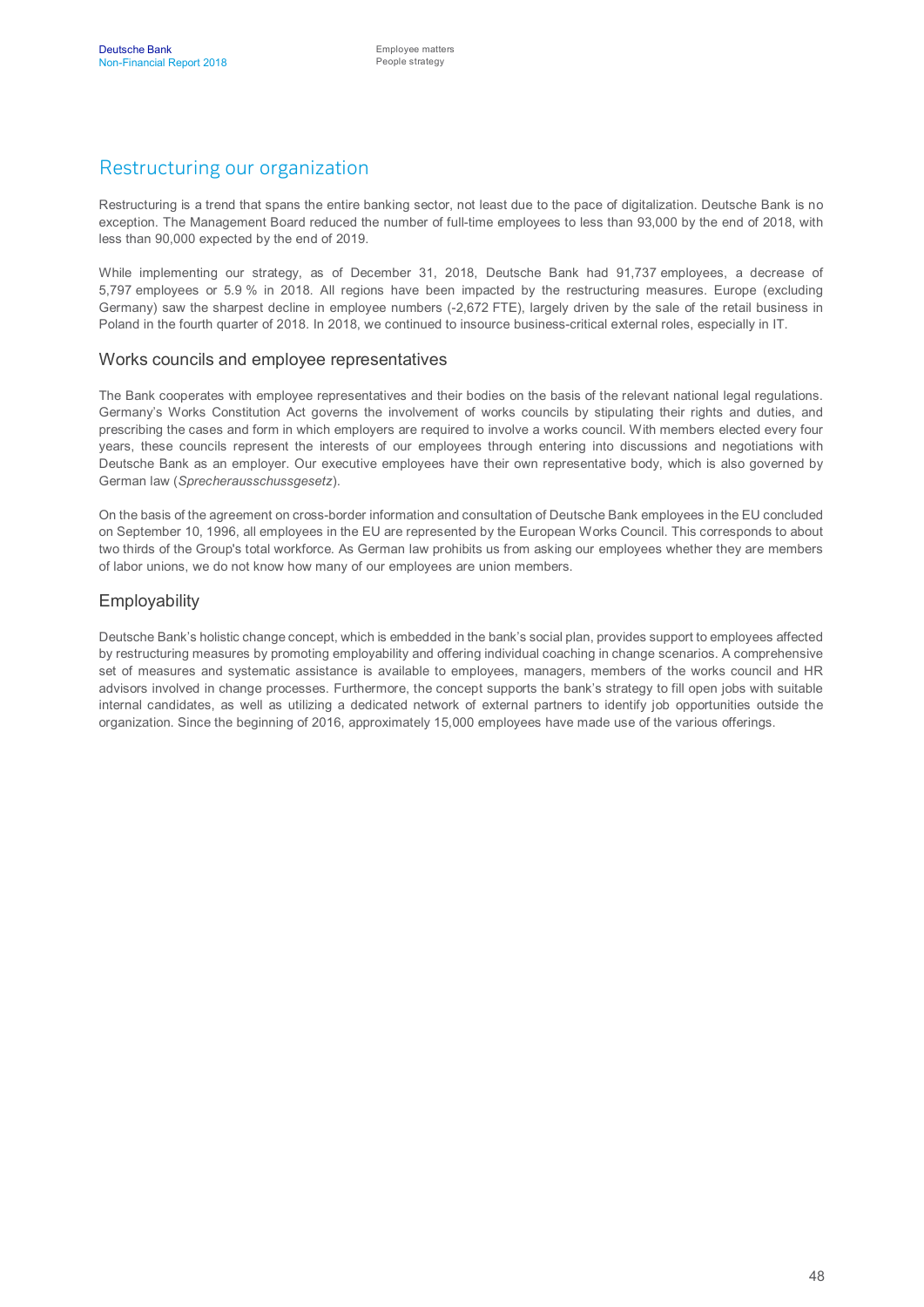## Restructuring our organization

Restructuring is a trend that spans the entire banking sector, not least due to the pace of digitalization. Deutsche Bank is no exception. The Management Board reduced the number of full-time employees to less than 93,000 by the end of 2018, with less than 90,000 expected by the end of 2019.

While implementing our strategy, as of December 31, 2018, Deutsche Bank had 91,737 employees, a decrease of 5,797 employees or 5.9 % in 2018. All regions have been impacted by the restructuring measures. Europe (excluding Germany) saw the sharpest decline in employee numbers (-2,672 FTE), largely driven by the sale of the retail business in Poland in the fourth quarter of 2018. In 2018, we continued to insource business-critical external roles, especially in IT.

#### Works councils and employee representatives

The Bank cooperates with employee representatives and their bodies on the basis of the relevant national legal regulations. Germany's Works Constitution Act governs the involvement of works councils by stipulating their rights and duties, and prescribing the cases and form in which employers are required to involve a works council. With members elected every four years, these councils represent the interests of our employees through entering into discussions and negotiations with Deutsche Bank as an employer. Our executive employees have their own representative body, which is also governed by German law (*Sprecherausschussgesetz*).

On the basis of the agreement on cross-border information and consultation of Deutsche Bank employees in the EU concluded on September 10, 1996, all employees in the EU are represented by the European Works Council. This corresponds to about two thirds of the Group's total workforce. As German law prohibits us from asking our employees whether they are members of labor unions, we do not know how many of our employees are union members.

#### Employability

Deutsche Bank's holistic change concept, which is embedded in the bank's social plan, provides support to employees affected by restructuring measures by promoting employability and offering individual coaching in change scenarios. A comprehensive set of measures and systematic assistance is available to employees, managers, members of the works council and HR advisors involved in change processes. Furthermore, the concept supports the bank's strategy to fill open jobs with suitable internal candidates, as well as utilizing a dedicated network of external partners to identify job opportunities outside the organization. Since the beginning of 2016, approximately 15,000 employees have made use of the various offerings.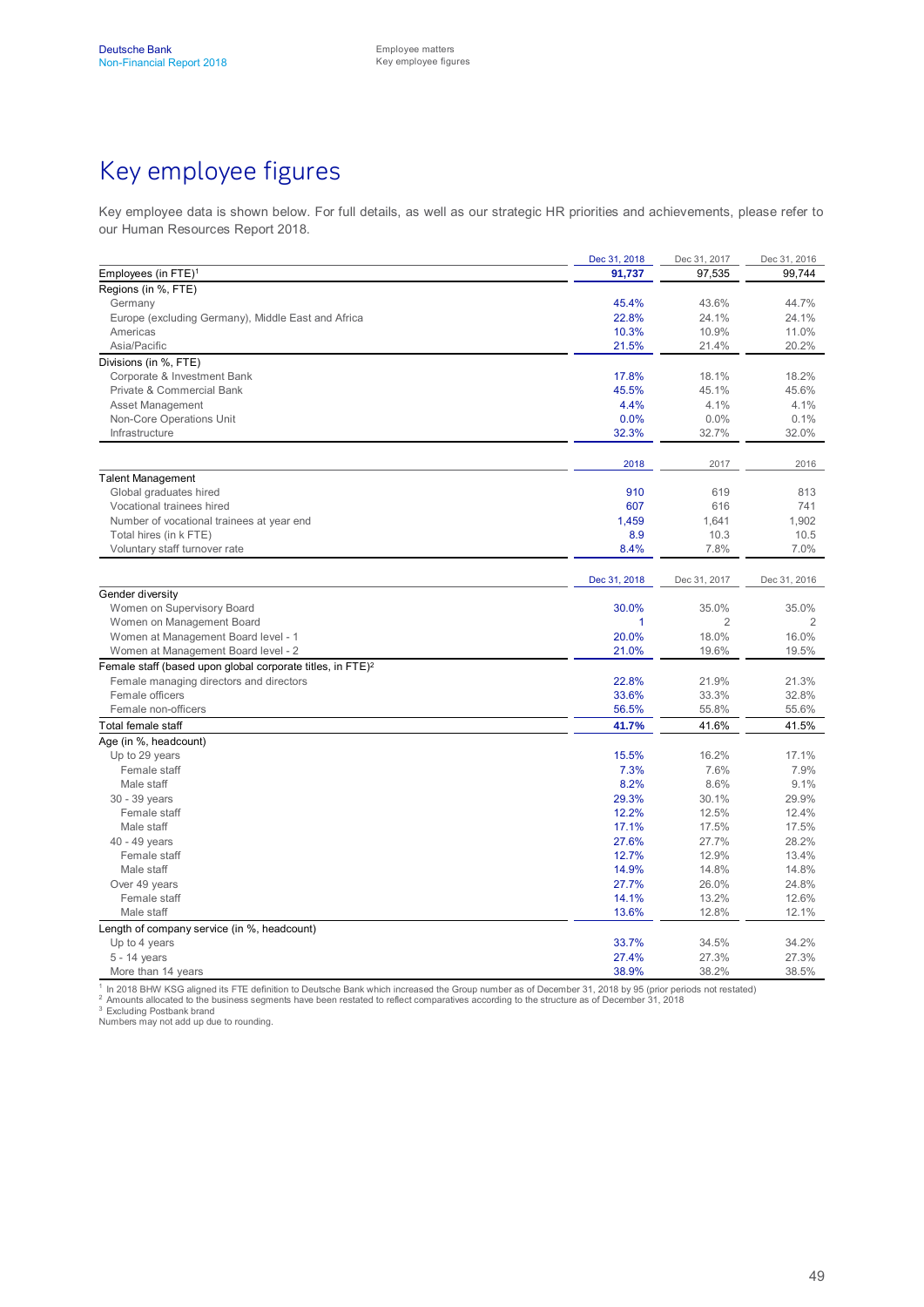# Key employee figures

Key employee data is shown below. For full details, as well as our strategic HR priorities and achievements, please refer to our Human Resources Report 2018.

|                                                                        | Dec 31, 2018 | Dec 31, 2017   | Dec 31, 2016   |
|------------------------------------------------------------------------|--------------|----------------|----------------|
| Employees (in FTE) <sup>1</sup>                                        | 91,737       | 97,535         | 99,744         |
| Regions (in %, FTE)                                                    |              |                |                |
| Germany                                                                | 45.4%        | 43.6%          | 44.7%          |
| Europe (excluding Germany), Middle East and Africa                     | 22.8%        | 24.1%          | 24.1%          |
| Americas                                                               | 10.3%        | 10.9%          | 11.0%          |
| Asia/Pacific                                                           | 21.5%        | 21.4%          | 20.2%          |
| Divisions (in %, FTE)                                                  |              |                |                |
| Corporate & Investment Bank                                            | 17.8%        | 18.1%          | 18.2%          |
| Private & Commercial Bank                                              | 45.5%        | 45.1%          | 45.6%          |
| <b>Asset Management</b>                                                | 4.4%         | 4.1%           | 4.1%           |
| Non-Core Operations Unit                                               | 0.0%         | 0.0%           | 0.1%           |
| Infrastructure                                                         | 32.3%        | 32.7%          | 32.0%          |
|                                                                        |              |                |                |
|                                                                        | 2018         | 2017           | 2016           |
| <b>Talent Management</b>                                               |              |                |                |
| Global graduates hired                                                 | 910          | 619            | 813            |
| Vocational trainees hired                                              | 607          | 616            | 741            |
| Number of vocational trainees at year end                              | 1,459        | 1,641          | 1,902          |
| Total hires (in k FTE)                                                 | 8.9          | 10.3           | 10.5           |
| Voluntary staff turnover rate                                          | 8.4%         | 7.8%           | 7.0%           |
|                                                                        | Dec 31, 2018 | Dec 31, 2017   | Dec 31, 2016   |
| Gender diversity                                                       |              |                |                |
| Women on Supervisory Board                                             | 30.0%        | 35.0%          | 35.0%          |
| Women on Management Board                                              | 1            | $\overline{2}$ | $\overline{2}$ |
| Women at Management Board level - 1                                    | 20.0%        | 18.0%          | 16.0%          |
| Women at Management Board level - 2                                    | 21.0%        | 19.6%          | 19.5%          |
| Female staff (based upon global corporate titles, in FTE) <sup>2</sup> |              |                |                |
| Female managing directors and directors                                | 22.8%        | 21.9%          | 21.3%          |
| Female officers                                                        | 33.6%        | 33.3%          | 32.8%          |
| Female non-officers                                                    | 56.5%        | 55.8%          | 55.6%          |
| Total female staff                                                     | 41.7%        | 41.6%          | 41.5%          |
| Age (in %, headcount)                                                  |              |                |                |
| Up to 29 years                                                         | 15.5%        | 16.2%          | 17.1%          |
| Female staff                                                           | 7.3%         | 7.6%           | 7.9%           |
| Male staff                                                             | 8.2%         | 8.6%           | 9.1%           |
| 30 - 39 years                                                          | 29.3%        | 30.1%          | 29.9%          |
| Female staff                                                           | 12.2%        | 12.5%          | 12.4%          |
| Male staff                                                             | 17.1%        | 17.5%          | 17.5%          |
| 40 - 49 years                                                          | 27.6%        | 27.7%          | 28.2%          |
| Female staff                                                           | 12.7%        | 12.9%          | 13.4%          |
| Male staff                                                             | 14.9%        | 14.8%          | 14.8%          |
| Over 49 years                                                          | 27.7%        | 26.0%          | 24.8%          |
| Female staff                                                           | 14.1%        | 13.2%          | 12.6%          |
| Male staff                                                             | 13.6%        | 12.8%          | 12.1%          |
| Length of company service (in %, headcount)                            |              |                |                |
| Up to 4 years                                                          | 33.7%        | 34.5%          | 34.2%          |
| 5 - 14 years                                                           | 27.4%        | 27.3%          | 27.3%          |
| More than 14 years                                                     | 38.9%        | 38.2%          | 38.5%          |

<sup>1</sup> In 2018 BHW KSG aligned its FTE definition to Deutsche Bank which increased the Group number as of December 31, 2018 by 95 (prior periods not restated)<br><sup>2</sup> Amounts allocated to the business segments have been restated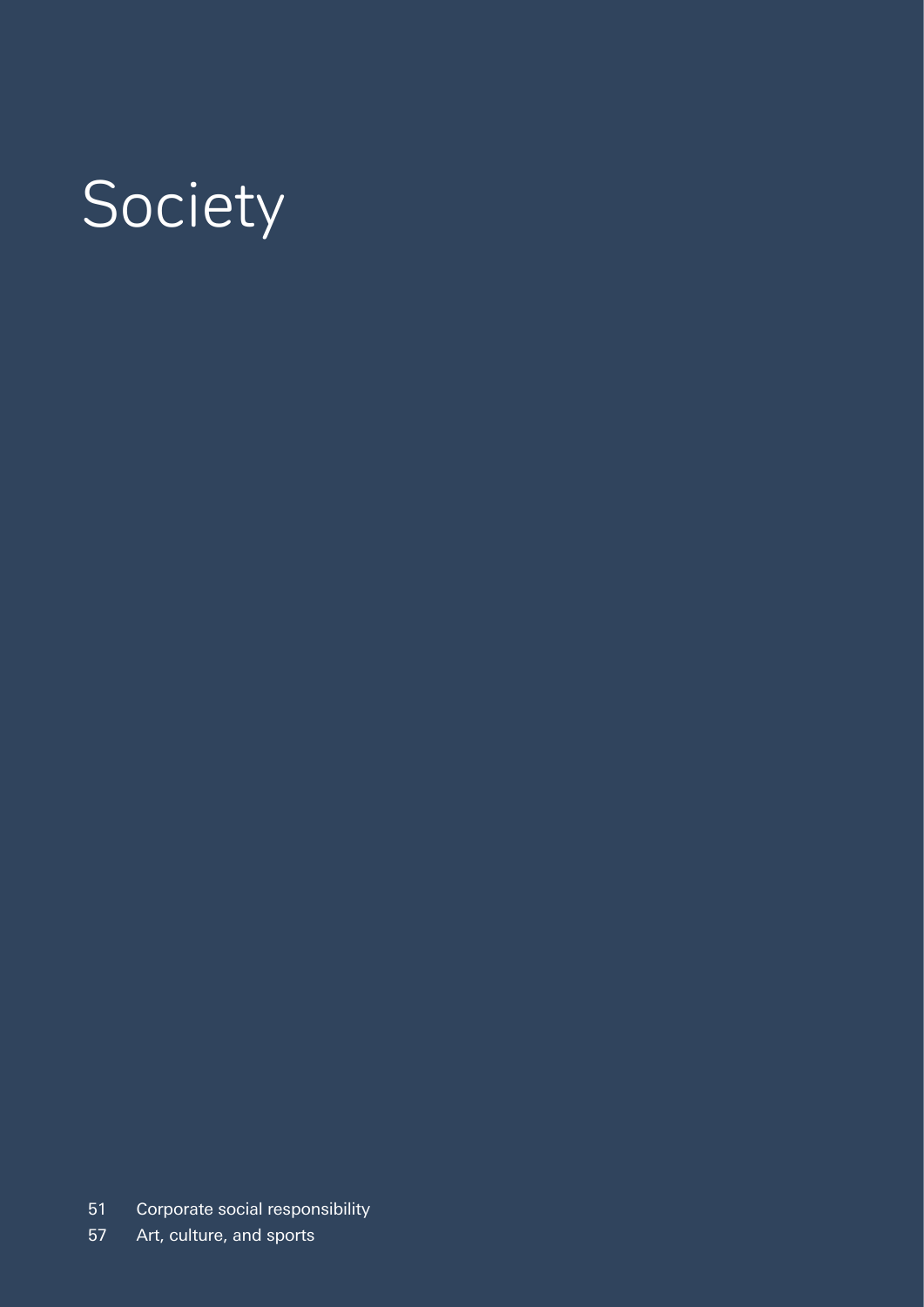# Society

- Corporate social responsibility
- Art, culture, and sports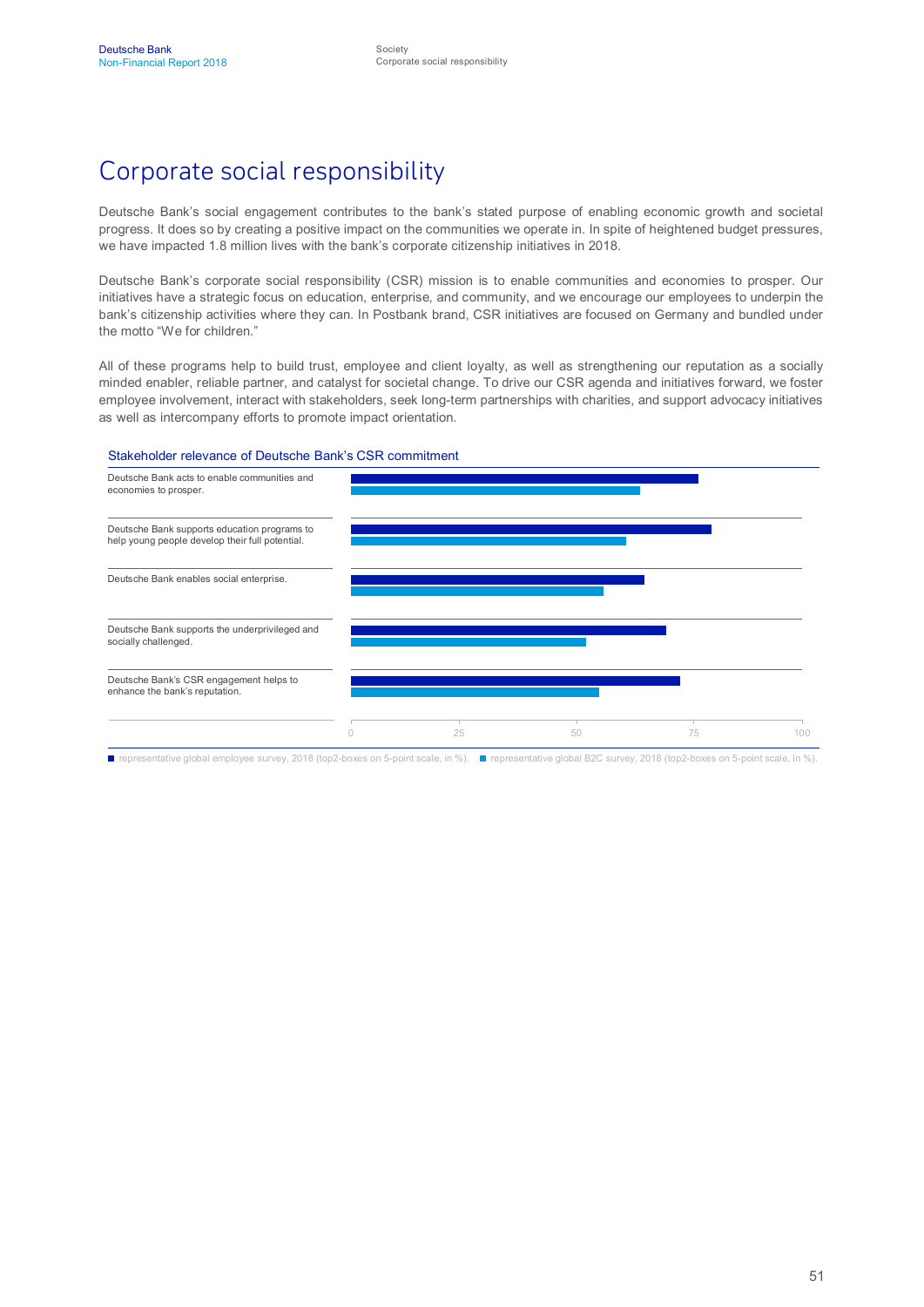# Corporate social responsibility

Deutsche Bank's social engagement contributes to the bank's stated purpose of enabling economic growth and societal progress. It does so by creating a positive impact on the communities we operate in. In spite of heightened budget pressures, we have impacted 1.8 million lives with the bank's corporate citizenship initiatives in 2018.

Deutsche Bank's corporate social responsibility (CSR) mission is to enable communities and economies to prosper. Our initiatives have a strategic focus on education, enterprise, and community, and we encourage our employees to underpin the bank's citizenship activities where they can. In Postbank brand, CSR initiatives are focused on Germany and bundled under the motto "We for children."

All of these programs help to build trust, employee and client loyalty, as well as strengthening our reputation as a socially minded enabler, reliable partner, and catalyst for societal change. To drive our CSR agenda and initiatives forward, we foster employee involvement, interact with stakeholders, seek long-term partnerships with charities, and support advocacy initiatives as well as intercompany efforts to promote impact orientation.

#### Stakeholder relevance of Deutsche Bank's CSR commitment



■ representative global employee survey, 2018 (top2-boxes on 5-point scale, in %). ■ representative global B2C survey, 2018 (top2-boxes on 5-point scale, in %).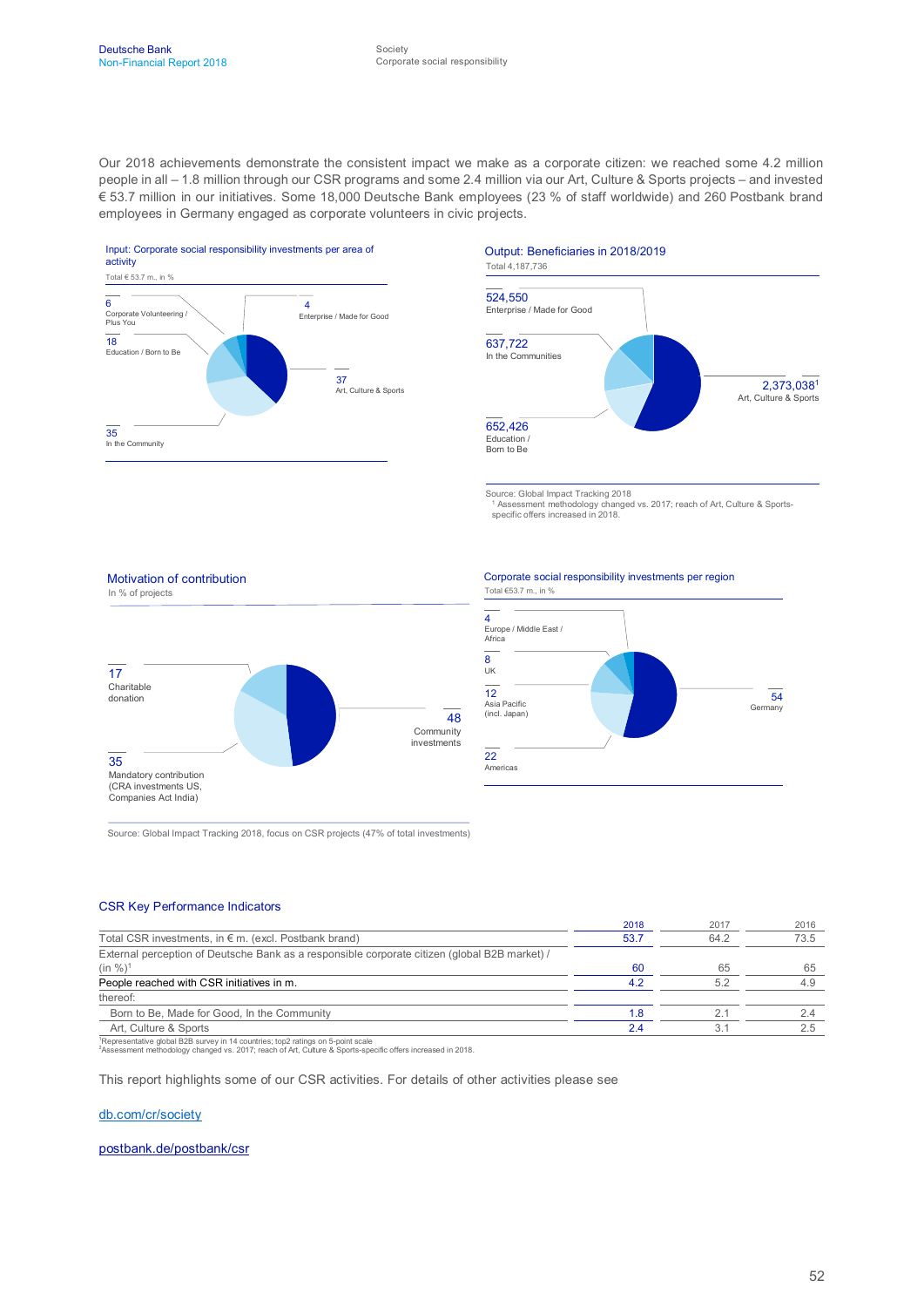Our 2018 achievements demonstrate the consistent impact we make as a corporate citizen: we reached some 4.2 million people in all – 1.8 million through our CSR programs and some 2.4 million via our Art, Culture & Sports projects – and invested € 53.7 million in our initiatives. Some 18,000 Deutsche Bank employees (23 % of staff worldwide) and 260 Postbank brand employees in Germany engaged as corporate volunteers in civic projects.



#### Output: Beneficiaries in 2018/2019



Source: Global Impact Tracking 2018 <sup>1</sup> Assessment methodology changed vs. 2017; reach of Art, Culture & Sports-specific offers increased in 2018.

Corporate social responsibility investments per region





Source: Global Impact Tracking 2018, focus on CSR projects (47% of total investments)

#### CSR Key Performance Indicators

Motivation of contribution

|                                                                                               | 2018 | 2017 | 2016 |
|-----------------------------------------------------------------------------------------------|------|------|------|
| Total CSR investments, in $\epsilon$ m. (excl. Postbank brand)                                | 53.7 | 64.2 | 73.5 |
| External perception of Deutsche Bank as a responsible corporate citizen (global B2B market) / |      |      |      |
| $(in %)^1$                                                                                    | -60  | 65   | 65   |
| People reached with CSR initiatives in m.                                                     | 42   | 5.2  | 4.9  |
| thereof:                                                                                      |      |      |      |
| Born to Be, Made for Good, In the Community                                                   | 1.8  |      |      |
| Art. Culture & Sports                                                                         | 2.4  |      |      |
| $1D$ antacatativa debal P3P aunvau in 14 countries: ton? ratings on E noint soals             |      |      |      |

<sup>1</sup>Representative global B2B survey in 14 countries; top2 ratings on 5-point scale <sup>2</sup>Assessment methodology changed vs. 2017; reach of Art, Culture & Sports-specific offers increased in 2018.

This report highlights some of our CSR activities. For details of other activities please see

#### [db.com/cr/society](http://www.db.com/cr/society)

[postbank.de/postbank/csr](https://www.postbank.de/postbank/csr_soziale_nachhaltigkeit_gesellschaft.html)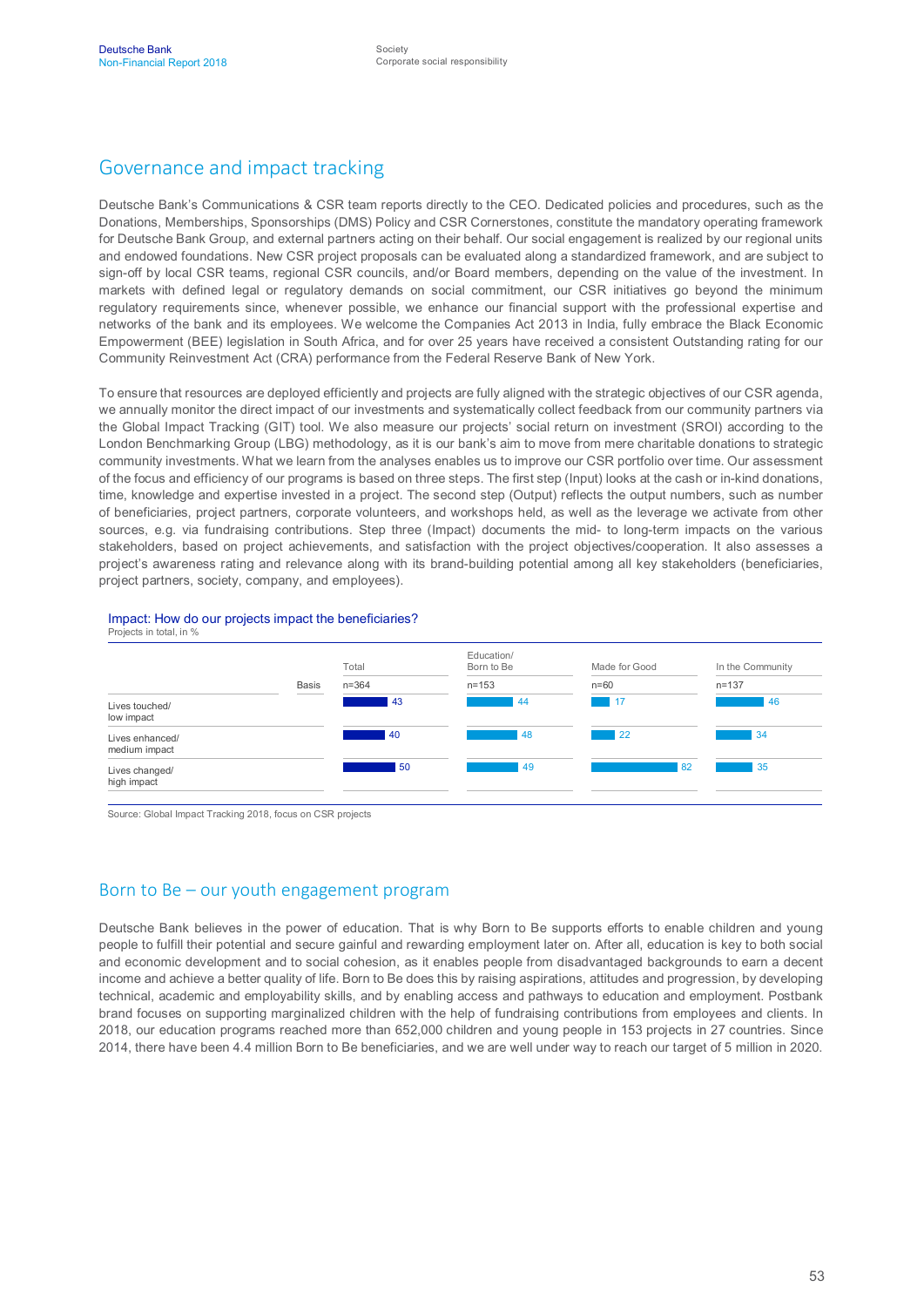## Governance and impact tracking

Deutsche Bank's Communications & CSR team reports directly to the CEO. Dedicated policies and procedures, such as the Donations, Memberships, Sponsorships (DMS) Policy and CSR Cornerstones, constitute the mandatory operating framework for Deutsche Bank Group, and external partners acting on their behalf. Our social engagement is realized by our regional units and endowed foundations. New CSR project proposals can be evaluated along a standardized framework, and are subject to sign-off by local CSR teams, regional CSR councils, and/or Board members, depending on the value of the investment. In markets with defined legal or regulatory demands on social commitment, our CSR initiatives go beyond the minimum regulatory requirements since, whenever possible, we enhance our financial support with the professional expertise and networks of the bank and its employees. We welcome the Companies Act 2013 in India, fully embrace the Black Economic Empowerment (BEE) legislation in South Africa, and for over 25 years have received a consistent Outstanding rating for our Community Reinvestment Act (CRA) performance from the Federal Reserve Bank of New York.

To ensure that resources are deployed efficiently and projects are fully aligned with the strategic objectives of our CSR agenda, we annually monitor the direct impact of our investments and systematically collect feedback from our community partners via the Global Impact Tracking (GIT) tool. We also measure our projects' social return on investment (SROI) according to the London Benchmarking Group (LBG) methodology, as it is our bank's aim to move from mere charitable donations to strategic community investments. What we learn from the analyses enables us to improve our CSR portfolio over time. Our assessment of the focus and efficiency of our programs is based on three steps. The first step (Input) looks at the cash or in-kind donations, time, knowledge and expertise invested in a project. The second step (Output) reflects the output numbers, such as number of beneficiaries, project partners, corporate volunteers, and workshops held, as well as the leverage we activate from other sources, e.g. via fundraising contributions. Step three (Impact) documents the mid- to long-term impacts on the various stakeholders, based on project achievements, and satisfaction with the project objectives/cooperation. It also assesses a project's awareness rating and relevance along with its brand-building potential among all key stakeholders (beneficiaries, project partners, society, company, and employees).





Source: Global Impact Tracking 2018, focus on CSR projects

#### Born to Be – our youth engagement program

Deutsche Bank believes in the power of education. That is why Born to Be supports efforts to enable children and young people to fulfill their potential and secure gainful and rewarding employment later on. After all, education is key to both social and economic development and to social cohesion, as it enables people from disadvantaged backgrounds to earn a decent income and achieve a better quality of life. Born to Be does this by raising aspirations, attitudes and progression, by developing technical, academic and employability skills, and by enabling access and pathways to education and employment. Postbank brand focuses on supporting marginalized children with the help of fundraising contributions from employees and clients. In 2018, our education programs reached more than 652,000 children and young people in 153 projects in 27 countries. Since 2014, there have been 4.4 million Born to Be beneficiaries, and we are well under way to reach our target of 5 million in 2020.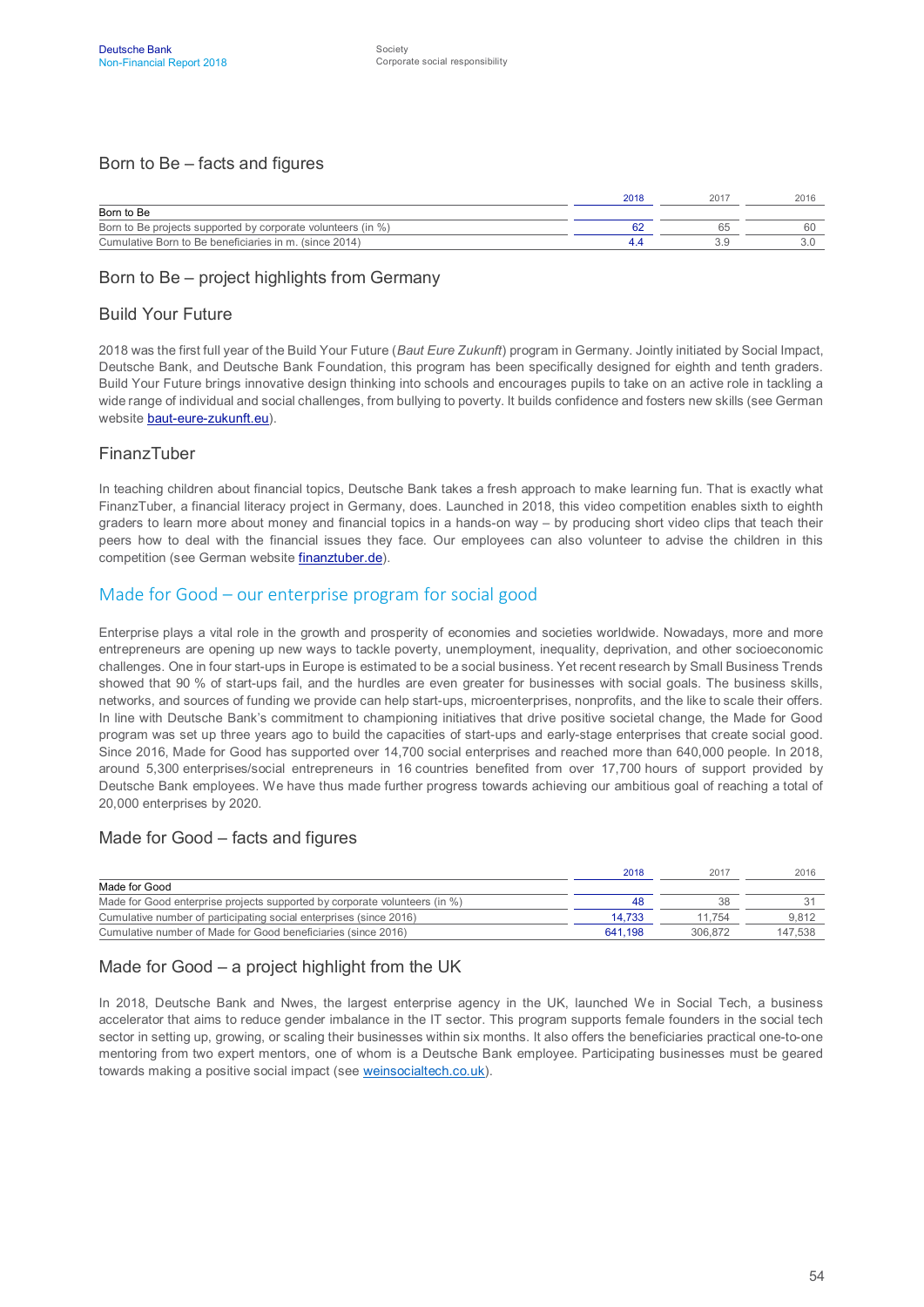#### Born to Be – facts and figures

|                                                              | 2018 | 201 | 2016 |
|--------------------------------------------------------------|------|-----|------|
| Born to Be                                                   |      |     |      |
| Born to Be projects supported by corporate volunteers (in %) |      |     | 60   |
| Cumulative Born to Be beneficiaries in m. (since 2014)       |      |     |      |

#### Born to Be – project highlights from Germany

#### Build Your Future

2018 was the first full year of the Build Your Future (*Baut Eure Zukunft*) program in Germany. Jointly initiated by Social Impact, Deutsche Bank, and Deutsche Bank Foundation, this program has been specifically designed for eighth and tenth graders. Build Your Future brings innovative design thinking into schools and encourages pupils to take on an active role in tackling a wide range of individual and social challenges, from bullying to poverty. It builds confidence and fosters new skills (see German website [baut-eure-zukunft.eu](https://baut-eure-zukunft.eu/)).

#### FinanzTuber

In teaching children about financial topics, Deutsche Bank takes a fresh approach to make learning fun. That is exactly what FinanzTuber, a financial literacy project in Germany, does. Launched in 2018, this video competition enables sixth to eighth graders to learn more about money and financial topics in a hands-on way – by producing short video clips that teach their peers how to deal with the financial issues they face. Our employees can also volunteer to advise the children in this competition (see German website [finanztuber.de\)](https://www.finanztuber.de/).

#### Made for Good – our enterprise program for social good

Enterprise plays a vital role in the growth and prosperity of economies and societies worldwide. Nowadays, more and more entrepreneurs are opening up new ways to tackle poverty, unemployment, inequality, deprivation, and other socioeconomic challenges. One in four start-ups in Europe is estimated to be a social business. Yet recent research by Small Business Trends showed that 90 % of start-ups fail, and the hurdles are even greater for businesses with social goals. The business skills, networks, and sources of funding we provide can help start-ups, microenterprises, nonprofits, and the like to scale their offers. In line with Deutsche Bank's commitment to championing initiatives that drive positive societal change, the Made for Good program was set up three years ago to build the capacities of start-ups and early-stage enterprises that create social good. Since 2016, Made for Good has supported over 14,700 social enterprises and reached more than 640,000 people. In 2018, around 5,300 enterprises/social entrepreneurs in 16 countries benefited from over 17,700 hours of support provided by Deutsche Bank employees. We have thus made further progress towards achieving our ambitious goal of reaching a total of 20,000 enterprises by 2020.

#### Made for Good – facts and figures

|                                                                            | 2018    | 2017    | 2016    |
|----------------------------------------------------------------------------|---------|---------|---------|
| Made for Good                                                              |         |         |         |
| Made for Good enterprise projects supported by corporate volunteers (in %) | 48      | 38      |         |
| Cumulative number of participating social enterprises (since 2016)         | 14.733  | 11.754  | 9.812   |
| Cumulative number of Made for Good beneficiaries (since 2016)              | 641.198 | 306.872 | 147.538 |

#### Made for Good – a project highlight from the UK

In 2018, Deutsche Bank and Nwes, the largest enterprise agency in the UK, launched We in Social Tech, a business accelerator that aims to reduce gender imbalance in the IT sector. This program supports female founders in the social tech sector in setting up, growing, or scaling their businesses within six months. It also offers the beneficiaries practical one-to-one mentoring from two expert mentors, one of whom is a Deutsche Bank employee. Participating businesses must be geared towards making a positive social impact (see [weinsocialtech.co.uk](http://www.weinsocialtech.co.uk/)).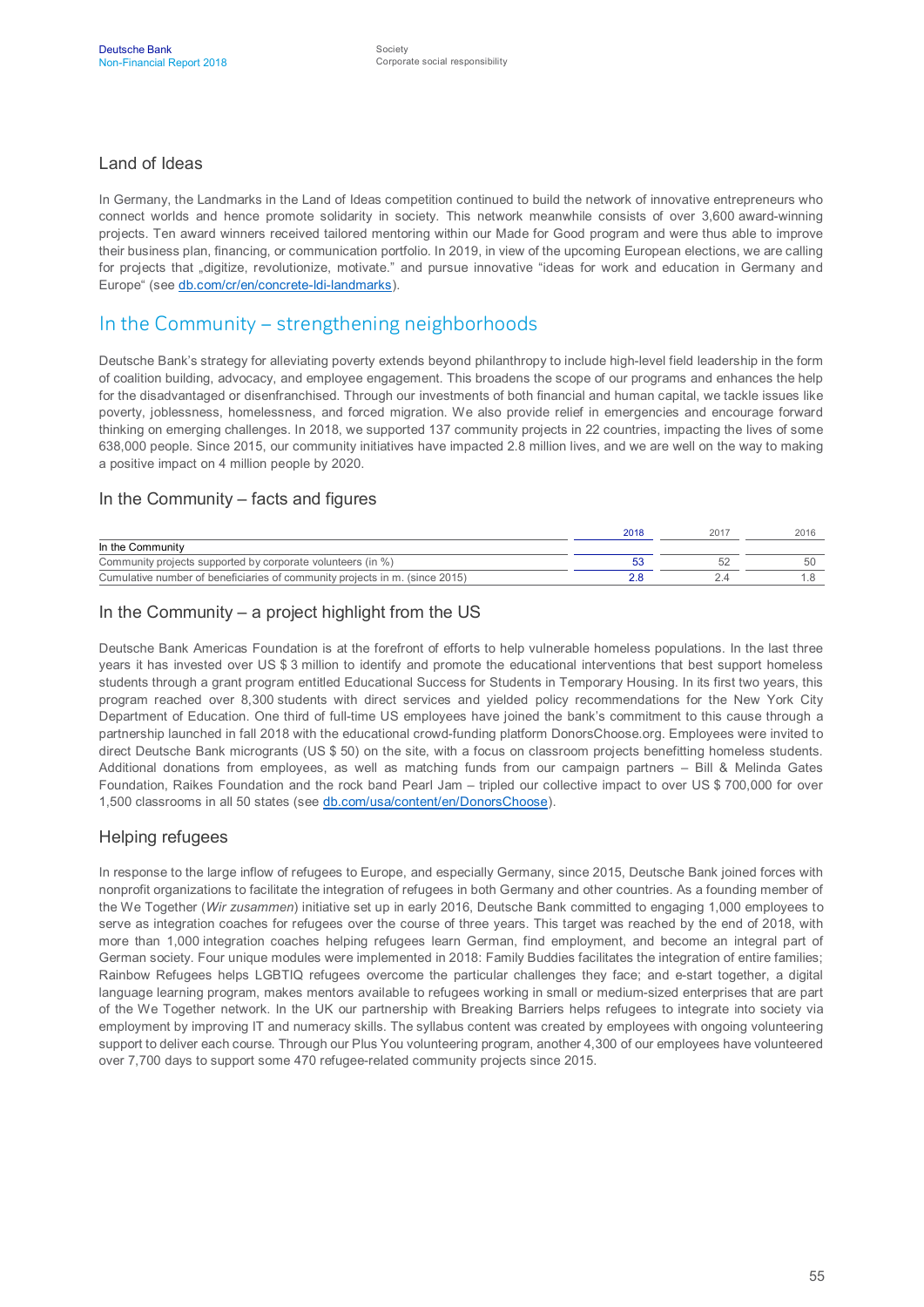#### Land of Ideas

In Germany, the Landmarks in the Land of Ideas competition continued to build the network of innovative entrepreneurs who connect worlds and hence promote solidarity in society. This network meanwhile consists of over 3,600 award-winning projects. Ten award winners received tailored mentoring within our Made for Good program and were thus able to improve their business plan, financing, or communication portfolio. In 2019, in view of the upcoming European elections, we are calling for projects that "digitize, revolutionize, motivate." and pursue innovative "ideas for work and education in Germany and Europe" (see [db.com/cr/en/concrete-ldi-landmarks\)](https://www.db.com/cr/en/concrete-ldi-landmarks.htm).

#### In the Community – strengthening neighborhoods

Deutsche Bank's strategy for alleviating poverty extends beyond philanthropy to include high-level field leadership in the form of coalition building, advocacy, and employee engagement. This broadens the scope of our programs and enhances the help for the disadvantaged or disenfranchised. Through our investments of both financial and human capital, we tackle issues like poverty, joblessness, homelessness, and forced migration. We also provide relief in emergencies and encourage forward thinking on emerging challenges. In 2018, we supported 137 community projects in 22 countries, impacting the lives of some 638,000 people. Since 2015, our community initiatives have impacted 2.8 million lives, and we are well on the way to making a positive impact on 4 million people by 2020.

#### In the Community – facts and figures

|                                                                             | 2018 | 201 | 2016 |
|-----------------------------------------------------------------------------|------|-----|------|
| In the Community                                                            |      |     |      |
| Community projects supported by corporate volunteers (in %)                 |      |     | 51   |
| Cumulative number of beneficiaries of community projects in m. (since 2015) |      |     |      |

#### In the Community – a project highlight from the US

Deutsche Bank Americas Foundation is at the forefront of efforts to help vulnerable homeless populations. In the last three years it has invested over US \$ 3 million to identify and promote the educational interventions that best support homeless students through a grant program entitled Educational Success for Students in Temporary Housing. In its first two years, this program reached over 8,300 students with direct services and yielded policy recommendations for the New York City Department of Education. One third of full-time US employees have joined the bank's commitment to this cause through a partnership launched in fall 2018 with the educational crowd-funding platform DonorsChoose.org. Employees were invited to direct Deutsche Bank microgrants (US \$ 50) on the site, with a focus on classroom projects benefitting homeless students. Additional donations from employees, as well as matching funds from our campaign partners – Bill & Melinda Gates Foundation, Raikes Foundation and the rock band Pearl Jam – tripled our collective impact to over US \$ 700,000 for over 1,500 classrooms in all 50 states (see [db.com/usa/content/en/DonorsChoose](https://www.db.com/usa/content/en/DonorsChoose.html)).

#### Helping refugees

In response to the large inflow of refugees to Europe, and especially Germany, since 2015, Deutsche Bank joined forces with nonprofit organizations to facilitate the integration of refugees in both Germany and other countries. As a founding member of the We Together (*Wir zusammen*) initiative set up in early 2016, Deutsche Bank committed to engaging 1,000 employees to serve as integration coaches for refugees over the course of three years. This target was reached by the end of 2018, with more than 1,000 integration coaches helping refugees learn German, find employment, and become an integral part of German society. Four unique modules were implemented in 2018: Family Buddies facilitates the integration of entire families; Rainbow Refugees helps LGBTIQ refugees overcome the particular challenges they face; and e-start together, a digital language learning program, makes mentors available to refugees working in small or medium-sized enterprises that are part of the We Together network. In the UK our partnership with Breaking Barriers helps refugees to integrate into society via employment by improving IT and numeracy skills. The syllabus content was created by employees with ongoing volunteering support to deliver each course. Through our Plus You volunteering program, another 4,300 of our employees have volunteered over 7,700 days to support some 470 refugee-related community projects since 2015.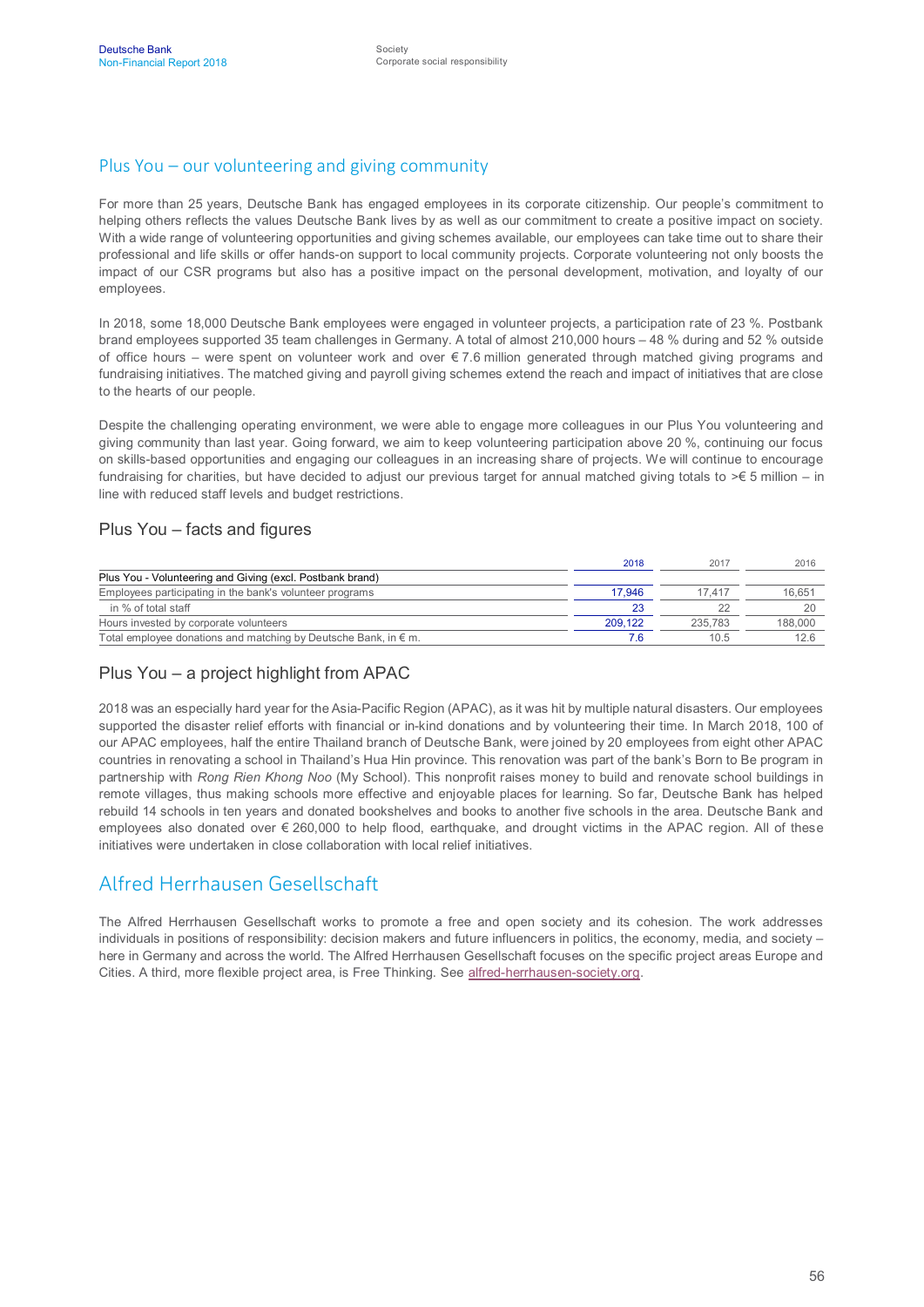#### Plus You – our volunteering and giving community

For more than 25 years, Deutsche Bank has engaged employees in its corporate citizenship. Our people's commitment to helping others reflects the values Deutsche Bank lives by as well as our commitment to create a positive impact on society. With a wide range of volunteering opportunities and giving schemes available, our employees can take time out to share their professional and life skills or offer hands-on support to local community projects. Corporate volunteering not only boosts the impact of our CSR programs but also has a positive impact on the personal development, motivation, and loyalty of our employees.

In 2018, some 18,000 Deutsche Bank employees were engaged in volunteer projects, a participation rate of 23 %. Postbank brand employees supported 35 team challenges in Germany. A total of almost 210,000 hours – 48 % during and 52 % outside of office hours – were spent on volunteer work and over  $\epsilon$  7.6 million generated through matched giving programs and fundraising initiatives. The matched giving and payroll giving schemes extend the reach and impact of initiatives that are close to the hearts of our people.

Despite the challenging operating environment, we were able to engage more colleagues in our Plus You volunteering and giving community than last year. Going forward, we aim to keep volunteering participation above 20 %, continuing our focus on skills-based opportunities and engaging our colleagues in an increasing share of projects. We will continue to encourage fundraising for charities, but have decided to adjust our previous target for annual matched giving totals to >€ 5 million – in line with reduced staff levels and budget restrictions.

#### Plus You – facts and figures

|                                                                          | 2018    | 2017    | 2016    |
|--------------------------------------------------------------------------|---------|---------|---------|
| Plus You - Volunteering and Giving (excl. Postbank brand)                |         |         |         |
| Employees participating in the bank's volunteer programs                 | 17.946  | 17417   | 16.651  |
| in % of total staff                                                      | 23      |         | 20      |
| Hours invested by corporate volunteers                                   | 209.122 | 235.783 | 188,000 |
| Total employee donations and matching by Deutsche Bank, in $\epsilon$ m. |         | 10.5    | 12.6    |

#### Plus You – a project highlight from APAC

2018 was an especially hard year for the Asia-Pacific Region (APAC), as it was hit by multiple natural disasters. Our employees supported the disaster relief efforts with financial or in-kind donations and by volunteering their time. In March 2018, 100 of our APAC employees, half the entire Thailand branch of Deutsche Bank, were joined by 20 employees from eight other APAC countries in renovating a school in Thailand's Hua Hin province. This renovation was part of the bank's Born to Be program in partnership with *Rong Rien Khong Noo* (My School). This nonprofit raises money to build and renovate school buildings in remote villages, thus making schools more effective and enjoyable places for learning. So far, Deutsche Bank has helped rebuild 14 schools in ten years and donated bookshelves and books to another five schools in the area. Deutsche Bank and employees also donated over € 260,000 to help flood, earthquake, and drought victims in the APAC region. All of these initiatives were undertaken in close collaboration with local relief initiatives.

#### Alfred Herrhausen Gesellschaft

The Alfred Herrhausen Gesellschaft works to promote a free and open society and its cohesion. The work addresses individuals in positions of responsibility: decision makers and future influencers in politics, the economy, media, and society – here in Germany and across the world. The Alfred Herrhausen Gesellschaft focuses on the specific project areas Europe and Cities. A third, more flexible project area, is Free Thinking. See [alfred-herrhausen-society.org.](https://www.alfred-herrhausen-society.org/index_en.htm)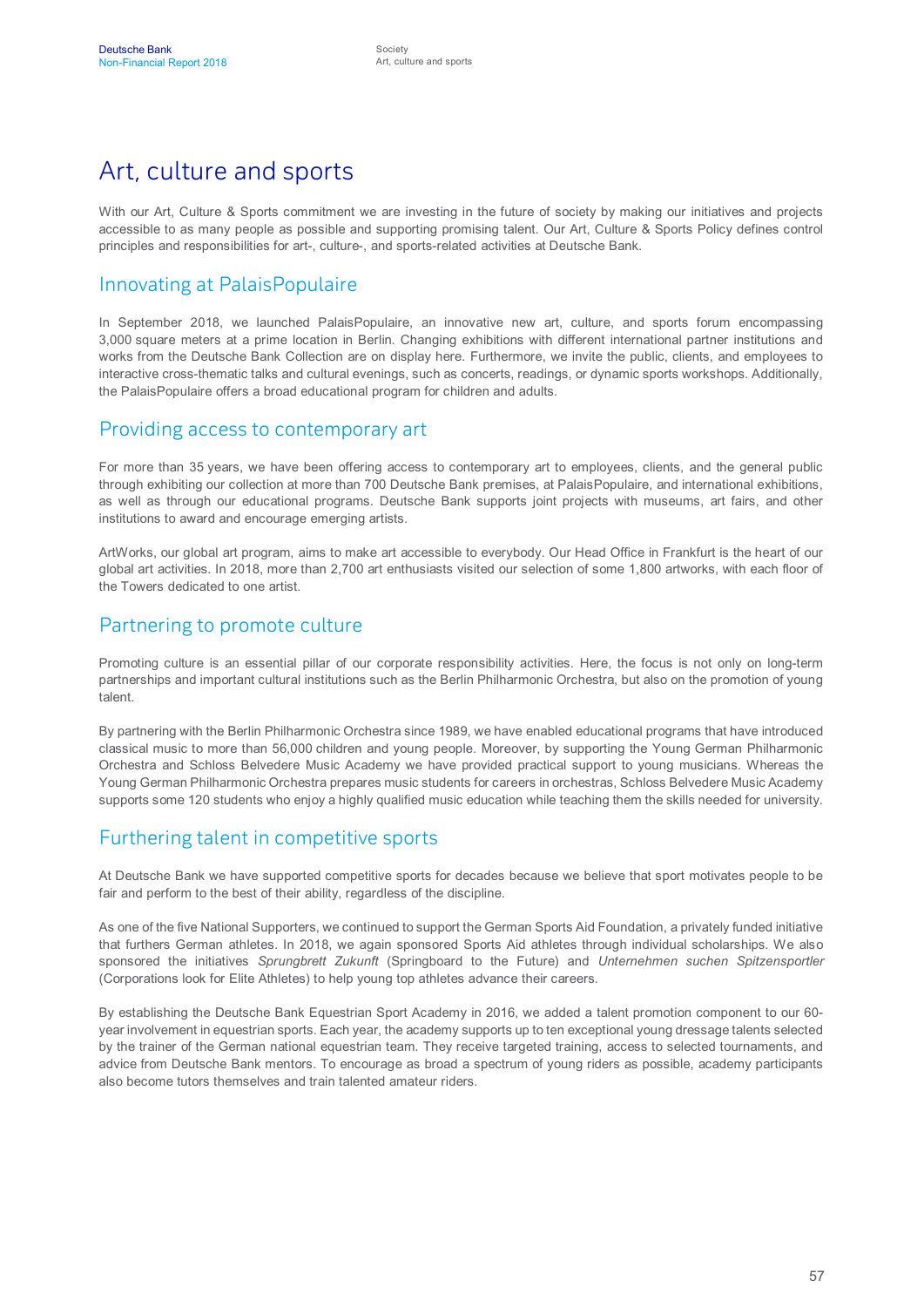# Art, culture and sports

With our Art, Culture & Sports commitment we are investing in the future of society by making our initiatives and projects accessible to as many people as possible and supporting promising talent. Our Art, Culture & Sports Policy defines control principles and responsibilities for art-, culture-, and sports-related activities at Deutsche Bank.

## Innovating at PalaisPopulaire

In September 2018, we launched PalaisPopulaire, an innovative new art, culture, and sports forum encompassing 3,000 square meters at a prime location in Berlin. Changing exhibitions with different international partner institutions and works from the Deutsche Bank Collection are on display here. Furthermore, we invite the public, clients, and employees to interactive cross-thematic talks and cultural evenings, such as concerts, readings, or dynamic sports workshops. Additionally, the PalaisPopulaire offers a broad educational program for children and adults.

#### Providing access to contemporary art

For more than 35 years, we have been offering access to contemporary art to employees, clients, and the general public through exhibiting our collection at more than 700 Deutsche Bank premises, at PalaisPopulaire, and international exhibitions, as well as through our educational programs. Deutsche Bank supports joint projects with museums, art fairs, and other institutions to award and encourage emerging artists.

ArtWorks, our global art program, aims to make art accessible to everybody. Our Head Office in Frankfurt is the heart of our global art activities. In 2018, more than 2,700 art enthusiasts visited our selection of some 1,800 artworks, with each floor of the Towers dedicated to one artist.

#### Partnering to promote culture

Promoting culture is an essential pillar of our corporate responsibility activities. Here, the focus is not only on long-term partnerships and important cultural institutions such as the Berlin Philharmonic Orchestra, but also on the promotion of young talent.

By partnering with the Berlin Philharmonic Orchestra since 1989, we have enabled educational programs that have introduced classical music to more than 56,000 children and young people. Moreover, by supporting the Young German Philharmonic Orchestra and Schloss Belvedere Music Academy we have provided practical support to young musicians. Whereas the Young German Philharmonic Orchestra prepares music students for careers in orchestras, Schloss Belvedere Music Academy supports some 120 students who enjoy a highly qualified music education while teaching them the skills needed for university.

## Furthering talent in competitive sports

At Deutsche Bank we have supported competitive sports for decades because we believe that sport motivates people to be fair and perform to the best of their ability, regardless of the discipline.

As one of the five National Supporters, we continued to support the German Sports Aid Foundation, a privately funded initiative that furthers German athletes. In 2018, we again sponsored Sports Aid athletes through individual scholarships. We also sponsored the initiatives *Sprungbrett Zukunft* (Springboard to the Future) and *Unternehmen suchen Spitzensportler* (Corporations look for Elite Athletes) to help young top athletes advance their careers.

By establishing the Deutsche Bank Equestrian Sport Academy in 2016, we added a talent promotion component to our 60 year involvement in equestrian sports. Each year, the academy supports up to ten exceptional young dressage talents selected by the trainer of the German national equestrian team. They receive targeted training, access to selected tournaments, and advice from Deutsche Bank mentors. To encourage as broad a spectrum of young riders as possible, academy participants also become tutors themselves and train talented amateur riders.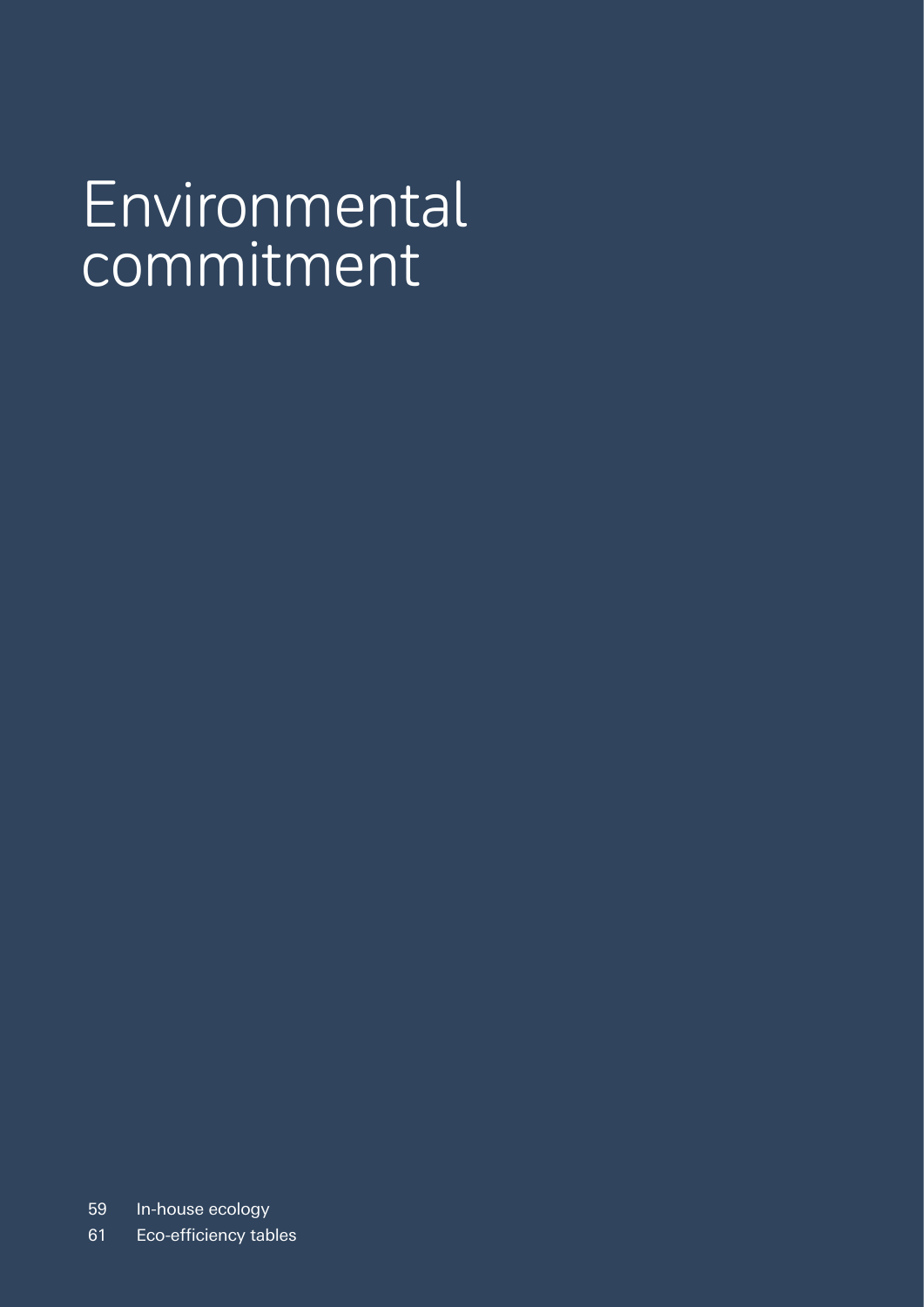# Environmental commitment

59 In-house ecology

61 Eco-efficiency tables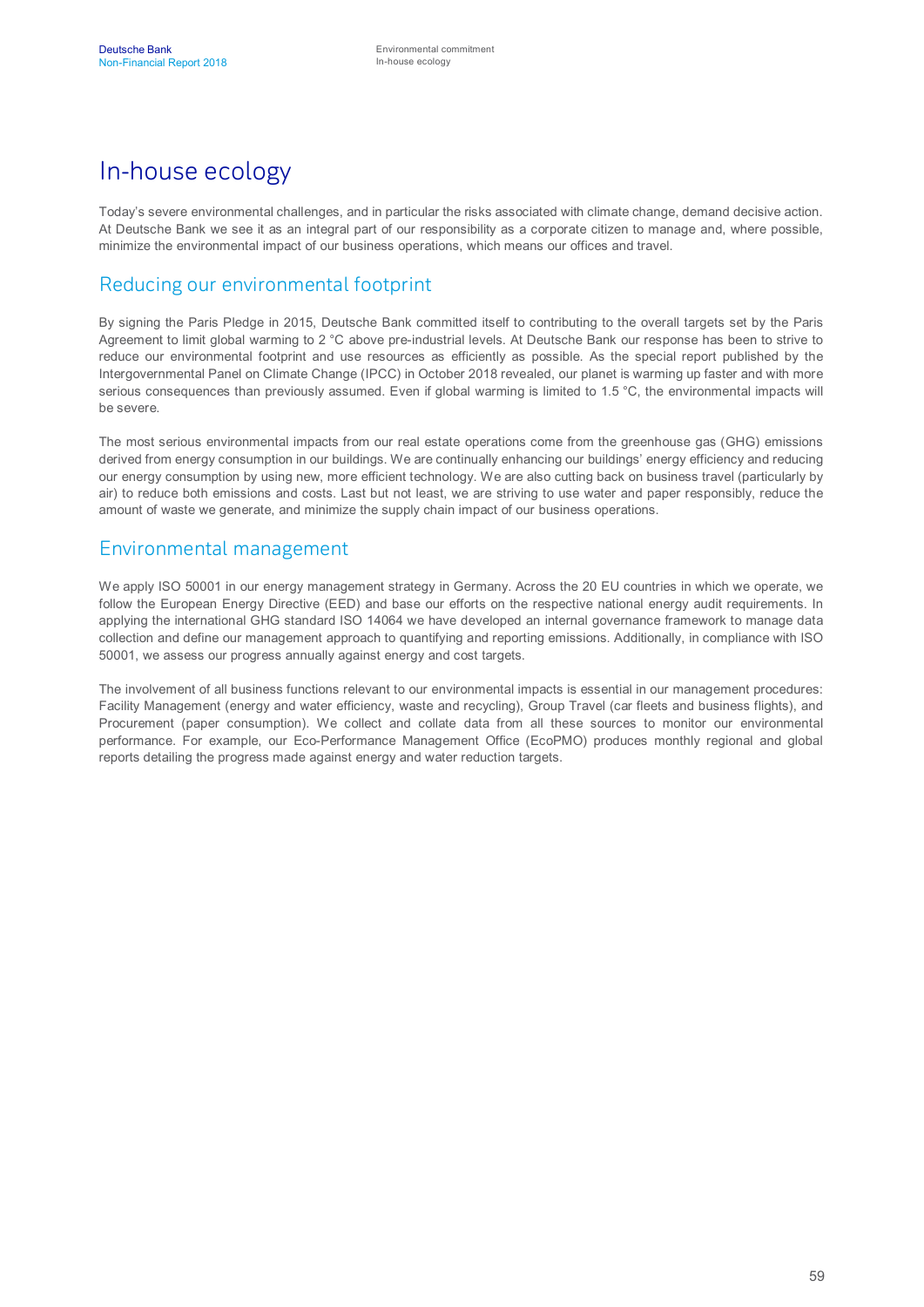## In-house ecology

Today's severe environmental challenges, and in particular the risks associated with climate change, demand decisive action. At Deutsche Bank we see it as an integral part of our responsibility as a corporate citizen to manage and, where possible, minimize the environmental impact of our business operations, which means our offices and travel.

## Reducing our environmental footprint

By signing the Paris Pledge in 2015, Deutsche Bank committed itself to contributing to the overall targets set by the Paris Agreement to limit global warming to 2 °C above pre-industrial levels. At Deutsche Bank our response has been to strive to reduce our environmental footprint and use resources as efficiently as possible. As the special report published by the Intergovernmental Panel on Climate Change (IPCC) in October 2018 revealed, our planet is warming up faster and with more serious consequences than previously assumed. Even if global warming is limited to 1.5 °C, the environmental impacts will be severe.

The most serious environmental impacts from our real estate operations come from the greenhouse gas (GHG) emissions derived from energy consumption in our buildings. We are continually enhancing our buildings' energy efficiency and reducing our energy consumption by using new, more efficient technology. We are also cutting back on business travel (particularly by air) to reduce both emissions and costs. Last but not least, we are striving to use water and paper responsibly, reduce the amount of waste we generate, and minimize the supply chain impact of our business operations.

#### Environmental management

We apply ISO 50001 in our energy management strategy in Germany. Across the 20 EU countries in which we operate, we follow the European Energy Directive (EED) and base our efforts on the respective national energy audit requirements. In applying the international GHG standard ISO 14064 we have developed an internal governance framework to manage data collection and define our management approach to quantifying and reporting emissions. Additionally, in compliance with ISO 50001, we assess our progress annually against energy and cost targets.

The involvement of all business functions relevant to our environmental impacts is essential in our management procedures: Facility Management (energy and water efficiency, waste and recycling), Group Travel (car fleets and business flights), and Procurement (paper consumption). We collect and collate data from all these sources to monitor our environmental performance. For example, our Eco-Performance Management Office (EcoPMO) produces monthly regional and global reports detailing the progress made against energy and water reduction targets.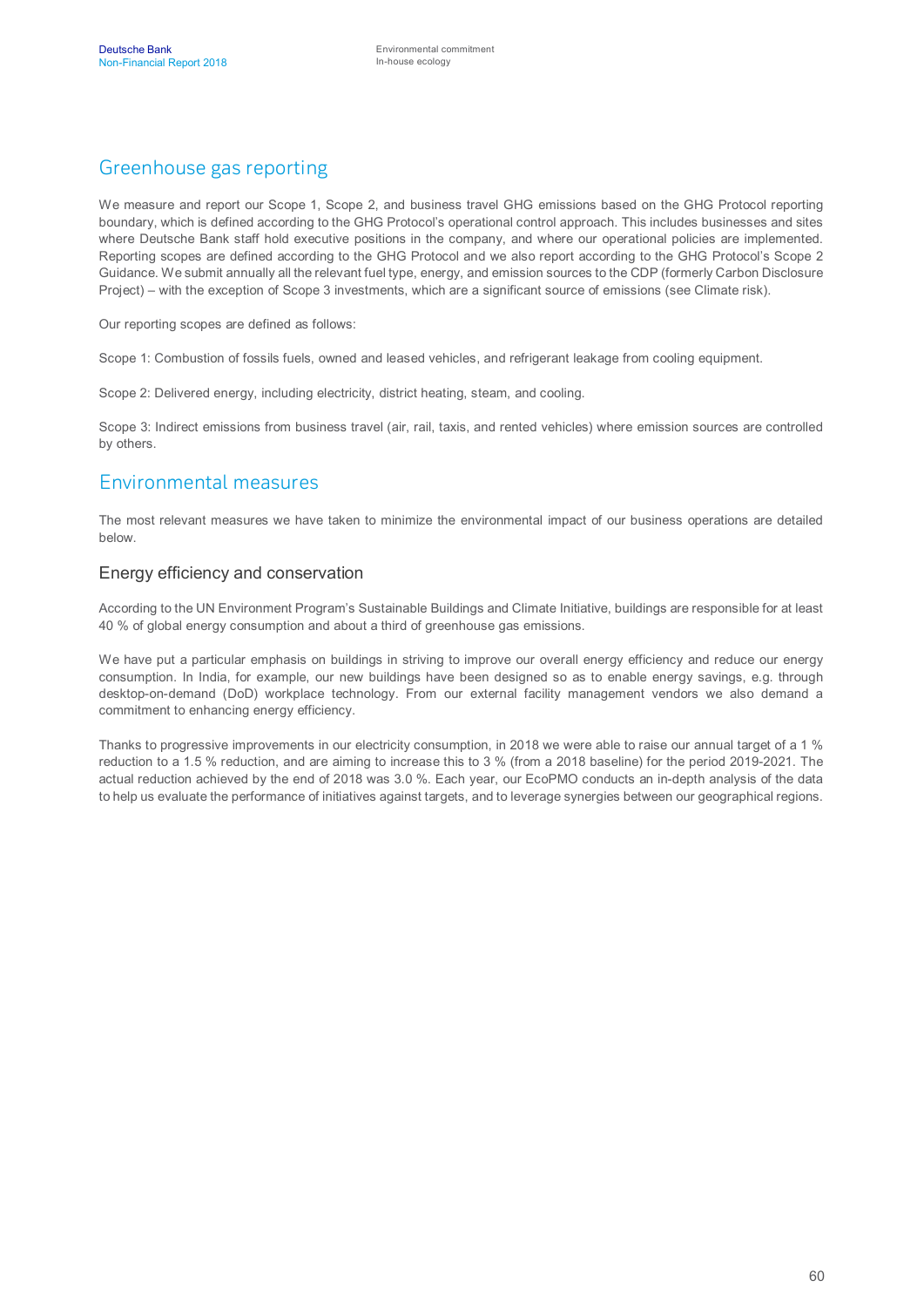### Greenhouse gas reporting

We measure and report our Scope 1, Scope 2, and business travel GHG emissions based on the GHG Protocol reporting boundary, which is defined according to the GHG Protocol's operational control approach. This includes businesses and sites where Deutsche Bank staff hold executive positions in the company, and where our operational policies are implemented. Reporting scopes are defined according to the GHG Protocol and we also report according to the GHG Protocol's Scope 2 Guidance. We submit annually all the relevant fuel type, energy, and emission sources to the CDP (formerly Carbon Disclosure Project) – with the exception of Scope 3 investments, which are a significant source of emissions (see Climate risk).

Our reporting scopes are defined as follows:

Scope 1: Combustion of fossils fuels, owned and leased vehicles, and refrigerant leakage from cooling equipment.

Scope 2: Delivered energy, including electricity, district heating, steam, and cooling.

Scope 3: Indirect emissions from business travel (air, rail, taxis, and rented vehicles) where emission sources are controlled by others.

#### Environmental measures

The most relevant measures we have taken to minimize the environmental impact of our business operations are detailed below.

#### Energy efficiency and conservation

According to the UN Environment Program's Sustainable Buildings and Climate Initiative, buildings are responsible for at least 40 % of global energy consumption and about a third of greenhouse gas emissions.

We have put a particular emphasis on buildings in striving to improve our overall energy efficiency and reduce our energy consumption. In India, for example, our new buildings have been designed so as to enable energy savings, e.g. through desktop-on-demand (DoD) workplace technology. From our external facility management vendors we also demand a commitment to enhancing energy efficiency.

Thanks to progressive improvements in our electricity consumption, in 2018 we were able to raise our annual target of a 1 % reduction to a 1.5 % reduction, and are aiming to increase this to 3 % (from a 2018 baseline) for the period 2019-2021. The actual reduction achieved by the end of 2018 was 3.0 %. Each year, our EcoPMO conducts an in-depth analysis of the data to help us evaluate the performance of initiatives against targets, and to leverage synergies between our geographical regions.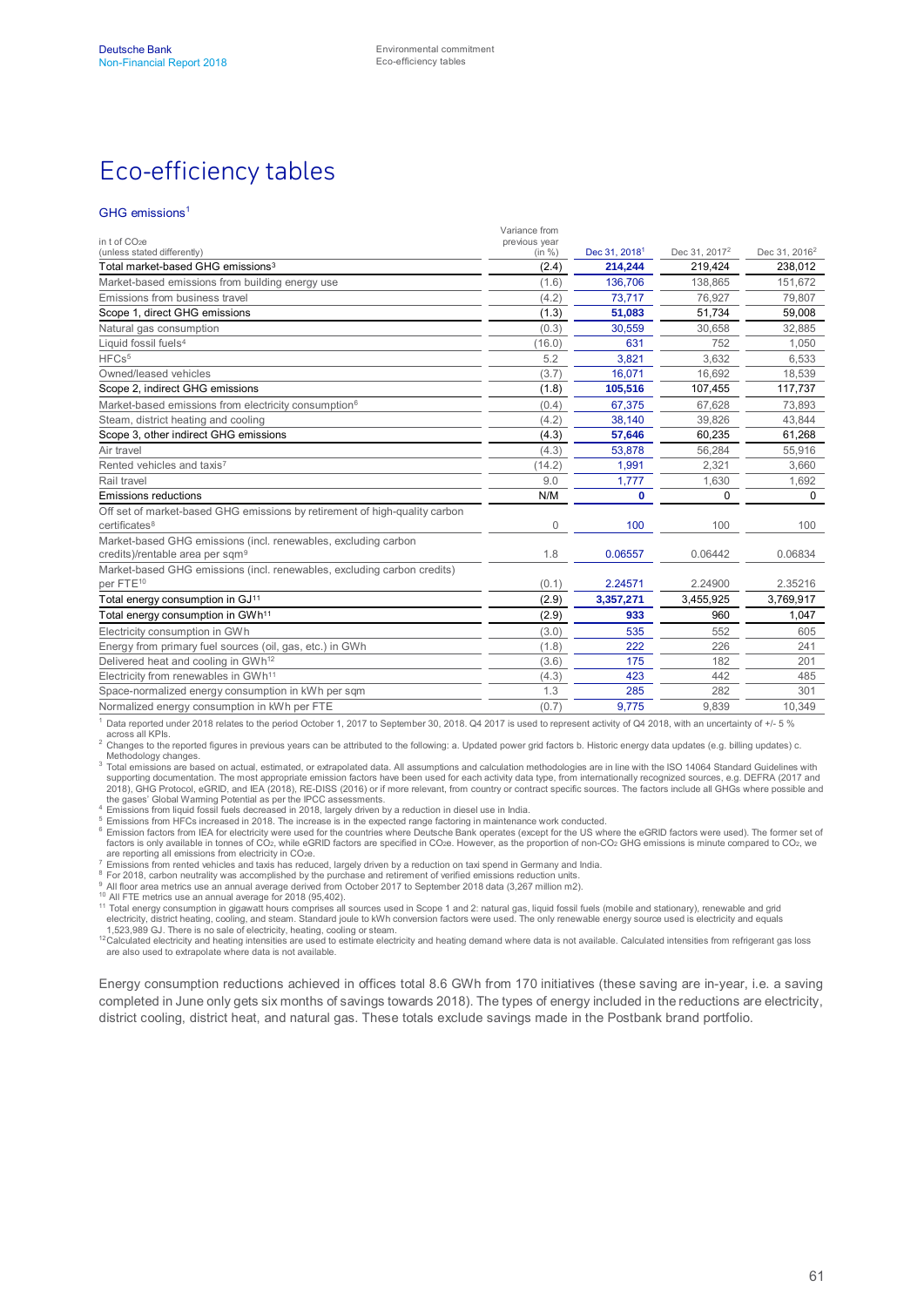# Eco-efficiency tables

#### GHG emissions<sup>1</sup>

| in t of CO <sub>2</sub> e                                                                                     | Variance from<br>previous year |                           |                           |                           |
|---------------------------------------------------------------------------------------------------------------|--------------------------------|---------------------------|---------------------------|---------------------------|
| (unless stated differently)                                                                                   | (in %)                         | Dec 31, 2018 <sup>1</sup> | Dec 31, 2017 <sup>2</sup> | Dec 31, 2016 <sup>2</sup> |
| Total market-based GHG emissions <sup>3</sup>                                                                 | (2.4)                          | 214,244                   | 219,424                   | 238,012                   |
| Market-based emissions from building energy use                                                               | (1.6)                          | 136.706                   | 138.865                   | 151.672                   |
| Emissions from business travel                                                                                | (4.2)                          | 73,717                    | 76,927                    | 79,807                    |
| Scope 1, direct GHG emissions                                                                                 | (1.3)                          | 51,083                    | 51,734                    | 59,008                    |
| Natural gas consumption                                                                                       | (0.3)                          | 30,559                    | 30,658                    | 32,885                    |
| Liquid fossil fuels <sup>4</sup>                                                                              | (16.0)                         | 631                       | 752                       | 1,050                     |
| HFCs <sup>5</sup>                                                                                             | 5.2                            | 3,821                     | 3.632                     | 6,533                     |
| Owned/leased vehicles                                                                                         | (3.7)                          | 16.071                    | 16,692                    | 18,539                    |
| Scope 2, indirect GHG emissions                                                                               | (1.8)                          | 105,516                   | 107,455                   | 117,737                   |
| Market-based emissions from electricity consumption <sup>6</sup>                                              | (0.4)                          | 67.375                    | 67,628                    | 73.893                    |
| Steam, district heating and cooling                                                                           | (4.2)                          | 38,140                    | 39,826                    | 43,844                    |
| Scope 3, other indirect GHG emissions                                                                         | (4.3)                          | 57,646                    | 60,235                    | 61,268                    |
| Air travel                                                                                                    | (4.3)                          | 53.878                    | 56.284                    | 55.916                    |
| Rented vehicles and taxis7                                                                                    | (14.2)                         | 1,991                     | 2,321                     | 3,660                     |
| Rail travel                                                                                                   | 9.0                            | 1,777                     | 1,630                     | 1,692                     |
| <b>Emissions reductions</b>                                                                                   | N/M                            | $\bf{0}$                  | $\Omega$                  | 0                         |
| Off set of market-based GHG emissions by retirement of high-quality carbon<br>certificates <sup>8</sup>       | $\mathbf{0}$                   | 100                       | 100                       | 100                       |
| Market-based GHG emissions (incl. renewables, excluding carbon<br>credits)/rentable area per sqm <sup>9</sup> | 1.8                            | 0.06557                   | 0.06442                   | 0.06834                   |
| Market-based GHG emissions (incl. renewables, excluding carbon credits)<br>per FTE <sup>10</sup>              | (0.1)                          | 2.24571                   | 2.24900                   | 2.35216                   |
| Total energy consumption in GJ <sup>11</sup>                                                                  | (2.9)                          | 3,357,271                 | 3,455,925                 | 3,769,917                 |
| Total energy consumption in GWh <sup>11</sup>                                                                 | (2.9)                          | 933                       | 960                       | 1.047                     |
| Electricity consumption in GWh                                                                                | (3.0)                          | 535                       | 552                       | 605                       |
| Energy from primary fuel sources (oil, gas, etc.) in GWh                                                      | (1.8)                          | 222                       | 226                       | 241                       |
| Delivered heat and cooling in GWh <sup>12</sup>                                                               | (3.6)                          | 175                       | 182                       | 201                       |
| Electricity from renewables in GWh <sup>11</sup>                                                              | (4.3)                          | 423                       | 442                       | 485                       |
| Space-normalized energy consumption in kWh per sqm                                                            | 1.3                            | 285                       | 282                       | 301                       |
| Normalized energy consumption in kWh per FTE                                                                  | (0.7)                          | 9,775                     | 9,839                     | 10,349                    |

 $^1$  Data reported under 2018 relates to the period October 1, 2017 to September 30, 2018. Q4 2017 is used to represent activity of Q4 2018, with an uncertainty of +/- 5 %

across all KPIs.<br><sup>2</sup> Changes to the reported figures in previous years can be attributed to the following: a. Updated power grid factors b. Historic energy data updates (e.g. billing updates) c. Methodology changes.

 $3$  Total emissions are based on actual, estimated, or extrapolated data. All assumptions and calculation methodologies are in line with the ISO 14064 Standard Guidelines with supporting documentation. The most appropriate emission factors have been used for each activity data type, from internationally recognized sources, e.g. DEFRA (2017 and<br>2018), GHG Protocol, eGRID, and IEA (2018), RE-DISS

the gases' Global Warming Potential as per the IPCC assessments. 4 Emissions from liquid fossil fuels decreased in 2018, largely driven by a reduction in diesel use in India.

<sup>5</sup> Emissions from HFCs increased in 2018. The increase is in the expected range factoring in maintenance work conducted.<br><sup>6</sup> Emission factors from IEA for electricity were used for the countries where Deutsche Bank opera are reporting all emissions from electricity in CO2e.

7 Emissions from rented vehicles and taxis has reduced, largely driven by a reduction on taxi spend in Germany and India.<br><sup>8</sup> For 2018, carbon neutrality was accomplished by the purchase and retirement of verified emission

<sup>9</sup> All floor area metrics use an annual average derived from October 2017 to September 2018 data (3,267 million m2).<br><sup>10</sup> All FTE metrics use an annual average for 2018 (95,402).

11 Total energy consumption in gigawatt hours comprises all sources used in Scope 1 and 2: natural gas, liquid fossil fuels (mobile and stationary), renewable and grid 11 Total energy consumption in gigawatt hours comprise electricity, district heating, cooling, and steam. Standard joule to kWh conversion factors were used. The only renewable energy source used is electricity and equals

1,523,989 GJ. There is no sale of electricity, heating, cooling or steam.<br><sup>12</sup>Calculated electricity and heating intensities are used to estimate electricity and heating demand where data is not available. Calculated inten are also used to extrapolate where data is not available.

Energy consumption reductions achieved in offices total 8.6 GWh from 170 initiatives (these saving are in-year, i.e. a saving completed in June only gets six months of savings towards 2018). The types of energy included in the reductions are electricity, district cooling, district heat, and natural gas. These totals exclude savings made in the Postbank brand portfolio.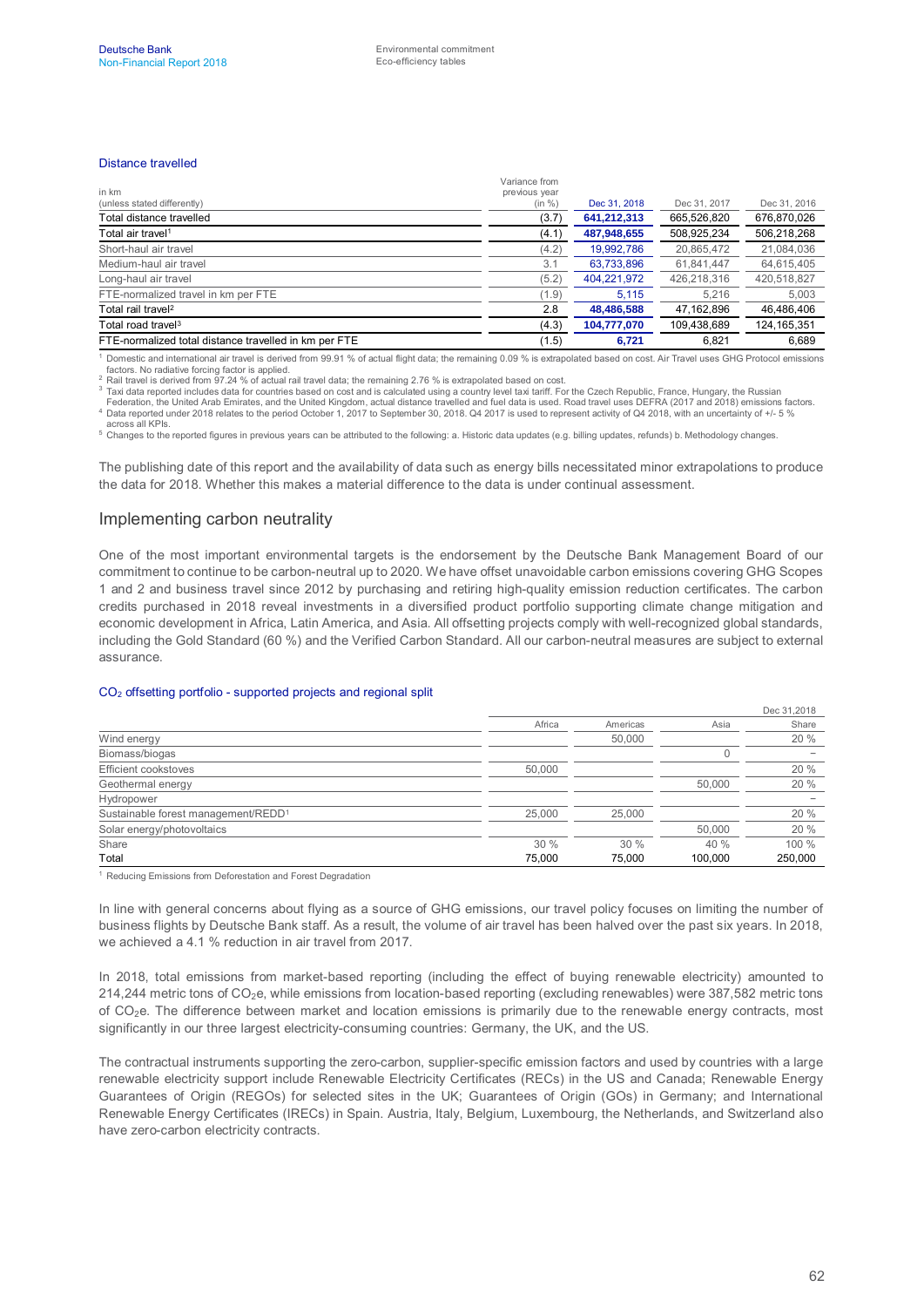#### Distance travelled

| in km                                                 | Variance from<br>previous year |              |              |               |
|-------------------------------------------------------|--------------------------------|--------------|--------------|---------------|
| (unless stated differently)                           | (in %)                         | Dec 31, 2018 | Dec 31, 2017 | Dec 31, 2016  |
| Total distance travelled                              | (3.7)                          | 641,212,313  | 665,526,820  | 676,870,026   |
| Total air travel <sup>1</sup>                         | (4.1)                          | 487,948,655  | 508.925.234  | 506,218,268   |
| Short-haul air travel                                 | (4.2)                          | 19,992,786   | 20,865,472   | 21,084,036    |
| Medium-haul air travel                                | 3.1                            | 63,733,896   | 61,841,447   | 64,615,405    |
| Long-haul air travel                                  | (5.2)                          | 404,221,972  | 426,218,316  | 420,518,827   |
| FTE-normalized travel in km per FTE                   | (1.9)                          | 5.115        | 5.216        | 5,003         |
| Total rail travel <sup>2</sup>                        | 2.8                            | 48,486,588   | 47,162,896   | 46,486,406    |
| Total road travel <sup>3</sup>                        | (4.3)                          | 104,777,070  | 109,438,689  | 124, 165, 351 |
| FTE-normalized total distance travelled in km per FTE | (1.5)                          | 6,721        | 6.821        | 6,689         |

<sup>1</sup> Domestic and international air travel is derived from 99.91 % of actual flight data; the remaining 0.09 % is extrapolated based on cost. Air Travel uses GHG Protocol emissions

factors. No radiative forcing factor is applied. Rail travel is derived from 97.24 % of actual rail travel data; the remaining 2.76 % is extrapolated based on cost.

 $3$  Taxi data reported includes data for countries based on cost and is calculated using a country level taxi tariff. For the Czech Republic, France, Hungary, the Russian

Federation, the United Arab Emirates, and the United Kingdom, actual distance travelled and fuel data is used. Road travel uses DEFRA (2017 and 2018) emissions factors.<br>"Data reported under 2018 relates to the period Octob

across all KPIs.<br><sup>5</sup> Changes to the reported figures in previous years can be attributed to the following: a. Historic data updates (e.g. billing updates, refunds) b. Methodology changes.

The publishing date of this report and the availability of data such as energy bills necessitated minor extrapolations to produce the data for 2018. Whether this makes a material difference to the data is under continual assessment.

#### Implementing carbon neutrality

One of the most important environmental targets is the endorsement by the Deutsche Bank Management Board of our commitment to continue to be carbon-neutral up to 2020. We have offset unavoidable carbon emissions covering GHG Scopes 1 and 2 and business travel since 2012 by purchasing and retiring high-quality emission reduction certificates. The carbon credits purchased in 2018 reveal investments in a diversified product portfolio supporting climate change mitigation and economic development in Africa, Latin America, and Asia. All offsetting projects comply with well-recognized global standards, including the Gold Standard (60 %) and the Verified Carbon Standard. All our carbon-neutral measures are subject to external assurance.

#### CO2 offsetting portfolio - supported projects and regional split

|                                                 |        |          |         | Dec 31,2018              |
|-------------------------------------------------|--------|----------|---------|--------------------------|
|                                                 | Africa | Americas | Asia    | Share                    |
| Wind energy                                     |        | 50,000   |         | 20 %                     |
| Biomass/biogas                                  |        |          |         | -                        |
| Efficient cookstoves                            | 50,000 |          |         | 20%                      |
| Geothermal energy                               |        |          | 50,000  | 20 %                     |
| Hydropower                                      |        |          |         | $\overline{\phantom{0}}$ |
| Sustainable forest management/REDD <sup>1</sup> | 25,000 | 25,000   |         | 20 %                     |
| Solar energy/photovoltaics                      |        |          | 50,000  | 20 %                     |
| Share                                           | 30%    | 30%      | 40 %    | 100 %                    |
| Total                                           | 75.000 | 75.000   | 100.000 | 250,000                  |

<sup>1</sup> Reducing Emissions from Deforestation and Forest Degradation

In line with general concerns about flying as a source of GHG emissions, our travel policy focuses on limiting the number of business flights by Deutsche Bank staff. As a result, the volume of air travel has been halved over the past six years. In 2018, we achieved a 4.1 % reduction in air travel from 2017.

In 2018, total emissions from market-based reporting (including the effect of buying renewable electricity) amounted to 214,244 metric tons of CO<sub>2</sub>e, while emissions from location-based reporting (excluding renewables) were 387,582 metric tons of  $CO<sub>2</sub>e$ . The difference between market and location emissions is primarily due to the renewable energy contracts, most significantly in our three largest electricity-consuming countries: Germany, the UK, and the US.

The contractual instruments supporting the zero-carbon, supplier-specific emission factors and used by countries with a large renewable electricity support include Renewable Electricity Certificates (RECs) in the US and Canada; Renewable Energy Guarantees of Origin (REGOs) for selected sites in the UK; Guarantees of Origin (GOs) in Germany; and International Renewable Energy Certificates (IRECs) in Spain. Austria, Italy, Belgium, Luxembourg, the Netherlands, and Switzerland also have zero-carbon electricity contracts.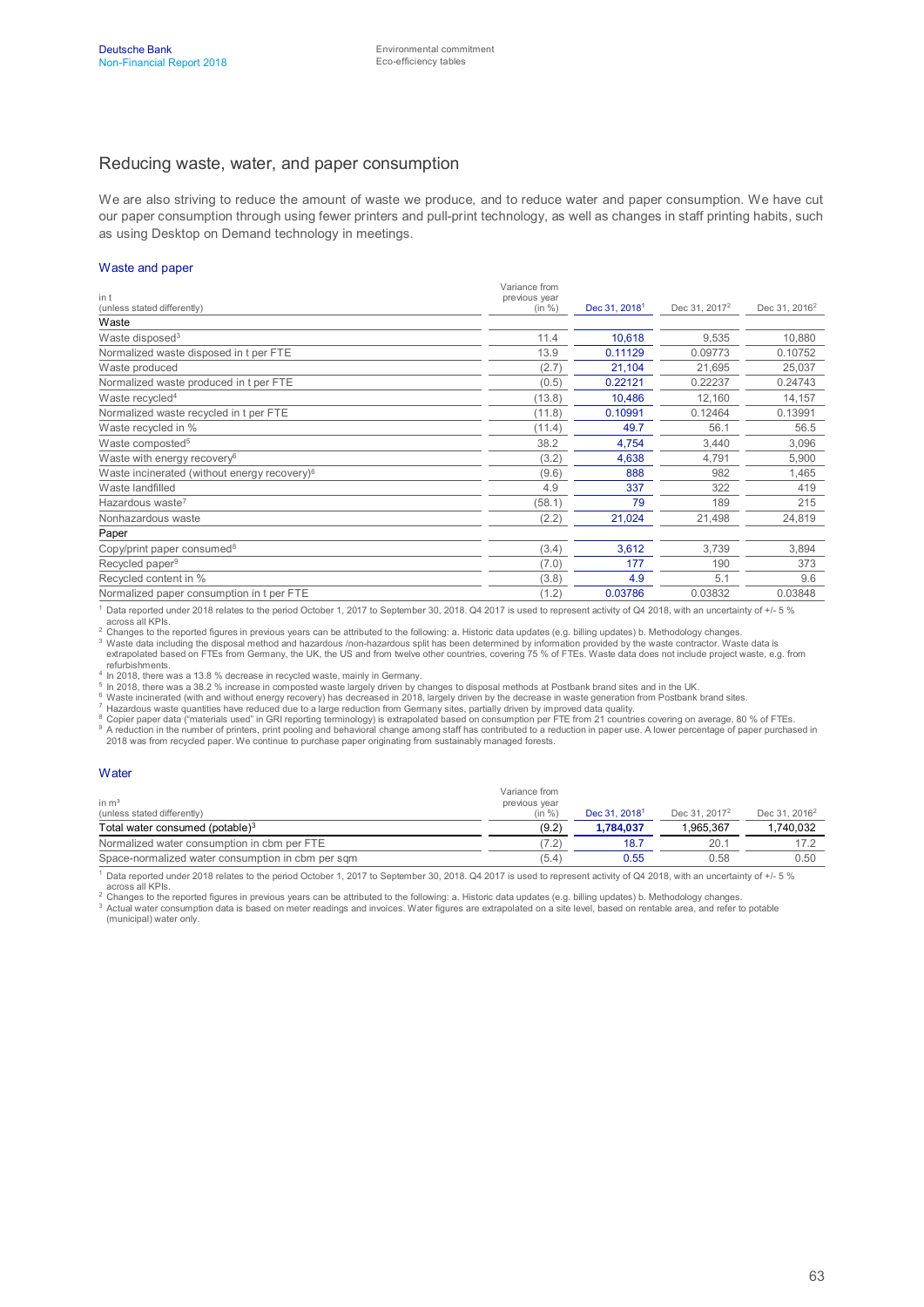#### Reducing waste, water, and paper consumption

We are also striving to reduce the amount of waste we produce, and to reduce water and paper consumption. We have cut our paper consumption through using fewer printers and pull-print technology, as well as changes in staff printing habits, such as using Desktop on Demand technology in meetings.

#### Waste and paper

|                                                          | Variance from           |                           |                           |                           |
|----------------------------------------------------------|-------------------------|---------------------------|---------------------------|---------------------------|
| in t<br>(unless stated differently)                      | previous year<br>(in %) | Dec 31, 2018 <sup>1</sup> | Dec 31, 2017 <sup>2</sup> | Dec 31, 2016 <sup>2</sup> |
| Waste                                                    |                         |                           |                           |                           |
| Waste disposed <sup>3</sup>                              | 11.4                    | 10.618                    | 9,535                     | 10,880                    |
| Normalized waste disposed in t per FTE                   | 13.9                    | 0.11129                   | 0.09773                   | 0.10752                   |
| Waste produced                                           | (2.7)                   | 21,104                    | 21,695                    | 25,037                    |
| Normalized waste produced in t per FTE                   | (0.5)                   | 0.22121                   | 0.22237                   | 0.24743                   |
| Waste recycled <sup>4</sup>                              | (13.8)                  | 10,486                    | 12,160                    | 14,157                    |
| Normalized waste recycled in t per FTE                   | (11.8)                  | 0.10991                   | 0.12464                   | 0.13991                   |
| Waste recycled in %                                      | (11.4)                  | 49.7                      | 56.1                      | 56.5                      |
| Waste composted <sup>5</sup>                             | 38.2                    | 4,754                     | 3,440                     | 3,096                     |
| Waste with energy recovery <sup>6</sup>                  | (3.2)                   | 4,638                     | 4,791                     | 5,900                     |
| Waste incinerated (without energy recovery) <sup>6</sup> | (9.6)                   | 888                       | 982                       | 1,465                     |
| Waste landfilled                                         | 4.9                     | 337                       | 322                       | 419                       |
| Hazardous waste <sup>7</sup>                             | (58.1)                  | 79                        | 189                       | 215                       |
| Nonhazardous waste                                       | (2.2)                   | 21,024                    | 21,498                    | 24,819                    |
| Paper                                                    |                         |                           |                           |                           |
| Copy/print paper consumed <sup>8</sup>                   | (3.4)                   | 3,612                     | 3,739                     | 3,894                     |
| Recycled paper <sup>9</sup>                              | (7.0)                   | 177                       | 190                       | 373                       |
| Recycled content in %                                    | (3.8)                   | 4.9                       | 5.1                       | 9.6                       |
| Normalized paper consumption in t per FTE                | (1.2)                   | 0.03786                   | 0.03832                   | 0.03848                   |

<sup>1</sup> Data reported under 2018 relates to the period October 1, 2017 to September 30, 2018. Q4 2017 is used to represent activity of Q4 2018, with an uncertainty of +/- 5 %

across all KPIs.<br><sup>2</sup> Changes to the reported figures in previous years can be attributed to the following: a. Historic data updates (e.g. billing updates) b. Methodology changes.

<sup>3</sup> Waste data including the disposal method and hazardous /non-hazardous split has been determined by information provided by the waste contractor. Waste data is<br>extrapolated based on FTEs from Germany, the UK, the US and refurbishments.

4 In 2018, there was a 13.8 % decrease in recycled waste, mainly in Germany.

<sup>5</sup> In 2018, there was a 38.2 % increase in composted waste largely driven by changes to disposal methods at Postbank brand sites and in the UK.<br><sup>6</sup> Waste incinerated (with and without energy recovery) has decreased in 201

7 Hazardous waste quantities have reduced due to a large reduction from Germany sites, partially driven by improved data quality.<br><sup>8</sup> Copier paper data ("materials used" in GRI reporting terminology) is extrapolated based <sup>9</sup> A reduction in the number of printers, print pooling and behavioral change among staff has contributed to a reduction in paper use. A lower percentage of paper purchased in<br>2018 was from recycled paper. We continue to

#### **Water**

| in $m3$<br>(unless stated differently)            | Variance from<br>previous year<br>(in %) | Dec 31, 2018 <sup>1</sup> | Dec 31, 2017 <sup>2</sup> | Dec 31, 2016 <sup>2</sup> |
|---------------------------------------------------|------------------------------------------|---------------------------|---------------------------|---------------------------|
| Total water consumed (potable) <sup>3</sup>       | (9.2)                                    | 1.784.037                 | 1.965.367                 | 1.740.032                 |
| Normalized water consumption in cbm per FTE       | 7.2                                      | 18.7                      | 20.1                      | 17.2                      |
| Space-normalized water consumption in cbm per sqm | (5.4)                                    | 0.55                      | 0.58                      | 0.50                      |

 $^1$  Data reported under 2018 relates to the period October 1, 2017 to September 30, 2018. Q4 2017 is used to represent activity of Q4 2018, with an uncertainty of +/- 5 %

across all KPIs.<br><sup>2</sup> Changes to the reported figures in previous years can be attributed to the following: a. Historic data updates (e.g. billing updates) b. Methodology changes.  $3$  Actual water consumption data is based on meter readings and invoices. Water figures are extrapolated on a site level, based on rentable area, and refer to potable (municipal) water only.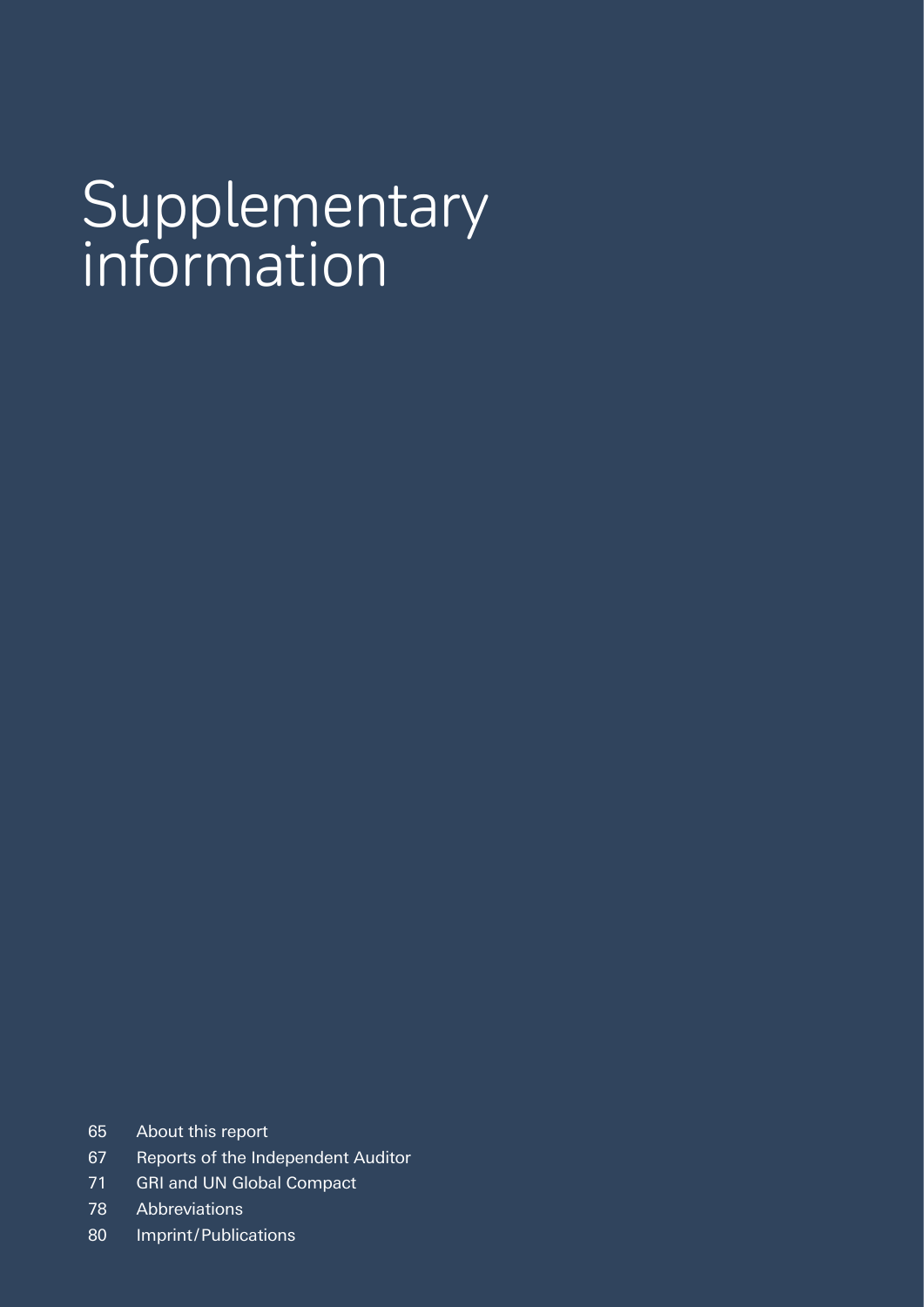# Supplementary information

- 65 About this report
- 67 Reports of the Independent Auditor
- 71 GRI and UN Global Compact
- 78 Abbreviations
- 80 Imprint/Publications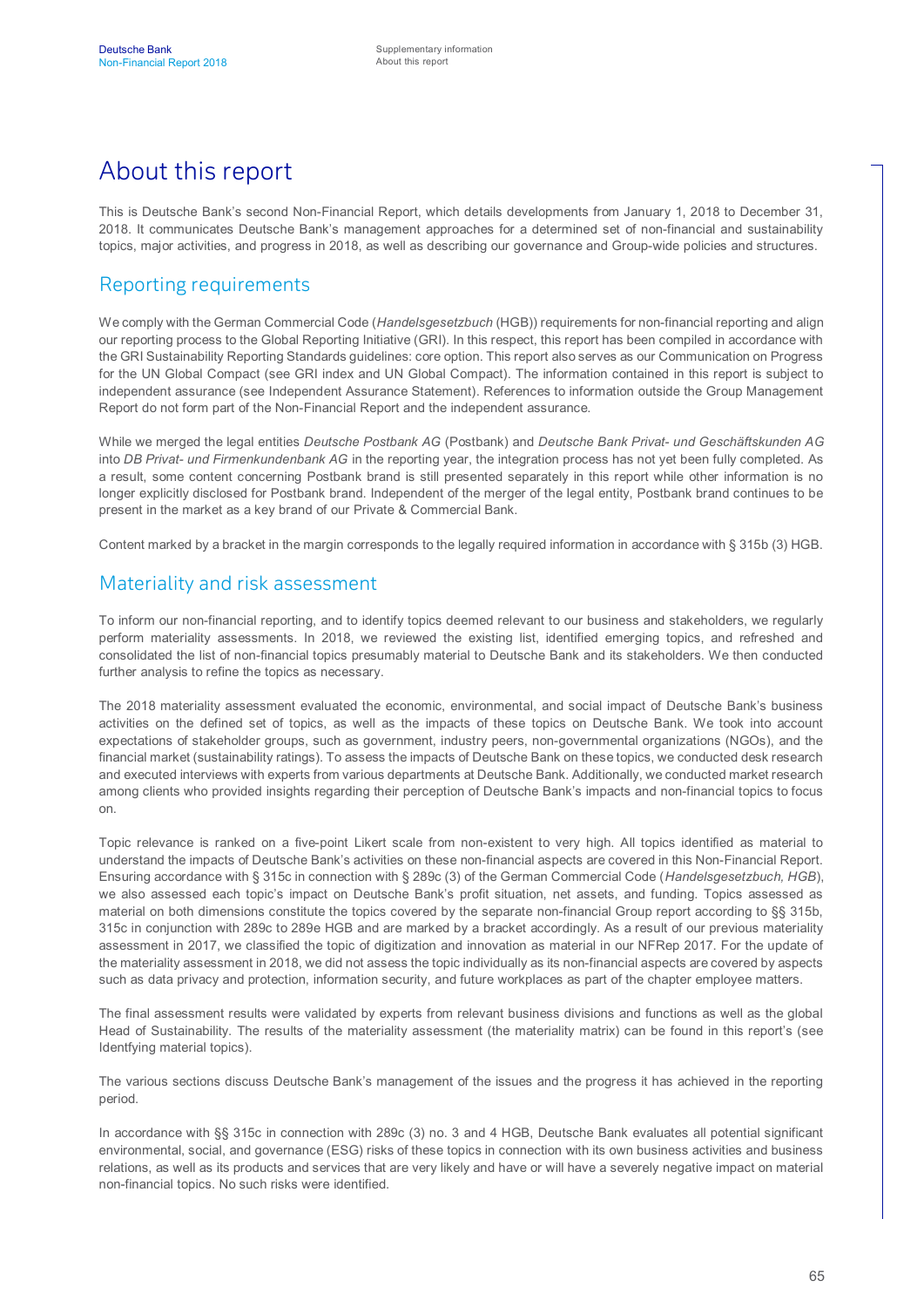# About this report

This is Deutsche Bank's second Non-Financial Report, which details developments from January 1, 2018 to December 31, 2018. It communicates Deutsche Bank's management approaches for a determined set of non-financial and sustainability topics, major activities, and progress in 2018, as well as describing our governance and Group-wide policies and structures.

## Reporting requirements

We comply with the German Commercial Code (*Handelsgesetzbuch* (HGB)) requirements for non-financial reporting and align our reporting process to the Global Reporting Initiative (GRI). In this respect, this report has been compiled in accordance with the GRI Sustainability Reporting Standards guidelines: core option. This report also serves as our Communication on Progress for the UN Global Compact (see GRI index and UN Global Compact). The information contained in this report is subject to independent assurance (see Independent Assurance Statement). References to information outside the Group Management Report do not form part of the Non-Financial Report and the independent assurance.

While we merged the legal entities *Deutsche Postbank AG* (Postbank) and *Deutsche Bank Privat- und Geschäftskunden AG* into *DB Privat- und Firmenkundenbank AG* in the reporting year, the integration process has not yet been fully completed. As a result, some content concerning Postbank brand is still presented separately in this report while other information is no longer explicitly disclosed for Postbank brand. Independent of the merger of the legal entity, Postbank brand continues to be present in the market as a key brand of our Private & Commercial Bank.

Content marked by a bracket in the margin corresponds to the legally required information in accordance with § 315b (3) HGB.

#### Materiality and risk assessment

To inform our non-financial reporting, and to identify topics deemed relevant to our business and stakeholders, we regularly perform materiality assessments. In 2018, we reviewed the existing list, identified emerging topics, and refreshed and consolidated the list of non-financial topics presumably material to Deutsche Bank and its stakeholders. We then conducted further analysis to refine the topics as necessary.

The 2018 materiality assessment evaluated the economic, environmental, and social impact of Deutsche Bank's business activities on the defined set of topics, as well as the impacts of these topics on Deutsche Bank. We took into account expectations of stakeholder groups, such as government, industry peers, non-governmental organizations (NGOs), and the financial market (sustainability ratings). To assess the impacts of Deutsche Bank on these topics, we conducted desk research and executed interviews with experts from various departments at Deutsche Bank. Additionally, we conducted market research among clients who provided insights regarding their perception of Deutsche Bank's impacts and non-financial topics to focus on.

Topic relevance is ranked on a five-point Likert scale from non-existent to very high. All topics identified as material to understand the impacts of Deutsche Bank's activities on these non-financial aspects are covered in this Non-Financial Report. Ensuring accordance with § 315c in connection with § 289c (3) of the German Commercial Code (*Handelsgesetzbuch, HGB*), we also assessed each topic's impact on Deutsche Bank's profit situation, net assets, and funding. Topics assessed as material on both dimensions constitute the topics covered by the separate non-financial Group report according to §§ 315b, 315c in conjunction with 289c to 289e HGB and are marked by a bracket accordingly. As a result of our previous materiality assessment in 2017, we classified the topic of digitization and innovation as material in our NFRep 2017. For the update of the materiality assessment in 2018, we did not assess the topic individually as its non-financial aspects are covered by aspects such as data privacy and protection, information security, and future workplaces as part of the chapter employee matters.

The final assessment results were validated by experts from relevant business divisions and functions as well as the global Head of Sustainability. The results of the materiality assessment (the materiality matrix) can be found in this report's (see Identfying material topics).

The various sections discuss Deutsche Bank's management of the issues and the progress it has achieved in the reporting period.

In accordance with §§ 315c in connection with 289c (3) no. 3 and 4 HGB, Deutsche Bank evaluates all potential significant environmental, social, and governance (ESG) risks of these topics in connection with its own business activities and business relations, as well as its products and services that are very likely and have or will have a severely negative impact on material non-financial topics. No such risks were identified.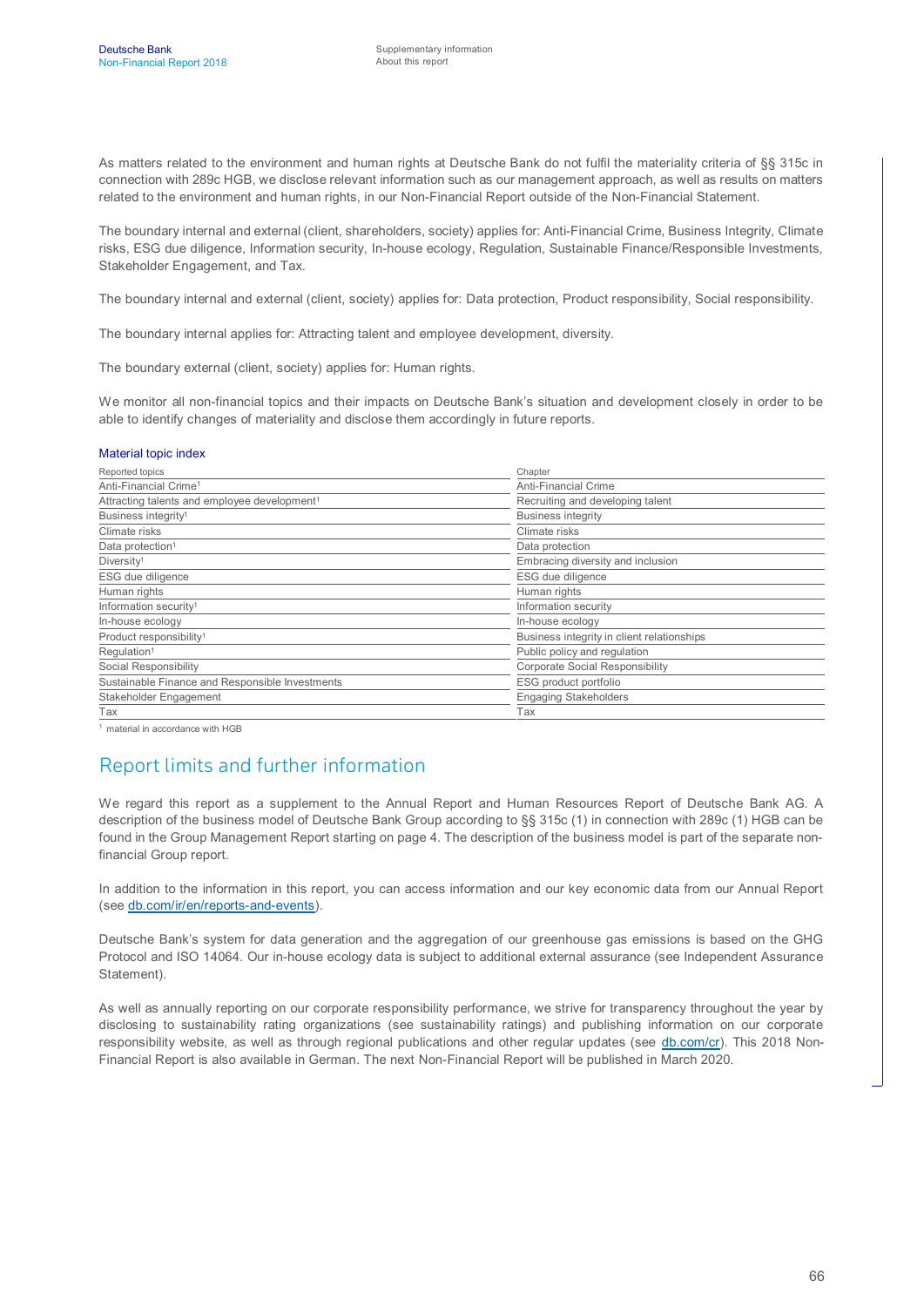As matters related to the environment and human rights at Deutsche Bank do not fulfil the materiality criteria of §§ 315c in connection with 289c HGB, we disclose relevant information such as our management approach, as well as results on matters related to the environment and human rights, in our Non-Financial Report outside of the Non-Financial Statement.

The boundary internal and external (client, shareholders, society) applies for: Anti-Financial Crime, Business Integrity, Climate risks, ESG due diligence, Information security, In-house ecology, Regulation, Sustainable Finance/Responsible Investments, Stakeholder Engagement, and Tax.

The boundary internal and external (client, society) applies for: Data protection, Product responsibility, Social responsibility.

The boundary internal applies for: Attracting talent and employee development, diversity.

The boundary external (client, society) applies for: Human rights.

We monitor all non-financial topics and their impacts on Deutsche Bank's situation and development closely in order to be able to identify changes of materiality and disclose them accordingly in future reports.

#### Material topic index

| Reported topics                                          | Chapter                                    |  |
|----------------------------------------------------------|--------------------------------------------|--|
| Anti-Financial Crime <sup>1</sup>                        | <b>Anti-Financial Crime</b>                |  |
| Attracting talents and employee development <sup>1</sup> | Recruiting and developing talent           |  |
| Business integrity <sup>1</sup>                          | <b>Business integrity</b>                  |  |
| Climate risks                                            | Climate risks                              |  |
| Data protection <sup>1</sup>                             | Data protection                            |  |
| Diversity <sup>1</sup>                                   | Embracing diversity and inclusion          |  |
| ESG due diligence                                        | ESG due diligence                          |  |
| Human rights                                             | Human rights                               |  |
| Information security <sup>1</sup>                        | Information security                       |  |
| In-house ecology                                         | In-house ecology                           |  |
| Product responsibility <sup>1</sup>                      | Business integrity in client relationships |  |
| Regulation <sup>1</sup>                                  | Public policy and regulation               |  |
| Social Responsibility                                    | Corporate Social Responsibility            |  |
| Sustainable Finance and Responsible Investments          | ESG product portfolio                      |  |
| Stakeholder Engagement                                   | <b>Engaging Stakeholders</b>               |  |
| Tax                                                      | Tax                                        |  |

<sup>1</sup> material in accordance with HGB

## Report limits and further information

We regard this report as a supplement to the Annual Report and Human Resources Report of Deutsche Bank AG. A description of the business model of Deutsche Bank Group according to §§ 315c (1) in connection with 289c (1) HGB can be found in the Group Management Report starting on page 4. The description of the business model is part of the separate nonfinancial Group report.

In addition to the information in this report, you can access information and our key economic data from our Annual Report (see [db.com/ir/en/reports-and-events](https://www.db.com/ir/en/reports-and-events.htm)).

Deutsche Bank's system for data generation and the aggregation of our greenhouse gas emissions is based on the GHG Protocol and ISO 14064. Our in-house ecology data is subject to additional external assurance (see Independent Assurance Statement).

As well as annually reporting on our corporate responsibility performance, we strive for transparency throughout the year by disclosing to sustainability rating organizations (see sustainability ratings) and publishing information on our corporate responsibility website, as well as through regional publications and other regular updates (see [db.com/cr\)](https://www.db.com/cr/index_en.htm). This 2018 Non-Financial Report is also available in German. The next Non-Financial Report will be published in March 2020.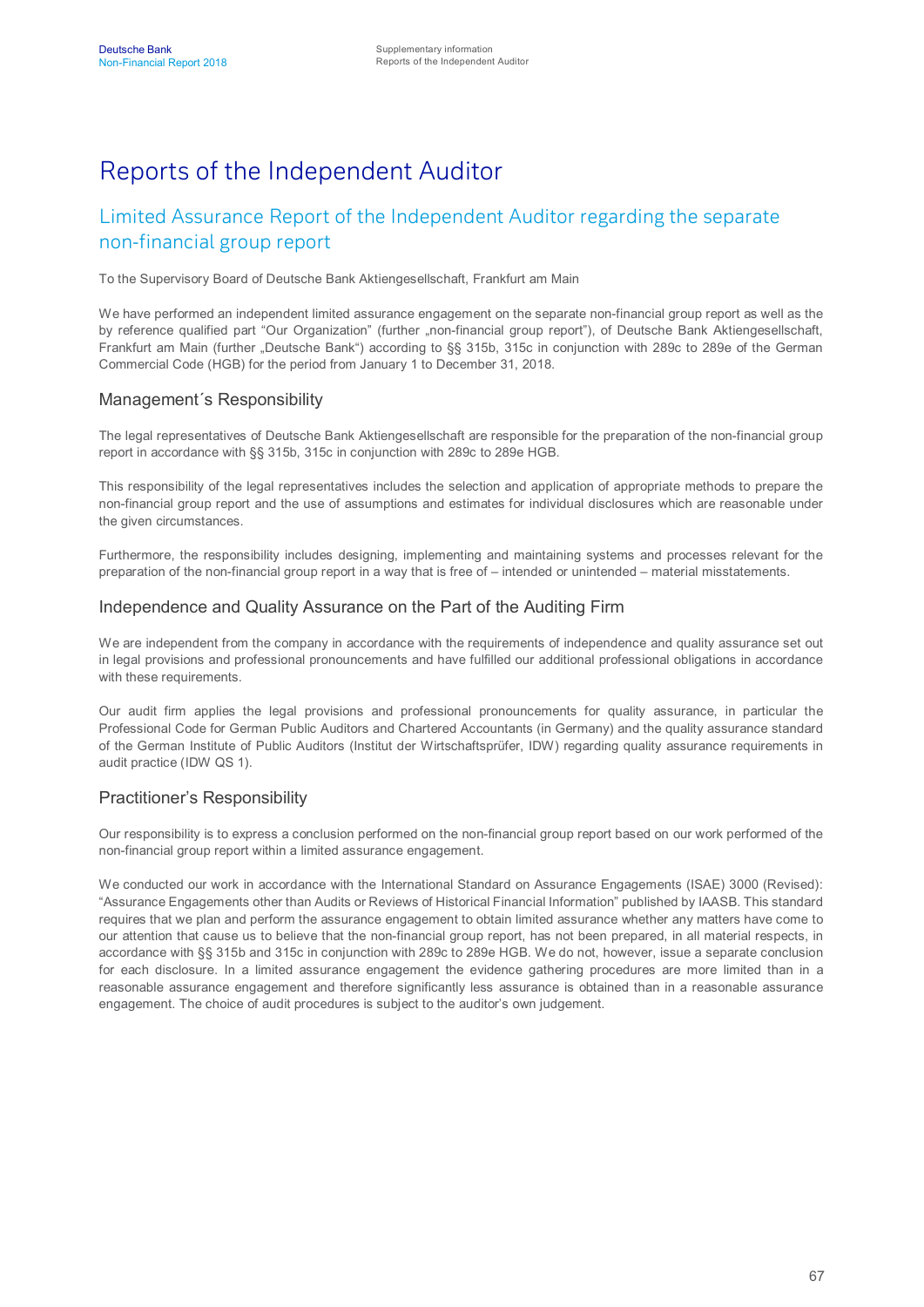# Reports of the Independent Auditor

## Limited Assurance Report of the Independent Auditor regarding the separate non-financial group report

To the Supervisory Board of Deutsche Bank Aktiengesellschaft, Frankfurt am Main

We have performed an independent limited assurance engagement on the separate non-financial group report as well as the by reference qualified part "Our Organization" (further "non-financial group report"), of Deutsche Bank Aktiengesellschaft, Frankfurt am Main (further "Deutsche Bank") according to §§ 315b, 315c in conjunction with 289c to 289e of the German Commercial Code (HGB) for the period from January 1 to December 31, 2018.

#### Management´s Responsibility

The legal representatives of Deutsche Bank Aktiengesellschaft are responsible for the preparation of the non-financial group report in accordance with §§ 315b, 315c in conjunction with 289c to 289e HGB.

This responsibility of the legal representatives includes the selection and application of appropriate methods to prepare the non-financial group report and the use of assumptions and estimates for individual disclosures which are reasonable under the given circumstances.

Furthermore, the responsibility includes designing, implementing and maintaining systems and processes relevant for the preparation of the non-financial group report in a way that is free of – intended or unintended – material misstatements.

#### Independence and Quality Assurance on the Part of the Auditing Firm

We are independent from the company in accordance with the requirements of independence and quality assurance set out in legal provisions and professional pronouncements and have fulfilled our additional professional obligations in accordance with these requirements.

Our audit firm applies the legal provisions and professional pronouncements for quality assurance, in particular the Professional Code for German Public Auditors and Chartered Accountants (in Germany) and the quality assurance standard of the German Institute of Public Auditors (Institut der Wirtschaftsprüfer, IDW) regarding quality assurance requirements in audit practice (IDW QS 1).

#### Practitioner's Responsibility

Our responsibility is to express a conclusion performed on the non-financial group report based on our work performed of the non-financial group report within a limited assurance engagement.

We conducted our work in accordance with the International Standard on Assurance Engagements (ISAE) 3000 (Revised): "Assurance Engagements other than Audits or Reviews of Historical Financial Information" published by IAASB. This standard requires that we plan and perform the assurance engagement to obtain limited assurance whether any matters have come to our attention that cause us to believe that the non-financial group report, has not been prepared, in all material respects, in accordance with §§ 315b and 315c in conjunction with 289c to 289e HGB. We do not, however, issue a separate conclusion for each disclosure. In a limited assurance engagement the evidence gathering procedures are more limited than in a reasonable assurance engagement and therefore significantly less assurance is obtained than in a reasonable assurance engagement. The choice of audit procedures is subject to the auditor's own judgement.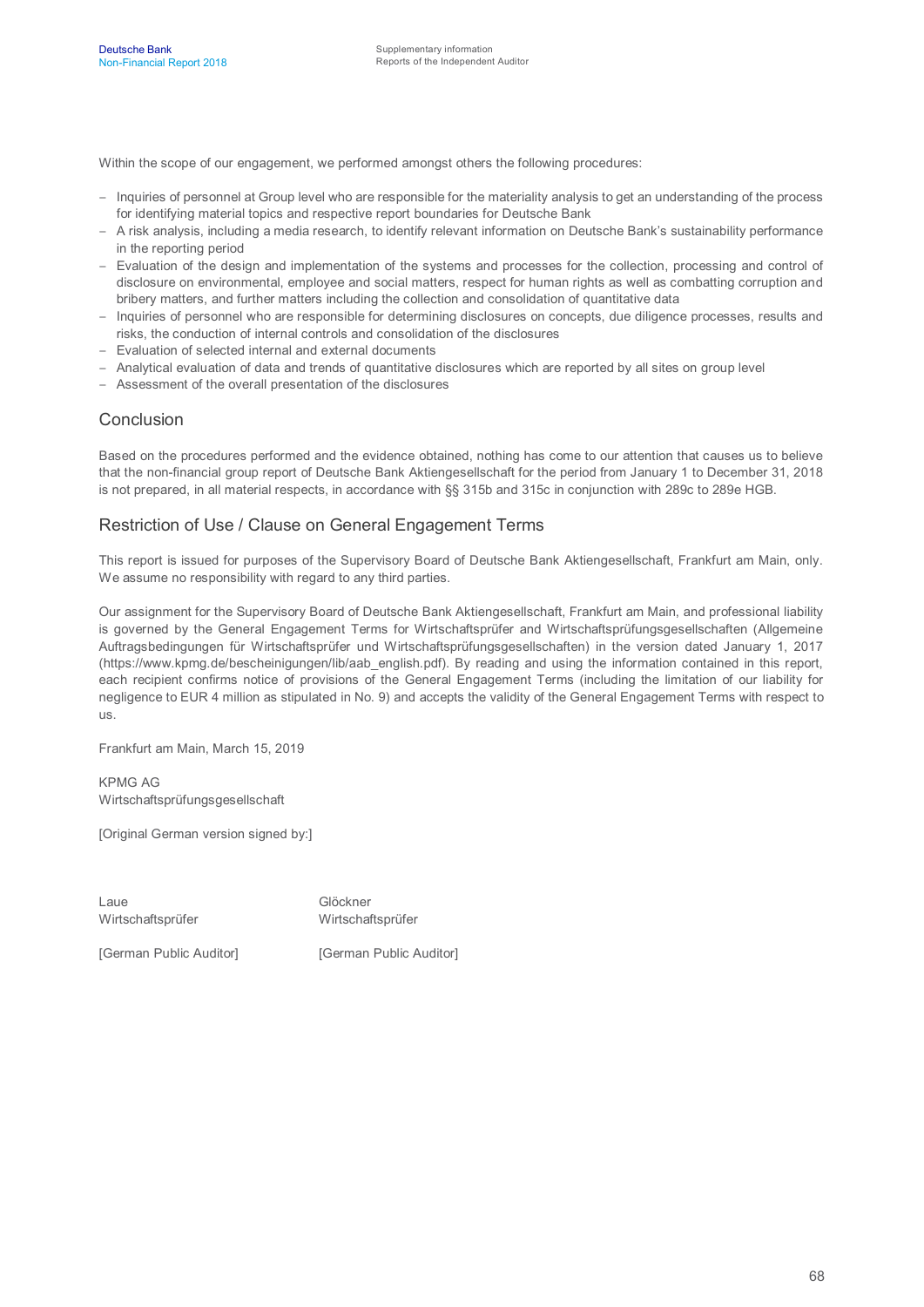Within the scope of our engagement, we performed amongst others the following procedures:

- Inquiries of personnel at Group level who are responsible for the materiality analysis to get an understanding of the process for identifying material topics and respective report boundaries for Deutsche Bank
- A risk analysis, including a media research, to identify relevant information on Deutsche Bank's sustainability performance in the reporting period
- Evaluation of the design and implementation of the systems and processes for the collection, processing and control of disclosure on environmental, employee and social matters, respect for human rights as well as combatting corruption and bribery matters, and further matters including the collection and consolidation of quantitative data
- Inquiries of personnel who are responsible for determining disclosures on concepts, due diligence processes, results and risks, the conduction of internal controls and consolidation of the disclosures
- Evaluation of selected internal and external documents
- Analytical evaluation of data and trends of quantitative disclosures which are reported by all sites on group level
- Assessment of the overall presentation of the disclosures

#### Conclusion

Based on the procedures performed and the evidence obtained, nothing has come to our attention that causes us to believe that the non-financial group report of Deutsche Bank Aktiengesellschaft for the period from January 1 to December 31, 2018 is not prepared, in all material respects, in accordance with §§ 315b and 315c in conjunction with 289c to 289e HGB.

#### Restriction of Use / Clause on General Engagement Terms

This report is issued for purposes of the Supervisory Board of Deutsche Bank Aktiengesellschaft, Frankfurt am Main, only. We assume no responsibility with regard to any third parties.

Our assignment for the Supervisory Board of Deutsche Bank Aktiengesellschaft, Frankfurt am Main, and professional liability is governed by the General Engagement Terms for Wirtschaftsprüfer and Wirtschaftsprüfungsgesellschaften (Allgemeine Auftragsbedingungen für Wirtschaftsprüfer und Wirtschaftsprüfungsgesellschaften) in the version dated January 1, 2017 (https://www.kpmg.de/bescheinigungen/lib/aab\_english.pdf). By reading and using the information contained in this report, each recipient confirms notice of provisions of the General Engagement Terms (including the limitation of our liability for negligence to EUR 4 million as stipulated in No. 9) and accepts the validity of the General Engagement Terms with respect to us.

Frankfurt am Main, March 15, 2019

KPMG AG Wirtschaftsprüfungsgesellschaft

[Original German version signed by:]

Laue Glöckner Wirtschaftsprüfer Wirtschaftsprüfer

[German Public Auditor] [German Public Auditor]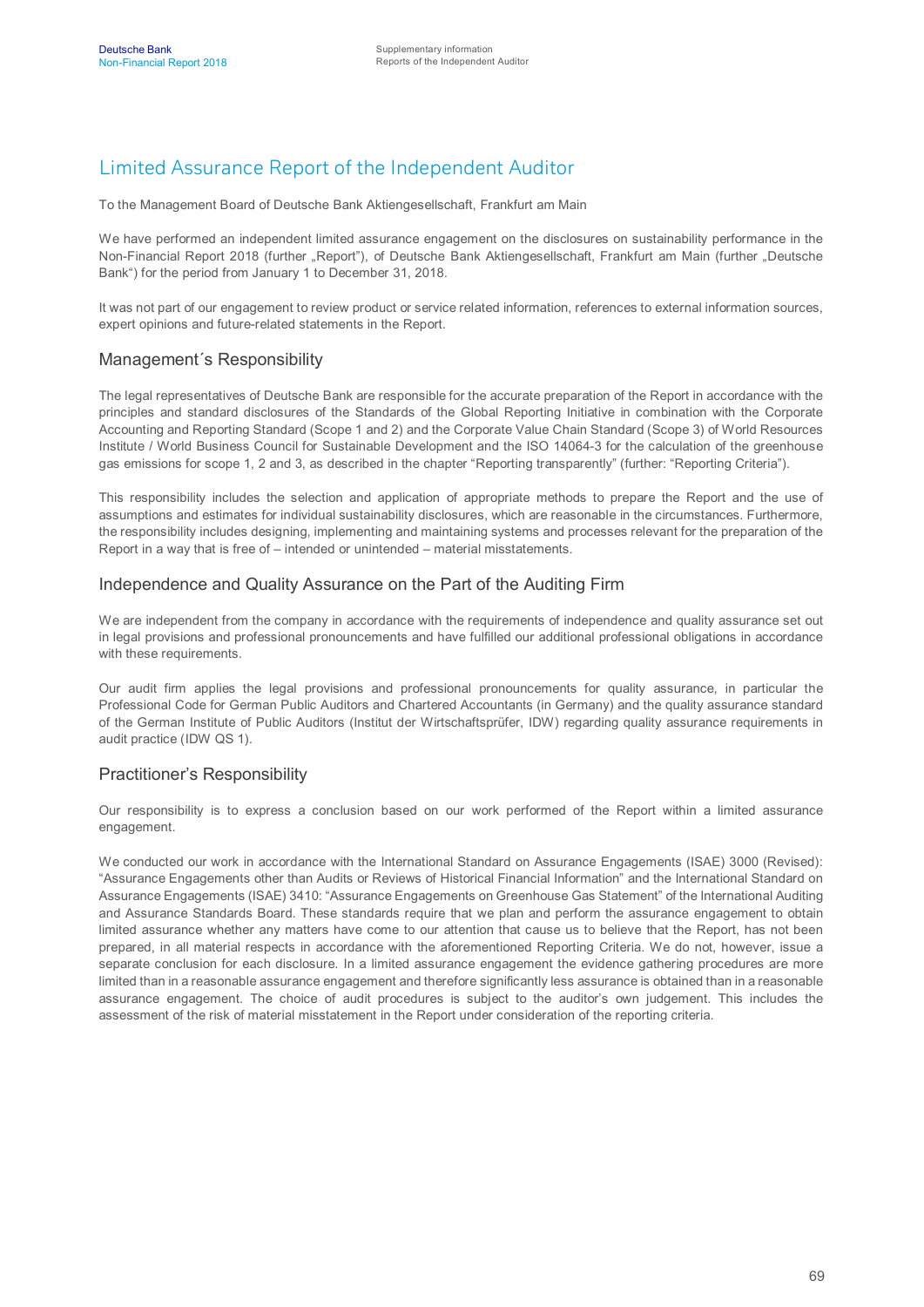## Limited Assurance Report of the Independent Auditor

To the Management Board of Deutsche Bank Aktiengesellschaft, Frankfurt am Main

We have performed an independent limited assurance engagement on the disclosures on sustainability performance in the Non-Financial Report 2018 (further "Report"), of Deutsche Bank Aktiengesellschaft, Frankfurt am Main (further "Deutsche Bank") for the period from January 1 to December 31, 2018.

It was not part of our engagement to review product or service related information, references to external information sources, expert opinions and future-related statements in the Report.

#### Management´s Responsibility

The legal representatives of Deutsche Bank are responsible for the accurate preparation of the Report in accordance with the principles and standard disclosures of the Standards of the Global Reporting Initiative in combination with the Corporate Accounting and Reporting Standard (Scope 1 and 2) and the Corporate Value Chain Standard (Scope 3) of World Resources Institute / World Business Council for Sustainable Development and the ISO 14064-3 for the calculation of the greenhouse gas emissions for scope 1, 2 and 3, as described in the chapter "Reporting transparently" (further: "Reporting Criteria").

This responsibility includes the selection and application of appropriate methods to prepare the Report and the use of assumptions and estimates for individual sustainability disclosures, which are reasonable in the circumstances. Furthermore, the responsibility includes designing, implementing and maintaining systems and processes relevant for the preparation of the Report in a way that is free of – intended or unintended – material misstatements.

#### Independence and Quality Assurance on the Part of the Auditing Firm

We are independent from the company in accordance with the requirements of independence and quality assurance set out in legal provisions and professional pronouncements and have fulfilled our additional professional obligations in accordance with these requirements.

Our audit firm applies the legal provisions and professional pronouncements for quality assurance, in particular the Professional Code for German Public Auditors and Chartered Accountants (in Germany) and the quality assurance standard of the German Institute of Public Auditors (Institut der Wirtschaftsprüfer, IDW) regarding quality assurance requirements in audit practice (IDW QS 1).

#### Practitioner's Responsibility

Our responsibility is to express a conclusion based on our work performed of the Report within a limited assurance engagement.

We conducted our work in accordance with the International Standard on Assurance Engagements (ISAE) 3000 (Revised): "Assurance Engagements other than Audits or Reviews of Historical Financial Information" and the International Standard on Assurance Engagements (ISAE) 3410: "Assurance Engagements on Greenhouse Gas Statement" of the International Auditing and Assurance Standards Board. These standards require that we plan and perform the assurance engagement to obtain limited assurance whether any matters have come to our attention that cause us to believe that the Report, has not been prepared, in all material respects in accordance with the aforementioned Reporting Criteria. We do not, however, issue a separate conclusion for each disclosure. In a limited assurance engagement the evidence gathering procedures are more limited than in a reasonable assurance engagement and therefore significantly less assurance is obtained than in a reasonable assurance engagement. The choice of audit procedures is subject to the auditor's own judgement. This includes the assessment of the risk of material misstatement in the Report under consideration of the reporting criteria.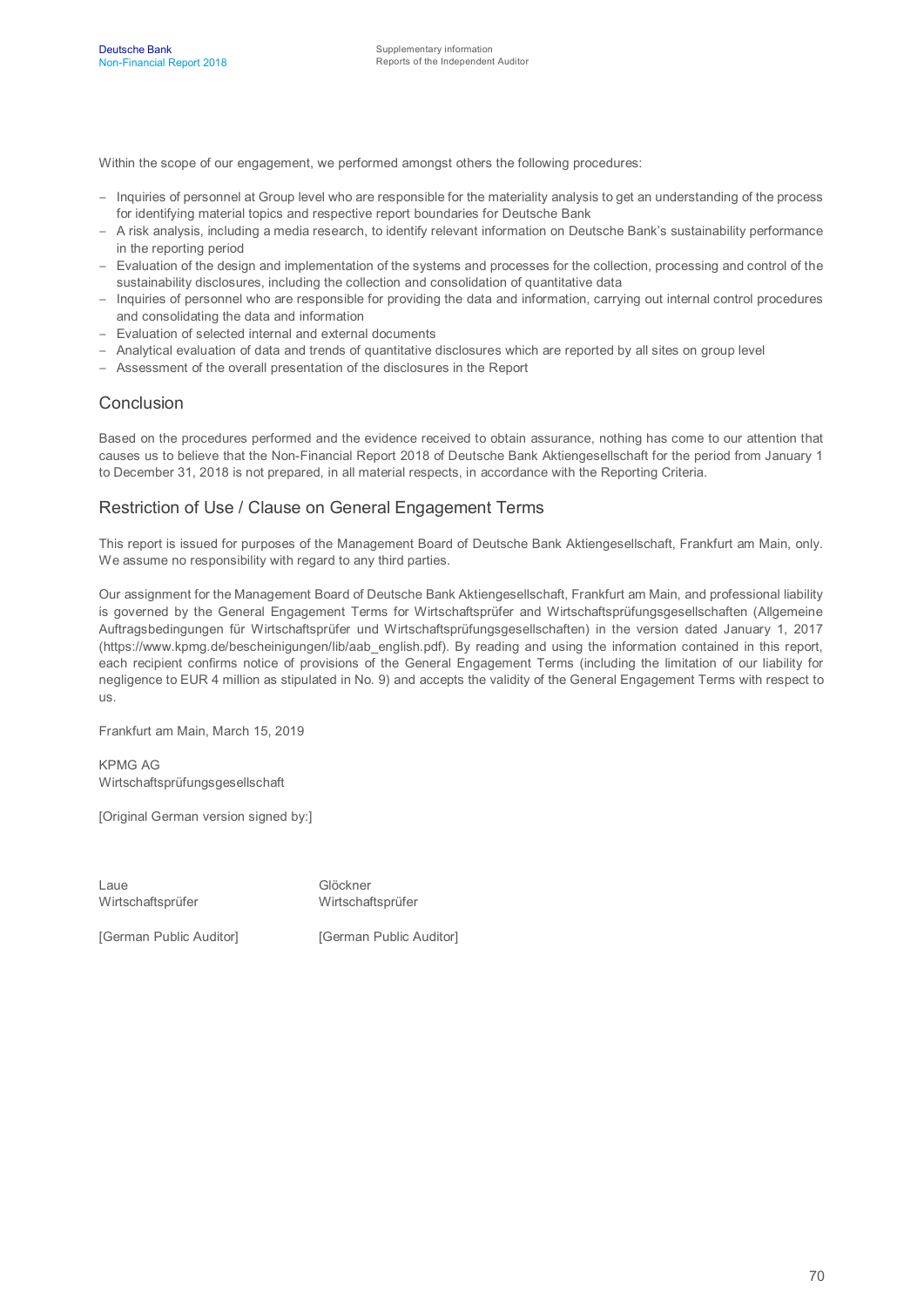Within the scope of our engagement, we performed amongst others the following procedures:

- Inquiries of personnel at Group level who are responsible for the materiality analysis to get an understanding of the process for identifying material topics and respective report boundaries for Deutsche Bank
- A risk analysis, including a media research, to identify relevant information on Deutsche Bank's sustainability performance in the reporting period
- Evaluation of the design and implementation of the systems and processes for the collection, processing and control of the sustainability disclosures, including the collection and consolidation of quantitative data
- Inquiries of personnel who are responsible for providing the data and information, carrying out internal control procedures and consolidating the data and information
- Evaluation of selected internal and external documents
- Analytical evaluation of data and trends of quantitative disclosures which are reported by all sites on group level
- Assessment of the overall presentation of the disclosures in the Report

#### Conclusion

Based on the procedures performed and the evidence received to obtain assurance, nothing has come to our attention that causes us to believe that the Non-Financial Report 2018 of Deutsche Bank Aktiengesellschaft for the period from January 1 to December 31, 2018 is not prepared, in all material respects, in accordance with the Reporting Criteria.

#### Restriction of Use / Clause on General Engagement Terms

This report is issued for purposes of the Management Board of Deutsche Bank Aktiengesellschaft, Frankfurt am Main, only. We assume no responsibility with regard to any third parties.

Our assignment for the Management Board of Deutsche Bank Aktiengesellschaft, Frankfurt am Main, and professional liability is governed by the General Engagement Terms for Wirtschaftsprüfer and Wirtschaftsprüfungsgesellschaften (Allgemeine Auftragsbedingungen für Wirtschaftsprüfer und Wirtschaftsprüfungsgesellschaften) in the version dated January 1, 2017 (https://www.kpmg.de/bescheinigungen/lib/aab\_english.pdf). By reading and using the information contained in this report, each recipient confirms notice of provisions of the General Engagement Terms (including the limitation of our liability for negligence to EUR 4 million as stipulated in No. 9) and accepts the validity of the General Engagement Terms with respect to us.

Frankfurt am Main, March 15, 2019

KPMG AG Wirtschaftsprüfungsgesellschaft

[Original German version signed by:]

Laue Glöckner Wirtschaftsprüfer Wirtschaftsprüfer

[German Public Auditor] [German Public Auditor]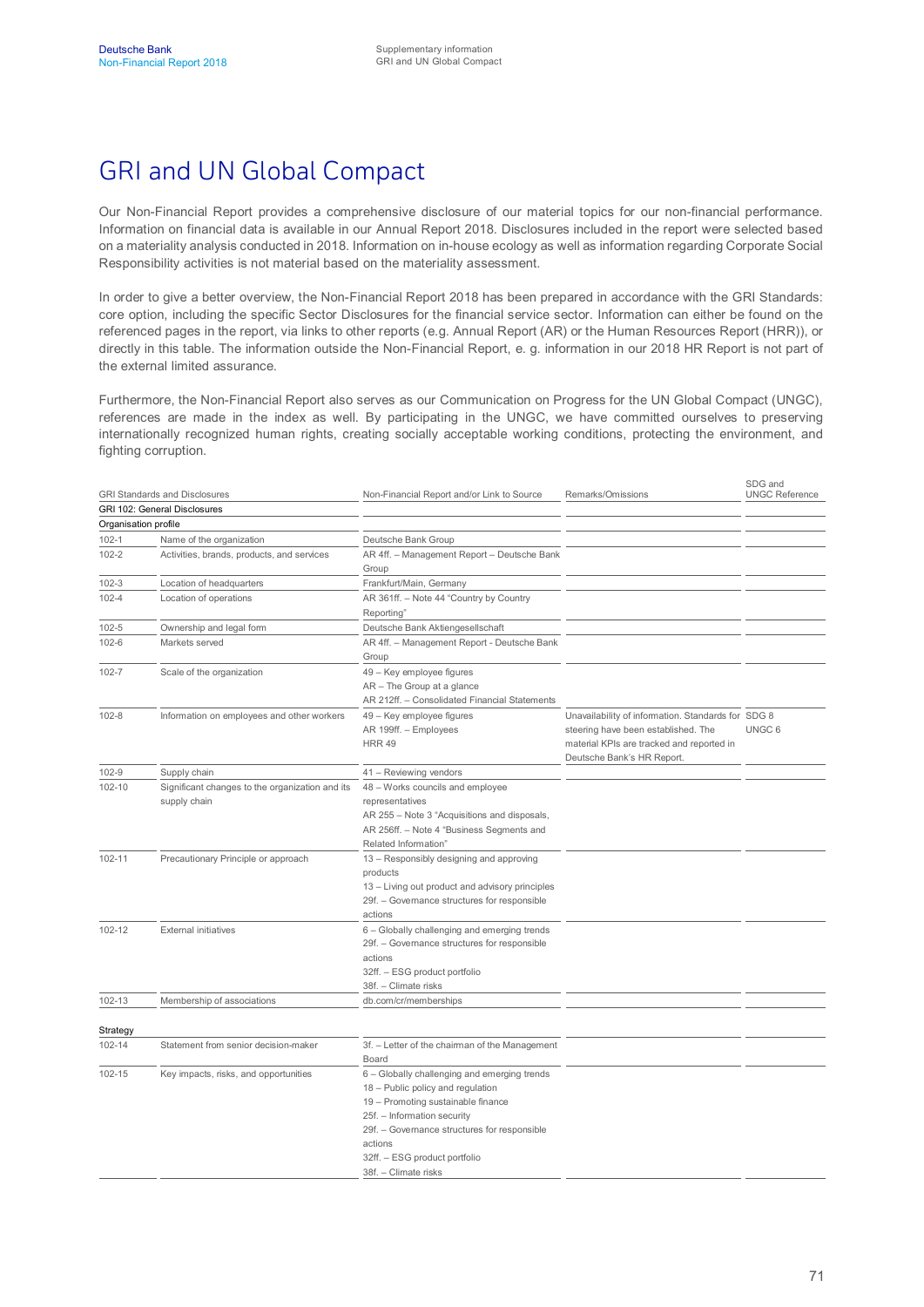# GRI and UN Global Compact

Our Non-Financial Report provides a comprehensive disclosure of our material topics for our non-financial performance. Information on financial data is available in our Annual Report 2018. Disclosures included in the report were selected based on a materiality analysis conducted in 2018. Information on in-house ecology as well as information regarding Corporate Social Responsibility activities is not material based on the materiality assessment.

In order to give a better overview, the Non-Financial Report 2018 has been prepared in accordance with the GRI Standards: core option, including the specific Sector Disclosures for the financial service sector. Information can either be found on the referenced pages in the report, via links to other reports (e.g. Annual Report (AR) or the Human Resources Report (HRR)), or directly in this table. The information outside the Non-Financial Report, e. g. information in our 2018 HR Report is not part of the external limited assurance.

Furthermore, the Non-Financial Report also serves as our Communication on Progress for the UN Global Compact (UNGC), references are made in the index as well. By participating in the UNGC, we have committed ourselves to preserving internationally recognized human rights, creating socially acceptable working conditions, protecting the environment, and fighting corruption.

|                      | <b>GRI Standards and Disclosures</b>                            | Non-Financial Report and/or Link to Source                                                                                                                                                                                                                                 | Remarks/Omissions                                                                                                                                                    | SDG and<br><b>UNGC Reference</b> |
|----------------------|-----------------------------------------------------------------|----------------------------------------------------------------------------------------------------------------------------------------------------------------------------------------------------------------------------------------------------------------------------|----------------------------------------------------------------------------------------------------------------------------------------------------------------------|----------------------------------|
|                      | GRI 102: General Disclosures                                    |                                                                                                                                                                                                                                                                            |                                                                                                                                                                      |                                  |
| Organisation profile |                                                                 |                                                                                                                                                                                                                                                                            |                                                                                                                                                                      |                                  |
| $102 - 1$            | Name of the organization                                        | Deutsche Bank Group                                                                                                                                                                                                                                                        |                                                                                                                                                                      |                                  |
| $102 - 2$            | Activities, brands, products, and services                      | AR 4ff. - Management Report - Deutsche Bank                                                                                                                                                                                                                                |                                                                                                                                                                      |                                  |
|                      |                                                                 | Group                                                                                                                                                                                                                                                                      |                                                                                                                                                                      |                                  |
| $102 - 3$            | Location of headquarters                                        | Frankfurt/Main, Germany                                                                                                                                                                                                                                                    |                                                                                                                                                                      |                                  |
| $102 - 4$            | Location of operations                                          | AR 361ff. - Note 44 "Country by Country<br>Reporting'                                                                                                                                                                                                                      |                                                                                                                                                                      |                                  |
| 102-5                | Ownership and legal form                                        | Deutsche Bank Aktiengesellschaft                                                                                                                                                                                                                                           |                                                                                                                                                                      |                                  |
| 102-6                | Markets served                                                  | AR 4ff. - Management Report - Deutsche Bank<br>Group                                                                                                                                                                                                                       |                                                                                                                                                                      |                                  |
| 102-7                | Scale of the organization                                       | 49 - Key employee figures<br>AR - The Group at a glance<br>AR 212ff. - Consolidated Financial Statements                                                                                                                                                                   |                                                                                                                                                                      |                                  |
| $102 - 8$            | Information on employees and other workers                      | 49 - Key employee figures<br>AR 199ff. - Employees<br><b>HRR 49</b>                                                                                                                                                                                                        | Unavailability of information. Standards for SDG 8<br>steering have been established. The<br>material KPIs are tracked and reported in<br>Deutsche Bank's HR Report. | UNGC <sub>6</sub>                |
| 102-9                | Supply chain                                                    | 41 - Reviewing vendors                                                                                                                                                                                                                                                     |                                                                                                                                                                      |                                  |
| 102-10               | Significant changes to the organization and its<br>supply chain | 48 - Works councils and employee<br>representatives<br>AR 255 - Note 3 "Acquisitions and disposals,<br>AR 256ff. - Note 4 "Business Segments and<br>Related Information"                                                                                                   |                                                                                                                                                                      |                                  |
| 102-11               | Precautionary Principle or approach                             | 13 - Responsibly designing and approving<br>products<br>13 - Living out product and advisory principles<br>29f. - Governance structures for responsible<br>actions                                                                                                         |                                                                                                                                                                      |                                  |
| 102-12               | <b>External initiatives</b>                                     | 6 - Globally challenging and emerging trends<br>29f. - Governance structures for responsible<br>actions<br>32ff. - ESG product portfolio<br>38f. - Climate risks                                                                                                           |                                                                                                                                                                      |                                  |
| 102-13               | Membership of associations                                      | db.com/cr/memberships                                                                                                                                                                                                                                                      |                                                                                                                                                                      |                                  |
| Strategy             |                                                                 |                                                                                                                                                                                                                                                                            |                                                                                                                                                                      |                                  |
| 102-14               | Statement from senior decision-maker                            | 3f. - Letter of the chairman of the Management                                                                                                                                                                                                                             |                                                                                                                                                                      |                                  |
|                      |                                                                 | Board                                                                                                                                                                                                                                                                      |                                                                                                                                                                      |                                  |
| 102-15               | Key impacts, risks, and opportunities                           | 6 - Globally challenging and emerging trends<br>18 - Public policy and regulation<br>19 - Promoting sustainable finance<br>25f. - Information security<br>29f. - Governance structures for responsible<br>actions<br>32ff. - ESG product portfolio<br>38f. - Climate risks |                                                                                                                                                                      |                                  |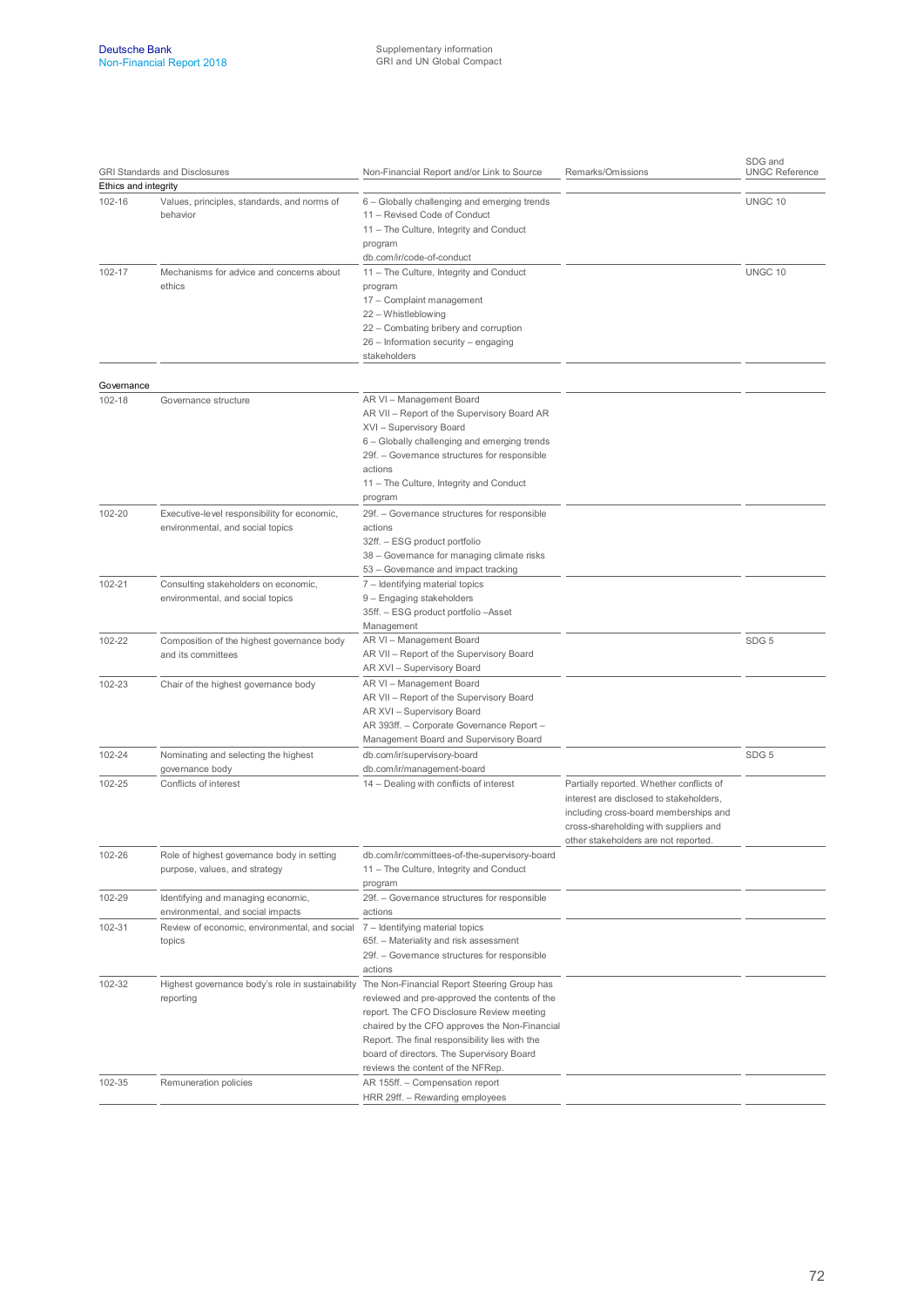| <b>GRI Standards and Disclosures</b><br>Ethics and integrity |                                                                                                           | Non-Financial Report and/or Link to Source                                                                                                                                                                                                                                      | Remarks/Omissions                                                                                                                                                                                             | SDG and<br><b>UNGC Reference</b> |  |
|--------------------------------------------------------------|-----------------------------------------------------------------------------------------------------------|---------------------------------------------------------------------------------------------------------------------------------------------------------------------------------------------------------------------------------------------------------------------------------|---------------------------------------------------------------------------------------------------------------------------------------------------------------------------------------------------------------|----------------------------------|--|
|                                                              |                                                                                                           |                                                                                                                                                                                                                                                                                 |                                                                                                                                                                                                               |                                  |  |
| 102-16                                                       | Values, principles, standards, and norms of<br>behavior                                                   | 6 - Globally challenging and emerging trends<br>11 - Revised Code of Conduct<br>11 - The Culture, Integrity and Conduct<br>program<br>db.com/ir/code-of-conduct                                                                                                                 |                                                                                                                                                                                                               | UNGC 10                          |  |
| 102-17                                                       | Mechanisms for advice and concerns about<br>ethics                                                        | 11 - The Culture, Integrity and Conduct<br>program<br>17 - Complaint management<br>22 - Whistleblowing<br>22 - Combating bribery and corruption<br>26 - Information security - engaging<br>stakeholders                                                                         |                                                                                                                                                                                                               | UNGC 10                          |  |
| Governance                                                   |                                                                                                           |                                                                                                                                                                                                                                                                                 |                                                                                                                                                                                                               |                                  |  |
| 102-18                                                       | Governance structure                                                                                      | AR VI - Management Board<br>AR VII - Report of the Supervisory Board AR<br>XVI - Supervisory Board<br>6 - Globally challenging and emerging trends<br>29f. - Governance structures for responsible<br>actions<br>11 - The Culture, Integrity and Conduct<br>program             |                                                                                                                                                                                                               |                                  |  |
| 102-20                                                       | Executive-level responsibility for economic,<br>environmental, and social topics                          | 29f. - Governance structures for responsible<br>actions<br>32ff. - ESG product portfolio<br>38 - Governance for managing climate risks<br>53 - Governance and impact tracking                                                                                                   |                                                                                                                                                                                                               |                                  |  |
| 102-21                                                       | Consulting stakeholders on economic,<br>environmental, and social topics                                  | 7 - Identifying material topics<br>9 - Engaging stakeholders<br>35ff. - ESG product portfolio - Asset<br>Management                                                                                                                                                             |                                                                                                                                                                                                               |                                  |  |
| 102-22                                                       | Composition of the highest governance body<br>and its committees                                          | AR VI - Management Board<br>AR VII - Report of the Supervisory Board<br>AR XVI - Supervisory Board                                                                                                                                                                              |                                                                                                                                                                                                               | SDG <sub>5</sub>                 |  |
| 102-23                                                       | Chair of the highest governance body                                                                      | AR VI - Management Board<br>AR VII - Report of the Supervisory Board<br>AR XVI - Supervisory Board<br>AR 393ff. - Corporate Governance Report -<br>Management Board and Supervisory Board                                                                                       |                                                                                                                                                                                                               |                                  |  |
| 102-24                                                       | Nominating and selecting the highest                                                                      | db.com/ir/supervisory-board                                                                                                                                                                                                                                                     |                                                                                                                                                                                                               | SDG <sub>5</sub>                 |  |
| 102-25                                                       | governance body<br>Conflicts of interest                                                                  | db.com/ir/management-board<br>14 - Dealing with conflicts of interest                                                                                                                                                                                                           | Partially reported. Whether conflicts of<br>interest are disclosed to stakeholders,<br>including cross-board memberships and<br>cross-shareholding with suppliers and<br>other stakeholders are not reported. |                                  |  |
| 102-26                                                       | Role of highest governance body in setting<br>purpose, values, and strategy                               | db.com/ir/committees-of-the-supervisory-board<br>11 - The Culture, Integrity and Conduct<br>program                                                                                                                                                                             |                                                                                                                                                                                                               |                                  |  |
| 102-29                                                       | Identifying and managing economic,<br>environmental, and social impacts                                   | 29f. - Governance structures for responsible<br>actions                                                                                                                                                                                                                         |                                                                                                                                                                                                               |                                  |  |
| 102-31                                                       | Review of economic, environmental, and social<br>topics                                                   | 7 - Identifying material topics<br>65f. - Materiality and risk assessment<br>29f. - Governance structures for responsible<br>actions                                                                                                                                            |                                                                                                                                                                                                               |                                  |  |
| 102-32                                                       | Highest governance body's role in sustainability The Non-Financial Report Steering Group has<br>reporting | reviewed and pre-approved the contents of the<br>report. The CFO Disclosure Review meeting<br>chaired by the CFO approves the Non-Financial<br>Report. The final responsibility lies with the<br>board of directors. The Supervisory Board<br>reviews the content of the NFRep. |                                                                                                                                                                                                               |                                  |  |
| 102-35                                                       | Remuneration policies                                                                                     | AR 155ff. - Compensation report<br>HRR 29ff. - Rewarding employees                                                                                                                                                                                                              |                                                                                                                                                                                                               |                                  |  |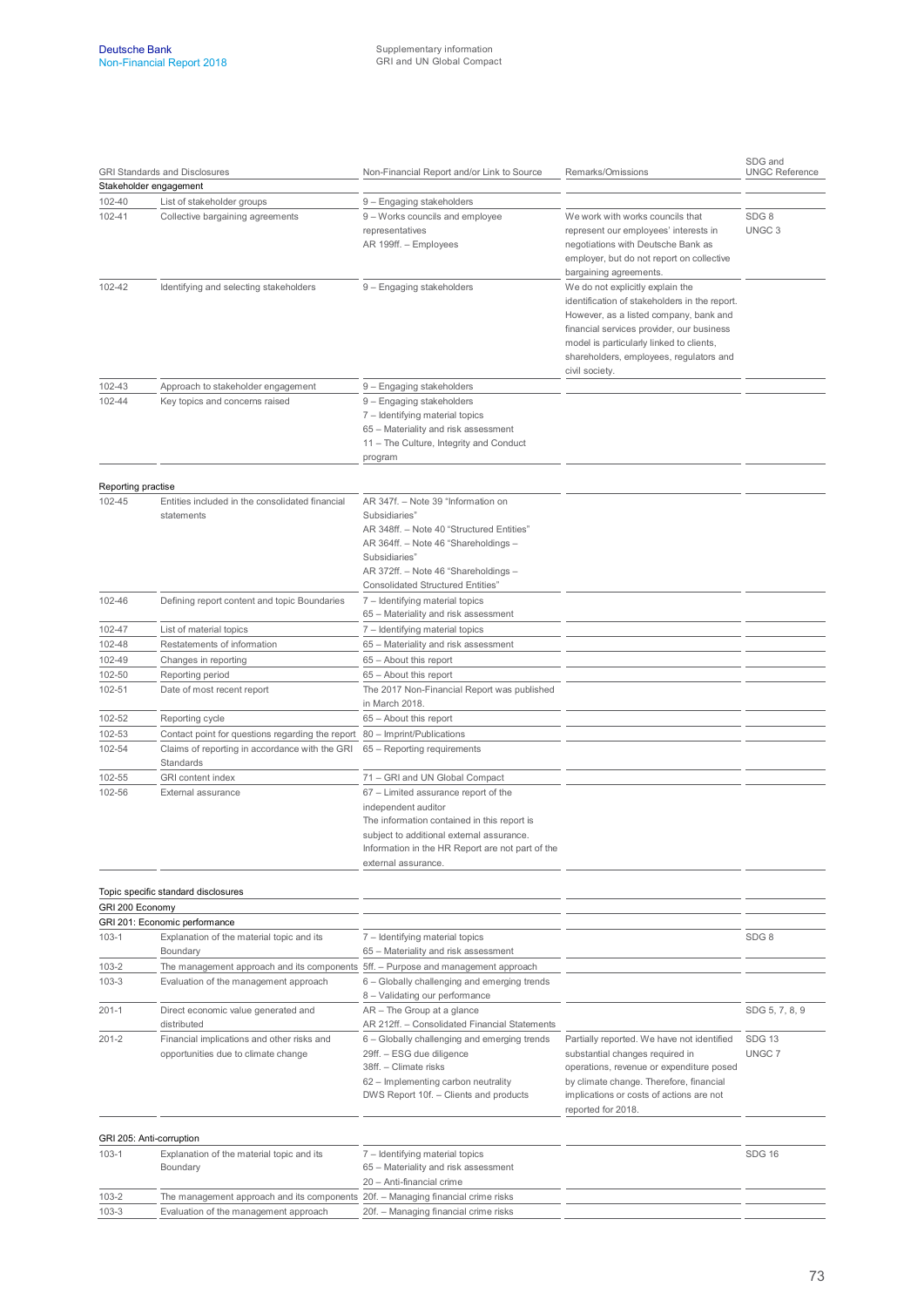| <b>GRI Standards and Disclosures</b><br>Stakeholder engagement |                                                                                                                            | Non-Financial Report and/or Link to Source                                                                                                                                                                                                    | Remarks/Omissions                                                                                                                                                                                                                                                                 | SDG and<br><b>UNGC Reference</b>      |  |
|----------------------------------------------------------------|----------------------------------------------------------------------------------------------------------------------------|-----------------------------------------------------------------------------------------------------------------------------------------------------------------------------------------------------------------------------------------------|-----------------------------------------------------------------------------------------------------------------------------------------------------------------------------------------------------------------------------------------------------------------------------------|---------------------------------------|--|
|                                                                |                                                                                                                            |                                                                                                                                                                                                                                               |                                                                                                                                                                                                                                                                                   |                                       |  |
| 102-40                                                         | List of stakeholder groups                                                                                                 | 9 - Engaging stakeholders                                                                                                                                                                                                                     |                                                                                                                                                                                                                                                                                   |                                       |  |
| 102-41                                                         | Collective bargaining agreements                                                                                           | 9 - Works councils and employee<br>representatives<br>AR 199ff. - Employees                                                                                                                                                                   | We work with works councils that<br>represent our employees' interests in<br>negotiations with Deutsche Bank as<br>employer, but do not report on collective<br>bargaining agreements.                                                                                            | SDG <sub>8</sub><br>UNGC <sub>3</sub> |  |
| 102-42                                                         | Identifying and selecting stakeholders                                                                                     | 9 - Engaging stakeholders                                                                                                                                                                                                                     | We do not explicitly explain the<br>identification of stakeholders in the report.<br>However, as a listed company, bank and<br>financial services provider, our business<br>model is particularly linked to clients,<br>shareholders, employees, regulators and<br>civil society. |                                       |  |
| 102-43                                                         | Approach to stakeholder engagement                                                                                         | 9 - Engaging stakeholders                                                                                                                                                                                                                     |                                                                                                                                                                                                                                                                                   |                                       |  |
| 102-44                                                         | Key topics and concerns raised                                                                                             | 9 - Engaging stakeholders<br>7 - Identifying material topics<br>65 - Materiality and risk assessment<br>11 - The Culture, Integrity and Conduct<br>program                                                                                    |                                                                                                                                                                                                                                                                                   |                                       |  |
| Reporting practise                                             |                                                                                                                            |                                                                                                                                                                                                                                               |                                                                                                                                                                                                                                                                                   |                                       |  |
| 102-45                                                         | Entities included in the consolidated financial<br>statements                                                              | AR 347f. - Note 39 "Information on<br>Subsidiaries"<br>AR 348ff. - Note 40 "Structured Entities"<br>AR 364ff. - Note 46 "Shareholdings -<br>Subsidiaries"<br>AR 372ff. - Note 46 "Shareholdings -<br><b>Consolidated Structured Entities"</b> |                                                                                                                                                                                                                                                                                   |                                       |  |
| 102-46                                                         | Defining report content and topic Boundaries                                                                               | 7 - Identifying material topics<br>65 - Materiality and risk assessment                                                                                                                                                                       |                                                                                                                                                                                                                                                                                   |                                       |  |
| 102-47                                                         | List of material topics                                                                                                    | 7 - Identifying material topics                                                                                                                                                                                                               |                                                                                                                                                                                                                                                                                   |                                       |  |
| 102-48                                                         | Restatements of information                                                                                                | 65 - Materiality and risk assessment                                                                                                                                                                                                          |                                                                                                                                                                                                                                                                                   |                                       |  |
| 102-49                                                         | Changes in reporting                                                                                                       | 65 - About this report                                                                                                                                                                                                                        |                                                                                                                                                                                                                                                                                   |                                       |  |
| 102-50                                                         | Reporting period                                                                                                           | 65 - About this report                                                                                                                                                                                                                        |                                                                                                                                                                                                                                                                                   |                                       |  |
| 102-51                                                         | Date of most recent report                                                                                                 | The 2017 Non-Financial Report was published<br>in March 2018.                                                                                                                                                                                 |                                                                                                                                                                                                                                                                                   |                                       |  |
| 102-52                                                         | Reporting cycle                                                                                                            | 65 - About this report                                                                                                                                                                                                                        |                                                                                                                                                                                                                                                                                   |                                       |  |
| 102-53                                                         | Contact point for questions regarding the report                                                                           | 80 - Imprint/Publications                                                                                                                                                                                                                     |                                                                                                                                                                                                                                                                                   |                                       |  |
| 102-54                                                         | Claims of reporting in accordance with the GRI<br>Standards                                                                | 65 – Reporting requirements                                                                                                                                                                                                                   |                                                                                                                                                                                                                                                                                   |                                       |  |
| 102-55                                                         | <b>GRI</b> content index                                                                                                   | 71 - GRI and UN Global Compact                                                                                                                                                                                                                |                                                                                                                                                                                                                                                                                   |                                       |  |
| 102-56                                                         | External assurance                                                                                                         | 67 - Limited assurance report of the<br>independent auditor<br>The information contained in this report is<br>subject to additional external assurance.<br>Information in the HR Report are not part of the<br>external assurance.            |                                                                                                                                                                                                                                                                                   |                                       |  |
|                                                                | Topic specific standard disclosures                                                                                        |                                                                                                                                                                                                                                               |                                                                                                                                                                                                                                                                                   |                                       |  |
| GRI 200 Economy                                                |                                                                                                                            |                                                                                                                                                                                                                                               |                                                                                                                                                                                                                                                                                   |                                       |  |
|                                                                | GRI 201: Economic performance                                                                                              |                                                                                                                                                                                                                                               |                                                                                                                                                                                                                                                                                   |                                       |  |
| $103-1$                                                        | Explanation of the material topic and its<br>Boundary                                                                      | 7 - Identifying material topics<br>65 - Materiality and risk assessment                                                                                                                                                                       |                                                                                                                                                                                                                                                                                   | SDG8                                  |  |
| 103-2<br>$103 - 3$                                             | The management approach and its components 5ff. - Purpose and management approach<br>Evaluation of the management approach | 6 - Globally challenging and emerging trends<br>8 - Validating our performance                                                                                                                                                                |                                                                                                                                                                                                                                                                                   |                                       |  |
| $201 - 1$                                                      | Direct economic value generated and<br>distributed                                                                         | AR - The Group at a glance<br>AR 212ff. - Consolidated Financial Statements                                                                                                                                                                   |                                                                                                                                                                                                                                                                                   | SDG 5, 7, 8, 9                        |  |
| $201 - 2$                                                      | Financial implications and other risks and<br>opportunities due to climate change                                          | 6 - Globally challenging and emerging trends<br>29ff. - ESG due diligence<br>38ff. - Climate risks<br>62 - Implementing carbon neutrality<br>DWS Report 10f. - Clients and products                                                           | Partially reported. We have not identified<br>substantial changes required in<br>operations, revenue or expenditure posed<br>by climate change. Therefore, financial<br>implications or costs of actions are not<br>reported for 2018.                                            | <b>SDG 13</b><br>UNGC 7               |  |
|                                                                | GRI 205: Anti-corruption                                                                                                   |                                                                                                                                                                                                                                               |                                                                                                                                                                                                                                                                                   |                                       |  |
| $103-1$                                                        | Explanation of the material topic and its<br>Boundary                                                                      | 7 - Identifying material topics<br>65 - Materiality and risk assessment<br>20 - Anti-financial crime                                                                                                                                          |                                                                                                                                                                                                                                                                                   | <b>SDG 16</b>                         |  |
| $103 - 2$                                                      | The management approach and its components 20f. - Managing financial crime risks                                           |                                                                                                                                                                                                                                               |                                                                                                                                                                                                                                                                                   |                                       |  |
| $103 - 3$                                                      | Evaluation of the management approach                                                                                      | 20f. - Managing financial crime risks                                                                                                                                                                                                         |                                                                                                                                                                                                                                                                                   |                                       |  |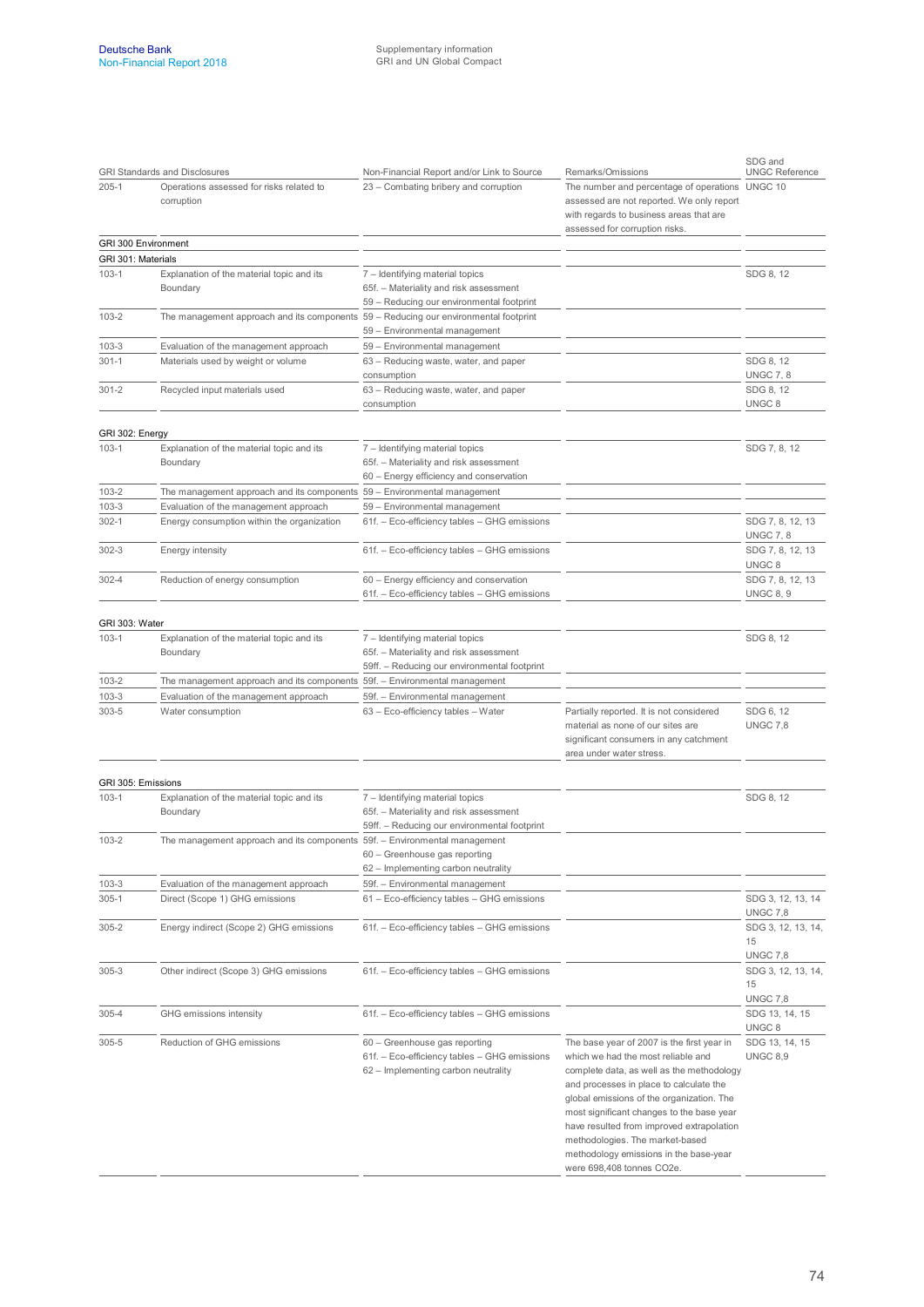|                     | <b>GRI Standards and Disclosures</b>                                                 | Non-Financial Report and/or Link to Source                                                                                | Remarks/Omissions                                                                                                                                                                                                                                                                                                                                                                                                         | SDG and<br><b>UNGC Reference</b>            |
|---------------------|--------------------------------------------------------------------------------------|---------------------------------------------------------------------------------------------------------------------------|---------------------------------------------------------------------------------------------------------------------------------------------------------------------------------------------------------------------------------------------------------------------------------------------------------------------------------------------------------------------------------------------------------------------------|---------------------------------------------|
| $205 - 1$           | Operations assessed for risks related to<br>corruption                               | 23 - Combating bribery and corruption                                                                                     | The number and percentage of operations UNGC 10<br>assessed are not reported. We only report<br>with regards to business areas that are<br>assessed for corruption risks.                                                                                                                                                                                                                                                 |                                             |
| GRI 300 Environment |                                                                                      |                                                                                                                           |                                                                                                                                                                                                                                                                                                                                                                                                                           |                                             |
| GRI 301: Materials  |                                                                                      |                                                                                                                           |                                                                                                                                                                                                                                                                                                                                                                                                                           |                                             |
| $103 - 1$           | Explanation of the material topic and its<br>Boundary                                | 7 - Identifying material topics<br>65f. - Materiality and risk assessment<br>59 - Reducing our environmental footprint    |                                                                                                                                                                                                                                                                                                                                                                                                                           | SDG 8, 12                                   |
| 103-2               | The management approach and its components 59 - Reducing our environmental footprint | 59 - Environmental management                                                                                             |                                                                                                                                                                                                                                                                                                                                                                                                                           |                                             |
| 103-3               | Evaluation of the management approach                                                | 59 - Environmental management                                                                                             |                                                                                                                                                                                                                                                                                                                                                                                                                           |                                             |
| $301 - 1$           | Materials used by weight or volume                                                   | 63 – Reducing waste, water, and paper<br>consumption                                                                      |                                                                                                                                                                                                                                                                                                                                                                                                                           | SDG 8, 12<br><b>UNGC 7, 8</b>               |
| $301 - 2$           | Recycled input materials used                                                        | 63 - Reducing waste, water, and paper<br>consumption                                                                      |                                                                                                                                                                                                                                                                                                                                                                                                                           | SDG 8, 12<br>UNGC <sub>8</sub>              |
| GRI 302: Energy     |                                                                                      |                                                                                                                           |                                                                                                                                                                                                                                                                                                                                                                                                                           |                                             |
| $103 - 1$           | Explanation of the material topic and its<br>Boundary                                | 7 - Identifying material topics<br>65f. - Materiality and risk assessment<br>60 - Energy efficiency and conservation      |                                                                                                                                                                                                                                                                                                                                                                                                                           | SDG 7, 8, 12                                |
| 103-2               | The management approach and its components 59 - Environmental management             |                                                                                                                           |                                                                                                                                                                                                                                                                                                                                                                                                                           |                                             |
| 103-3               | Evaluation of the management approach                                                | 59 - Environmental management                                                                                             |                                                                                                                                                                                                                                                                                                                                                                                                                           |                                             |
| $302 - 1$           | Energy consumption within the organization                                           | 61f. - Eco-efficiency tables - GHG emissions                                                                              |                                                                                                                                                                                                                                                                                                                                                                                                                           | SDG 7, 8, 12, 13<br><b>UNGC 7, 8</b>        |
| $302 - 3$           | Energy intensity                                                                     | 61f. - Eco-efficiency tables - GHG emissions                                                                              |                                                                                                                                                                                                                                                                                                                                                                                                                           | SDG 7, 8, 12, 13<br>UNGC <sub>8</sub>       |
| $302 - 4$           | Reduction of energy consumption                                                      | 60 - Energy efficiency and conservation<br>61f. - Eco-efficiency tables - GHG emissions                                   |                                                                                                                                                                                                                                                                                                                                                                                                                           | SDG 7, 8, 12, 13<br><b>UNGC 8, 9</b>        |
| GRI 303: Water      |                                                                                      |                                                                                                                           |                                                                                                                                                                                                                                                                                                                                                                                                                           |                                             |
| 103-1               | Explanation of the material topic and its<br>Boundary                                | 7 - Identifying material topics<br>65f. - Materiality and risk assessment<br>59ff. – Reducing our environmental footprint |                                                                                                                                                                                                                                                                                                                                                                                                                           | SDG 8, 12                                   |
| 103-2               | The management approach and its components 59f. - Environmental management           |                                                                                                                           |                                                                                                                                                                                                                                                                                                                                                                                                                           |                                             |
| $103 - 3$           | Evaluation of the management approach                                                | 59f. - Environmental management                                                                                           |                                                                                                                                                                                                                                                                                                                                                                                                                           |                                             |
| 303-5               | Water consumption                                                                    | 63 - Eco-efficiency tables - Water                                                                                        | Partially reported. It is not considered<br>material as none of our sites are<br>significant consumers in any catchment<br>area under water stress.                                                                                                                                                                                                                                                                       | SDG 6, 12<br><b>UNGC 7.8</b>                |
|                     |                                                                                      |                                                                                                                           |                                                                                                                                                                                                                                                                                                                                                                                                                           |                                             |
| GRI 305: Emissions  |                                                                                      |                                                                                                                           |                                                                                                                                                                                                                                                                                                                                                                                                                           |                                             |
| 103-1               | Explanation of the material topic and its<br>Boundary                                | 7 - Identifying material topics<br>65f. - Materiality and risk assessment<br>59ff. - Reducing our environmental footprint |                                                                                                                                                                                                                                                                                                                                                                                                                           | SDG 8, 12                                   |
| $103 - 2$           | The management approach and its components 59f. - Environmental management           | 60 - Greenhouse gas reporting                                                                                             |                                                                                                                                                                                                                                                                                                                                                                                                                           |                                             |
| $103 - 3$           | Evaluation of the management approach                                                | 62 - Implementing carbon neutrality<br>59f. - Environmental management                                                    |                                                                                                                                                                                                                                                                                                                                                                                                                           |                                             |
| $305 - 1$           | Direct (Scope 1) GHG emissions                                                       | 61 - Eco-efficiency tables - GHG emissions                                                                                |                                                                                                                                                                                                                                                                                                                                                                                                                           | SDG 3, 12, 13, 14<br><b>UNGC 7,8</b>        |
| $305 - 2$           | Energy indirect (Scope 2) GHG emissions                                              | 61f. - Eco-efficiency tables - GHG emissions                                                                              |                                                                                                                                                                                                                                                                                                                                                                                                                           | SDG 3, 12, 13, 14,<br>15                    |
| $305 - 3$           | Other indirect (Scope 3) GHG emissions                                               | 61f. - Eco-efficiency tables - GHG emissions                                                                              |                                                                                                                                                                                                                                                                                                                                                                                                                           | <b>UNGC 7,8</b><br>SDG 3, 12, 13, 14,<br>15 |
| $305 - 4$           | GHG emissions intensity                                                              | 61f. - Eco-efficiency tables - GHG emissions                                                                              |                                                                                                                                                                                                                                                                                                                                                                                                                           | <b>UNGC 7,8</b><br>SDG 13, 14, 15           |
| 305-5               | Reduction of GHG emissions                                                           | 60 - Greenhouse gas reporting<br>61f. - Eco-efficiency tables - GHG emissions<br>62 - Implementing carbon neutrality      | The base year of 2007 is the first year in<br>which we had the most reliable and<br>complete data, as well as the methodology<br>and processes in place to calculate the<br>global emissions of the organization. The<br>most significant changes to the base year<br>have resulted from improved extrapolation<br>methodologies. The market-based<br>methodology emissions in the base-year<br>were 698,408 tonnes CO2e. | UNGC 8<br>SDG 13, 14, 15<br><b>UNGC 8,9</b> |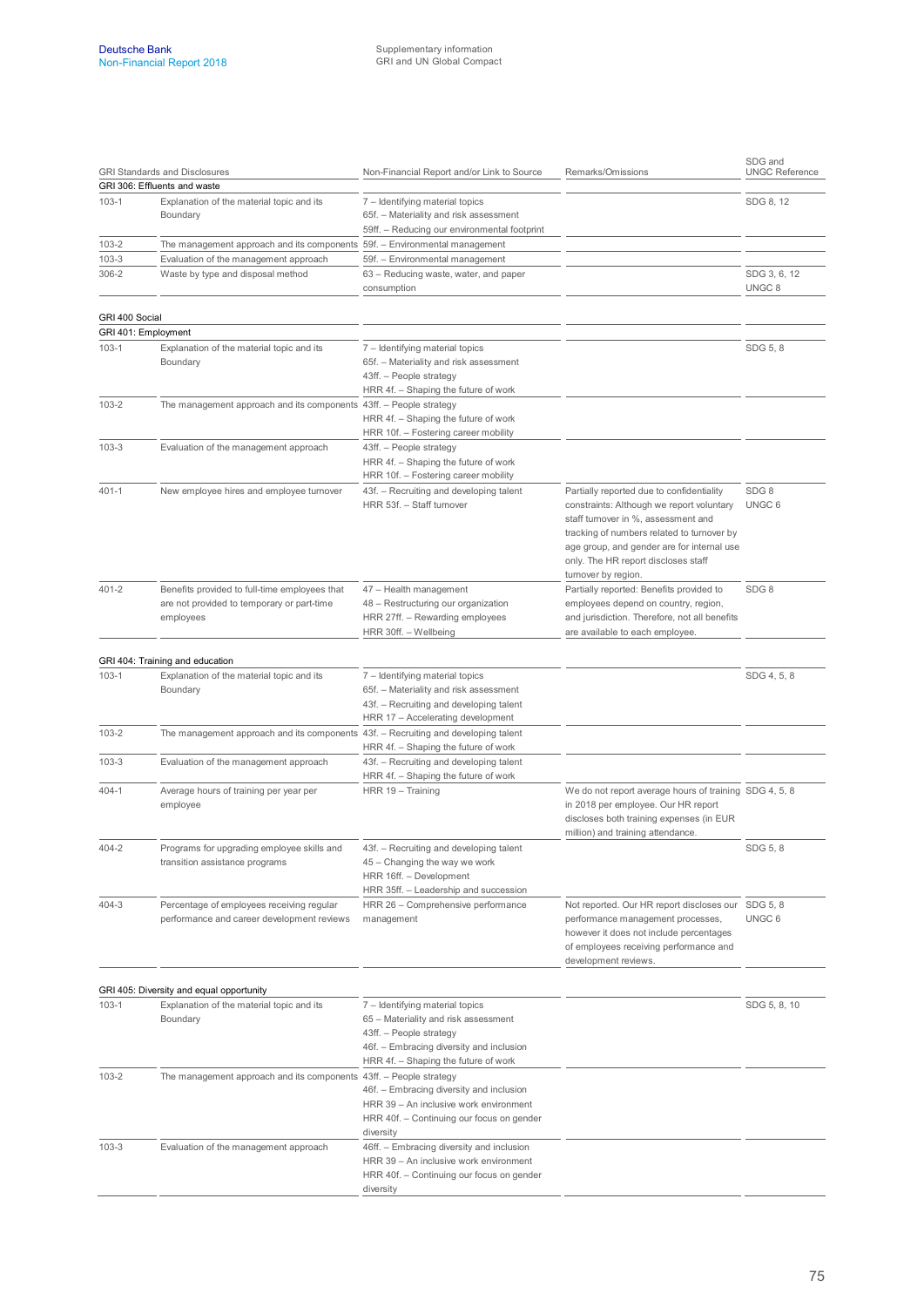| <b>GRI Standards and Disclosures</b><br>GRI 306: Effluents and waste |                                                                                                          | Non-Financial Report and/or Link to Source                                                                                                                                             | Remarks/Omissions                                                                                                                                                                                                                                                                       | SDG and<br><b>UNGC Reference</b>  |  |
|----------------------------------------------------------------------|----------------------------------------------------------------------------------------------------------|----------------------------------------------------------------------------------------------------------------------------------------------------------------------------------------|-----------------------------------------------------------------------------------------------------------------------------------------------------------------------------------------------------------------------------------------------------------------------------------------|-----------------------------------|--|
|                                                                      |                                                                                                          |                                                                                                                                                                                        |                                                                                                                                                                                                                                                                                         |                                   |  |
| $103-1$                                                              | Explanation of the material topic and its<br>Boundary                                                    | 7 - Identifying material topics<br>65f. - Materiality and risk assessment                                                                                                              |                                                                                                                                                                                                                                                                                         | SDG 8, 12                         |  |
|                                                                      |                                                                                                          | 59ff. - Reducing our environmental footprint                                                                                                                                           |                                                                                                                                                                                                                                                                                         |                                   |  |
| $103 - 2$                                                            | The management approach and its components 59f. - Environmental management                               |                                                                                                                                                                                        |                                                                                                                                                                                                                                                                                         |                                   |  |
| 103-3                                                                | Evaluation of the management approach                                                                    | 59f. - Environmental management                                                                                                                                                        |                                                                                                                                                                                                                                                                                         |                                   |  |
| 306-2                                                                | Waste by type and disposal method                                                                        | 63 - Reducing waste, water, and paper<br>consumption                                                                                                                                   |                                                                                                                                                                                                                                                                                         | SDG 3, 6, 12<br>UNGC <sub>8</sub> |  |
| GRI 400 Social                                                       |                                                                                                          |                                                                                                                                                                                        |                                                                                                                                                                                                                                                                                         |                                   |  |
|                                                                      | GRI 401: Employment                                                                                      |                                                                                                                                                                                        |                                                                                                                                                                                                                                                                                         |                                   |  |
| $103-1$                                                              | Explanation of the material topic and its<br>Boundary                                                    | 7 - Identifying material topics<br>65f. - Materiality and risk assessment<br>43ff. - People strategy<br>HRR 4f. - Shaping the future of work                                           |                                                                                                                                                                                                                                                                                         | SDG 5, 8                          |  |
| $103 - 2$                                                            | The management approach and its components 43ff. - People strategy                                       | HRR 4f. - Shaping the future of work<br>HRR 10f. - Fostering career mobility                                                                                                           |                                                                                                                                                                                                                                                                                         |                                   |  |
| $103 - 3$                                                            | Evaluation of the management approach                                                                    | 43ff. - People strategy<br>HRR 4f. - Shaping the future of work<br>HRR 10f. - Fostering career mobility                                                                                |                                                                                                                                                                                                                                                                                         |                                   |  |
| 401-1                                                                | New employee hires and employee turnover                                                                 | 43f. - Recruiting and developing talent<br>HRR 53f. - Staff turnover                                                                                                                   | Partially reported due to confidentiality<br>constraints: Although we report voluntary<br>staff turnover in %, assessment and<br>tracking of numbers related to turnover by<br>age group, and gender are for internal use<br>only. The HR report discloses staff<br>turnover by region. | SDG8<br>UNGC <sub>6</sub>         |  |
| $401 - 2$                                                            | Benefits provided to full-time employees that<br>are not provided to temporary or part-time<br>employees | 47 - Health management<br>48 - Restructuring our organization<br>HRR 27ff. - Rewarding employees<br>HRR 30ff. - Wellbeing                                                              | Partially reported: Benefits provided to<br>employees depend on country, region,<br>and jurisdiction. Therefore, not all benefits<br>are available to each employee.                                                                                                                    | SDG8                              |  |
|                                                                      | GRI 404: Training and education                                                                          |                                                                                                                                                                                        |                                                                                                                                                                                                                                                                                         |                                   |  |
| $103-1$                                                              | Explanation of the material topic and its<br>Boundary                                                    | 7 - Identifying material topics<br>65f. - Materiality and risk assessment<br>43f. - Recruiting and developing talent<br>HRR 17 - Accelerating development                              |                                                                                                                                                                                                                                                                                         | SDG 4, 5, 8                       |  |
| $103 - 2$                                                            | The management approach and its components 43f. - Recruiting and developing talent                       | HRR 4f. - Shaping the future of work                                                                                                                                                   |                                                                                                                                                                                                                                                                                         |                                   |  |
| $103 - 3$                                                            | Evaluation of the management approach                                                                    | 43f. - Recruiting and developing talent<br>HRR 4f. - Shaping the future of work                                                                                                        |                                                                                                                                                                                                                                                                                         |                                   |  |
| 404-1                                                                | Average hours of training per year per<br>employee                                                       | HRR 19 - Training                                                                                                                                                                      | We do not report average hours of training SDG 4, 5, 8<br>in 2018 per employee. Our HR report<br>discloses both training expenses (in EUR<br>million) and training attendance.                                                                                                          |                                   |  |
| 404-2                                                                | Programs for upgrading employee skills and<br>transition assistance programs                             | 43f. - Recruiting and developing talent<br>45 – Changing the way we work<br>HRR 16ff. - Development<br>HRR 35ff. - Leadership and succession                                           |                                                                                                                                                                                                                                                                                         | SDG 5, 8                          |  |
| 404-3                                                                | Percentage of employees receiving regular<br>performance and career development reviews                  | HRR 26 - Comprehensive performance<br>management                                                                                                                                       | Not reported. Our HR report discloses our<br>performance management processes,<br>however it does not include percentages<br>of employees receiving performance and<br>development reviews.                                                                                             | SDG 5, 8<br>UNGC <sub>6</sub>     |  |
|                                                                      | GRI 405: Diversity and equal opportunity                                                                 |                                                                                                                                                                                        |                                                                                                                                                                                                                                                                                         |                                   |  |
| 103-1                                                                | Explanation of the material topic and its<br>Boundary                                                    | 7 - Identifying material topics<br>65 – Materiality and risk assessment<br>43ff. - People strategy<br>46f. - Embracing diversity and inclusion<br>HRR 4f. - Shaping the future of work |                                                                                                                                                                                                                                                                                         | SDG 5, 8, 10                      |  |
| 103-2                                                                | The management approach and its components 43ff. - People strategy                                       | 46f. - Embracing diversity and inclusion<br>HRR 39 - An inclusive work environment<br>HRR 40f. - Continuing our focus on gender<br>diversity                                           |                                                                                                                                                                                                                                                                                         |                                   |  |
| $103 - 3$                                                            | Evaluation of the management approach                                                                    | 46ff. - Embracing diversity and inclusion<br>HRR 39 - An inclusive work environment<br>HRR 40f. - Continuing our focus on gender<br>diversity                                          |                                                                                                                                                                                                                                                                                         |                                   |  |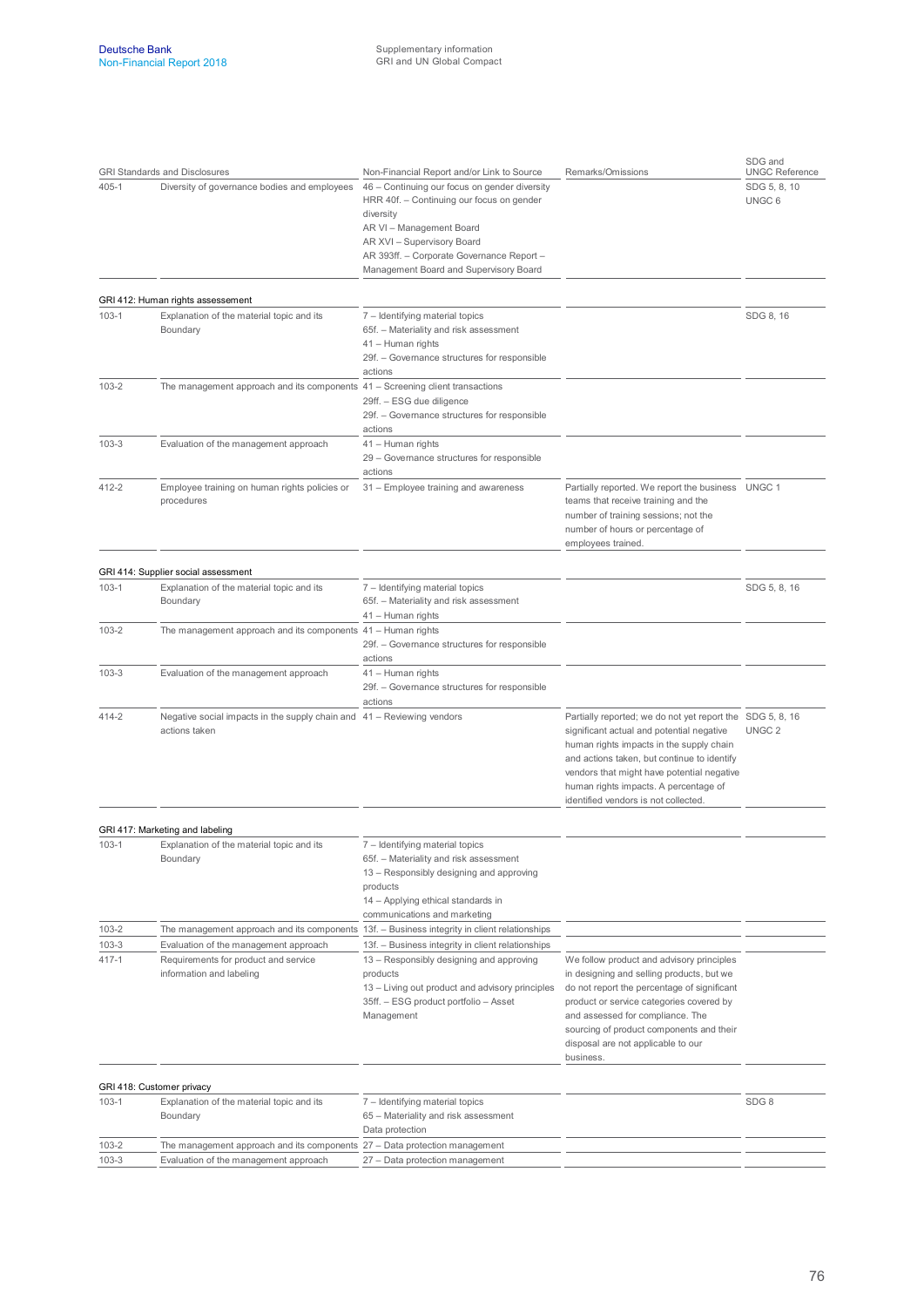|                        | <b>GRI Standards and Disclosures</b>                                                                      | Non-Financial Report and/or Link to Source                                                                                                                                                                                                               | Remarks/Omissions                                                                                                                                                                                                                                                                                                                | SDG and<br><b>UNGC Reference</b> |
|------------------------|-----------------------------------------------------------------------------------------------------------|----------------------------------------------------------------------------------------------------------------------------------------------------------------------------------------------------------------------------------------------------------|----------------------------------------------------------------------------------------------------------------------------------------------------------------------------------------------------------------------------------------------------------------------------------------------------------------------------------|----------------------------------|
| 405-1                  | Diversity of governance bodies and employees                                                              | 46 - Continuing our focus on gender diversity<br>HRR 40f. - Continuing our focus on gender<br>diversity<br>AR VI - Management Board<br>AR XVI - Supervisory Board<br>AR 393ff. - Corporate Governance Report -<br>Management Board and Supervisory Board |                                                                                                                                                                                                                                                                                                                                  | SDG 5, 8, 10<br>UNGC 6           |
|                        | GRI 412: Human rights assessement                                                                         |                                                                                                                                                                                                                                                          |                                                                                                                                                                                                                                                                                                                                  |                                  |
| $103-1$                | Explanation of the material topic and its<br>Boundary                                                     | 7 - Identifying material topics<br>65f. - Materiality and risk assessment<br>41 - Human rights<br>29f. - Governance structures for responsible<br>actions                                                                                                |                                                                                                                                                                                                                                                                                                                                  | SDG 8, 16                        |
| $103 - 2$              | The management approach and its components $41 -$ Screening client transactions                           | 29ff. - ESG due diligence<br>29f. - Governance structures for responsible<br>actions                                                                                                                                                                     |                                                                                                                                                                                                                                                                                                                                  |                                  |
| $103 - 3$              | Evaluation of the management approach                                                                     | 41 - Human rights<br>29 - Governance structures for responsible<br>actions                                                                                                                                                                               |                                                                                                                                                                                                                                                                                                                                  |                                  |
| 412-2                  | Employee training on human rights policies or<br>procedures                                               | 31 - Employee training and awareness                                                                                                                                                                                                                     | Partially reported. We report the business UNGC 1<br>teams that receive training and the<br>number of training sessions; not the<br>number of hours or percentage of<br>employees trained.                                                                                                                                       |                                  |
|                        | GRI 414: Supplier social assessment                                                                       |                                                                                                                                                                                                                                                          |                                                                                                                                                                                                                                                                                                                                  |                                  |
| $103-1$                | Explanation of the material topic and its<br>Boundary                                                     | 7 - Identifying material topics<br>65f. - Materiality and risk assessment<br>41 - Human rights                                                                                                                                                           |                                                                                                                                                                                                                                                                                                                                  | SDG 5, 8, 16                     |
| $103 - 2$              | The management approach and its components 41 - Human rights                                              | 29f. - Governance structures for responsible<br>actions                                                                                                                                                                                                  |                                                                                                                                                                                                                                                                                                                                  |                                  |
| $103 - 3$              | Evaluation of the management approach                                                                     | 41 - Human rights<br>29f. - Governance structures for responsible<br>actions                                                                                                                                                                             |                                                                                                                                                                                                                                                                                                                                  |                                  |
| 414-2                  | Negative social impacts in the supply chain and 41 – Reviewing vendors<br>actions taken                   |                                                                                                                                                                                                                                                          | Partially reported; we do not yet report the SDG 5, 8, 16<br>significant actual and potential negative<br>human rights impacts in the supply chain<br>and actions taken, but continue to identify<br>vendors that might have potential negative<br>human rights impacts. A percentage of<br>identified vendors is not collected. | UNGC <sub>2</sub>                |
|                        |                                                                                                           |                                                                                                                                                                                                                                                          |                                                                                                                                                                                                                                                                                                                                  |                                  |
| $103-1$                | GRI 417: Marketing and labeling<br>Explanation of the material topic and its<br>Boundary                  | 7 - Identifying material topics<br>65f. - Materiality and risk assessment<br>13 - Responsibly designing and approving<br>products<br>14 - Applying ethical standards in<br>communications and marketing                                                  |                                                                                                                                                                                                                                                                                                                                  |                                  |
| $103 - 2$              | The management approach and its components 13f. - Business integrity in client relationships              |                                                                                                                                                                                                                                                          |                                                                                                                                                                                                                                                                                                                                  |                                  |
| $103 - 3$<br>$417 - 1$ | Evaluation of the management approach<br>Requirements for product and service<br>information and labeling | 13f. - Business integrity in client relationships<br>13 - Responsibly designing and approving<br>products<br>13 - Living out product and advisory principles<br>35ff. - ESG product portfolio - Asset<br>Management                                      | We follow product and advisory principles<br>in designing and selling products, but we<br>do not report the percentage of significant<br>product or service categories covered by<br>and assessed for compliance. The<br>sourcing of product components and their<br>disposal are not applicable to our<br>business.             |                                  |
|                        | GRI 418: Customer privacy                                                                                 |                                                                                                                                                                                                                                                          |                                                                                                                                                                                                                                                                                                                                  |                                  |
| 103-1                  | Explanation of the material topic and its<br>Boundary                                                     | 7 - Identifying material topics<br>65 - Materiality and risk assessment<br>Data protection                                                                                                                                                               |                                                                                                                                                                                                                                                                                                                                  | SDG8                             |
| 103-2                  | The management approach and its components 27 - Data protection management                                |                                                                                                                                                                                                                                                          |                                                                                                                                                                                                                                                                                                                                  |                                  |
| $103-3$                | Evaluation of the management approach                                                                     | 27 - Data protection management                                                                                                                                                                                                                          |                                                                                                                                                                                                                                                                                                                                  |                                  |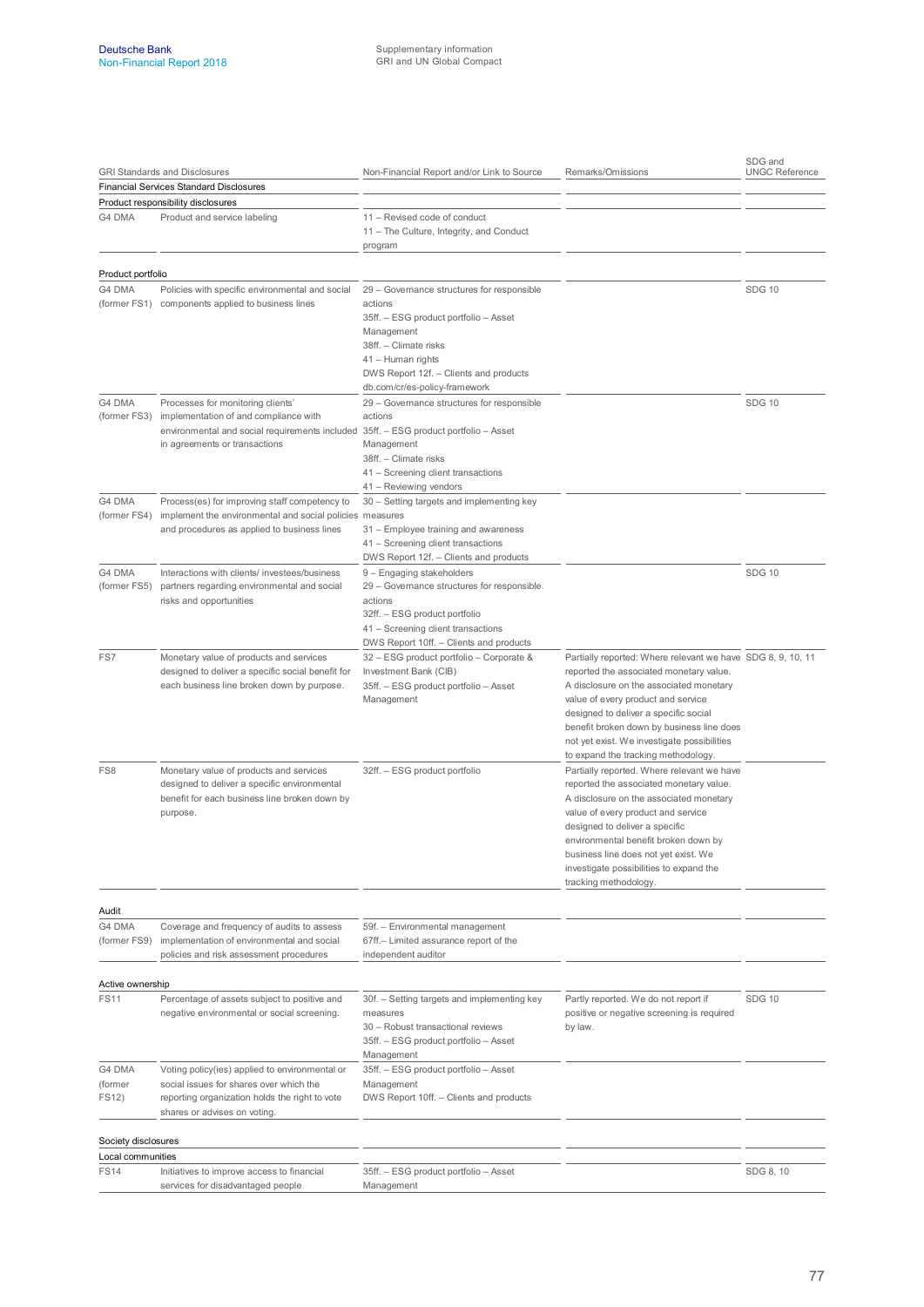|                                          | <b>GRI Standards and Disclosures</b>                                                                                                                                        | Non-Financial Report and/or Link to Source                                                                                                                                                           | Remarks/Omissions                                                                                                                                                                                                                                                                                                                                                   | SDG and<br><b>UNGC Reference</b> |
|------------------------------------------|-----------------------------------------------------------------------------------------------------------------------------------------------------------------------------|------------------------------------------------------------------------------------------------------------------------------------------------------------------------------------------------------|---------------------------------------------------------------------------------------------------------------------------------------------------------------------------------------------------------------------------------------------------------------------------------------------------------------------------------------------------------------------|----------------------------------|
| Financial Services Standard Disclosures  |                                                                                                                                                                             |                                                                                                                                                                                                      |                                                                                                                                                                                                                                                                                                                                                                     |                                  |
|                                          | Product responsibility disclosures                                                                                                                                          |                                                                                                                                                                                                      |                                                                                                                                                                                                                                                                                                                                                                     |                                  |
| G4 DMA                                   | Product and service labeling                                                                                                                                                | 11 - Revised code of conduct<br>11 - The Culture, Integrity, and Conduct<br>program                                                                                                                  |                                                                                                                                                                                                                                                                                                                                                                     |                                  |
| Product portfolio                        |                                                                                                                                                                             |                                                                                                                                                                                                      |                                                                                                                                                                                                                                                                                                                                                                     |                                  |
| G4 DMA                                   | Policies with specific environmental and social                                                                                                                             | 29 - Governance structures for responsible                                                                                                                                                           |                                                                                                                                                                                                                                                                                                                                                                     | <b>SDG 10</b>                    |
|                                          | (former FS1) components applied to business lines                                                                                                                           | actions<br>35ff. - ESG product portfolio - Asset<br>Management<br>38ff. - Climate risks<br>41 - Human rights<br>DWS Report 12f. - Clients and products<br>db.com/cr/es-policy-framework              |                                                                                                                                                                                                                                                                                                                                                                     |                                  |
| G4 DMA                                   | Processes for monitoring clients'                                                                                                                                           | 29 - Governance structures for responsible                                                                                                                                                           |                                                                                                                                                                                                                                                                                                                                                                     | <b>SDG 10</b>                    |
| (former FS3)                             | implementation of and compliance with<br>environmental and social requirements included 35ff. - ESG product portfolio - Asset<br>in agreements or transactions              | actions<br>Management<br>38ff. - Climate risks<br>41 - Screening client transactions<br>41 - Reviewing vendors                                                                                       |                                                                                                                                                                                                                                                                                                                                                                     |                                  |
| G4 DMA                                   | Process(es) for improving staff competency to                                                                                                                               | 30 - Setting targets and implementing key                                                                                                                                                            |                                                                                                                                                                                                                                                                                                                                                                     |                                  |
| (former FS4)                             | implement the environmental and social policies measures<br>and procedures as applied to business lines                                                                     | 31 - Employee training and awareness<br>41 - Screening client transactions<br>DWS Report 12f. - Clients and products                                                                                 |                                                                                                                                                                                                                                                                                                                                                                     |                                  |
| G4 DMA<br>(former FS5)                   | Interactions with clients/ investees/business<br>partners regarding environmental and social<br>risks and opportunities                                                     | 9 - Engaging stakeholders<br>29 - Governance structures for responsible<br>actions<br>32ff. - ESG product portfolio<br>41 - Screening client transactions<br>DWS Report 10ff. - Clients and products |                                                                                                                                                                                                                                                                                                                                                                     | <b>SDG 10</b>                    |
| FS7                                      | Monetary value of products and services<br>designed to deliver a specific social benefit for<br>each business line broken down by purpose.                                  | 32 - ESG product portfolio - Corporate &<br>Investment Bank (CIB)<br>35ff. - ESG product portfolio - Asset<br>Management                                                                             | Partially reported: Where relevant we have SDG 8, 9, 10, 11<br>reported the associated monetary value.<br>A disclosure on the associated monetary<br>value of every product and service<br>designed to deliver a specific social<br>benefit broken down by business line does<br>not yet exist. We investigate possibilities<br>to expand the tracking methodology. |                                  |
| FS8                                      | Monetary value of products and services<br>designed to deliver a specific environmental<br>benefit for each business line broken down by<br>purpose.                        | 32ff. - ESG product portfolio                                                                                                                                                                        | Partially reported. Where relevant we have<br>reported the associated monetary value.<br>A disclosure on the associated monetary<br>value of every product and service<br>designed to deliver a specific<br>environmental benefit broken down by<br>business line does not yet exist. We<br>investigate possibilities to expand the<br>tracking methodology.        |                                  |
|                                          |                                                                                                                                                                             |                                                                                                                                                                                                      |                                                                                                                                                                                                                                                                                                                                                                     |                                  |
| Audit<br>G4 DMA<br>(former FS9)          | Coverage and frequency of audits to assess<br>implementation of environmental and social<br>policies and risk assessment procedures                                         | 59f. - Environmental management<br>67ff.- Limited assurance report of the<br>independent auditor                                                                                                     |                                                                                                                                                                                                                                                                                                                                                                     |                                  |
|                                          |                                                                                                                                                                             |                                                                                                                                                                                                      |                                                                                                                                                                                                                                                                                                                                                                     |                                  |
| Active ownership<br><b>FS11</b>          | Percentage of assets subject to positive and<br>negative environmental or social screening.                                                                                 | 30f. - Setting targets and implementing key<br>measures<br>30 - Robust transactional reviews<br>35ff. - ESG product portfolio - Asset<br>Management                                                  | Partly reported. We do not report if<br>positive or negative screening is required<br>by law.                                                                                                                                                                                                                                                                       | <b>SDG 10</b>                    |
| G4 DMA<br>(former<br>FS12)               | Voting policy(ies) applied to environmental or<br>social issues for shares over which the<br>reporting organization holds the right to vote<br>shares or advises on voting. | 35ff. - ESG product portfolio - Asset<br>Management<br>DWS Report 10ff. - Clients and products                                                                                                       |                                                                                                                                                                                                                                                                                                                                                                     |                                  |
|                                          |                                                                                                                                                                             |                                                                                                                                                                                                      |                                                                                                                                                                                                                                                                                                                                                                     |                                  |
| Society disclosures<br>Local communities |                                                                                                                                                                             |                                                                                                                                                                                                      |                                                                                                                                                                                                                                                                                                                                                                     |                                  |
| <b>FS14</b>                              | Initiatives to improve access to financial<br>services for disadvantaged people                                                                                             | 35ff. - ESG product portfolio - Asset<br>Management                                                                                                                                                  |                                                                                                                                                                                                                                                                                                                                                                     | SDG 8, 10                        |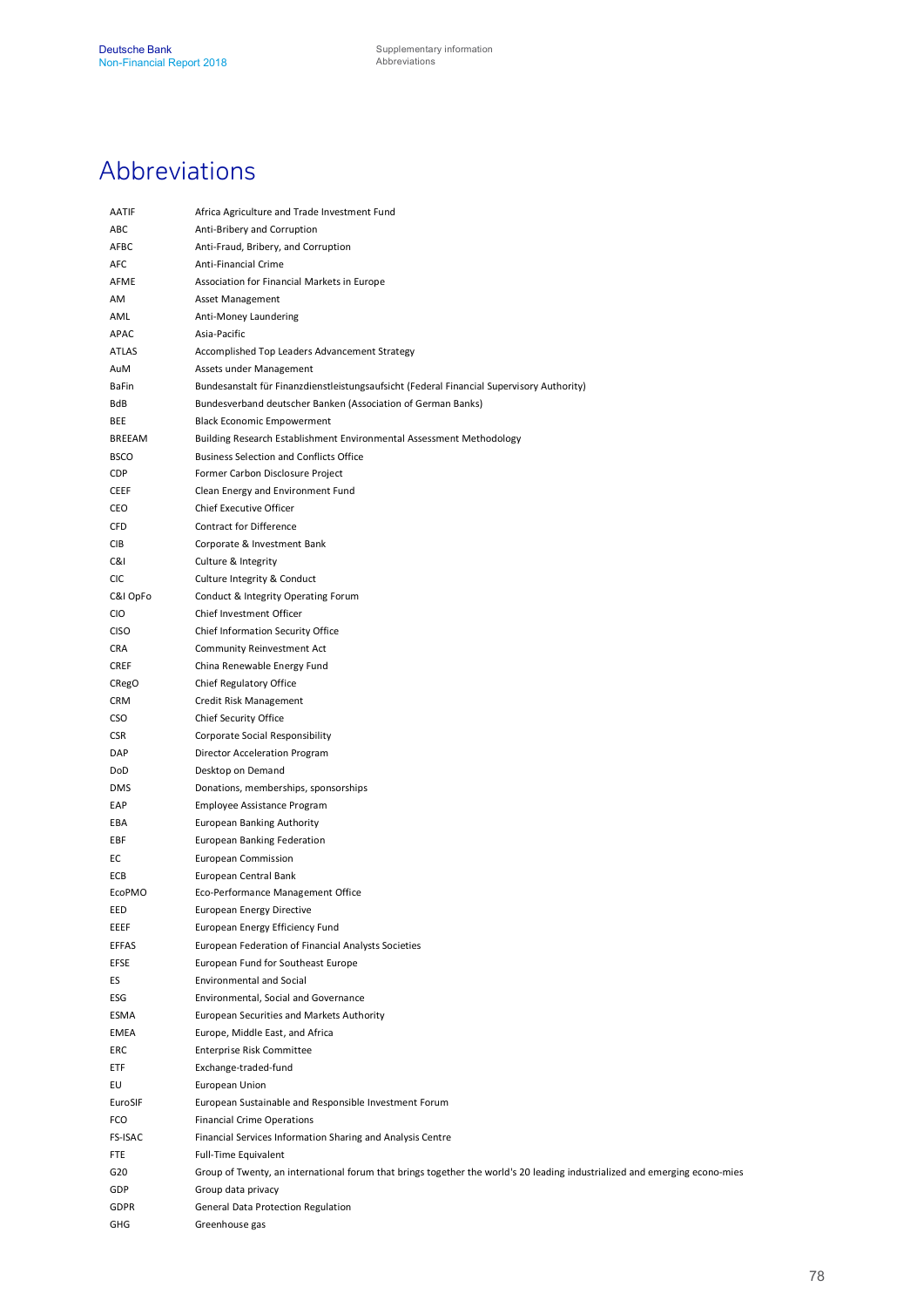## Abbreviations

| AATIF          | Africa Agriculture and Trade Investment Fund                                                                               |
|----------------|----------------------------------------------------------------------------------------------------------------------------|
| ABC            | Anti-Bribery and Corruption                                                                                                |
| AFBC           | Anti-Fraud, Bribery, and Corruption                                                                                        |
| AFC            | Anti-Financial Crime                                                                                                       |
| AFME           | Association for Financial Markets in Europe                                                                                |
| AM             | Asset Management                                                                                                           |
| AML            | Anti-Money Laundering                                                                                                      |
| APAC           | Asia-Pacific                                                                                                               |
| <b>ATLAS</b>   | Accomplished Top Leaders Advancement Strategy                                                                              |
| AuM            | Assets under Management                                                                                                    |
| BaFin          | Bundesanstalt für Finanzdienstleistungsaufsicht (Federal Financial Supervisory Authority)                                  |
| BdB            | Bundesverband deutscher Banken (Association of German Banks)                                                               |
| <b>BEE</b>     | <b>Black Economic Empowerment</b>                                                                                          |
| BREEAM         | Building Research Establishment Environmental Assessment Methodology                                                       |
| <b>BSCO</b>    | <b>Business Selection and Conflicts Office</b>                                                                             |
| CDP            | Former Carbon Disclosure Project                                                                                           |
| <b>CEEF</b>    |                                                                                                                            |
| CEO            | Clean Energy and Environment Fund<br>Chief Executive Officer                                                               |
| <b>CFD</b>     | <b>Contract for Difference</b>                                                                                             |
|                |                                                                                                                            |
| <b>CIB</b>     | Corporate & Investment Bank                                                                                                |
| C&I            | Culture & Integrity                                                                                                        |
| <b>CIC</b>     | Culture Integrity & Conduct                                                                                                |
| C&I OpFo       | Conduct & Integrity Operating Forum                                                                                        |
| <b>CIO</b>     | Chief Investment Officer                                                                                                   |
| <b>CISO</b>    | Chief Information Security Office                                                                                          |
| CRA            | Community Reinvestment Act                                                                                                 |
| <b>CREF</b>    | China Renewable Energy Fund                                                                                                |
| CRegO          | Chief Regulatory Office                                                                                                    |
| <b>CRM</b>     | Credit Risk Management                                                                                                     |
| <b>CSO</b>     | Chief Security Office                                                                                                      |
| <b>CSR</b>     | Corporate Social Responsibility                                                                                            |
| DAP            | Director Acceleration Program                                                                                              |
| DoD            | Desktop on Demand                                                                                                          |
| <b>DMS</b>     | Donations, memberships, sponsorships                                                                                       |
| EAP            | Employee Assistance Program                                                                                                |
| EBA            | European Banking Authority                                                                                                 |
| EBF            | European Banking Federation                                                                                                |
| EC             | European Commission                                                                                                        |
| ECB            | European Central Bank                                                                                                      |
| <b>EcoPMO</b>  | Eco-Performance Management Office                                                                                          |
| EED            | <b>European Energy Directive</b>                                                                                           |
| EEEF           | European Energy Efficiency Fund                                                                                            |
| <b>EFFAS</b>   | European Federation of Financial Analysts Societies                                                                        |
| EFSE           | European Fund for Southeast Europe                                                                                         |
| ES             | <b>Environmental and Social</b>                                                                                            |
| ESG            | Environmental, Social and Governance                                                                                       |
| ESMA           | European Securities and Markets Authority                                                                                  |
| EMEA           | Europe, Middle East, and Africa                                                                                            |
| ERC            | Enterprise Risk Committee                                                                                                  |
| <b>ETF</b>     | Exchange-traded-fund                                                                                                       |
| EU             | European Union                                                                                                             |
| EuroSIF        | European Sustainable and Responsible Investment Forum                                                                      |
| FCO            | <b>Financial Crime Operations</b>                                                                                          |
| <b>FS-ISAC</b> | Financial Services Information Sharing and Analysis Centre                                                                 |
| <b>FTE</b>     | Full-Time Equivalent                                                                                                       |
| G20            | Group of Twenty, an international forum that brings together the world's 20 leading industrialized and emerging econo-mies |
| GDP            | Group data privacy                                                                                                         |
| <b>GDPR</b>    | General Data Protection Regulation                                                                                         |
| GHG            | Greenhouse gas                                                                                                             |
|                |                                                                                                                            |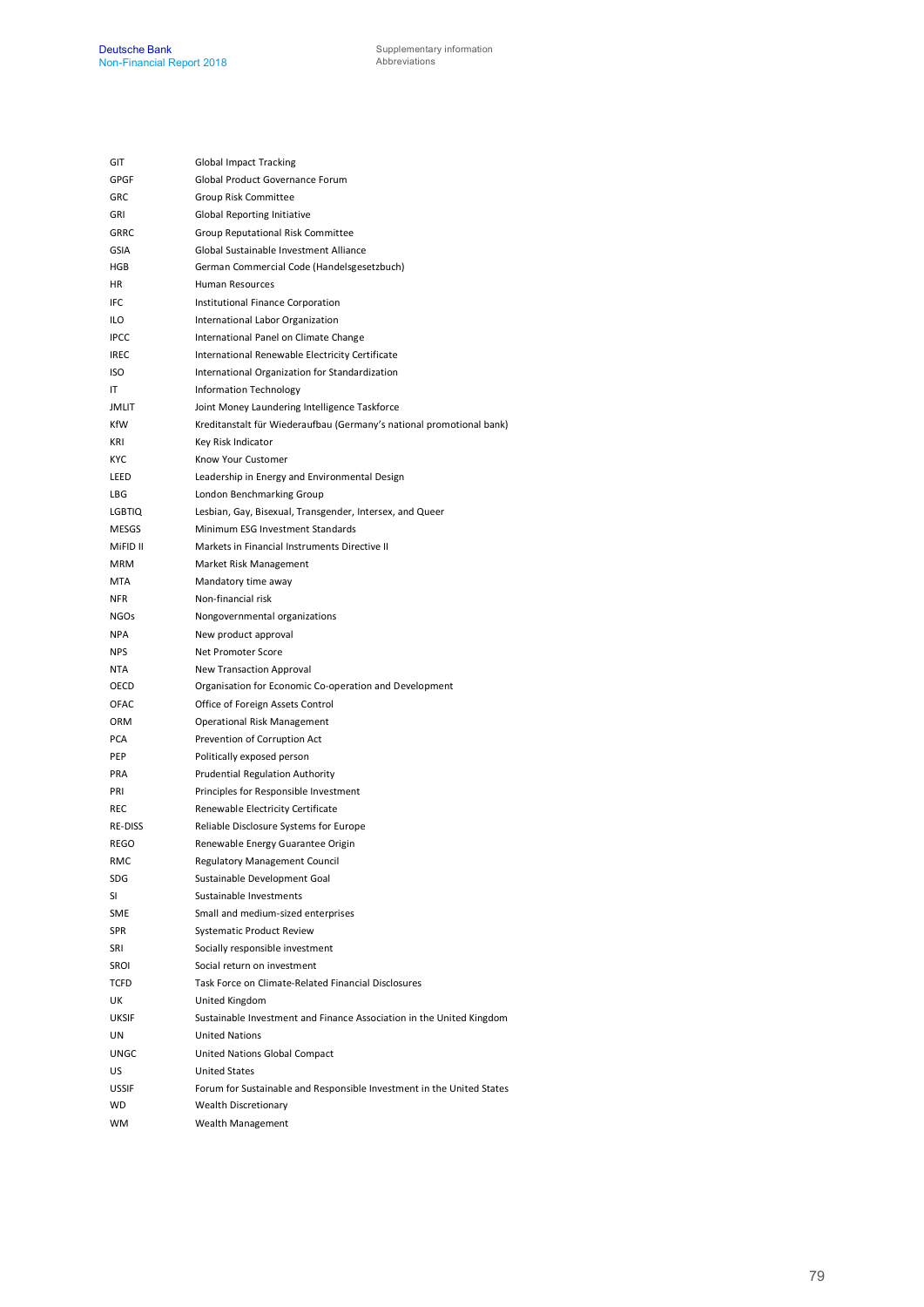| GIT           | Global Impact Tracking                                                |
|---------------|-----------------------------------------------------------------------|
| GPGF          | Global Product Governance Forum                                       |
| GRC           | Group Risk Committee                                                  |
| GRI           | <b>Global Reporting Initiative</b>                                    |
| <b>GRRC</b>   | Group Reputational Risk Committee                                     |
| <b>GSIA</b>   | Global Sustainable Investment Alliance                                |
| <b>HGB</b>    | German Commercial Code (Handelsgesetzbuch)                            |
| ΗR            | Human Resources                                                       |
| IFC           | Institutional Finance Corporation                                     |
| ilo           | International Labor Organization                                      |
| <b>IPCC</b>   | International Panel on Climate Change                                 |
| <b>IREC</b>   | International Renewable Electricity Certificate                       |
| ISO           | International Organization for Standardization                        |
| IT            | Information Technology                                                |
| <b>JMLIT</b>  | Joint Money Laundering Intelligence Taskforce                         |
| KfW           | Kreditanstalt für Wiederaufbau (Germany's national promotional bank)  |
| KRI           | Key Risk Indicator                                                    |
| <b>KYC</b>    | Know Your Customer                                                    |
| LEED          | Leadership in Energy and Environmental Design                         |
| LBG           | London Benchmarking Group                                             |
| <b>LGBTIQ</b> | Lesbian, Gay, Bisexual, Transgender, Intersex, and Queer              |
| MESGS         | Minimum ESG Investment Standards                                      |
| MiFID II      | Markets in Financial Instruments Directive II                         |
| <b>MRM</b>    | Market Risk Management                                                |
| <b>MTA</b>    | Mandatory time away                                                   |
| NFR.          | Non-financial risk                                                    |
| <b>NGOs</b>   | Nongovernmental organizations                                         |
| NPA           | New product approval                                                  |
| <b>NPS</b>    | Net Promoter Score                                                    |
| NTA           | New Transaction Approval                                              |
| OECD          | Organisation for Economic Co-operation and Development                |
| OFAC          | Office of Foreign Assets Control                                      |
| <b>ORM</b>    | Operational Risk Management                                           |
| <b>PCA</b>    | Prevention of Corruption Act                                          |
| PEP           | Politically exposed person                                            |
| PRA           | Prudential Regulation Authority                                       |
| PRI           | Principles for Responsible Investment                                 |
| REC           | Renewable Electricity Certificate                                     |
| RE-DISS       | Reliable Disclosure Systems for Europe                                |
| REGO          | Renewable Energy Guarantee Origin                                     |
| RMC           | Regulatory Management Council                                         |
| SDG           | Sustainable Development Goal                                          |
| SI            | Sustainable Investments                                               |
| SME           | Small and medium-sized enterprises                                    |
| <b>SPR</b>    | Systematic Product Review                                             |
| SRI           | Socially responsible investment                                       |
| SROI          | Social return on investment                                           |
| TCFD          | Task Force on Climate-Related Financial Disclosures                   |
| UΚ            | United Kingdom                                                        |
| UKSIF         | Sustainable Investment and Finance Association in the United Kingdom  |
| UN            | <b>United Nations</b>                                                 |
| UNGC          | United Nations Global Compact                                         |
| US            | <b>United States</b>                                                  |
| USSIF         | Forum for Sustainable and Responsible Investment in the United States |
| WD            | <b>Wealth Discretionary</b>                                           |
| WM            | Wealth Management                                                     |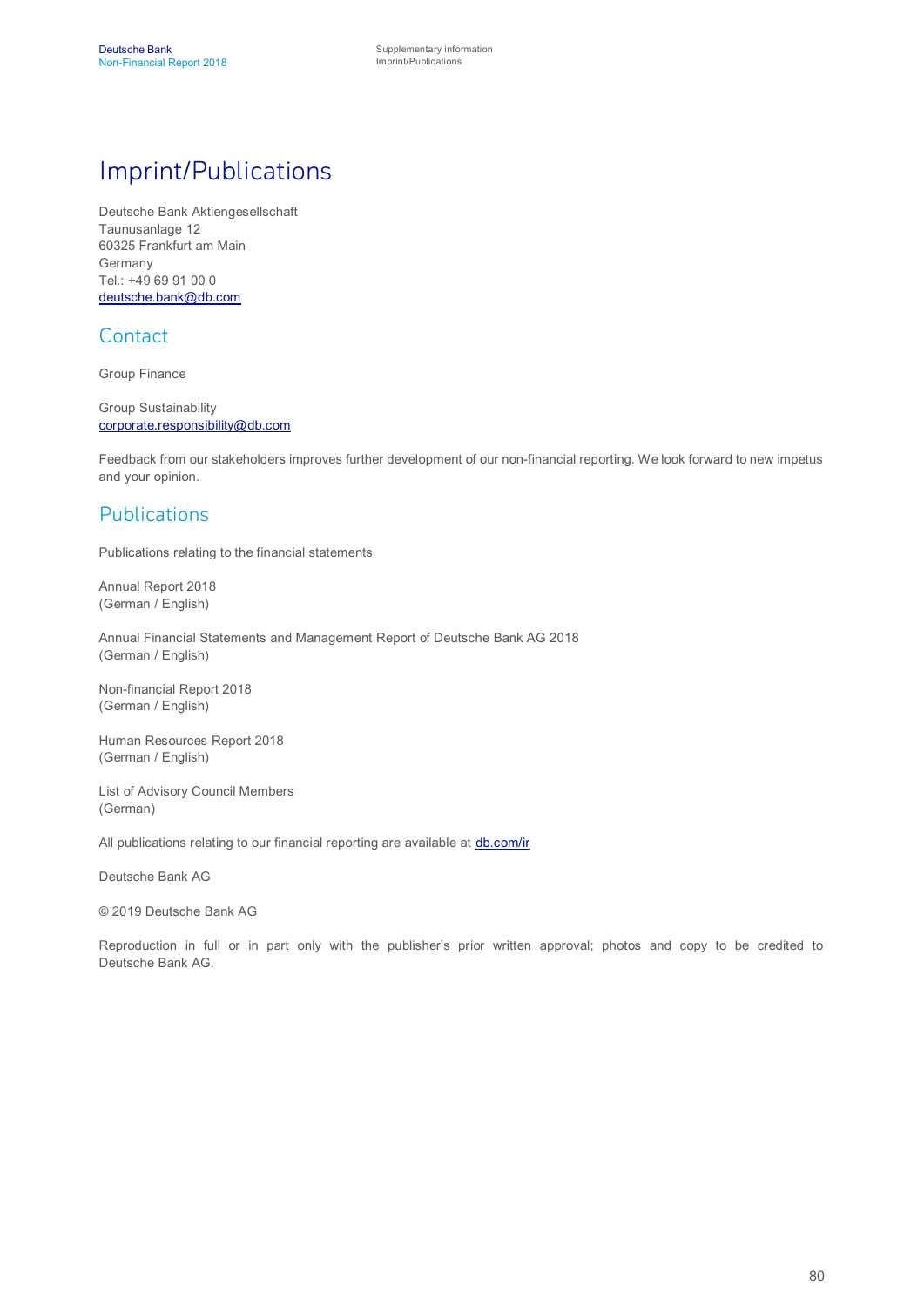### Imprint/Publications

Deutsche Bank Aktiengesellschaft Taunusanlage 12 60325 Frankfurt am Main Germany Tel.: +49 69 91 00 0 [deutsche.bank@db.com](mailto:deutsche.bank@db.com)

#### **Contact**

Group Finance

Group Sustainability [corporate.responsibility@db.com](mailto:corporate.responsibility@db.com)

Feedback from our stakeholders improves further development of our non-financial reporting. We look forward to new impetus and your opinion.

#### Publications

Publications relating to the financial statements

Annual Report 2018 (German / English)

Annual Financial Statements and Management Report of Deutsche Bank AG 2018 (German / English)

Non-financial Report 2018 (German / English)

Human Resources Report 2018 (German / English)

List of Advisory Council Members (German)

All publications relating to our financial reporting are available at **[db.com/ir](http://www.db.com/ir)** 

Deutsche Bank AG

© 2019 Deutsche Bank AG

Reproduction in full or in part only with the publisher's prior written approval; photos and copy to be credited to Deutsche Bank AG.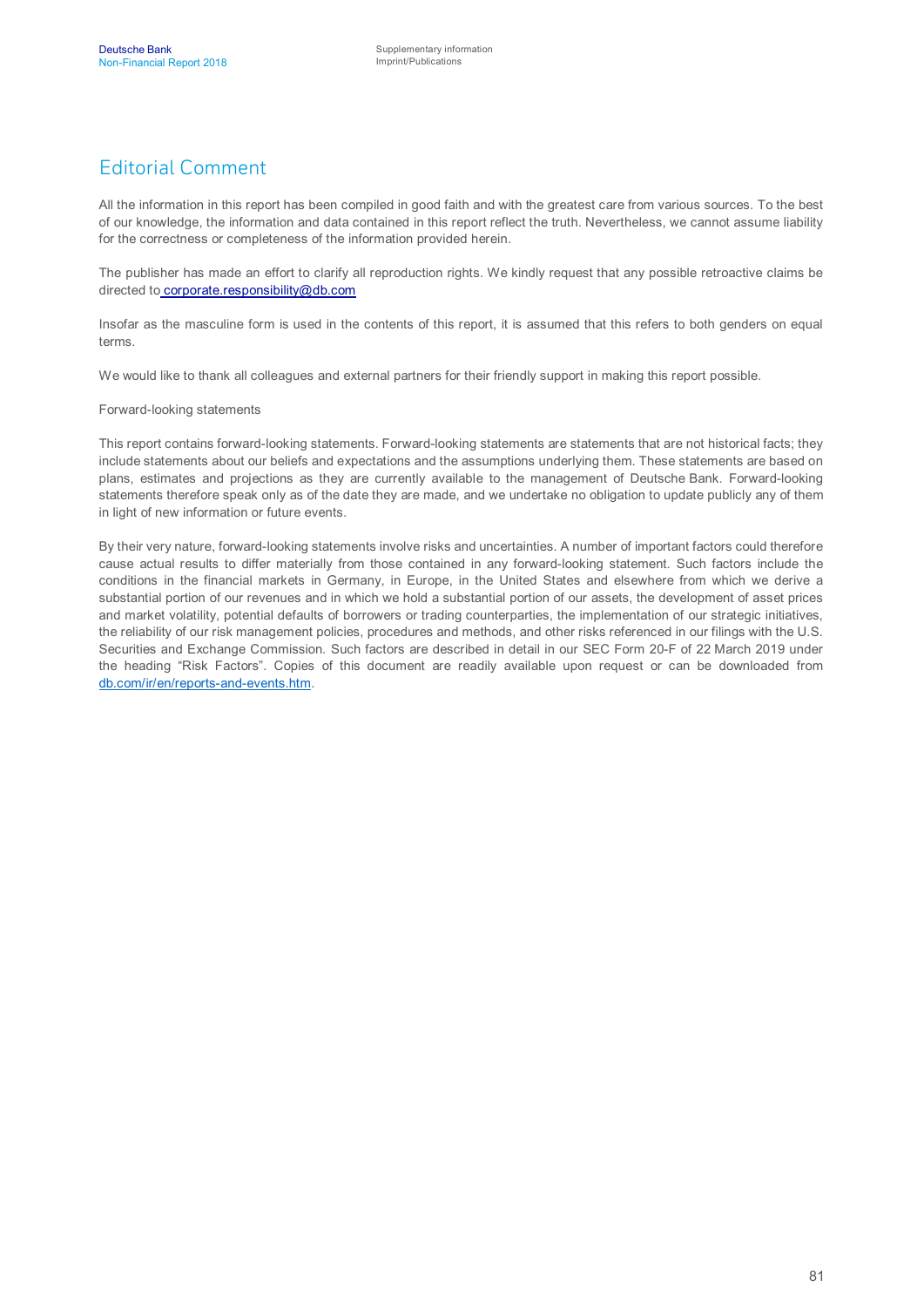#### Editorial Comment

All the information in this report has been compiled in good faith and with the greatest care from various sources. To the best of our knowledge, the information and data contained in this report reflect the truth. Nevertheless, we cannot assume liability for the correctness or completeness of the information provided herein.

The publisher has made an effort to clarify all reproduction rights. We kindly request that any possible retroactive claims be directed to [corporate.responsibility@db.com](mailto:corporate.responsibility@db.com)

Insofar as the masculine form is used in the contents of this report, it is assumed that this refers to both genders on equal terms.

We would like to thank all colleagues and external partners for their friendly support in making this report possible.

Forward-looking statements

This report contains forward-looking statements. Forward-looking statements are statements that are not historical facts; they include statements about our beliefs and expectations and the assumptions underlying them. These statements are based on plans, estimates and projections as they are currently available to the management of Deutsche Bank. Forward-looking statements therefore speak only as of the date they are made, and we undertake no obligation to update publicly any of them in light of new information or future events.

By their very nature, forward-looking statements involve risks and uncertainties. A number of important factors could therefore cause actual results to differ materially from those contained in any forward-looking statement. Such factors include the conditions in the financial markets in Germany, in Europe, in the United States and elsewhere from which we derive a substantial portion of our revenues and in which we hold a substantial portion of our assets, the development of asset prices and market volatility, potential defaults of borrowers or trading counterparties, the implementation of our strategic initiatives, the reliability of our risk management policies, procedures and methods, and other risks referenced in our filings with the U.S. Securities and Exchange Commission. Such factors are described in detail in our SEC Form 20-F of 22 March 2019 under the heading "Risk Factors". Copies of this document are readily available upon request or can be downloaded from [db.com/ir/en/reports-and-events.htm](https://www.db.com/ir/en/reports-and-events.htm).